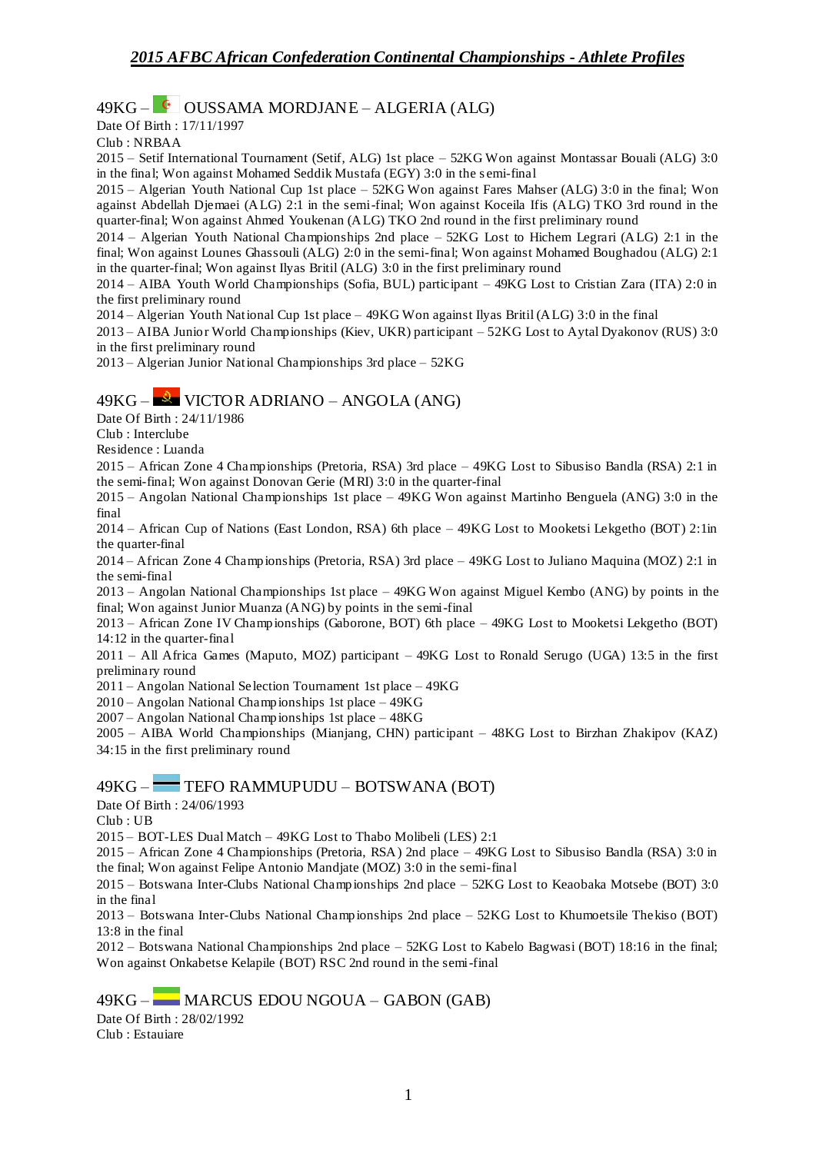## 49KG – OUSSAMA MORDJANE – ALGERIA (ALG)

Date Of Birth : 17/11/1997

Club : NRBAA

2015 – Setif International Tournament (Setif, ALG) 1st place – 52KG Won against Montassar Bouali (ALG) 3:0 in the final; Won against Mohamed Seddik Mustafa (EGY) 3:0 in the s emi-final

2015 – Algerian Youth National Cup 1st place – 52KG Won against Fares Mahser (ALG) 3:0 in the final; Won against Abdellah Djemaei (ALG) 2:1 in the semi-final; Won against Koceila Ifis (ALG) TKO 3rd round in the quarter-final; Won against Ahmed Youkenan (ALG) TKO 2nd round in the first preliminary round

2014 – Algerian Youth National Championships 2nd place – 52KG Lost to Hichem Legrari (ALG) 2:1 in the final; Won against Lounes Ghassouli (ALG) 2:0 in the semi-final; Won against Mohamed Boughadou (ALG) 2:1 in the quarter-final; Won against Ilyas Britil (ALG) 3:0 in the first preliminary round

2014 – AIBA Youth World Championships (Sofia, BUL) participant – 49KG Lost to Cristian Zara (ITA) 2:0 in the first preliminary round

2014 – Algerian Youth National Cup 1st place – 49KG Won against Ilyas Britil (ALG) 3:0 in the final

2013 – AIBA Junior World Championships (Kiev, UKR) participant – 52KG Lost to Aytal Dyakonov (RUS) 3:0 in the first preliminary round

2013 – Algerian Junior National Championships 3rd place – 52KG

### 49KG – VICTOR ADRIANO – ANGOLA (ANG)

Date Of Birth : 24/11/1986

Club : Interclube

Residence : Luanda

2015 – African Zone 4 Championships (Pretoria, RSA) 3rd place – 49KG Lost to Sibusiso Bandla (RSA) 2:1 in the semi-final; Won against Donovan Gerie (MRI) 3:0 in the quarter-final

2015 – Angolan National Championships 1st place – 49KG Won against Martinho Benguela (ANG) 3:0 in the final

2014 – African Cup of Nations (East London, RSA) 6th place – 49KG Lost to Mooketsi Lekgetho (BOT) 2:1in the quarter-final

2014 – African Zone 4 Championships (Pretoria, RSA) 3rd place – 49KG Lost to Juliano Maquina (MOZ) 2:1 in the semi-final

2013 – Angolan National Championships 1st place – 49KG Won against Miguel Kembo (ANG) by points in the final; Won against Junior Muanza (ANG) by points in the semi-final

2013 – African Zone IV Championships (Gaborone, BOT) 6th place – 49KG Lost to Mooketsi Lekgetho (BOT) 14:12 in the quarter-final

2011 – All Africa Games (Maputo, MOZ) participant – 49KG Lost to Ronald Serugo (UGA) 13:5 in the first preliminary round

2011 – Angolan National Se lection Tournament 1st place – 49KG

2010 – Angolan National Championships 1st place – 49KG

2007 – Angolan National Championships 1st place – 48KG

2005 – AIBA World Championships (Mianjang, CHN) participant – 48KG Lost to Birzhan Zhakipov (KAZ) 34:15 in the first preliminary round

#### 49KG – TEFO RAMMUPUDU – BOTSWANA (BOT)

Date Of Birth : 24/06/1993

Club : UB

2015 – BOT-LES Dual Match – 49KG Lost to Thabo Molibeli (LES) 2:1

2015 – African Zone 4 Championships (Pretoria, RSA) 2nd place – 49KG Lost to Sibusiso Bandla (RSA) 3:0 in the final; Won against Felipe Antonio Mandjate (MOZ) 3:0 in the semi-final

2015 – Botswana Inter-Clubs National Championships 2nd place – 52KG Lost to Keaobaka Motsebe (BOT) 3:0 in the final

2013 – Botswana Inter-Clubs National Championships 2nd place – 52KG Lost to Khumoetsile Thekiso (BOT) 13:8 in the final

2012 – Botswana National Championships 2nd place – 52KG Lost to Kabelo Bagwasi (BOT) 18:16 in the final; Won against Onkabetse Kelapile (BOT) RSC 2nd round in the semi-final

49KG – MARCUS EDOU NGOUA – GABON (GAB)

Date Of Birth : 28/02/1992 Club : Estauiare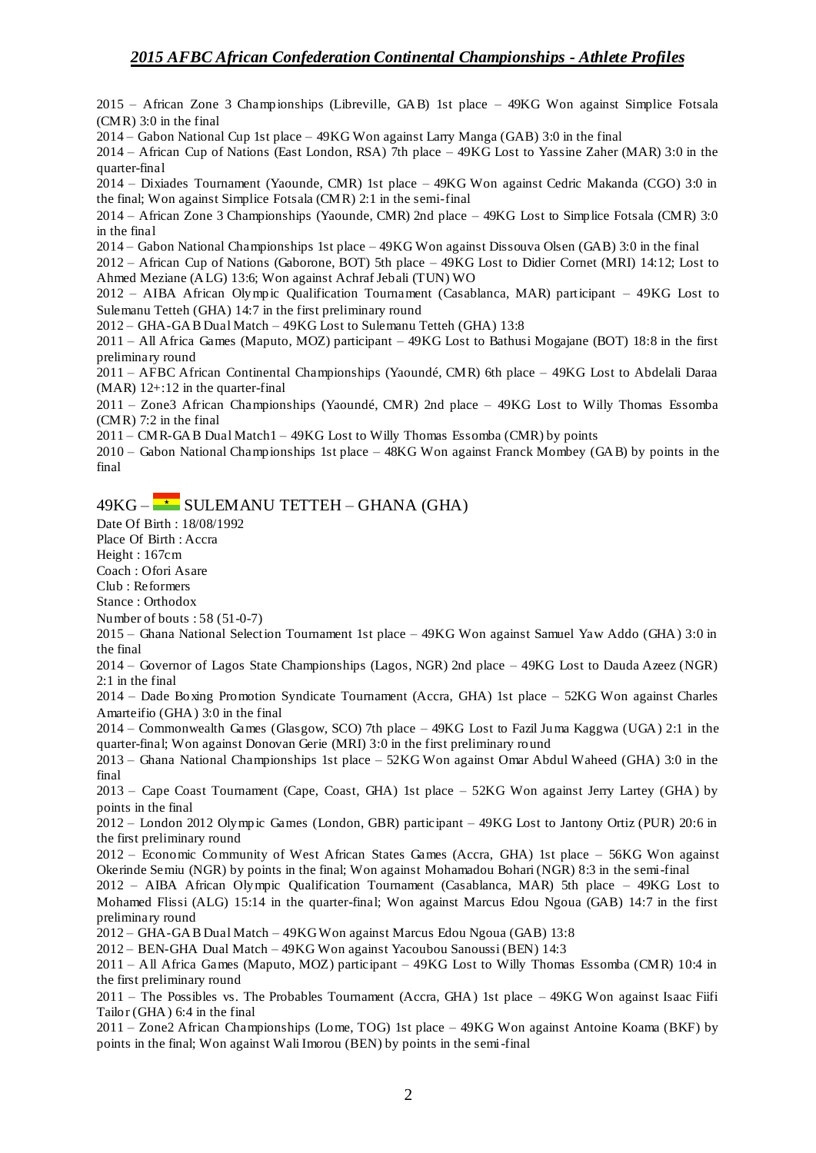2015 – African Zone 3 Championships (Libreville, GAB) 1st place – 49KG Won against Simplice Fotsala (CMR) 3:0 in the final

2014 – Gabon National Cup 1st place – 49KG Won against Larry Manga (GAB) 3:0 in the final

2014 – African Cup of Nations (East London, RSA) 7th place – 49KG Lost to Yassine Zaher (MAR) 3:0 in the quarter-final

2014 – Dixiades Tournament (Yaounde, CMR) 1st place – 49KG Won against Cedric Makanda (CGO) 3:0 in the final; Won against Simplice Fotsala (CMR) 2:1 in the semi-final

2014 – African Zone 3 Championships (Yaounde, CMR) 2nd place – 49KG Lost to Simplice Fotsala (CMR) 3:0 in the final

2014 – Gabon National Championships 1st place – 49KG Won against Dissouva Olsen (GAB) 3:0 in the final

2012 – African Cup of Nations (Gaborone, BOT) 5th place – 49KG Lost to Didier Cornet (MRI) 14:12; Lost to Ahmed Meziane (ALG) 13:6; Won against Achraf Jebali (TUN) WO

2012 – AIBA African Olympic Qualification Tournament (Casablanca, MAR) participant – 49KG Lost to Sulemanu Tetteh (GHA) 14:7 in the first preliminary round

2012 – GHA-GAB Dual Match – 49KG Lost to Sulemanu Tetteh (GHA) 13:8

2011 – All Africa Games (Maputo, MOZ) participant – 49KG Lost to Bathusi Mogajane (BOT) 18:8 in the first preliminary round

2011 – AFBC African Continental Championships (Yaoundé, CMR) 6th place – 49KG Lost to Abdelali Daraa  $(MAR)$  12+:12 in the quarter-final

2011 – Zone3 African Championships (Yaoundé, CMR) 2nd place – 49KG Lost to Willy Thomas Essomba (CMR) 7:2 in the final

2011 – CMR-GAB Dual Match1 – 49KG Lost to Willy Thomas Essomba (CMR) by points

2010 – Gabon National Championships 1st place – 48KG Won against Franck Mombey (GAB) by points in the final

## $49KG - \rightarrow$  SULEMANU TETTEH – GHANA (GHA)

Date Of Birth : 18/08/1992

Place Of Birth : Accra

Height : 167cm

Coach : Ofori Asare Club : Reformers

Stance : Orthodox

Number of bouts : 58 (51-0-7)

2015 – Ghana National Selection Tournament 1st place – 49KG Won against Samuel Yaw Addo (GHA) 3:0 in the final

2014 – Governor of Lagos State Championships (Lagos, NGR) 2nd place – 49KG Lost to Dauda Azeez (NGR) 2:1 in the final

2014 – Dade Boxing Promotion Syndicate Tournament (Accra, GHA) 1st place – 52KG Won against Charles Amarteifio (GHA) 3:0 in the final

2014 – Commonwealth Games (Glasgow, SCO) 7th place – 49KG Lost to Fazil Juma Kaggwa (UGA) 2:1 in the quarter-final; Won against Donovan Gerie (MRI) 3:0 in the first preliminary round

2013 – Ghana National Championships 1st place – 52KG Won against Omar Abdul Waheed (GHA) 3:0 in the final

2013 – Cape Coast Tournament (Cape, Coast, GHA) 1st place – 52KG Won against Jerry Lartey (GHA) by points in the final

2012 – London 2012 Olympic Games (London, GBR) participant – 49KG Lost to Jantony Ortiz (PUR) 20:6 in the first preliminary round

2012 – Economic Community of West African States Games (Accra, GHA) 1st place – 56KG Won against Okerinde Semiu (NGR) by points in the final; Won against Mohamadou Bohari (NGR) 8:3 in the semi-final

2012 – AIBA African Olympic Qualification Tournament (Casablanca, MAR) 5th place – 49KG Lost to Mohamed Flissi (ALG) 15:14 in the quarter-final; Won against Marcus Edou Ngoua (GAB) 14:7 in the first preliminary round

2012 – GHA-GAB Dual Match – 49KG Won against Marcus Edou Ngoua (GAB) 13:8

2012 – BEN-GHA Dual Match – 49KG Won against Yacoubou Sanoussi (BEN) 14:3

2011 – All Africa Games (Maputo, MOZ) participant – 49KG Lost to Willy Thomas Essomba (CMR) 10:4 in the first preliminary round

2011 – The Possibles vs. The Probables Tournament (Accra, GHA) 1st place – 49KG Won against Isaac Fiifi Tailor (GHA) 6:4 in the final

2011 – Zone2 African Championships (Lome, TOG) 1st place – 49KG Won against Antoine Koama (BKF) by points in the final; Won against Wali Imorou (BEN) by points in the semi-final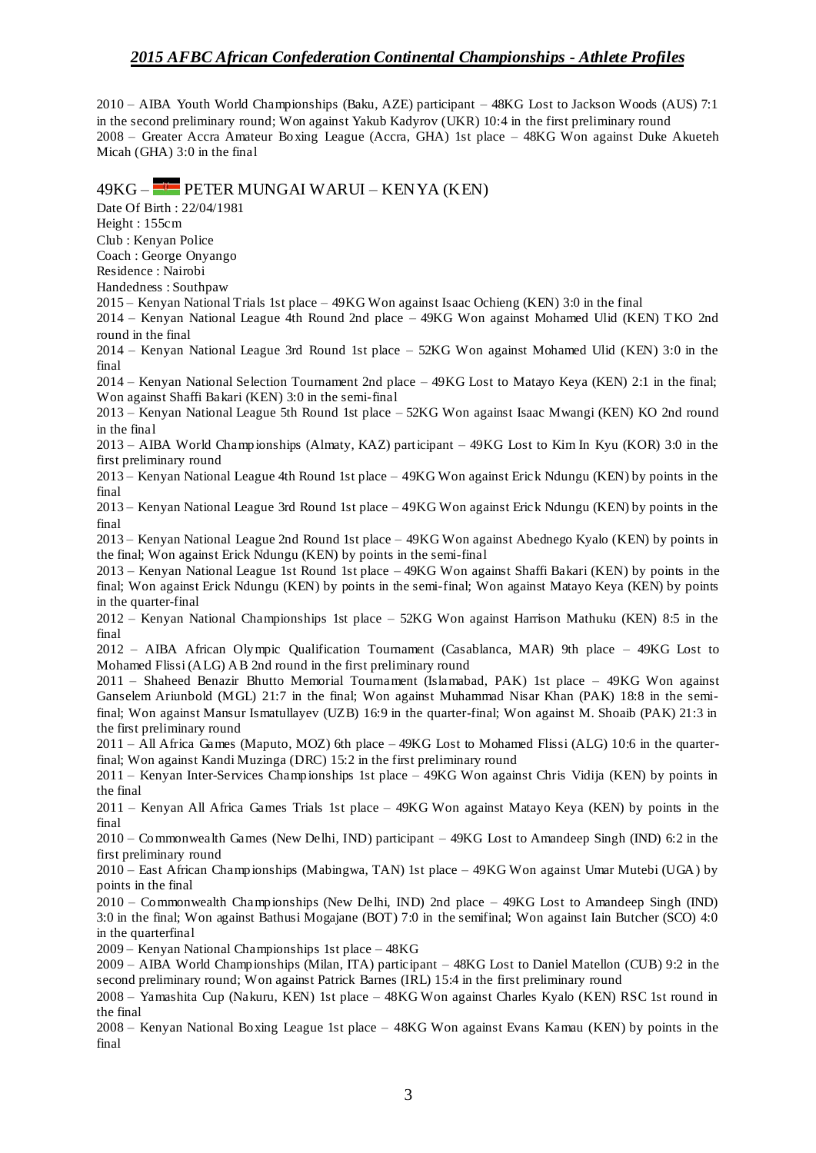2010 – AIBA Youth World Championships (Baku, AZE) participant – 48KG Lost to Jackson Woods (AUS) 7:1 in the second preliminary round; Won against Yakub Kadyrov (UKR) 10:4 in the first preliminary round 2008 – Greater Accra Amateur Boxing League (Accra, GHA) 1st place – 48KG Won against Duke Akueteh Micah (GHA) 3:0 in the final

#### 49KG – PETER MUNGAI WARUI – KENYA (KEN)

Date Of Birth : 22/04/1981

Height : 155cm

Club : Kenyan Police

Coach : George Onyango

Residence : Nairobi

Handedness : Southpaw

2015 – Kenyan National Trials 1st place – 49KG Won against Isaac Ochieng (KEN) 3:0 in the final

2014 – Kenyan National League 4th Round 2nd place – 49KG Won against Mohamed Ulid (KEN) TKO 2nd round in the final

2014 – Kenyan National League 3rd Round 1st place – 52KG Won against Mohamed Ulid (KEN) 3:0 in the final

2014 – Kenyan National Selection Tournament 2nd place – 49KG Lost to Matayo Keya (KEN) 2:1 in the final; Won against Shaffi Bakari (KEN) 3:0 in the semi-final

2013 – Kenyan National League 5th Round 1st place – 52KG Won against Isaac Mwangi (KEN) KO 2nd round in the final

2013 – AIBA World Championships (Almaty, KAZ) participant – 49KG Lost to Kim In Kyu (KOR) 3:0 in the first preliminary round

2013 – Kenyan National League 4th Round 1st place – 49KG Won against Erick Ndungu (KEN) by points in the final

2013 – Kenyan National League 3rd Round 1st place – 49KG Won against Erick Ndungu (KEN) by points in the final

2013 – Kenyan National League 2nd Round 1st place – 49KG Won against Abednego Kyalo (KEN) by points in the final; Won against Erick Ndungu (KEN) by points in the semi-final

2013 – Kenyan National League 1st Round 1st place – 49KG Won against Shaffi Bakari (KEN) by points in the final; Won against Erick Ndungu (KEN) by points in the semi-final; Won against Matayo Keya (KEN) by points in the quarter-final

2012 – Kenyan National Championships 1st place – 52KG Won against Harrison Mathuku (KEN) 8:5 in the final

2012 – AIBA African Olympic Qualification Tournament (Casablanca, MAR) 9th place – 49KG Lost to Mohamed Flissi (ALG) AB 2nd round in the first preliminary round

2011 – Shaheed Benazir Bhutto Memorial Tournament (Islamabad, PAK) 1st place – 49KG Won against Ganselem Ariunbold (MGL) 21:7 in the final; Won against Muhammad Nisar Khan (PAK) 18:8 in the semifinal; Won against Mansur Ismatullayev (UZB) 16:9 in the quarter-final; Won against M. Shoaib (PAK) 21:3 in the first preliminary round

2011 – All Africa Games (Maputo, MOZ) 6th place – 49KG Lost to Mohamed Flissi (ALG) 10:6 in the quarterfinal; Won against Kandi Muzinga (DRC) 15:2 in the first preliminary round

2011 – Kenyan Inter-Services Championships 1st place – 49KG Won against Chris Vidija (KEN) by points in the final

2011 – Kenyan All Africa Games Trials 1st place – 49KG Won against Matayo Keya (KEN) by points in the final

2010 – Commonwealth Games (New Delhi, IND) participant – 49KG Lost to Amandeep Singh (IND) 6:2 in the first preliminary round

2010 – East African Championships (Mabingwa, TAN) 1st place – 49KG Won against Umar Mutebi (UGA) by points in the final

2010 – Commonwealth Championships (New Delhi, IND) 2nd place – 49KG Lost to Amandeep Singh (IND) 3:0 in the final; Won against Bathusi Mogajane (BOT) 7:0 in the semifinal; Won against Iain Butcher (SCO) 4:0 in the quarterfinal

2009 – Kenyan National Championships 1st place – 48KG

2009 – AIBA World Championships (Milan, ITA) participant – 48KG Lost to Daniel Matellon (CUB) 9:2 in the second preliminary round; Won against Patrick Barnes (IRL) 15:4 in the first preliminary round

2008 – Yamashita Cup (Nakuru, KEN) 1st place – 48KG Won against Charles Kyalo (KEN) RSC 1st round in the final

2008 – Kenyan National Boxing League 1st place – 48KG Won against Evans Kamau (KEN) by points in the final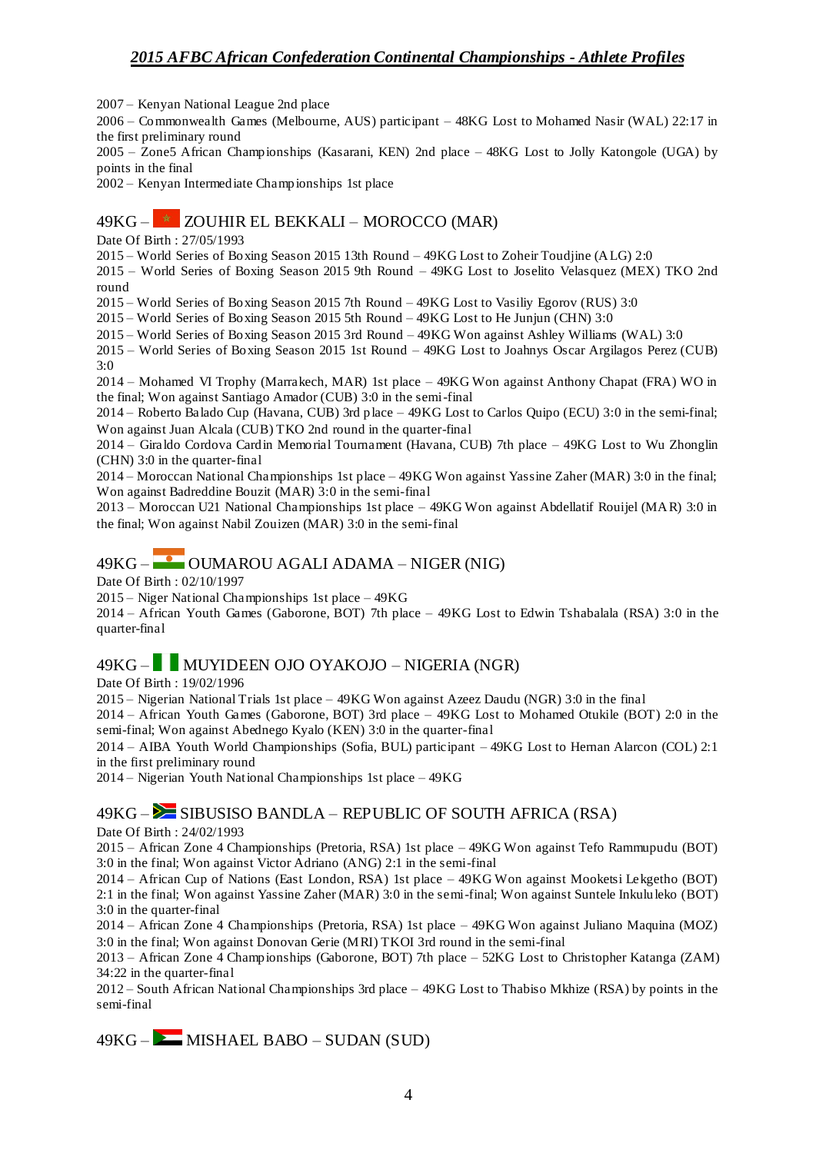2007 – Kenyan National League 2nd place

2006 – Commonwealth Games (Melbourne, AUS) participant – 48KG Lost to Mohamed Nasir (WAL) 22:17 in the first preliminary round

2005 – Zone5 African Championships (Kasarani, KEN) 2nd place – 48KG Lost to Jolly Katongole (UGA) by points in the final

2002 – Kenyan Intermediate Championships 1st place

### 49KG –  $\star$  ZOUHIR EL BEKKALI – MOROCCO (MAR)

Date Of Birth : 27/05/1993

2015 – World Series of Boxing Season 2015 13th Round – 49KG Lost to Zoheir Toudjine (ALG) 2:0

2015 – World Series of Boxing Season 2015 9th Round – 49KG Lost to Joselito Velasquez (MEX) TKO 2nd round

2015 – World Series of Boxing Season 2015 7th Round – 49KG Lost to Vasiliy Egorov (RUS) 3:0

2015 – World Series of Boxing Season 2015 5th Round – 49KG Lost to He Junjun (CHN) 3:0

2015 – World Series of Boxing Season 2015 3rd Round – 49KG Won against Ashley Williams (WAL) 3:0

2015 – World Series of Boxing Season 2015 1st Round – 49KG Lost to Joahnys Oscar Argilagos Perez (CUB)  $3.0$ 

2014 – Mohamed VI Trophy (Marrakech, MAR) 1st place – 49KG Won against Anthony Chapat (FRA) WO in the final; Won against Santiago Amador (CUB) 3:0 in the semi-final

2014 – Roberto Balado Cup (Havana, CUB) 3rd place – 49KG Lost to Carlos Quipo (ECU) 3:0 in the semi-final; Won against Juan Alcala (CUB) TKO 2nd round in the quarter-final

2014 – Giraldo Cordova Cardin Memorial Tournament (Havana, CUB) 7th place – 49KG Lost to Wu Zhonglin (CHN) 3:0 in the quarter-final

2014 – Moroccan National Championships 1st place – 49KG Won against Yassine Zaher (MAR) 3:0 in the final; Won against Badreddine Bouzit (MAR) 3:0 in the semi-final

2013 – Moroccan U21 National Championships 1st place – 49KG Won against Abdellatif Rouijel (MAR) 3:0 in the final; Won against Nabil Zouizen (MAR) 3:0 in the semi-final

### $49KG -$  OUMAROU AGALI ADAMA – NIGER (NIG)

Date Of Birth : 02/10/1997

2015 – Niger National Championships 1st place – 49KG

2014 – African Youth Games (Gaborone, BOT) 7th place – 49KG Lost to Edwin Tshabalala (RSA) 3:0 in the quarter-final

## 49KG – MUYIDEEN OJO OYAKOJO – NIGERIA (NGR)

Date Of Birth : 19/02/1996

2015 – Nigerian National Trials 1st place – 49KG Won against Azeez Daudu (NGR) 3:0 in the final

2014 – African Youth Games (Gaborone, BOT) 3rd place – 49KG Lost to Mohamed Otukile (BOT) 2:0 in the semi-final; Won against Abednego Kyalo (KEN) 3:0 in the quarter-final

2014 – AIBA Youth World Championships (Sofia, BUL) participant – 49KG Lost to Hernan Alarcon (COL) 2:1 in the first preliminary round

2014 – Nigerian Youth National Championships 1st place – 49KG

### $49KG -$  SIBUSISO BANDLA – REPUBLIC OF SOUTH AFRICA (RSA)

Date Of Birth : 24/02/1993

2015 – African Zone 4 Championships (Pretoria, RSA) 1st place – 49KG Won against Tefo Rammupudu (BOT) 3:0 in the final; Won against Victor Adriano (ANG) 2:1 in the semi-final

2014 – African Cup of Nations (East London, RSA) 1st place – 49KG Won against Mooketsi Lekgetho (BOT) 2:1 in the final; Won against Yassine Zaher (MAR) 3:0 in the semi-final; Won against Suntele Inkululeko (BOT) 3:0 in the quarter-final

2014 – African Zone 4 Championships (Pretoria, RSA) 1st place – 49KG Won against Juliano Maquina (MOZ) 3:0 in the final; Won against Donovan Gerie (MRI) TKOI 3rd round in the semi-final

2013 – African Zone 4 Championships (Gaborone, BOT) 7th place – 52KG Lost to Christopher Katanga (ZAM) 34:22 in the quarter-final

2012 – South African National Championships 3rd place – 49KG Lost to Thabiso Mkhize (RSA) by points in the semi-final

 $49KG -$ MISHAEL BABO – SUDAN (SUD)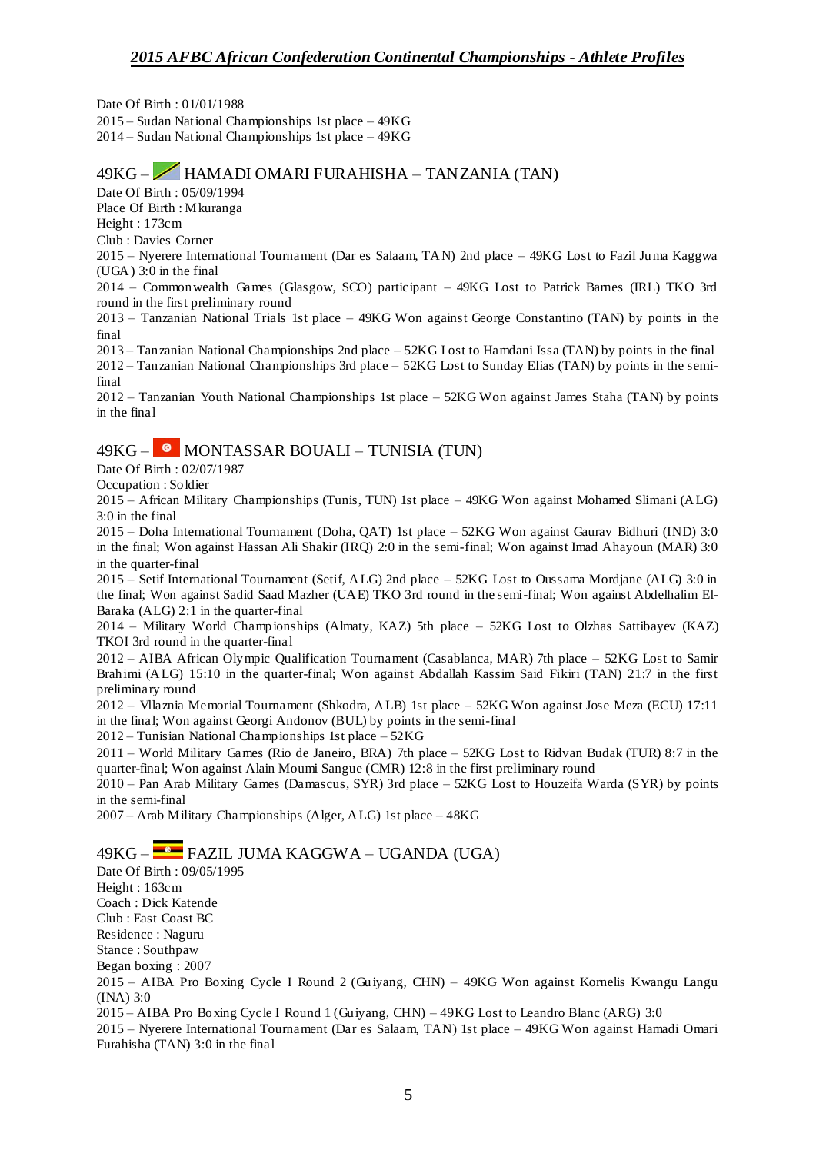Date Of Birth : 01/01/1988 2015 – Sudan National Championships 1st place – 49KG 2014 – Sudan National Championships 1st place – 49KG

## 49KG – HAMADI OMARI FURAHISHA – TANZANIA (TAN)

Date Of Birth : 05/09/1994

Place Of Birth : Mkuranga Height : 173cm

Club : Davies Corner

2015 – Nyerere International Tournament (Dar es Salaam, TAN) 2nd place – 49KG Lost to Fazil Juma Kaggwa (UGA) 3:0 in the final

2014 – Commonwealth Games (Glasgow, SCO) participant – 49KG Lost to Patrick Barnes (IRL) TKO 3rd round in the first preliminary round

2013 – Tanzanian National Trials 1st place – 49KG Won against George Constantino (TAN) by points in the final

2013 – Tanzanian National Championships 2nd place – 52KG Lost to Hamdani Issa (TAN) by points in the final 2012 – Tanzanian National Championships 3rd place – 52KG Lost to Sunday Elias (TAN) by points in the semifinal

2012 – Tanzanian Youth National Championships 1st place – 52KG Won against James Staha (TAN) by points in the final

## 49KG –  $\bullet$  MONTASSAR BOUALI – TUNISIA (TUN)

Date Of Birth : 02/07/1987

Occupation : Soldier

2015 – African Military Championships (Tunis, TUN) 1st place – 49KG Won against Mohamed Slimani (ALG) 3:0 in the final

2015 – Doha International Tournament (Doha, QAT) 1st place – 52KG Won against Gaurav Bidhuri (IND) 3:0 in the final; Won against Hassan Ali Shakir (IRQ) 2:0 in the semi-final; Won against Imad Ahayoun (MAR) 3:0 in the quarter-final

2015 – Setif International Tournament (Setif, ALG) 2nd place – 52KG Lost to Oussama Mordjane (ALG) 3:0 in the final; Won against Sadid Saad Mazher (UAE) TKO 3rd round in the semi-final; Won against Abdelhalim El-Baraka (ALG) 2:1 in the quarter-final

2014 – Military World Championships (Almaty, KAZ) 5th place – 52KG Lost to Olzhas Sattibayev (KAZ) TKOI 3rd round in the quarter-final

2012 – AIBA African Olympic Qualification Tournament (Casablanca, MAR) 7th place – 52KG Lost to Samir Brahimi (ALG) 15:10 in the quarter-final; Won against Abdallah Kassim Said Fikiri (TAN) 21:7 in the first preliminary round

2012 – Vllaznia Memorial Tournament (Shkodra, ALB) 1st place – 52KG Won against Jose Meza (ECU) 17:11 in the final; Won against Georgi Andonov (BUL) by points in the semi-final

2012 – Tunisian National Championships 1st place – 52KG

2011 – World Military Games (Rio de Janeiro, BRA) 7th place – 52KG Lost to Ridvan Budak (TUR) 8:7 in the quarter-final; Won against Alain Moumi Sangue (CMR) 12:8 in the first preliminary round

2010 – Pan Arab Military Games (Damascus, SYR) 3rd place – 52KG Lost to Houzeifa Warda (SYR) by points in the semi-final

2007 – Arab Military Championships (Alger, ALG) 1st place – 48KG

# 49KG – FAZIL JUMA KAGGWA – UGANDA (UGA)

Date Of Birth : 09/05/1995 Height : 163cm Coach : Dick Katende Club : East Coast BC Residence : Naguru Stance : Southpaw Began boxing : 2007 2015 – AIBA Pro Boxing Cycle I Round 2 (Guiyang, CHN) – 49KG Won against Kornelis Kwangu Langu (INA) 3:0 2015 – AIBA Pro Boxing Cycle I Round 1 (Guiyang, CHN) – 49KG Lost to Leandro Blanc (ARG) 3:0 2015 – Nyerere International Tournament (Dar es Salaam, TAN) 1st place – 49KG Won against Hamadi Omari Furahisha (TAN) 3:0 in the final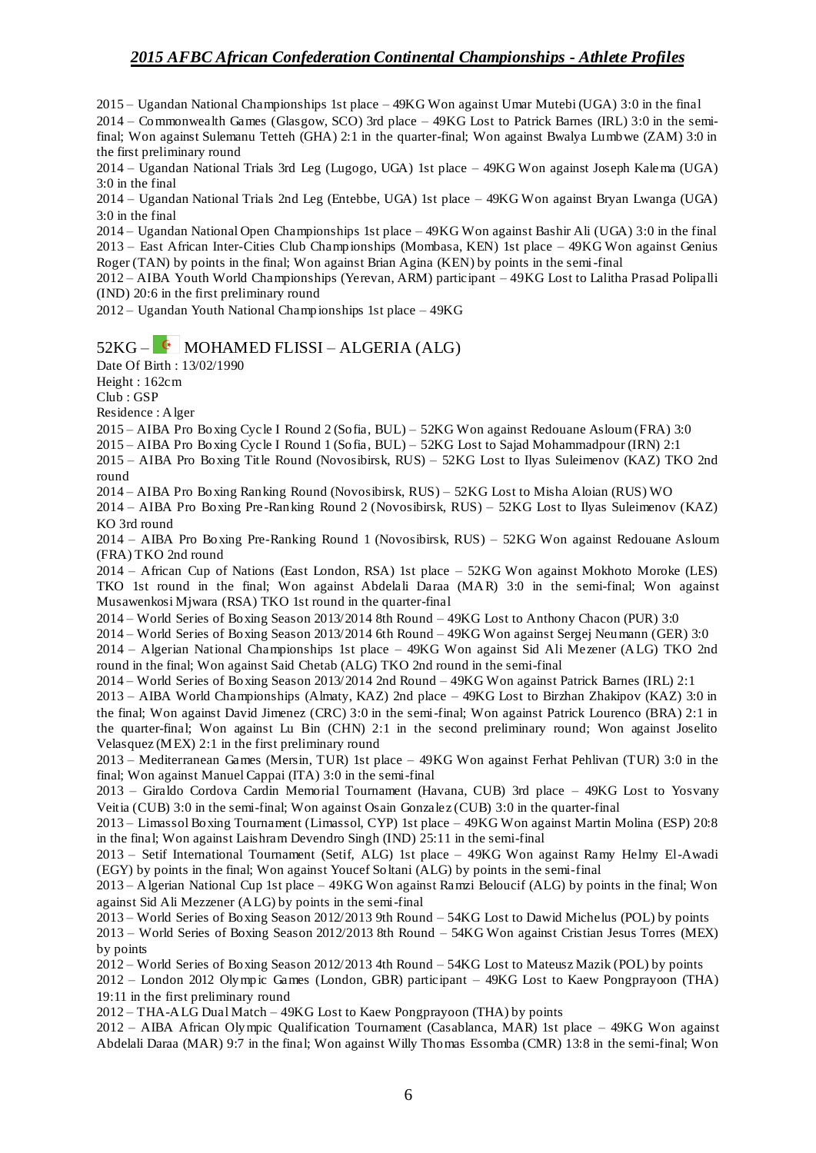2015 – Ugandan National Championships 1st place – 49KG Won against Umar Mutebi (UGA) 3:0 in the final

2014 – Commonwealth Games (Glasgow, SCO) 3rd place – 49KG Lost to Patrick Barnes (IRL) 3:0 in the semifinal; Won against Sulemanu Tetteh (GHA) 2:1 in the quarter-final; Won against Bwalya Lumbwe (ZAM) 3:0 in the first preliminary round

2014 – Ugandan National Trials 3rd Leg (Lugogo, UGA) 1st place – 49KG Won against Joseph Kalema (UGA) 3:0 in the final

2014 – Ugandan National Trials 2nd Leg (Entebbe, UGA) 1st place – 49KG Won against Bryan Lwanga (UGA) 3:0 in the final

2014 – Ugandan National Open Championships 1st place – 49KG Won against Bashir Ali (UGA) 3:0 in the final 2013 – East African Inter-Cities Club Championships (Mombasa, KEN) 1st place – 49KG Won against Genius Roger (TAN) by points in the final; Won against Brian Agina (KEN) by points in the semi-final

2012 – AIBA Youth World Championships (Yerevan, ARM) participant – 49KG Lost to Lalitha Prasad Polipalli (IND) 20:6 in the first preliminary round

2012 – Ugandan Youth National Championships 1st place – 49KG

#### $52KG -$  MOHAMED FLISSI – ALGERIA (ALG)

Date Of Birth : 13/02/1990

Height : 162cm

Club : GSP

Residence : Alger

2015 – AIBA Pro Boxing Cycle I Round 2 (Sofia, BUL) – 52KG Won against Redouane Asloum (FRA) 3:0

2015 – AIBA Pro Boxing Cycle I Round 1 (Sofia, BUL) – 52KG Lost to Sajad Mohammadpour (IRN) 2:1

2015 – AIBA Pro Boxing Title Round (Novosibirsk, RUS) – 52KG Lost to Ilyas Suleimenov (KAZ) TKO 2nd round

2014 – AIBA Pro Boxing Ranking Round (Novosibirsk, RUS) – 52KG Lost to Misha Aloian (RUS) WO

2014 – AIBA Pro Boxing Pre -Ranking Round 2 (Novosibirsk, RUS) – 52KG Lost to Ilyas Suleimenov (KAZ) KO 3rd round

2014 – AIBA Pro Boxing Pre-Ranking Round 1 (Novosibirsk, RUS) – 52KG Won against Redouane Asloum (FRA) TKO 2nd round

2014 – African Cup of Nations (East London, RSA) 1st place – 52KG Won against Mokhoto Moroke (LES) TKO 1st round in the final; Won against Abdelali Daraa (MAR) 3:0 in the semi-final; Won against Musawenkosi Mjwara (RSA) TKO 1st round in the quarter-final

2014 – World Series of Boxing Season 2013/2014 8th Round – 49KG Lost to Anthony Chacon (PUR) 3:0

2014 – World Series of Boxing Season 2013/2014 6th Round – 49KG Won against Sergej Neumann (GER) 3:0

2014 – Algerian National Championships 1st place – 49KG Won against Sid Ali Mezener (ALG) TKO 2nd round in the final; Won against Said Chetab (ALG) TKO 2nd round in the semi-final

2014 – World Series of Boxing Season 2013/2014 2nd Round – 49KG Won against Patrick Barnes (IRL) 2:1

2013 – AIBA World Championships (Almaty, KAZ) 2nd place – 49KG Lost to Birzhan Zhakipov (KAZ) 3:0 in the final; Won against David Jimenez (CRC) 3:0 in the semi-final; Won against Patrick Lourenco (BRA) 2:1 in the quarter-final; Won against Lu Bin (CHN) 2:1 in the second preliminary round; Won against Joselito Velasquez (MEX) 2:1 in the first preliminary round

2013 – Mediterranean Games (Mersin, TUR) 1st place – 49KG Won against Ferhat Pehlivan (TUR) 3:0 in the final; Won against Manuel Cappai (ITA) 3:0 in the semi-final

2013 – Giraldo Cordova Cardin Memorial Tournament (Havana, CUB) 3rd place – 49KG Lost to Yosvany Veitia (CUB) 3:0 in the semi-final; Won against Osain Gonzalez (CUB) 3:0 in the quarter-final

2013 – Limassol Boxing Tournament (Limassol, CYP) 1st place – 49KG Won against Martin Molina (ESP) 20:8 in the final; Won against Laishram Devendro Singh (IND) 25:11 in the semi-final

2013 – Setif International Tournament (Setif, ALG) 1st place – 49KG Won against Ramy Helmy El-Awadi (EGY) by points in the final; Won against Youcef Soltani (ALG) by points in the semi-final

2013 – Algerian National Cup 1st place – 49KG Won against Ramzi Beloucif (ALG) by points in the final; Won against Sid Ali Mezzener (ALG) by points in the semi-final

2013 – World Series of Boxing Season 2012/2013 9th Round – 54KG Lost to Dawid Michelus (POL) by points

2013 – World Series of Boxing Season 2012/2013 8th Round – 54KG Won against Cristian Jesus Torres (MEX) by points

2012 – World Series of Boxing Season 2012/2013 4th Round – 54KG Lost to Mateusz Mazik (POL) by points

2012 – London 2012 Olympic Games (London, GBR) participant – 49KG Lost to Kaew Pongprayoon (THA) 19:11 in the first preliminary round

2012 – THA-ALG Dual Match – 49KG Lost to Kaew Pongprayoon (THA) by points

2012 – AIBA African Olympic Qualification Tournament (Casablanca, MAR) 1st place – 49KG Won against Abdelali Daraa (MAR) 9:7 in the final; Won against Willy Thomas Essomba (CMR) 13:8 in the semi-final; Won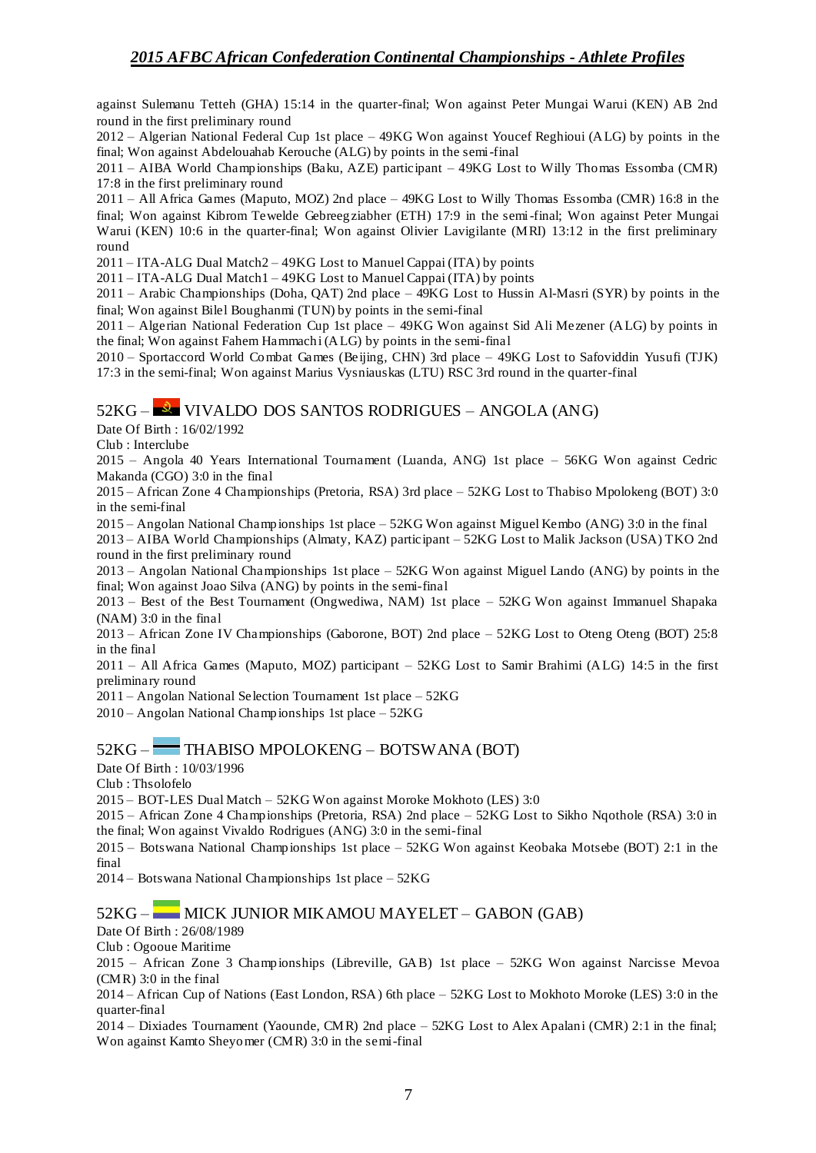against Sulemanu Tetteh (GHA) 15:14 in the quarter-final; Won against Peter Mungai Warui (KEN) AB 2nd round in the first preliminary round

2012 – Algerian National Federal Cup 1st place – 49KG Won against Youcef Reghioui (ALG) by points in the final; Won against Abdelouahab Kerouche (ALG) by points in the semi-final

2011 – AIBA World Championships (Baku, AZE) participant – 49KG Lost to Willy Thomas Essomba (CMR) 17:8 in the first preliminary round

2011 – All Africa Games (Maputo, MOZ) 2nd place – 49KG Lost to Willy Thomas Essomba (CMR) 16:8 in the final; Won against Kibrom Tewelde Gebreegziabher (ETH) 17:9 in the semi-final; Won against Peter Mungai Warui (KEN) 10:6 in the quarter-final; Won against Olivier Lavigilante (MRI) 13:12 in the first preliminary round

2011 – ITA-ALG Dual Match2 – 49KG Lost to Manuel Cappai (ITA) by points

2011 – ITA-ALG Dual Match1 – 49KG Lost to Manuel Cappai (ITA) by points

2011 – Arabic Championships (Doha, QAT) 2nd place – 49KG Lost to Hussin Al-Masri (SYR) by points in the final; Won against Bilel Boughanmi (TUN) by points in the semi-final

2011 – Algerian National Federation Cup 1st place – 49KG Won against Sid Ali Mezener (ALG) by points in the final; Won against Fahem Hammachi (ALG) by points in the semi-final

2010 – Sportaccord World Combat Games (Beijing, CHN) 3rd place – 49KG Lost to Safoviddin Yusufi (TJK) 17:3 in the semi-final; Won against Marius Vysniauskas (LTU) RSC 3rd round in the quarter-final

### 52KG – VIVALDO DOS SANTOS RODRIGUES – ANGOLA (ANG)

Date Of Birth : 16/02/1992

Club : Interclube

2015 – Angola 40 Years International Tournament (Luanda, ANG) 1st place – 56KG Won against Cedric Makanda (CGO) 3:0 in the final

2015 – African Zone 4 Championships (Pretoria, RSA) 3rd place – 52KG Lost to Thabiso Mpolokeng (BOT) 3:0 in the semi-final

2015 – Angolan National Championships 1st place – 52KG Won against Miguel Kembo (ANG) 3:0 in the final

2013 – AIBA World Championships (Almaty, KAZ) participant – 52KG Lost to Malik Jackson (USA) TKO 2nd round in the first preliminary round

2013 – Angolan National Championships 1st place – 52KG Won against Miguel Lando (ANG) by points in the final; Won against Joao Silva (ANG) by points in the semi-final

2013 – Best of the Best Tournament (Ongwediwa, NAM) 1st place – 52KG Won against Immanuel Shapaka (NAM) 3:0 in the final

2013 – African Zone IV Championships (Gaborone, BOT) 2nd place – 52KG Lost to Oteng Oteng (BOT) 25:8 in the final

2011 – All Africa Games (Maputo, MOZ) participant – 52KG Lost to Samir Brahimi (ALG) 14:5 in the first preliminary round

2011 – Angolan National Selection Tournament 1st place – 52KG

2010 – Angolan National Championships 1st place – 52KG

#### 52KG – THABISO MPOLOKENG – BOTSWANA (BOT)

Date Of Birth : 10/03/1996

Club : Thsolofelo

2015 – BOT-LES Dual Match – 52KG Won against Moroke Mokhoto (LES) 3:0

2015 – African Zone 4 Championships (Pretoria, RSA) 2nd place – 52KG Lost to Sikho Nqothole (RSA) 3:0 in the final; Won against Vivaldo Rodrigues (ANG) 3:0 in the semi-final

2015 – Botswana National Championships 1st place – 52KG Won against Keobaka Motsebe (BOT) 2:1 in the final

2014 – Botswana National Championships 1st place – 52KG

#### 52KG – MICK JUNIOR MIKAMOU MAYELET – GABON (GAB)

Date Of Birth : 26/08/1989

Club : Ogooue Maritime

2015 – African Zone 3 Championships (Libreville, GAB) 1st place – 52KG Won against Narcisse Mevoa (CMR) 3:0 in the final

2014 – African Cup of Nations (East London, RSA) 6th place – 52KG Lost to Mokhoto Moroke (LES) 3:0 in the quarter-final

2014 – Dixiades Tournament (Yaounde, CMR) 2nd place – 52KG Lost to Alex Apalani (CMR) 2:1 in the final; Won against Kamto Sheyomer (CMR) 3:0 in the semi-final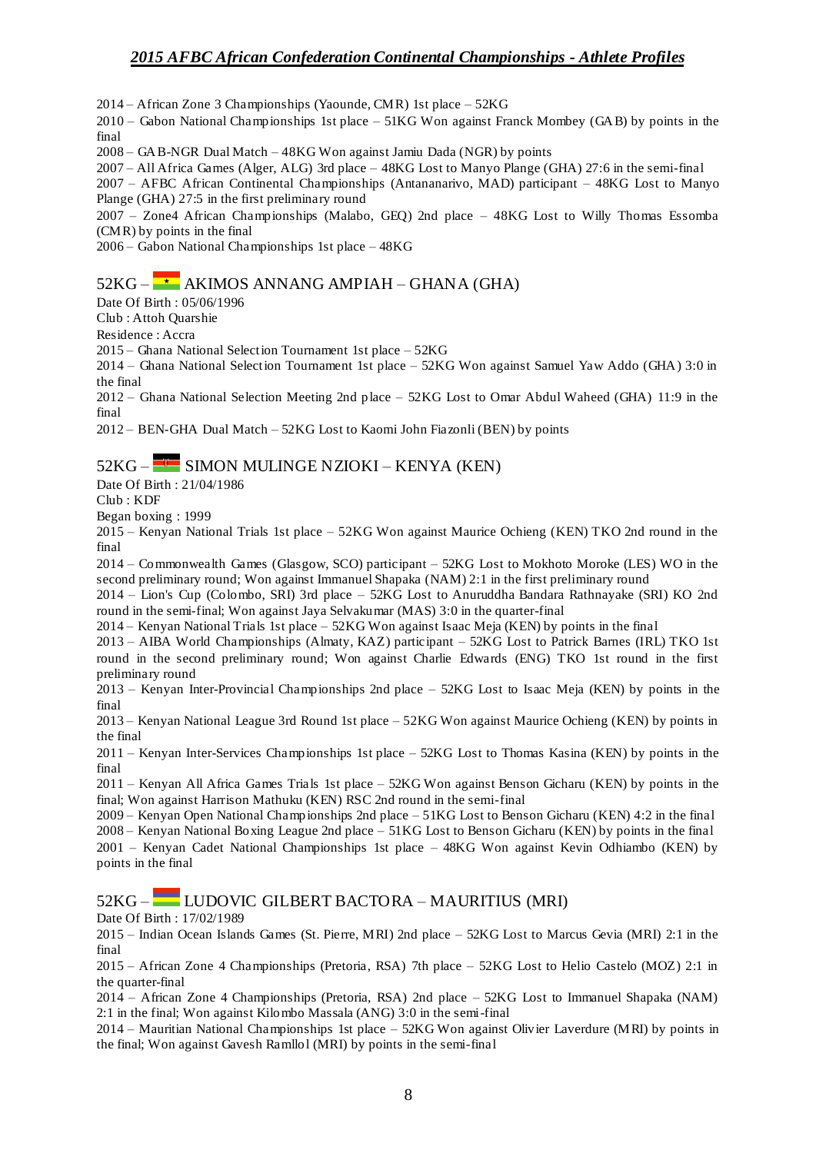2014 – African Zone 3 Championships (Yaounde, CMR) 1st place – 52KG

2010 – Gabon National Championships 1st place – 51KG Won against Franck Mombey (GAB) by points in the final

2008 – GAB-NGR Dual Match – 48KG Won against Jamiu Dada (NGR) by points

2007 – All Africa Games (Alger, ALG) 3rd place – 48KG Lost to Manyo Plange (GHA) 27:6 in the semi-final

2007 – AFBC African Continental Championships (Antananarivo, MAD) participant – 48KG Lost to Manyo Plange (GHA) 27:5 in the first preliminary round

2007 – Zone4 African Championships (Malabo, GEQ) 2nd place – 48KG Lost to Willy Thomas Essomba (CMR) by points in the final

2006 – Gabon National Championships 1st place – 48KG

## $52KG - \rightarrow AKIMOS ANNANG AMPIAH - GHANA (GHA)$

Date Of Birth : 05/06/1996

Club : Attoh Quarshie

Residence : Accra

2015 – Ghana National Selection Tournament 1st place – 52KG

2014 – Ghana National Selection Tournament 1st place – 52KG Won against Samuel Yaw Addo (GHA) 3:0 in the final

2012 – Ghana National Selection Meeting 2nd place – 52KG Lost to Omar Abdul Waheed (GHA) 11:9 in the final

2012 – BEN-GHA Dual Match – 52KG Lost to Kaomi John Fiazonli (BEN) by points

## 52KG – SIMON MULINGE NZIOKI – KENYA (KEN)

Date Of Birth : 21/04/1986

Club : KDF

Began boxing : 1999

2015 – Kenyan National Trials 1st place – 52KG Won against Maurice Ochieng (KEN) TKO 2nd round in the final

2014 – Commonwealth Games (Glasgow, SCO) participant – 52KG Lost to Mokhoto Moroke (LES) WO in the second preliminary round; Won against Immanuel Shapaka (NAM) 2:1 in the first preliminary round

2014 – Lion's Cup (Colombo, SRI) 3rd place – 52KG Lost to Anuruddha Bandara Rathnayake (SRI) KO 2nd round in the semi-final; Won against Jaya Selvakumar (MAS) 3:0 in the quarter-final

2014 – Kenyan National Trials 1st place – 52KG Won against Isaac Meja (KEN) by points in the final

2013 – AIBA World Championships (Almaty, KAZ) participant – 52KG Lost to Patrick Barnes (IRL) TKO 1st round in the second preliminary round; Won against Charlie Edwards (ENG) TKO 1st round in the first preliminary round

2013 – Kenyan Inter-Provincial Championships 2nd place – 52KG Lost to Isaac Meja (KEN) by points in the final

2013 – Kenyan National League 3rd Round 1st place – 52KG Won against Maurice Ochieng (KEN) by points in the final

2011 – Kenyan Inter-Services Championships 1st place – 52KG Lost to Thomas Kasina (KEN) by points in the final

2011 – Kenyan All Africa Games Trials 1st place – 52KG Won against Benson Gicharu (KEN) by points in the final; Won against Harrison Mathuku (KEN) RSC 2nd round in the semi-final

2009 – Kenyan Open National Championships 2nd place – 51KG Lost to Benson Gicharu (KEN) 4:2 in the final 2008 – Kenyan National Boxing League 2nd place – 51KG Lost to Benson Gicharu (KEN) by points in the final 2001 – Kenyan Cadet National Championships 1st place – 48KG Won against Kevin Odhiambo (KEN) by points in the final

52KG – LUDOVIC GILBERT BACTORA – MAURITIUS (MRI)

Date Of Birth : 17/02/1989

2015 – Indian Ocean Islands Games (St. Pierre, MRI) 2nd place – 52KG Lost to Marcus Gevia (MRI) 2:1 in the final

2015 – African Zone 4 Championships (Pretoria, RSA) 7th place – 52KG Lost to Helio Castelo (MOZ) 2:1 in the quarter-final

 $2014 -$  African Zone 4 Championships (Pretoria, RSA) 2nd place – 52KG Lost to Immanuel Shapaka (NAM) 2:1 in the final; Won against Kilombo Massala (ANG) 3:0 in the semi-final

2014 – Mauritian National Championships 1st place – 52KG Won against Olivier Laverdure (MRI) by points in the final; Won against Gavesh Ramllol (MRI) by points in the semi-final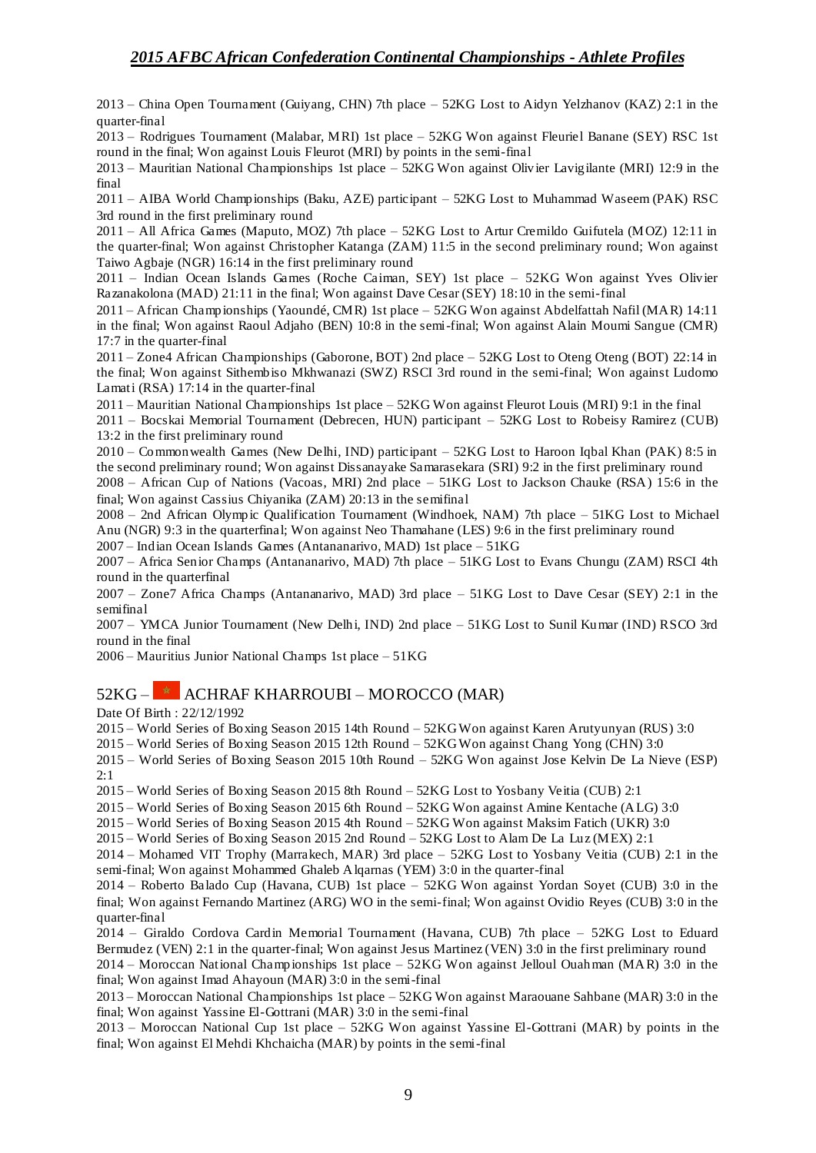2013 – China Open Tournament (Guiyang, CHN) 7th place – 52KG Lost to Aidyn Yelzhanov (KAZ) 2:1 in the quarter-final

2013 – Rodrigues Tournament (Malabar, MRI) 1st place – 52KG Won against Fleuriel Banane (SEY) RSC 1st round in the final; Won against Louis Fleurot (MRI) by points in the semi-final

2013 – Mauritian National Championships 1st place – 52KG Won against Olivier Lavigilante (MRI) 12:9 in the final

2011 – AIBA World Championships (Baku, AZE) participant – 52KG Lost to Muhammad Waseem (PAK) RSC 3rd round in the first preliminary round

2011 – All Africa Games (Maputo, MOZ) 7th place – 52KG Lost to Artur Cremildo Guifutela (MOZ) 12:11 in the quarter-final; Won against Christopher Katanga (ZAM) 11:5 in the second preliminary round; Won against Taiwo Agbaje (NGR) 16:14 in the first preliminary round

2011 – Indian Ocean Islands Games (Roche Caiman, SEY) 1st place – 52KG Won against Yves Olivier Razanakolona (MAD) 21:11 in the final; Won against Dave Cesar (SEY) 18:10 in the semi-final

2011 – African Championships (Yaoundé, CMR) 1st place – 52KG Won against Abdelfattah Nafil (MAR) 14:11 in the final; Won against Raoul Adjaho (BEN) 10:8 in the semi-final; Won against Alain Moumi Sangue (CMR) 17:7 in the quarter-final

2011 – Zone4 African Championships (Gaborone, BOT) 2nd place – 52KG Lost to Oteng Oteng (BOT) 22:14 in the final; Won against Sithembiso Mkhwanazi (SWZ) RSCI 3rd round in the semi-final; Won against Ludomo Lamati (RSA) 17:14 in the quarter-final

2011 – Mauritian National Championships 1st place – 52KG Won against Fleurot Louis (MRI) 9:1 in the final

2011 – Bocskai Memorial Tournament (Debrecen, HUN) participant – 52KG Lost to Robeisy Ramirez (CUB) 13:2 in the first preliminary round

2010 – Commonwealth Games (New Delhi, IND) participant – 52KG Lost to Haroon Iqbal Khan (PAK) 8:5 in the second preliminary round; Won against Dissanayake Samarasekara (SRI) 9:2 in the first preliminary round

2008 – African Cup of Nations (Vacoas, MRI) 2nd place – 51KG Lost to Jackson Chauke (RSA) 15:6 in the final; Won against Cassius Chiyanika (ZAM) 20:13 in the semifinal

2008 – 2nd African Olympic Qualification Tournament (Windhoek, NAM) 7th place – 51KG Lost to Michael Anu (NGR) 9:3 in the quarterfinal; Won against Neo Thamahane (LES) 9:6 in the first preliminary round 2007 – Indian Ocean Islands Games (Antananarivo, MAD) 1st place – 51KG

2007 – Africa Senior Champs (Antananarivo, MAD) 7th place – 51KG Lost to Evans Chungu (ZAM) RSCI 4th round in the quarterfinal

2007 – Zone7 Africa Champs (Antananarivo, MAD) 3rd place – 51KG Lost to Dave Cesar (SEY) 2:1 in the semifinal

2007 – YMCA Junior Tournament (New Delhi, IND) 2nd place – 51KG Lost to Sunil Kumar (IND) RSCO 3rd round in the final

2006 – Mauritius Junior National Champs 1st place – 51KG

### 52KG – **\*** ACHRAF KHARROUBI – MOROCCO (MAR)

Date Of Birth : 22/12/1992

2015 – World Series of Boxing Season 2015 14th Round – 52KG Won against Karen Arutyunyan (RUS) 3:0

2015 – World Series of Boxing Season 2015 12th Round – 52KG Won against Chang Yong (CHN) 3:0

2015 – World Series of Boxing Season 2015 10th Round – 52KG Won against Jose Kelvin De La Nieve (ESP) 2:1

2015 – World Series of Boxing Season 2015 8th Round – 52KG Lost to Yosbany Veitia (CUB) 2:1

2015 – World Series of Boxing Season 2015 6th Round – 52KG Won against Amine Kentache (ALG) 3:0

2015 – World Series of Boxing Season 2015 4th Round – 52KG Won against Maksim Fatich (UKR) 3:0

2015 – World Series of Boxing Season 2015 2nd Round – 52KG Lost to Alam De La Luz (MEX) 2:1

2014 – Mohamed VIT Trophy (Marrakech, MAR) 3rd place – 52KG Lost to Yosbany Veitia (CUB) 2:1 in the semi-final; Won against Mohammed Ghaleb Alqarnas (YEM) 3:0 in the quarter-final

2014 – Roberto Balado Cup (Havana, CUB) 1st place – 52KG Won against Yordan Soyet (CUB) 3:0 in the final; Won against Fernando Martinez (ARG) WO in the semi-final; Won against Ovidio Reyes (CUB) 3:0 in the quarter-final

2014 – Giraldo Cordova Cardin Memorial Tournament (Havana, CUB) 7th place – 52KG Lost to Eduard Bermudez (VEN) 2:1 in the quarter-final; Won against Jesus Martinez (VEN) 3:0 in the first preliminary round

2014 – Moroccan National Championships 1st place – 52KG Won against Jelloul Ouahman (MAR) 3:0 in the final; Won against Imad Ahayoun (MAR) 3:0 in the semi-final

2013 – Moroccan National Championships 1st place – 52KG Won against Maraouane Sahbane (MAR) 3:0 in the final; Won against Yassine El-Gottrani (MAR) 3:0 in the semi-final

2013 – Moroccan National Cup 1st place – 52KG Won against Yassine El-Gottrani (MAR) by points in the final; Won against El Mehdi Khchaicha (MAR) by points in the semi-final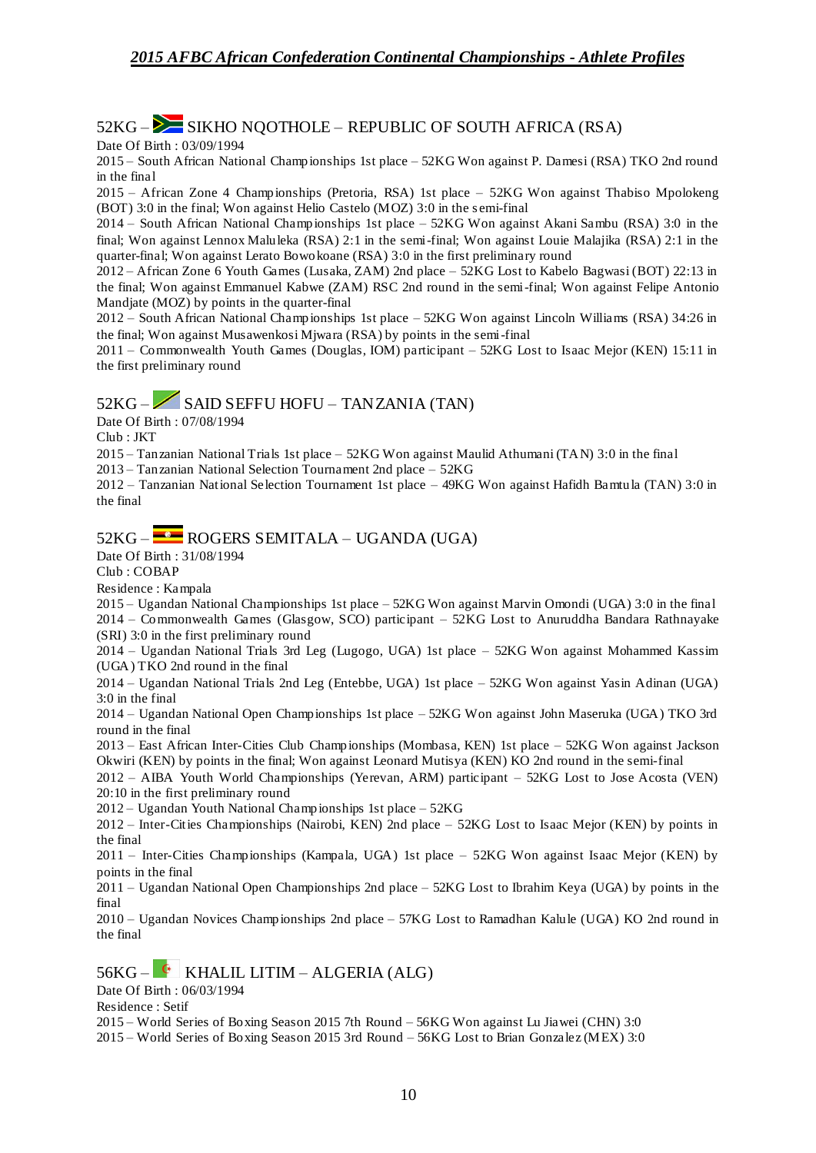### $52KG -$  SIKHO NOOTHOLE – REPUBLIC OF SOUTH AFRICA (RSA)

Date Of Birth : 03/09/1994

2015 – South African National Championships 1st place – 52KG Won against P. Damesi (RSA) TKO 2nd round in the final

2015 – African Zone 4 Championships (Pretoria, RSA) 1st place – 52KG Won against Thabiso Mpolokeng (BOT) 3:0 in the final; Won against Helio Castelo (MOZ) 3:0 in the s emi-final

2014 – South African National Championships 1st place – 52KG Won against Akani Sambu (RSA) 3:0 in the final; Won against Lennox Maluleka (RSA) 2:1 in the semi-final; Won against Louie Malajika (RSA) 2:1 in the quarter-final; Won against Lerato Bowokoane (RSA) 3:0 in the first preliminary round

2012 – African Zone 6 Youth Games (Lusaka, ZAM) 2nd place – 52KG Lost to Kabelo Bagwasi (BOT) 22:13 in the final; Won against Emmanuel Kabwe (ZAM) RSC 2nd round in the semi-final; Won against Felipe Antonio Mandjate (MOZ) by points in the quarter-final

2012 – South African National Championships 1st place – 52KG Won against Lincoln Williams (RSA) 34:26 in the final; Won against Musawenkosi Mjwara (RSA) by points in the semi-final

2011 – Commonwealth Youth Games (Douglas, IOM) participant – 52KG Lost to Isaac Mejor (KEN) 15:11 in the first preliminary round

## 52KG – SAID SEFFU HOFU – TANZANIA (TAN)

Date Of Birth : 07/08/1994

Club : JKT

2015 – Tanzanian National Trials 1st place – 52KG Won against Maulid Athumani (TAN) 3:0 in the final

2013 – Tanzanian National Selection Tournament 2nd place – 52KG

2012 – Tanzanian National Selection Tournament 1st place – 49KG Won against Hafidh Bamtula (TAN) 3:0 in the final

## $52KG -$  ROGERS SEMITALA – UGANDA (UGA)

Date Of Birth : 31/08/1994

Club : COBAP

Residence : Kampala

2015 – Ugandan National Championships 1st place – 52KG Won against Marvin Omondi (UGA) 3:0 in the final 2014 – Commonwealth Games (Glasgow, SCO) participant – 52KG Lost to Anuruddha Bandara Rathnayake (SRI) 3:0 in the first preliminary round

2014 – Ugandan National Trials 3rd Leg (Lugogo, UGA) 1st place – 52KG Won against Mohammed Kassim (UGA) TKO 2nd round in the final

2014 – Ugandan National Trials 2nd Leg (Entebbe, UGA) 1st place – 52KG Won against Yasin Adinan (UGA) 3:0 in the final

2014 – Ugandan National Open Championships 1st place – 52KG Won against John Maseruka (UGA) TKO 3rd round in the final

2013 – East African Inter-Cities Club Championships (Mombasa, KEN) 1st place – 52KG Won against Jackson Okwiri (KEN) by points in the final; Won against Leonard Mutisya (KEN) KO 2nd round in the semi-final

2012 – AIBA Youth World Championships (Yerevan, ARM) participant – 52KG Lost to Jose Acosta (VEN) 20:10 in the first preliminary round

2012 – Ugandan Youth National Championships 1st place – 52KG

2012 – Inter-Cities Championships (Nairobi, KEN) 2nd place – 52KG Lost to Isaac Mejor (KEN) by points in the final

2011 – Inter-Cities Championships (Kampala, UGA) 1st place – 52KG Won against Isaac Mejor (KEN) by points in the final

2011 – Ugandan National Open Championships 2nd place – 52KG Lost to Ibrahim Keya (UGA) by points in the final

2010 – Ugandan Novices Championships 2nd place – 57KG Lost to Ramadhan Kalule (UGA) KO 2nd round in the final

## 56KG – KHALIL LITIM – ALGERIA (ALG)

Date Of Birth : 06/03/1994

Residence : Setif

2015 – World Series of Boxing Season 2015 7th Round – 56KG Won against Lu Jiawei (CHN) 3:0

2015 – World Series of Boxing Season 2015 3rd Round – 56KG Lost to Brian Gonzalez (MEX) 3:0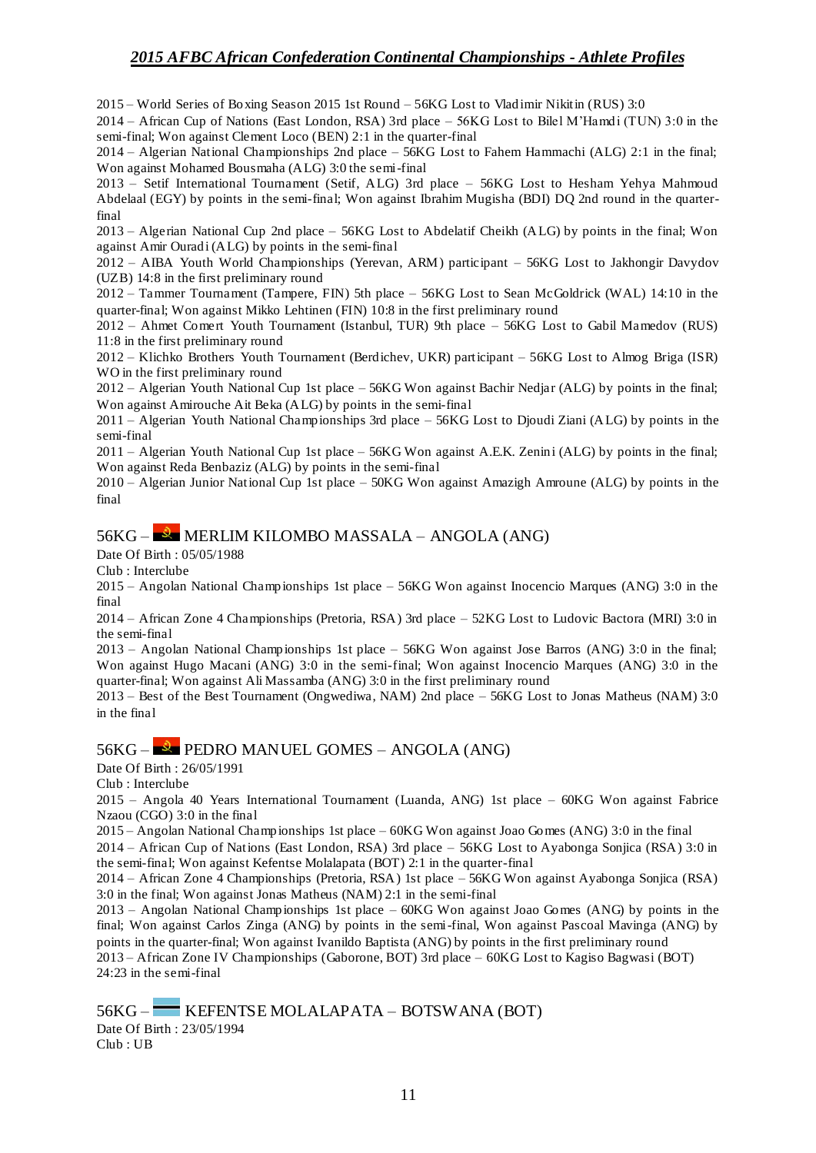2015 – World Series of Boxing Season 2015 1st Round – 56KG Lost to Vladimir Nikitin (RUS) 3:0

2014 – African Cup of Nations (East London, RSA) 3rd place – 56KG Lost to Bilel M'Hamdi (TUN) 3:0 in the semi-final; Won against Clement Loco (BEN) 2:1 in the quarter-final

2014 – Algerian National Championships 2nd place – 56KG Lost to Fahem Hammachi (ALG) 2:1 in the final; Won against Mohamed Bousmaha (ALG) 3:0 the semi-final

2013 – Setif International Tournament (Setif, ALG) 3rd place – 56KG Lost to Hesham Yehya Mahmoud Abdelaal (EGY) by points in the semi-final; Won against Ibrahim Mugisha (BDI) DQ 2nd round in the quarterfinal

2013 – Algerian National Cup 2nd place – 56KG Lost to Abdelatif Cheikh (ALG) by points in the final; Won against Amir Ouradi (ALG) by points in the semi-final

2012 – AIBA Youth World Championships (Yerevan, ARM) participant – 56KG Lost to Jakhongir Davydov (UZB) 14:8 in the first preliminary round

2012 – Tammer Tournament (Tampere, FIN) 5th place – 56KG Lost to Sean McGoldrick (WAL) 14:10 in the quarter-final; Won against Mikko Lehtinen (FIN) 10:8 in the first preliminary round

2012 – Ahmet Comert Youth Tournament (Istanbul, TUR) 9th place – 56KG Lost to Gabil Mamedov (RUS) 11:8 in the first preliminary round

2012 – Klichko Brothers Youth Tournament (Berdichev, UKR) participant – 56KG Lost to Almog Briga (ISR) WO in the first preliminary round

2012 – Algerian Youth National Cup 1st place – 56KG Won against Bachir Nedjar (ALG) by points in the final; Won against Amirouche Ait Beka (ALG) by points in the semi-final

2011 – Algerian Youth National Championships 3rd place – 56KG Lost to Djoudi Ziani (ALG) by points in the semi-final

2011 – Algerian Youth National Cup 1st place – 56KG Won against A.E.K. Zenini (ALG) by points in the final; Won against Reda Benbaziz (ALG) by points in the semi-final

2010 – Algerian Junior National Cup 1st place – 50KG Won against Amazigh Amroune (ALG) by points in the final

### 56KG – MERLIM KILOMBO MASSALA – ANGOLA (ANG)

Date Of Birth : 05/05/1988

Club : Interclube

2015 – Angolan National Championships 1st place – 56KG Won against Inocencio Marques (ANG) 3:0 in the final

2014 – African Zone 4 Championships (Pretoria, RSA) 3rd place – 52KG Lost to Ludovic Bactora (MRI) 3:0 in the semi-final

2013 – Angolan National Championships 1st place – 56KG Won against Jose Barros (ANG) 3:0 in the final; Won against Hugo Macani (ANG) 3:0 in the semi-final; Won against Inocencio Marques (ANG) 3:0 in the quarter-final; Won against Ali Massamba (ANG) 3:0 in the first preliminary round

2013 – Best of the Best Tournament (Ongwediwa, NAM) 2nd place – 56KG Lost to Jonas Matheus (NAM) 3:0 in the final

#### 56KG – PEDRO MANUEL GOMES – ANGOLA (ANG)

Date Of Birth : 26/05/1991

Club : Interclube

2015 – Angola 40 Years International Tournament (Luanda, ANG) 1st place – 60KG Won against Fabrice Nzaou (CGO) 3:0 in the final

2015 – Angolan National Championships 1st place – 60KG Won against Joao Gomes (ANG) 3:0 in the final

2014 – African Cup of Nations (East London, RSA) 3rd place – 56KG Lost to Ayabonga Sonjica (RSA) 3:0 in the semi-final; Won against Kefentse Molalapata (BOT) 2:1 in the quarter-final

2014 – African Zone 4 Championships (Pretoria, RSA) 1st place – 56KG Won against Ayabonga Sonjica (RSA) 3:0 in the final; Won against Jonas Matheus (NAM) 2:1 in the semi-final

2013 – Angolan National Championships 1st place – 60KG Won against Joao Gomes (ANG) by points in the final; Won against Carlos Zinga (ANG) by points in the semi-final, Won against Pascoal Mavinga (ANG) by points in the quarter-final; Won against Ivanildo Baptista (ANG) by points in the first preliminary round 2013 – African Zone IV Championships (Gaborone, BOT) 3rd place – 60KG Lost to Kagiso Bagwasi (BOT) 24:23 in the semi-final

56KG – KEFENTSE MOLALAPATA – BOTSWANA (BOT)

Date Of Birth : 23/05/1994 Club : UB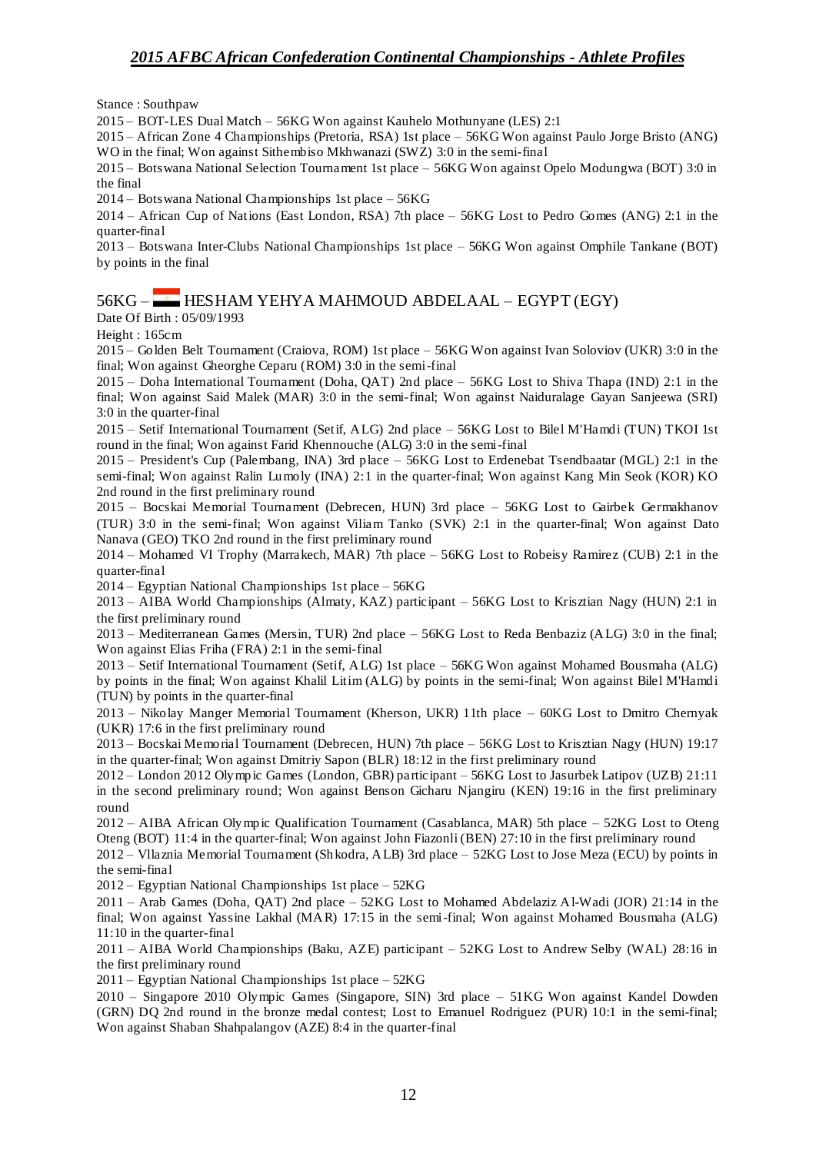Stance : Southpaw

2015 – BOT-LES Dual Match – 56KG Won against Kauhelo Mothunyane (LES) 2:1

2015 – African Zone 4 Championships (Pretoria, RSA) 1st place – 56KG Won against Paulo Jorge Bristo (ANG) WO in the final; Won against Sithembiso Mkhwanazi (SWZ) 3:0 in the semi-final

2015 – Botswana National Selection Tournament 1st place – 56KG Won against Opelo Modungwa (BOT) 3:0 in the final

2014 – Botswana National Championships 1st place – 56KG

2014 – African Cup of Nations (East London, RSA) 7th place – 56KG Lost to Pedro Gomes (ANG) 2:1 in the quarter-final

2013 – Botswana Inter-Clubs National Championships 1st place – 56KG Won against Omphile Tankane (BOT) by points in the final

## 56KG – HESHAM YEHYA MAHMOUD ABDELAAL – EGYPT (EGY)

Date Of Birth : 05/09/1993

Height : 165cm

2015 – Golden Belt Tournament (Craiova, ROM) 1st place – 56KG Won against Ivan Soloviov (UKR) 3:0 in the final; Won against Gheorghe Ceparu (ROM) 3:0 in the semi-final

2015 – Doha International Tournament (Doha, QAT) 2nd place – 56KG Lost to Shiva Thapa (IND) 2:1 in the final; Won against Said Malek (MAR) 3:0 in the semi-final; Won against Naiduralage Gayan Sanjeewa (SRI) 3:0 in the quarter-final

2015 – Setif International Tournament (Setif, ALG) 2nd place – 56KG Lost to Bilel M'Hamdi (TUN) TKOI 1st round in the final; Won against Farid Khennouche (ALG) 3:0 in the semi-final

2015 – President's Cup (Palembang, INA) 3rd place – 56KG Lost to Erdenebat Tsendbaatar (MGL) 2:1 in the semi-final; Won against Ralin Lumoly (INA) 2:1 in the quarter-final; Won against Kang Min Seok (KOR) KO 2nd round in the first preliminary round

2015 – Bocskai Memorial Tournament (Debrecen, HUN) 3rd place – 56KG Lost to Gairbek Germakhanov (TUR) 3:0 in the semi-final; Won against Viliam Tanko (SVK) 2:1 in the quarter-final; Won against Dato Nanava (GEO) TKO 2nd round in the first preliminary round

2014 – Mohamed VI Trophy (Marrakech, MAR) 7th place – 56KG Lost to Robeisy Ramirez (CUB) 2:1 in the quarter-final

2014 – Egyptian National Championships 1st place – 56KG

2013 – AIBA World Championships (Almaty, KAZ) participant – 56KG Lost to Krisztian Nagy (HUN) 2:1 in the first preliminary round

2013 – Mediterranean Games (Mersin, TUR) 2nd place – 56KG Lost to Reda Benbaziz (ALG) 3:0 in the final; Won against Elias Friha (FRA) 2:1 in the semi-final

2013 – Setif International Tournament (Setif, ALG) 1st place – 56KG Won against Mohamed Bousmaha (ALG) by points in the final; Won against Khalil Litim (ALG) by points in the semi-final; Won against Bilel M'Hamdi (TUN) by points in the quarter-final

2013 – Nikolay Manger Memorial Tournament (Kherson, UKR) 11th place – 60KG Lost to Dmitro Chernyak (UKR) 17:6 in the first preliminary round

2013 – Bocskai Memorial Tournament (Debrecen, HUN) 7th place – 56KG Lost to Krisztian Nagy (HUN) 19:17 in the quarter-final; Won against Dmitriy Sapon (BLR) 18:12 in the first preliminary round

2012 – London 2012 Olympic Games (London, GBR) participant – 56KG Lost to Jasurbek Latipov (UZB) 21:11 in the second preliminary round; Won against Benson Gicharu Njangiru (KEN) 19:16 in the first preliminary round

2012 – AIBA African Olympic Qualification Tournament (Casablanca, MAR) 5th place – 52KG Lost to Oteng Oteng (BOT) 11:4 in the quarter-final; Won against John Fiazonli (BEN) 27:10 in the first preliminary round

2012 – Vllaznia Memorial Tournament (Shkodra, ALB) 3rd place – 52KG Lost to Jose Meza (ECU) by points in the semi-final

2012 – Egyptian National Championships 1st place – 52KG

2011 – Arab Games (Doha, QAT) 2nd place – 52KG Lost to Mohamed Abdelaziz Al-Wadi (JOR) 21:14 in the final; Won against Yassine Lakhal (MAR) 17:15 in the semi-final; Won against Mohamed Bousmaha (ALG) 11:10 in the quarter-final

2011 – AIBA World Championships (Baku, AZE) participant – 52KG Lost to Andrew Selby (WAL) 28:16 in the first preliminary round

2011 – Egyptian National Championships 1st place – 52KG

2010 – Singapore 2010 Olympic Games (Singapore, SIN) 3rd place – 51KG Won against Kandel Dowden (GRN) DQ 2nd round in the bronze medal contest; Lost to Emanuel Rodriguez (PUR) 10:1 in the semi-final; Won against Shaban Shahpalangov (AZE) 8:4 in the quarter-final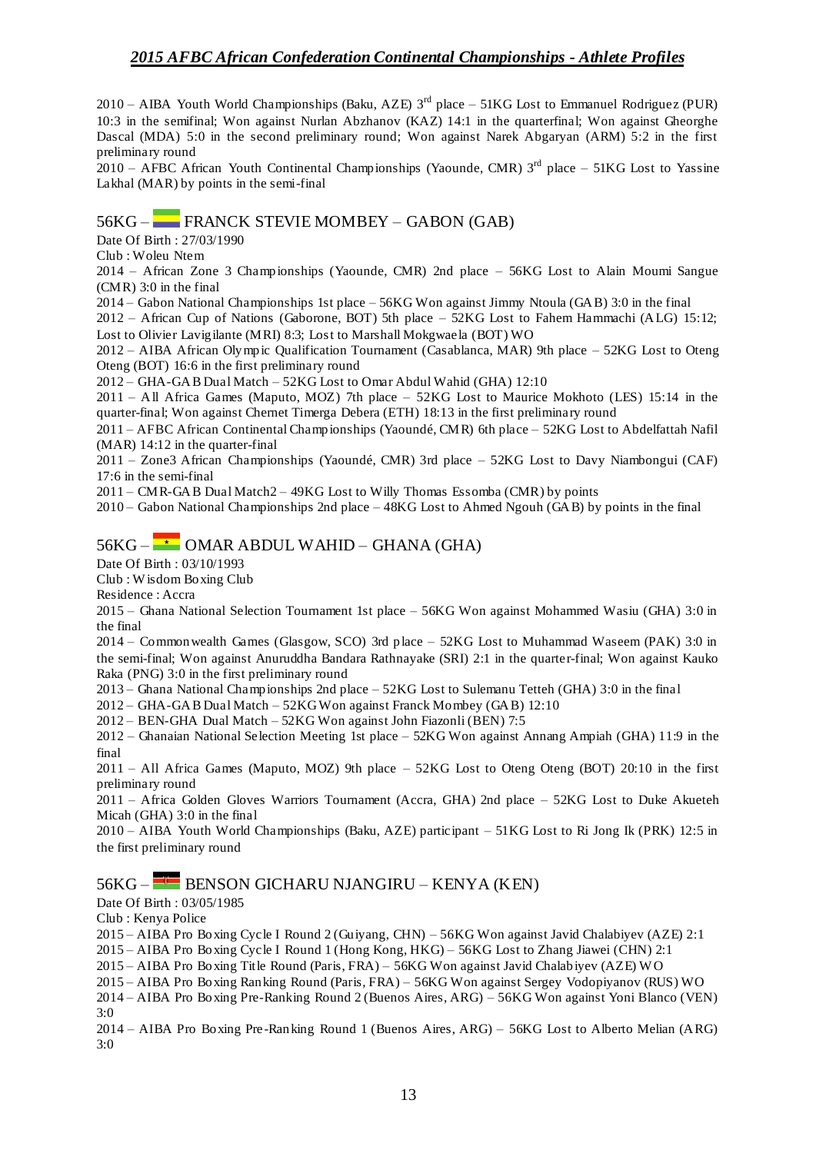2010 – AIBA Youth World Championships (Baku, AZE) 3rd place – 51KG Lost to Emmanuel Rodriguez (PUR) 10:3 in the semifinal; Won against Nurlan Abzhanov (KAZ) 14:1 in the quarterfinal; Won against Gheorghe Dascal (MDA) 5:0 in the second preliminary round; Won against Narek Abgaryan (ARM) 5:2 in the first preliminary round

 $2010 - AFBC$  African Youth Continental Championships (Yaounde, CMR)  $3<sup>rd</sup>$  place – 51KG Lost to Yassine Lakhal (MAR) by points in the semi-final

#### 56KG – FRANCK STEVIE MOMBEY – GABON (GAB)

Date Of Birth : 27/03/1990

Club : Woleu Ntem

2014 – African Zone 3 Championships (Yaounde, CMR) 2nd place – 56KG Lost to Alain Moumi Sangue (CMR) 3:0 in the final

2014 – Gabon National Championships 1st place – 56KG Won against Jimmy Ntoula (GAB) 3:0 in the final

2012 – African Cup of Nations (Gaborone, BOT) 5th place – 52KG Lost to Fahem Hammachi (ALG) 15:12; Lost to Olivier Lavigilante (MRI) 8:3; Lost to Marshall Mokgwaela (BOT) WO

2012 – AIBA African Olympic Qualification Tournament (Casablanca, MAR) 9th place – 52KG Lost to Oteng Oteng (BOT) 16:6 in the first preliminary round

2012 – GHA-GAB Dual Match – 52KG Lost to Omar Abdul Wahid (GHA) 12:10

2011 – All Africa Games (Maputo, MOZ) 7th place – 52KG Lost to Maurice Mokhoto (LES) 15:14 in the quarter-final; Won against Chernet Timerga Debera (ETH) 18:13 in the first preliminary round

2011 – AFBC African Continental Championships (Yaoundé, CMR) 6th place – 52KG Lost to Abdelfattah Nafil (MAR) 14:12 in the quarter-final

2011 – Zone3 African Championships (Yaoundé, CMR) 3rd place – 52KG Lost to Davy Niambongui (CAF) 17:6 in the semi-final

 $2011 - \text{CMR-GAB Dual Match2} - 49 \text{KG Lost to Willy Thomas Esomba (CMR) by points}$ 

2010 – Gabon National Championships 2nd place – 48KG Lost to Ahmed Ngouh (GAB) by points in the final

### $56KG -$  OMAR ABDUL WAHID – GHANA (GHA)

Date Of Birth : 03/10/1993

Club : W isdom Boxing Club

Residence : Accra

2015 – Ghana National Selection Tournament 1st place – 56KG Won against Mohammed Wasiu (GHA) 3:0 in the final

2014 – Commonwealth Games (Glasgow, SCO) 3rd place – 52KG Lost to Muhammad Waseem (PAK) 3:0 in the semi-final; Won against Anuruddha Bandara Rathnayake (SRI) 2:1 in the quarter-final; Won against Kauko Raka (PNG) 3:0 in the first preliminary round

2013 – Ghana National Championships 2nd place – 52KG Lost to Sulemanu Tetteh (GHA) 3:0 in the final

2012 – GHA-GAB Dual Match – 52KG Won against Franck Mombey (GAB) 12:10

2012 – BEN-GHA Dual Match – 52KG Won against John Fiazonli (BEN) 7:5

2012 – Ghanaian National Selection Meeting 1st place – 52KG Won against Annang Ampiah (GHA) 11:9 in the final

2011 – All Africa Games (Maputo, MOZ) 9th place – 52KG Lost to Oteng Oteng (BOT) 20:10 in the first preliminary round

2011 – Africa Golden Gloves Warriors Tournament (Accra, GHA) 2nd place – 52KG Lost to Duke Akueteh Micah (GHA) 3:0 in the final

2010 – AIBA Youth World Championships (Baku, AZE) participant – 51KG Lost to Ri Jong Ik (PRK) 12:5 in the first preliminary round

## 56KG – BENSON GICHARU NJANGIRU – KENYA (KEN)

Date Of Birth : 03/05/1985

Club : Kenya Police

2015 – AIBA Pro Boxing Cycle I Round 2 (Guiyang, CHN) – 56KG Won against Javid Chalabiyev (AZE) 2:1

2015 – AIBA Pro Boxing Cycle I Round 1 (Hong Kong, HKG) – 56KG Lost to Zhang Jiawei (CHN) 2:1

2015 – AIBA Pro Boxing Title Round (Paris, FRA) – 56KG Won against Javid Chalabiyev (AZE) W O

2015 – AIBA Pro Boxing Ranking Round (Paris, FRA) – 56KG Won against Sergey Vodopiyanov (RUS) WO

2014 – AIBA Pro Boxing Pre-Ranking Round 2 (Buenos Aires, ARG) – 56KG Won against Yoni Blanco (VEN) 3:0

2014 – AIBA Pro Boxing Pre -Ranking Round 1 (Buenos Aires, ARG) – 56KG Lost to Alberto Melian (ARG) 3:0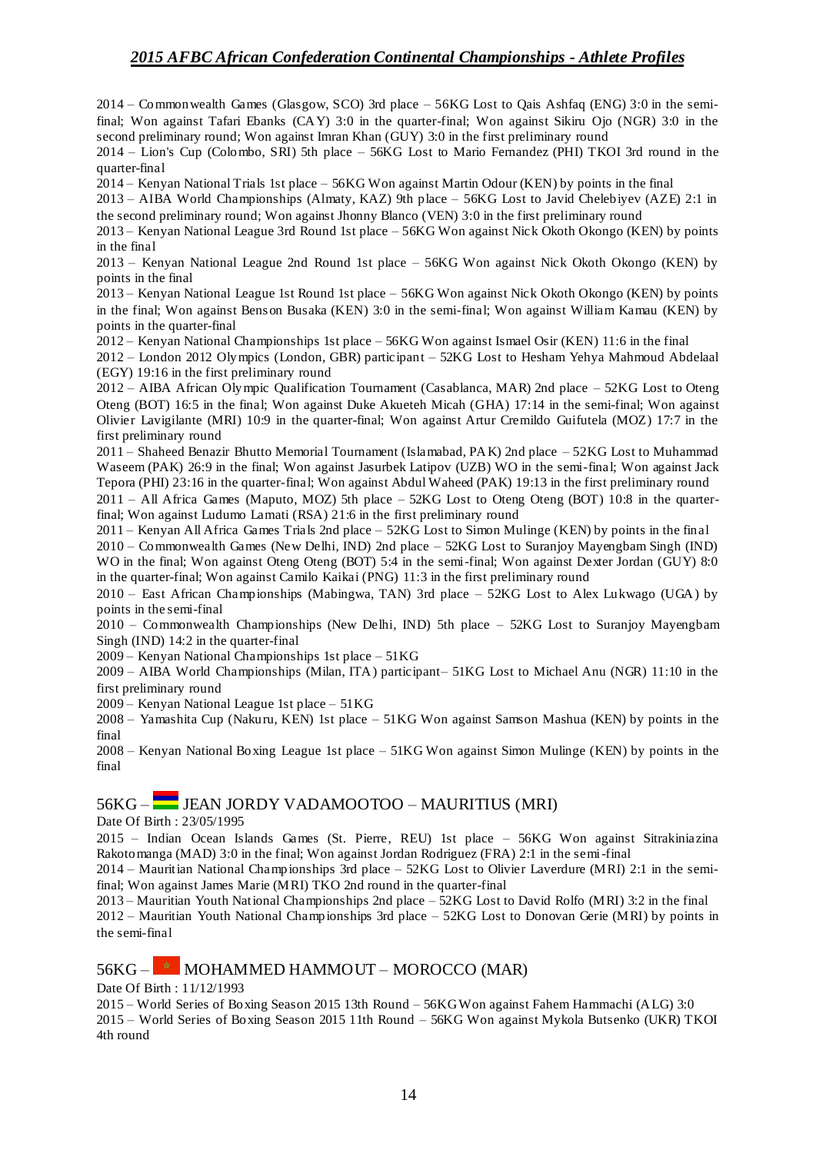2014 – Commonwealth Games (Glasgow, SCO) 3rd place – 56KG Lost to Qais Ashfaq (ENG) 3:0 in the semifinal; Won against Tafari Ebanks (CAY) 3:0 in the quarter-final; Won against Sikiru Ojo (NGR) 3:0 in the second preliminary round; Won against Imran Khan (GUY) 3:0 in the first preliminary round

2014 – Lion's Cup (Colombo, SRI) 5th place – 56KG Lost to Mario Fernandez (PHI) TKOI 3rd round in the quarter-final

2014 – Kenyan National Trials 1st place – 56KG Won against Martin Odour (KEN) by points in the final

2013 – AIBA World Championships (Almaty, KAZ) 9th place – 56KG Lost to Javid Chelebiyev (AZE) 2:1 in the second preliminary round; Won against Jhonny Blanco (VEN) 3:0 in the first preliminary round

2013 – Kenyan National League 3rd Round 1st place – 56KG Won against Nick Okoth Okongo (KEN) by points in the final

2013 – Kenyan National League 2nd Round 1st place – 56KG Won against Nick Okoth Okongo (KEN) by points in the final

2013 – Kenyan National League 1st Round 1st place – 56KG Won against Nick Okoth Okongo (KEN) by points in the final; Won against Benson Busaka (KEN) 3:0 in the semi-final; Won against William Kamau (KEN) by points in the quarter-final

2012 – Kenyan National Championships 1st place – 56KG Won against Ismael Osir (KEN) 11:6 in the final

2012 – London 2012 Olympics (London, GBR) participant – 52KG Lost to Hesham Yehya Mahmoud Abdelaal (EGY) 19:16 in the first preliminary round

2012 – AIBA African Olympic Qualification Tournament (Casablanca, MAR) 2nd place – 52KG Lost to Oteng Oteng (BOT) 16:5 in the final; Won against Duke Akueteh Micah (GHA) 17:14 in the semi-final; Won against Olivier Lavigilante (MRI) 10:9 in the quarter-final; Won against Artur Cremildo Guifutela (MOZ) 17:7 in the first preliminary round

2011 – Shaheed Benazir Bhutto Memorial Tournament (Islamabad, PAK) 2nd place – 52KG Lost to Muhammad Waseem (PAK) 26:9 in the final; Won against Jasurbek Latipov (UZB) WO in the semi-final; Won against Jack Tepora (PHI) 23:16 in the quarter-final; Won against Abdul Waheed (PAK) 19:13 in the first preliminary round

2011 – All Africa Games (Maputo, MOZ) 5th place – 52KG Lost to Oteng Oteng (BOT) 10:8 in the quarterfinal; Won against Ludumo Lamati (RSA) 21:6 in the first preliminary round

2011 – Kenyan All Africa Games Trials 2nd place – 52KG Lost to Simon Mulinge (KEN) by points in the final

2010 – Commonwealth Games (New Delhi, IND) 2nd place – 52KG Lost to Suranjoy Mayengbam Singh (IND) WO in the final; Won against Oteng Oteng (BOT) 5:4 in the semi-final; Won against Dexter Jordan (GUY) 8:0 in the quarter-final; Won against Camilo Kaikai (PNG) 11:3 in the first preliminary round

2010 – East African Championships (Mabingwa, TAN) 3rd place – 52KG Lost to Alex Lukwago (UGA) by points in the semi-final

2010 – Commonwealth Championships (New Delhi, IND) 5th place – 52KG Lost to Suranjoy Mayengbam Singh (IND) 14:2 in the quarter-final

2009 – Kenyan National Championships 1st place – 51KG

2009 – AIBA World Championships (Milan, ITA) participant– 51KG Lost to Michael Anu (NGR) 11:10 in the first preliminary round

2009 – Kenyan National League 1st place – 51KG

2008 – Yamashita Cup (Nakuru, KEN) 1st place – 51KG Won against Samson Mashua (KEN) by points in the final

2008 – Kenyan National Boxing League 1st place – 51KG Won against Simon Mulinge (KEN) by points in the final

### 56KG – JEAN JORDY VADAMOOTOO – MAURITIUS (MRI)

Date Of Birth : 23/05/1995

2015 – Indian Ocean Islands Games (St. Pierre, REU) 1st place – 56KG Won against Sitrakiniazina Rakotomanga (MAD) 3:0 in the final; Won against Jordan Rodriguez (FRA) 2:1 in the semi-final

2014 – Mauritian National Championships 3rd place – 52KG Lost to Olivier Laverdure (MRI) 2:1 in the semifinal; Won against James Marie (MRI) TKO 2nd round in the quarter-final

2013 – Mauritian Youth National Championships 2nd place – 52KG Lost to David Rolfo (MRI) 3:2 in the final 2012 – Mauritian Youth National Championships 3rd place – 52KG Lost to Donovan Gerie (MRI) by points in the semi-final

### $56KG -$  MOHAMMED HAMMOUT – MOROCCO (MAR)

Date Of Birth : 11/12/1993

2015 – World Series of Boxing Season 2015 13th Round – 56KG Won against Fahem Hammachi (ALG) 3:0 2015 – World Series of Boxing Season 2015 11th Round – 56KG Won against Mykola Butsenko (UKR) TKOI 4th round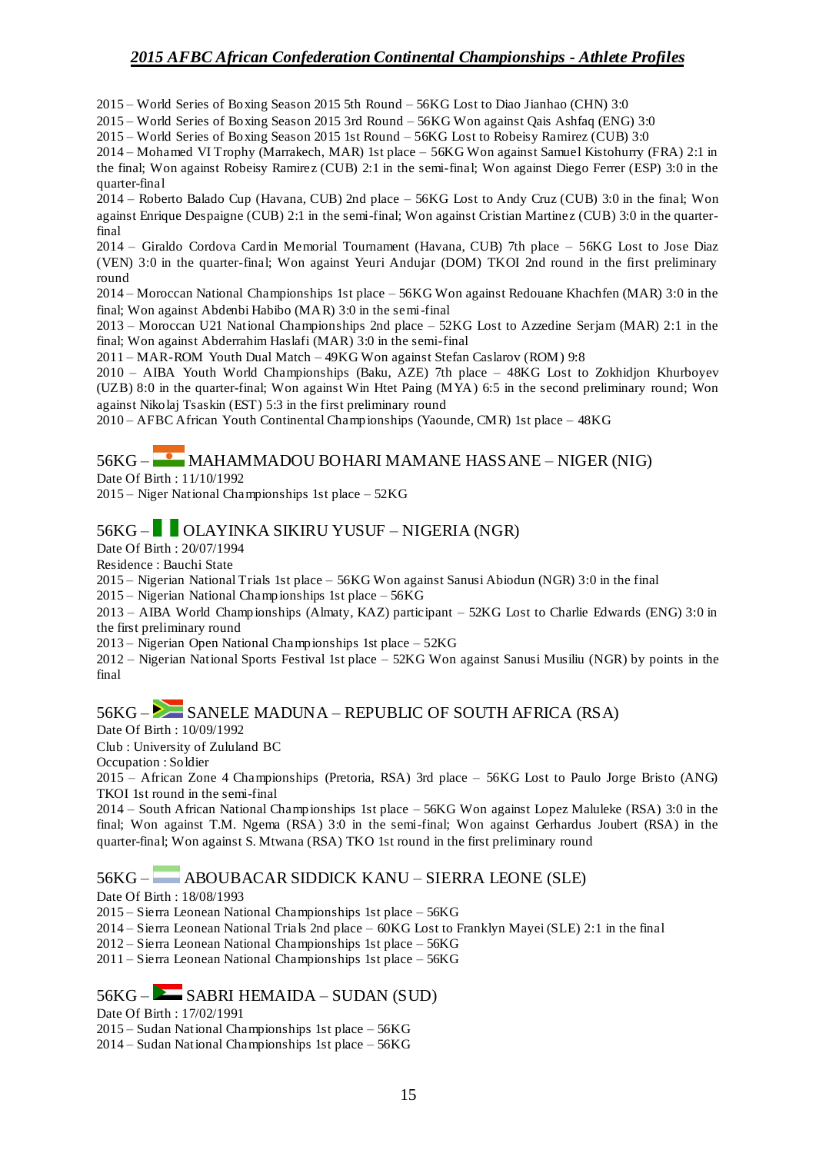2015 – World Series of Boxing Season 2015 5th Round – 56KG Lost to Diao Jianhao (CHN) 3:0

2015 – World Series of Boxing Season 2015 3rd Round – 56KG Won against Qais Ashfaq (ENG) 3:0

2015 – World Series of Boxing Season 2015 1st Round – 56KG Lost to Robeisy Ramirez (CUB) 3:0

2014 – Mohamed VI Trophy (Marrakech, MAR) 1st place – 56KG Won against Samuel Kistohurry (FRA) 2:1 in the final; Won against Robeisy Ramirez (CUB) 2:1 in the semi-final; Won against Diego Ferrer (ESP) 3:0 in the quarter-final

2014 – Roberto Balado Cup (Havana, CUB) 2nd place – 56KG Lost to Andy Cruz (CUB) 3:0 in the final; Won against Enrique Despaigne (CUB) 2:1 in the semi-final; Won against Cristian Martinez (CUB) 3:0 in the quarterfinal

2014 – Giraldo Cordova Cardin Memorial Tournament (Havana, CUB) 7th place – 56KG Lost to Jose Diaz (VEN) 3:0 in the quarter-final; Won against Yeuri Andujar (DOM) TKOI 2nd round in the first preliminary round

2014 – Moroccan National Championships 1st place – 56KG Won against Redouane Khachfen (MAR) 3:0 in the final; Won against Abdenbi Habibo (MAR) 3:0 in the semi-final

2013 – Moroccan U21 National Championships 2nd place – 52KG Lost to Azzedine Serjam (MAR) 2:1 in the final; Won against Abderrahim Haslafi (MAR) 3:0 in the semi-final

2011 – MAR-ROM Youth Dual Match – 49KG Won against Stefan Caslarov (ROM) 9:8

2010 – AIBA Youth World Championships (Baku, AZE) 7th place – 48KG Lost to Zokhidjon Khurboyev (UZB) 8:0 in the quarter-final; Won against Win Htet Paing (MYA) 6:5 in the second preliminary round; Won against Nikolaj Tsaskin (EST) 5:3 in the first preliminary round

2010 – AFBC African Youth Continental Championships (Yaounde, CMR) 1st place – 48KG

# 56KG – MAHAMMADOU BOHARI MAMANE HASSANE – NIGER (NIG)

Date Of Birth : 11/10/1992

2015 – Niger National Championships 1st place – 52KG

## 56KG – OLAYINKA SIKIRU YUSUF – NIGERIA (NGR)

Date Of Birth : 20/07/1994

Residence : Bauchi State

2015 – Nigerian National Trials 1st place – 56KG Won against Sanusi Abiodun (NGR) 3:0 in the final

2015 – Nigerian National Championships 1st place – 56KG

2013 – AIBA World Championships (Almaty, KAZ) participant – 52KG Lost to Charlie Edwards (ENG) 3:0 in the first preliminary round

2013 – Nigerian Open National Championships 1st place – 52KG

2012 – Nigerian National Sports Festival 1st place – 52KG Won against Sanusi Musiliu (NGR) by points in the final

## $56KG -$  SANELE MADUNA – REPUBLIC OF SOUTH AFRICA (RSA)

Date Of Birth : 10/09/1992

Club : University of Zululand BC

Occupation : Soldier

2015 – African Zone 4 Championships (Pretoria, RSA) 3rd place – 56KG Lost to Paulo Jorge Bristo (ANG) TKOI 1st round in the semi-final

2014 – South African National Championships 1st place – 56KG Won against Lopez Maluleke (RSA) 3:0 in the final; Won against T.M. Ngema (RSA) 3:0 in the semi-final; Won against Gerhardus Joubert (RSA) in the quarter-final; Won against S. Mtwana (RSA) TKO 1st round in the first preliminary round

### 56KG – ABOUBACAR SIDDICK KANU – SIERRA LEONE (SLE)

Date Of Birth : 18/08/1993

2015 – Sierra Leonean National Championships 1st place – 56KG

2014 – Sierra Leonean National Trials 2nd place – 60KG Lost to Franklyn Mayei (SLE) 2:1 in the final

2012 – Sierra Leonean National Championships 1st place – 56KG

2011 – Sierra Leonean National Championships 1st place – 56KG

### $56KG -$  SABRI HEMAIDA – SUDAN (SUD)

Date Of Birth : 17/02/1991

2015 – Sudan National Championships 1st place – 56KG

2014 – Sudan National Championships 1st place – 56KG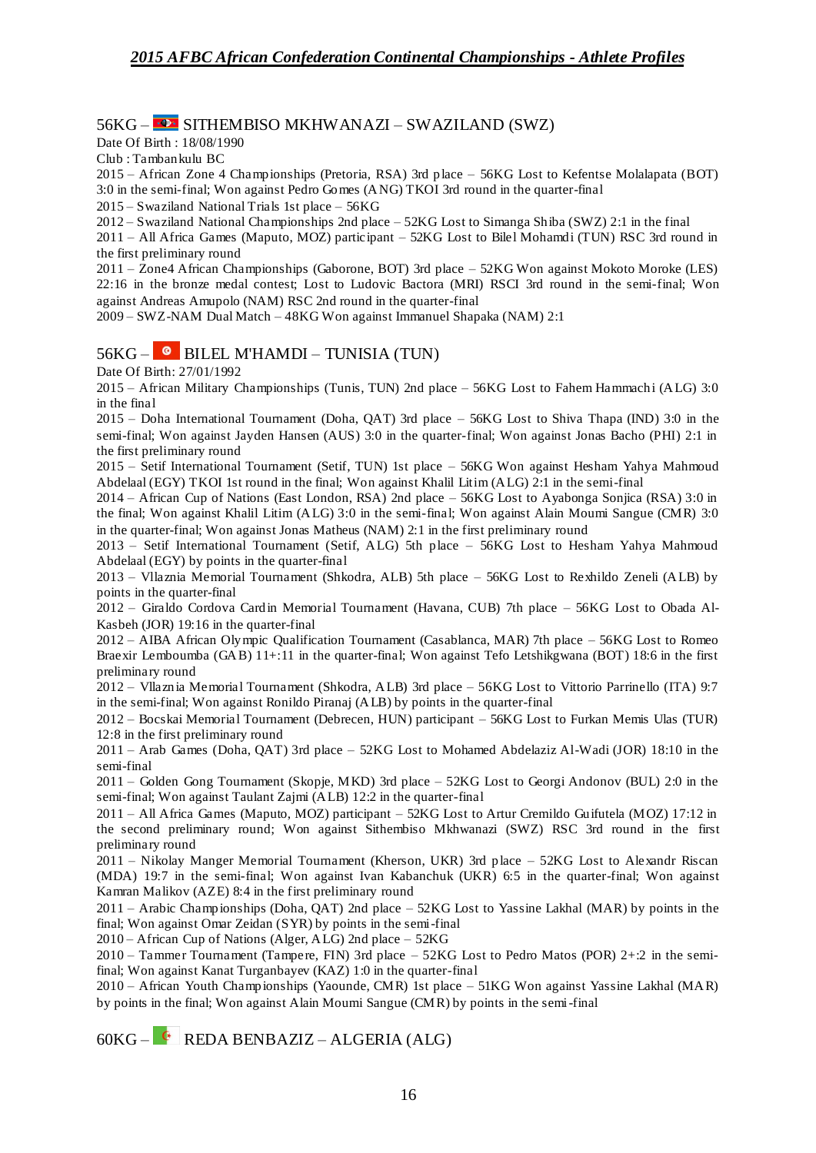### 56KG – SITHEMBISO MKHWANAZI – SWAZILAND (SWZ)

Date Of Birth : 18/08/1990

Club : Tambankulu BC

2015 – African Zone 4 Championships (Pretoria, RSA) 3rd place – 56KG Lost to Kefentse Molalapata (BOT) 3:0 in the semi-final; Won against Pedro Gomes (ANG) TKOI 3rd round in the quarter-final

2015 – Swaziland National Trials 1st place – 56KG

2012 – Swaziland National Championships 2nd place – 52KG Lost to Simanga Shiba (SWZ) 2:1 in the final

2011 – All Africa Games (Maputo, MOZ) participant – 52KG Lost to Bilel Mohamdi (TUN) RSC 3rd round in the first preliminary round

2011 – Zone4 African Championships (Gaborone, BOT) 3rd place – 52KG Won against Mokoto Moroke (LES) 22:16 in the bronze medal contest; Lost to Ludovic Bactora (MRI) RSCI 3rd round in the semi-final; Won against Andreas Amupolo (NAM) RSC 2nd round in the quarter-final

2009 – SWZ-NAM Dual Match – 48KG Won against Immanuel Shapaka (NAM) 2:1

## 56KG – BILEL M'HAMDI – TUNISIA (TUN)

Date Of Birth: 27/01/1992

2015 – African Military Championships (Tunis, TUN) 2nd place – 56KG Lost to Fahem Hammachi (ALG) 3:0 in the final

2015 – Doha International Tournament (Doha, QAT) 3rd place – 56KG Lost to Shiva Thapa (IND) 3:0 in the semi-final; Won against Jayden Hansen (AUS) 3:0 in the quarter-final; Won against Jonas Bacho (PHI) 2:1 in the first preliminary round

2015 – Setif International Tournament (Setif, TUN) 1st place – 56KG Won against Hesham Yahya Mahmoud Abdelaal (EGY) TKOI 1st round in the final; Won against Khalil Litim (ALG) 2:1 in the semi-final

2014 – African Cup of Nations (East London, RSA) 2nd place – 56KG Lost to Ayabonga Sonjica (RSA) 3:0 in the final; Won against Khalil Litim (ALG) 3:0 in the semi-final; Won against Alain Moumi Sangue (CMR) 3:0 in the quarter-final; Won against Jonas Matheus (NAM) 2:1 in the first preliminary round

2013 – Setif International Tournament (Setif, ALG) 5th place – 56KG Lost to Hesham Yahya Mahmoud Abdelaal (EGY) by points in the quarter-final

2013 – Vllaznia Memorial Tournament (Shkodra, ALB) 5th place – 56KG Lost to Rexhildo Zeneli (ALB) by points in the quarter-final

2012 – Giraldo Cordova Cardin Memorial Tournament (Havana, CUB) 7th place – 56KG Lost to Obada Al-Kasbeh (JOR) 19:16 in the quarter-final

2012 – AIBA African Olympic Qualification Tournament (Casablanca, MAR) 7th place – 56KG Lost to Romeo Braexir Lemboumba (GAB) 11+:11 in the quarter-final; Won against Tefo Letshikgwana (BOT) 18:6 in the first preliminary round

2012 – Vllaznia Memorial Tournament (Shkodra, ALB) 3rd place – 56KG Lost to Vittorio Parrinello (ITA) 9:7 in the semi-final; Won against Ronildo Piranaj (ALB) by points in the quarter-final

2012 – Bocskai Memorial Tournament (Debrecen, HUN) participant – 56KG Lost to Furkan Memis Ulas (TUR) 12:8 in the first preliminary round

2011 – Arab Games (Doha, QAT) 3rd place – 52KG Lost to Mohamed Abdelaziz Al-Wadi (JOR) 18:10 in the semi-final

2011 – Golden Gong Tournament (Skopje, MKD) 3rd place – 52KG Lost to Georgi Andonov (BUL) 2:0 in the semi-final; Won against Taulant Zajmi (ALB) 12:2 in the quarter-final

2011 – All Africa Games (Maputo, MOZ) participant – 52KG Lost to Artur Cremildo Guifutela (MOZ) 17:12 in the second preliminary round; Won against Sithembiso Mkhwanazi (SWZ) RSC 3rd round in the first preliminary round

2011 – Nikolay Manger Memorial Tournament (Kherson, UKR) 3rd place – 52KG Lost to Alexandr Riscan (MDA) 19:7 in the semi-final; Won against Ivan Kabanchuk (UKR) 6:5 in the quarter-final; Won against Kamran Malikov (AZE) 8:4 in the first preliminary round

2011 – Arabic Championships (Doha, QAT) 2nd place – 52KG Lost to Yassine Lakhal (MAR) by points in the final; Won against Omar Zeidan (SYR) by points in the semi-final

2010 – African Cup of Nations (Alger, ALG) 2nd place – 52KG

2010 – Tammer Tournament (Tampere, FIN) 3rd place – 52KG Lost to Pedro Matos (POR) 2+:2 in the semifinal; Won against Kanat Turganbayev (KAZ) 1:0 in the quarter-final

2010 – African Youth Championships (Yaounde, CMR) 1st place – 51KG Won against Yassine Lakhal (MAR) by points in the final; Won against Alain Moumi Sangue (CMR) by points in the semi-final

 $60KG -$  REDA BENBAZIZ – ALGERIA (ALG)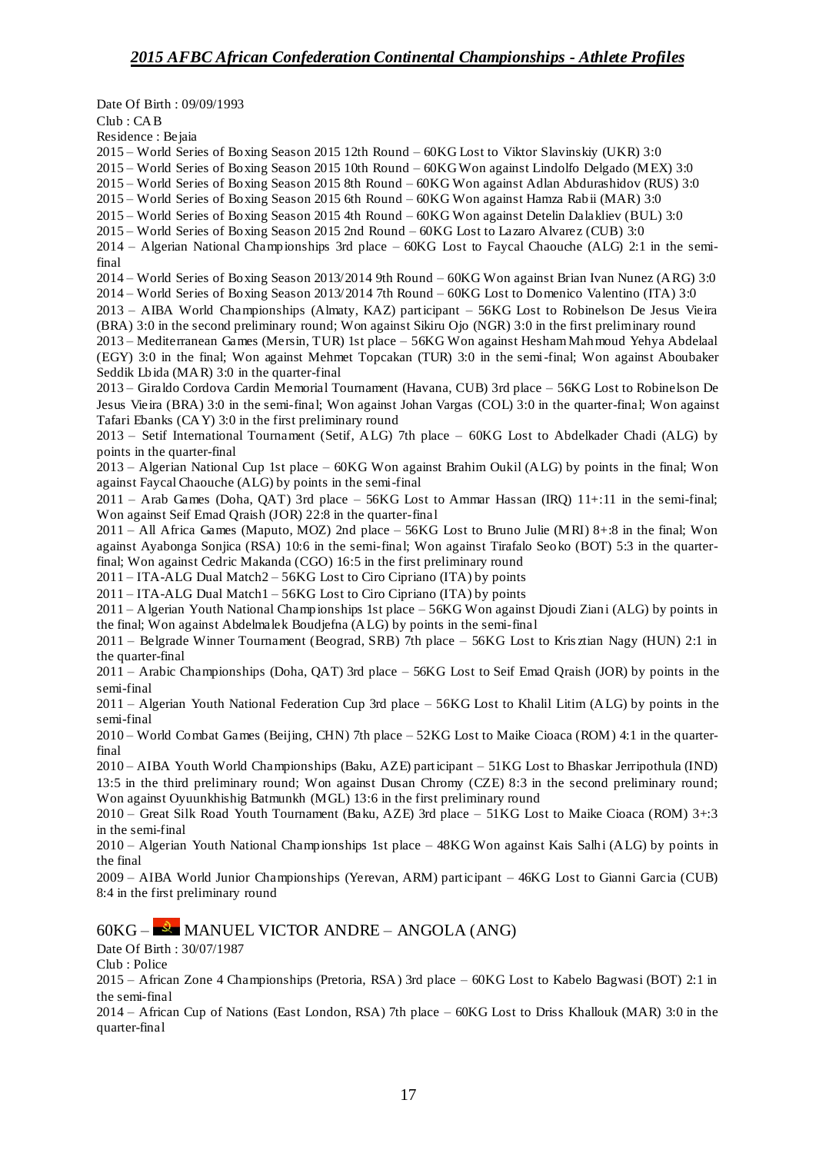Date Of Birth : 09/09/1993 Club : CAB Residence : Bejaia 2015 – World Series of Boxing Season 2015 12th Round – 60KG Lost to Viktor Slavinskiy (UKR) 3:0 2015 – World Series of Boxing Season 2015 10th Round – 60KG Won against Lindolfo Delgado (MEX) 3:0 2015 – World Series of Boxing Season 2015 8th Round – 60KG Won against Adlan Abdurashidov (RUS) 3:0 2015 – World Series of Boxing Season 2015 6th Round – 60KG Won against Hamza Rabii (MAR) 3:0 2015 – World Series of Boxing Season 2015 4th Round – 60KG Won against Detelin Dalakliev (BUL) 3:0 2015 – World Series of Boxing Season 2015 2nd Round – 60KG Lost to Lazaro Alvarez (CUB) 3:0 2014 – Algerian National Championships 3rd place – 60KG Lost to Faycal Chaouche (ALG) 2:1 in the semifinal 2014 – World Series of Boxing Season 2013/2014 9th Round – 60KG Won against Brian Ivan Nunez (ARG) 3:0 2014 – World Series of Boxing Season 2013/2014 7th Round – 60KG Lost to Domenico Valentino (ITA) 3:0 2013 – AIBA World Championships (Almaty, KAZ) participant – 56KG Lost to Robinelson De Jesus Vieira (BRA) 3:0 in the second preliminary round; Won against Sikiru Ojo (NGR) 3:0 in the first preliminary round 2013 – Mediterranean Games (Mersin, TUR) 1st place – 56KG Won against Hesham Mahmoud Yehya Abdelaal (EGY) 3:0 in the final; Won against Mehmet Topcakan (TUR) 3:0 in the semi-final; Won against Aboubaker Seddik Lbida (MAR) 3:0 in the quarter-final 2013 – Giraldo Cordova Cardin Memorial Tournament (Havana, CUB) 3rd place – 56KG Lost to Robinelson De Jesus Vieira (BRA) 3:0 in the semi-final; Won against Johan Vargas (COL) 3:0 in the quarter-final; Won against Tafari Ebanks (CAY) 3:0 in the first preliminary round 2013 – Setif International Tournament (Setif, ALG) 7th place – 60KG Lost to Abdelkader Chadi (ALG) by points in the quarter-final 2013 – Algerian National Cup 1st place – 60KG Won against Brahim Oukil (ALG) by points in the final; Won against Faycal Chaouche (ALG) by points in the semi-final 2011 – Arab Games (Doha, QAT) 3rd place – 56KG Lost to Ammar Hassan (IRQ) 11+:11 in the semi-final; Won against Seif Emad Qraish (JOR) 22:8 in the quarter-final 2011 – All Africa Games (Maputo, MOZ) 2nd place – 56KG Lost to Bruno Julie (MRI) 8+:8 in the final; Won against Ayabonga Sonjica (RSA) 10:6 in the semi-final; Won against Tirafalo Seoko (BOT) 5:3 in the quarterfinal; Won against Cedric Makanda (CGO) 16:5 in the first preliminary round 2011 – ITA-ALG Dual Match2 – 56KG Lost to Ciro Cipriano (ITA) by points 2011 – ITA-ALG Dual Match1 – 56KG Lost to Ciro Cipriano (ITA) by points 2011 – Algerian Youth National Championships 1st place – 56KG Won against Djoudi Ziani (ALG) by points in the final; Won against Abdelmalek Boudjefna (ALG) by points in the semi-final 2011 – Belgrade Winner Tournament (Beograd, SRB) 7th place – 56KG Lost to Kris ztian Nagy (HUN) 2:1 in the quarter-final 2011 – Arabic Championships (Doha, QAT) 3rd place – 56KG Lost to Seif Emad Qraish (JOR) by points in the semi-final 2011 – Algerian Youth National Federation Cup 3rd place – 56KG Lost to Khalil Litim (ALG) by points in the semi-final 2010 – World Combat Games (Beijing, CHN) 7th place – 52KG Lost to Maike Cioaca (ROM) 4:1 in the quarterfinal 2010 – AIBA Youth World Championships (Baku, AZE) participant – 51KG Lost to Bhaskar Jerripothula (IND) 13:5 in the third preliminary round; Won against Dusan Chromy (CZE) 8:3 in the second preliminary round; Won against Oyuunkhishig Batmunkh (MGL) 13:6 in the first preliminary round 2010 – Great Silk Road Youth Tournament (Baku, AZE) 3rd place – 51KG Lost to Maike Cioaca (ROM) 3+:3 in the semi-final 2010 – Algerian Youth National Championships 1st place – 48KG Won against Kais Salhi (ALG) by points in the final 2009 – AIBA World Junior Championships (Yerevan, ARM) participant – 46KG Lost to Gianni Garcia (CUB) 8:4 in the first preliminary round  $60KG -$  MANUEL VICTOR ANDRE – ANGOLA (ANG) Date Of Birth : 30/07/1987 Club : Police

2015 – African Zone 4 Championships (Pretoria, RSA) 3rd place – 60KG Lost to Kabelo Bagwasi (BOT) 2:1 in the semi-final

2014 – African Cup of Nations (East London, RSA) 7th place – 60KG Lost to Driss Khallouk (MAR) 3:0 in the quarter-final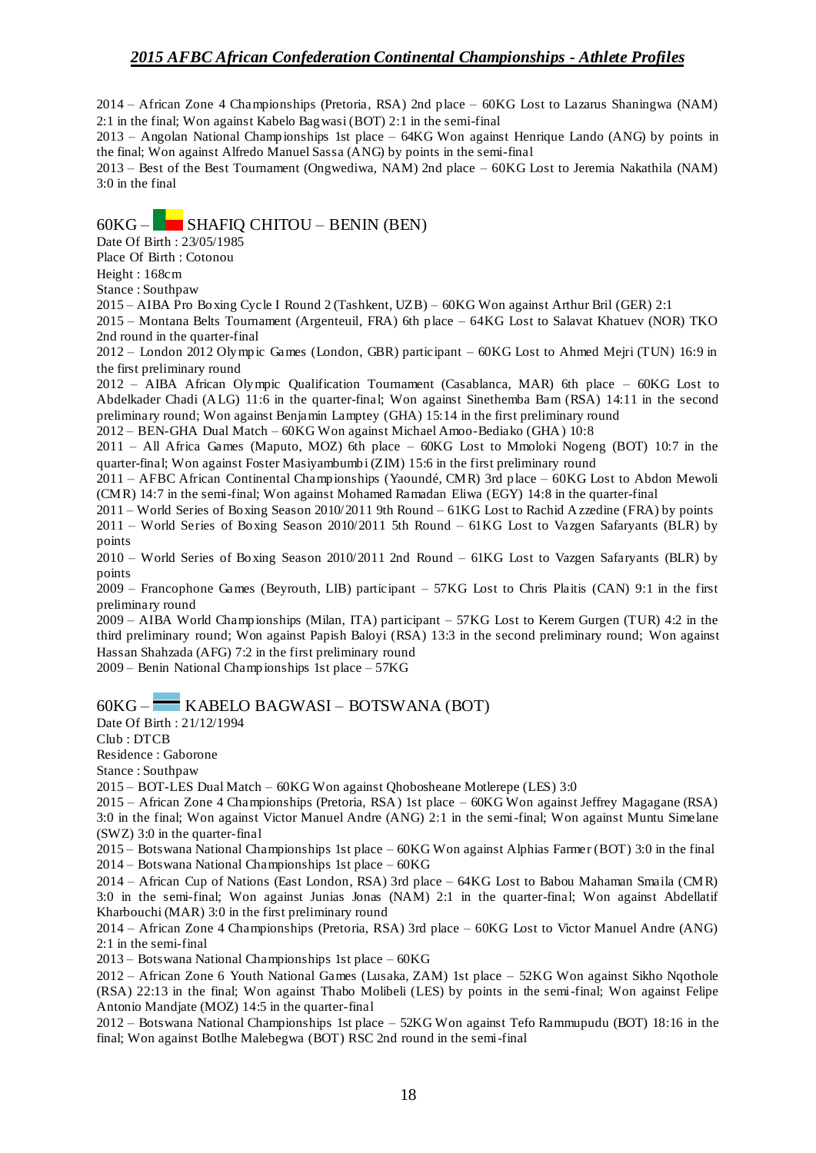2014 – African Zone 4 Championships (Pretoria, RSA) 2nd place – 60KG Lost to Lazarus Shaningwa (NAM) 2:1 in the final; Won against Kabelo Bagwasi (BOT) 2:1 in the semi-final

2013 – Angolan National Championships 1st place – 64KG Won against Henrique Lando (ANG) by points in the final; Won against Alfredo Manuel Sassa (ANG) by points in the semi-final

2013 – Best of the Best Tournament (Ongwediwa, NAM) 2nd place – 60KG Lost to Jeremia Nakathila (NAM) 3:0 in the final

## $60KG -$  SHAFIQ CHITOU – BENIN (BEN)

Date Of Birth : 23/05/1985

Place Of Birth : Cotonou

Height : 168cm

Stance : Southpaw

2015 – AIBA Pro Boxing Cycle I Round 2 (Tashkent, UZB) – 60KG Won against Arthur Bril (GER) 2:1

2015 – Montana Belts Tournament (Argenteuil, FRA) 6th place – 64KG Lost to Salavat Khatuev (NOR) TKO 2nd round in the quarter-final

2012 – London 2012 Olympic Games (London, GBR) participant – 60KG Lost to Ahmed Mejri (TUN) 16:9 in the first preliminary round

2012 – AIBA African Olympic Qualification Tournament (Casablanca, MAR) 6th place – 60KG Lost to Abdelkader Chadi (ALG) 11:6 in the quarter-final; Won against Sinethemba Bam (RSA) 14:11 in the second preliminary round; Won against Benjamin Lamptey (GHA) 15:14 in the first preliminary round

2012 – BEN-GHA Dual Match – 60KG Won against Michael Amoo-Bediako (GHA) 10:8

2011 – All Africa Games (Maputo, MOZ) 6th place – 60KG Lost to Mmoloki Nogeng (BOT) 10:7 in the quarter-final; Won against Foster Masiyambumbi (ZIM) 15:6 in the first preliminary round

2011 – AFBC African Continental Championships (Yaoundé, CMR) 3rd place – 60KG Lost to Abdon Mewoli (CMR) 14:7 in the semi-final; Won against Mohamed Ramadan Eliwa (EGY) 14:8 in the quarter-final

2011 – World Series of Boxing Season 2010/2011 9th Round – 61KG Lost to Rachid Azzedine (FRA) by points 2011 – World Series of Boxing Season 2010/2011 5th Round – 61KG Lost to Vazgen Safaryants (BLR) by points

2010 – World Series of Boxing Season 2010/2011 2nd Round – 61KG Lost to Vazgen Safaryants (BLR) by points

2009 – Francophone Games (Beyrouth, LIB) participant – 57KG Lost to Chris Plaitis (CAN) 9:1 in the first preliminary round

2009 – AIBA World Championships (Milan, ITA) participant – 57KG Lost to Kerem Gurgen (TUR) 4:2 in the third preliminary round; Won against Papish Baloyi (RSA) 13:3 in the second preliminary round; Won against Hassan Shahzada (AFG) 7:2 in the first preliminary round

2009 – Benin National Championships 1st place – 57KG

### 60KG – KABELO BAGWASI – BOTSWANA (BOT)

Date Of Birth : 21/12/1994

Club : DTCB

Residence : Gaborone

Stance : Southpaw

2015 – BOT-LES Dual Match – 60KG Won against Qhobosheane Motlerepe (LES) 3:0

2015 – African Zone 4 Championships (Pretoria, RSA) 1st place – 60KG Won against Jeffrey Magagane (RSA) 3:0 in the final; Won against Victor Manuel Andre (ANG) 2:1 in the semi-final; Won against Muntu Simelane (SWZ) 3:0 in the quarter-final

2015 – Botswana National Championships 1st place – 60KG Won against Alphias Farmer (BOT) 3:0 in the final 2014 – Botswana National Championships 1st place – 60KG

2014 – African Cup of Nations (East London, RSA) 3rd place – 64KG Lost to Babou Mahaman Smaila (CMR) 3:0 in the semi-final; Won against Junias Jonas (NAM) 2:1 in the quarter-final; Won against Abdellatif Kharbouchi (MAR) 3:0 in the first preliminary round

2014 – African Zone 4 Championships (Pretoria, RSA) 3rd place – 60KG Lost to Victor Manuel Andre (ANG) 2:1 in the semi-final

2013 – Botswana National Championships 1st place – 60KG

2012 – African Zone 6 Youth National Games (Lusaka, ZAM) 1st place – 52KG Won against Sikho Nqothole (RSA) 22:13 in the final; Won against Thabo Molibeli (LES) by points in the semi-final; Won against Felipe Antonio Mandjate (MOZ) 14:5 in the quarter-final

2012 – Botswana National Championships 1st place – 52KG Won against Tefo Rammupudu (BOT) 18:16 in the final; Won against Botlhe Malebegwa (BOT) RSC 2nd round in the semi-final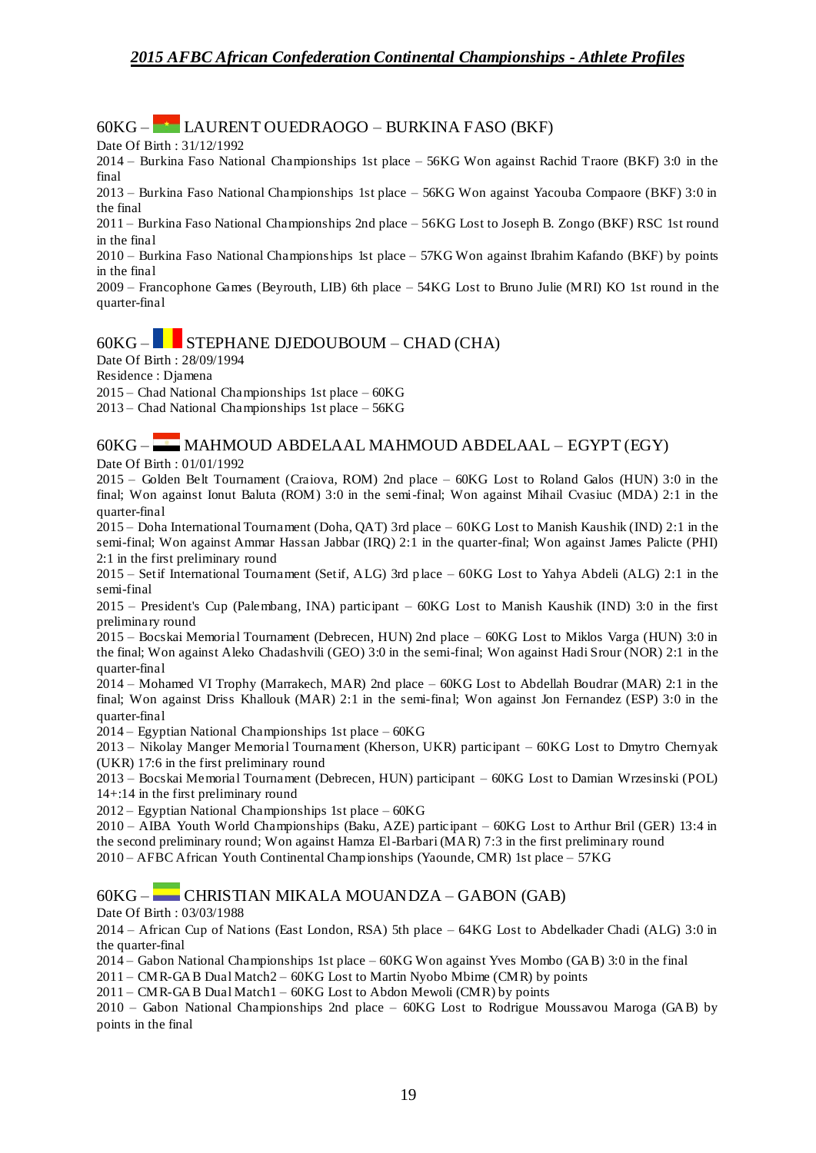### 60KG – LAURENT OUEDRAOGO – BURKINA FASO (BKF)

Date Of Birth : 31/12/1992

2014 – Burkina Faso National Championships 1st place – 56KG Won against Rachid Traore (BKF) 3:0 in the final

2013 – Burkina Faso National Championships 1st place – 56KG Won against Yacouba Compaore (BKF) 3:0 in the final

2011 – Burkina Faso National Championships 2nd place – 56KG Lost to Joseph B. Zongo (BKF) RSC 1st round in the final

2010 – Burkina Faso National Championships 1st place – 57KG Won against Ibrahim Kafando (BKF) by points in the final

2009 – Francophone Games (Beyrouth, LIB) 6th place – 54KG Lost to Bruno Julie (MRI) KO 1st round in the quarter-final

## $60KG -$  STEPHANE DJEDOUBOUM – CHAD (CHA)

Date Of Birth : 28/09/1994

Residence : Djamena

2015 – Chad National Championships 1st place – 60KG

2013 – Chad National Championships 1st place – 56KG

### 60KG – MAHMOUD ABDELAAL MAHMOUD ABDELAAL – EGYPT (EGY)

Date Of Birth : 01/01/1992

2015 – Golden Belt Tournament (Craiova, ROM) 2nd place – 60KG Lost to Roland Galos (HUN) 3:0 in the final; Won against Ionut Baluta (ROM) 3:0 in the semi-final; Won against Mihail Cvasiuc (MDA) 2:1 in the quarter-final

2015 – Doha International Tournament (Doha, QAT) 3rd place – 60KG Lost to Manish Kaushik (IND) 2:1 in the semi-final; Won against Ammar Hassan Jabbar (IRQ) 2:1 in the quarter-final; Won against James Palicte (PHI) 2:1 in the first preliminary round

2015 – Setif International Tournament (Setif, ALG) 3rd place – 60KG Lost to Yahya Abdeli (ALG) 2:1 in the semi-final

2015 – President's Cup (Palembang, INA) participant – 60KG Lost to Manish Kaushik (IND) 3:0 in the first preliminary round

2015 – Bocskai Memorial Tournament (Debrecen, HUN) 2nd place – 60KG Lost to Miklos Varga (HUN) 3:0 in the final; Won against Aleko Chadashvili (GEO) 3:0 in the semi-final; Won against Hadi Srour (NOR) 2:1 in the quarter-final

2014 – Mohamed VI Trophy (Marrakech, MAR) 2nd place – 60KG Lost to Abdellah Boudrar (MAR) 2:1 in the final; Won against Driss Khallouk (MAR) 2:1 in the semi-final; Won against Jon Fernandez (ESP) 3:0 in the quarter-final

2014 – Egyptian National Championships 1st place – 60KG

2013 – Nikolay Manger Memorial Tournament (Kherson, UKR) participant – 60KG Lost to Dmytro Chernyak (UKR) 17:6 in the first preliminary round

2013 – Bocskai Memorial Tournament (Debrecen, HUN) participant – 60KG Lost to Damian Wrzesinski (POL) 14+:14 in the first preliminary round

2012 – Egyptian National Championships 1st place – 60KG

2010 – AIBA Youth World Championships (Baku, AZE) participant – 60KG Lost to Arthur Bril (GER) 13:4 in the second preliminary round; Won against Hamza El-Barbari (MAR) 7:3 in the first preliminary round 2010 – AFBC African Youth Continental Championships (Yaounde, CMR) 1st place – 57KG

#### 60KG – CHRISTIAN MIKALA MOUANDZA – GABON (GAB)

Date Of Birth : 03/03/1988

2014 – African Cup of Nations (East London, RSA) 5th place – 64KG Lost to Abdelkader Chadi (ALG) 3:0 in the quarter-final

2014 – Gabon National Championships 1st place – 60KG Won against Yves Mombo (GAB) 3:0 in the final

2011 – CMR-GAB Dual Match2 – 60KG Lost to Martin Nyobo Mbime (CMR) by points

2011 – CMR-GAB Dual Match1 – 60KG Lost to Abdon Mewoli (CMR) by points

2010 – Gabon National Championships 2nd place – 60KG Lost to Rodrigue Moussavou Maroga (GAB) by points in the final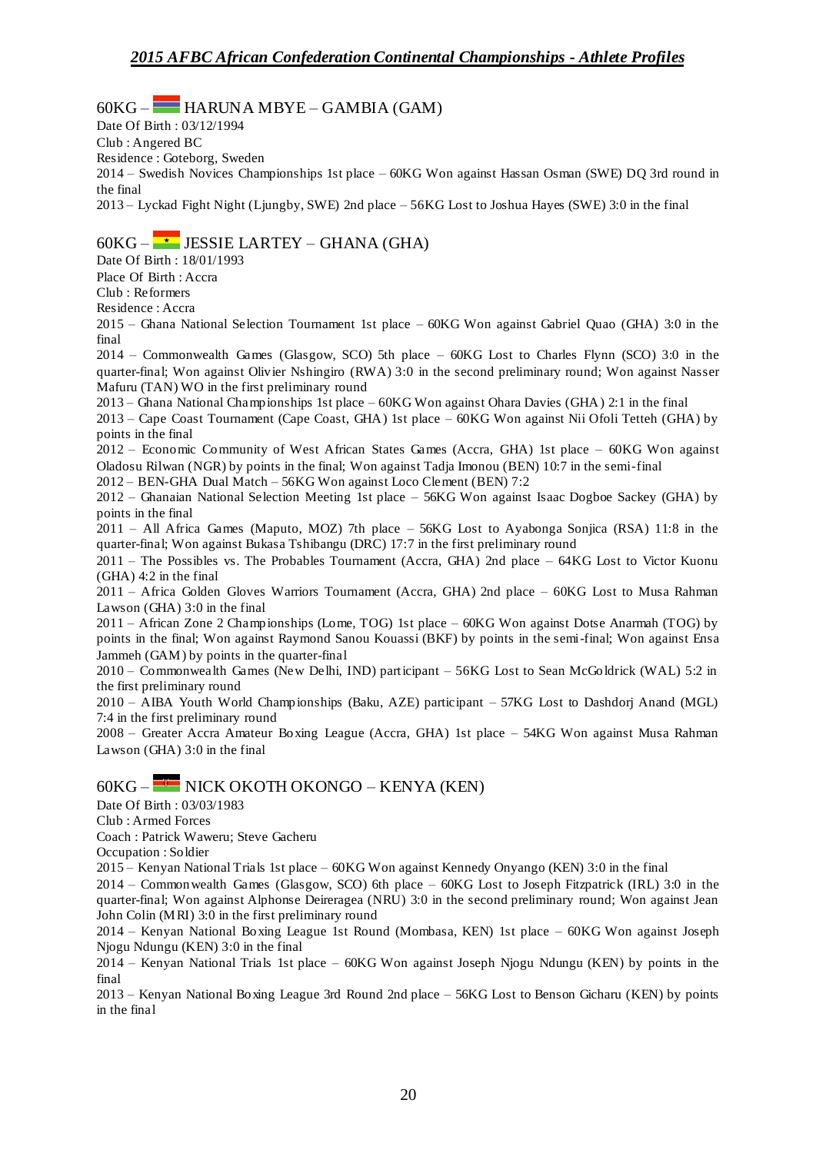$60KG -$  HARUNA MBYE – GAMBIA (GAM)

Date Of Birth : 03/12/1994

Club : Angered BC

Residence : Goteborg, Sweden

2014 – Swedish Novices Championships 1st place – 60KG Won against Hassan Osman (SWE) DQ 3rd round in the final

2013 – Lyckad Fight Night (Ljungby, SWE) 2nd place – 56KG Lost to Joshua Hayes (SWE) 3:0 in the final

## $60KG - \rightarrow$  JESSIE LARTEY – GHANA (GHA)

Date Of Birth : 18/01/1993

Place Of Birth : Accra

Club : Reformers

Residence : Accra

2015 – Ghana National Selection Tournament 1st place – 60KG Won against Gabriel Quao (GHA) 3:0 in the final

2014 – Commonwealth Games (Glasgow, SCO) 5th place – 60KG Lost to Charles Flynn (SCO) 3:0 in the quarter-final; Won against Olivier Nshingiro (RWA) 3:0 in the second preliminary round; Won against Nasser Mafuru (TAN) WO in the first preliminary round

2013 – Ghana National Championships 1st place – 60KG Won against Ohara Davies (GHA) 2:1 in the final

2013 – Cape Coast Tournament (Cape Coast, GHA) 1st place – 60KG Won against Nii Ofoli Tetteh (GHA) by points in the final

2012 – Economic Community of West African States Games (Accra, GHA) 1st place – 60KG Won against Oladosu Rilwan (NGR) by points in the final; Won against Tadja Imonou (BEN) 10:7 in the semi-final

2012 – BEN-GHA Dual Match – 56KG Won against Loco Clement (BEN) 7:2

2012 – Ghanaian National Selection Meeting 1st place – 56KG Won against Isaac Dogboe Sackey (GHA) by points in the final

2011 – All Africa Games (Maputo, MOZ) 7th place – 56KG Lost to Ayabonga Sonjica (RSA) 11:8 in the quarter-final; Won against Bukasa Tshibangu (DRC) 17:7 in the first preliminary round

2011 – The Possibles vs. The Probables Tournament (Accra, GHA) 2nd place – 64KG Lost to Victor Kuonu (GHA) 4:2 in the final

2011 – Africa Golden Gloves Warriors Tournament (Accra, GHA) 2nd place – 60KG Lost to Musa Rahman Lawson (GHA) 3:0 in the final

2011 – African Zone 2 Championships (Lome, TOG) 1st place – 60KG Won against Dotse Anarmah (TOG) by points in the final; Won against Raymond Sanou Kouassi (BKF) by points in the semi-final; Won against Ensa Jammeh (GAM) by points in the quarter-final

2010 – Commonwealth Games (New Delhi, IND) participant – 56KG Lost to Sean McGoldrick (WAL) 5:2 in the first preliminary round

2010 – AIBA Youth World Championships (Baku, AZE) participant – 57KG Lost to Dashdorj Anand (MGL) 7:4 in the first preliminary round

2008 – Greater Accra Amateur Boxing League (Accra, GHA) 1st place – 54KG Won against Musa Rahman Lawson (GHA) 3:0 in the final

### $60KG -$  NICK OKOTH OKONGO – KENYA (KEN)

Date Of Birth : 03/03/1983

Club : Armed Forces

Coach : Patrick Waweru; Steve Gacheru

Occupation : Soldier

2015 – Kenyan National Trials 1st place – 60KG Won against Kennedy Onyango (KEN) 3:0 in the final

2014 – Commonwealth Games (Glasgow, SCO) 6th place – 60KG Lost to Joseph Fitzpatrick (IRL) 3:0 in the quarter-final; Won against Alphonse Deireragea (NRU) 3:0 in the second preliminary round; Won against Jean John Colin (MRI) 3:0 in the first preliminary round

2014 – Kenyan National Boxing League 1st Round (Mombasa, KEN) 1st place – 60KG Won against Joseph Njogu Ndungu (KEN) 3:0 in the final

2014 – Kenyan National Trials 1st place – 60KG Won against Joseph Njogu Ndungu (KEN) by points in the final

2013 – Kenyan National Boxing League 3rd Round 2nd place – 56KG Lost to Benson Gicharu (KEN) by points in the final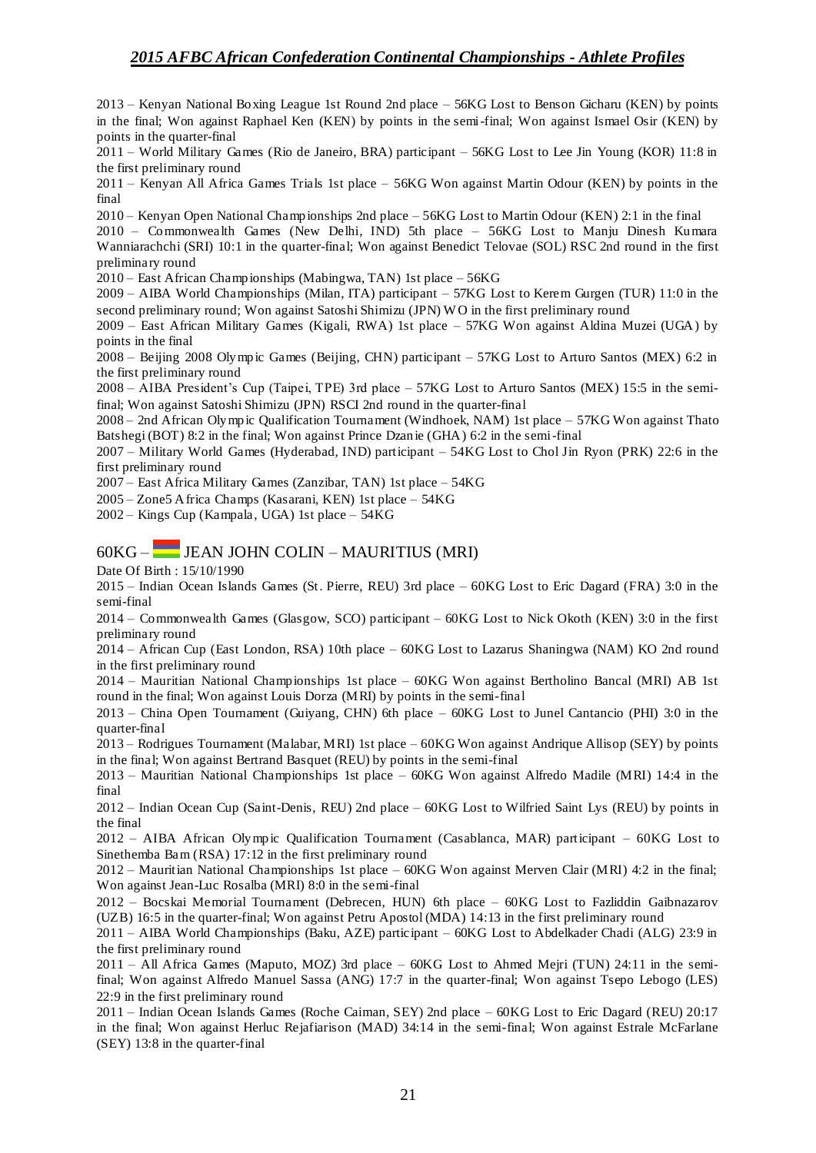2013 – Kenyan National Boxing League 1st Round 2nd place – 56KG Lost to Benson Gicharu (KEN) by points in the final; Won against Raphael Ken (KEN) by points in the semi-final; Won against Ismael Osir (KEN) by points in the quarter-final

2011 – World Military Games (Rio de Janeiro, BRA) participant – 56KG Lost to Lee Jin Young (KOR) 11:8 in the first preliminary round

2011 – Kenyan All Africa Games Trials 1st place – 56KG Won against Martin Odour (KEN) by points in the final

2010 – Kenyan Open National Championships 2nd place – 56KG Lost to Martin Odour (KEN) 2:1 in the final

2010 – Commonwealth Games (New Delhi, IND) 5th place – 56KG Lost to Manju Dinesh Kumara Wanniarachchi (SRI) 10:1 in the quarter-final; Won against Benedict Telovae (SOL) RSC 2nd round in the first preliminary round

2010 – East African Championships (Mabingwa, TAN) 1st place – 56KG

2009 – AIBA World Championships (Milan, ITA) participant – 57KG Lost to Kerem Gurgen (TUR) 11:0 in the second preliminary round; Won against Satoshi Shimizu (JPN) W O in the first preliminary round

2009 – East African Military Games (Kigali, RWA) 1st place – 57KG Won against Aldina Muzei (UGA) by points in the final

2008 – Beijing 2008 Olympic Games (Beijing, CHN) participant – 57KG Lost to Arturo Santos (MEX) 6:2 in the first preliminary round

2008 – AIBA President's Cup (Taipei, TPE) 3rd place – 57KG Lost to Arturo Santos (MEX) 15:5 in the semifinal; Won against Satoshi Shimizu (JPN) RSCI 2nd round in the quarter-final

2008 – 2nd African Olympic Qualification Tournament (Windhoek, NAM) 1st place – 57KG Won against Thato Batshegi (BOT) 8:2 in the final; Won against Prince Dzanie (GHA) 6:2 in the semi-final

2007 – Military World Games (Hyderabad, IND) participant – 54KG Lost to Chol Jin Ryon (PRK) 22:6 in the first preliminary round

2007 – East Africa Military Games (Zanzibar, TAN) 1st place – 54KG

2005 – Zone5 Africa Champs (Kasarani, KEN) 1st place – 54KG

2002 – Kings Cup (Kampala, UGA) 1st place – 54KG

### 60KG – JEAN JOHN COLIN – MAURITIUS (MRI)

Date Of Birth : 15/10/1990

2015 – Indian Ocean Islands Games (St. Pierre, REU) 3rd place – 60KG Lost to Eric Dagard (FRA) 3:0 in the semi-final

2014 – Commonwealth Games (Glasgow, SCO) participant – 60KG Lost to Nick Okoth (KEN) 3:0 in the first preliminary round

2014 – African Cup (East London, RSA) 10th place – 60KG Lost to Lazarus Shaningwa (NAM) KO 2nd round in the first preliminary round

2014 – Mauritian National Championships 1st place – 60KG Won against Bertholino Bancal (MRI) AB 1st round in the final; Won against Louis Dorza (MRI) by points in the semi-final

2013 – China Open Tournament (Guiyang, CHN) 6th place – 60KG Lost to Junel Cantancio (PHI) 3:0 in the quarter-final

2013 – Rodrigues Tournament (Malabar, MRI) 1st place – 60KG Won against Andrique Allisop (SEY) by points in the final; Won against Bertrand Basquet (REU) by points in the semi-final

2013 – Mauritian National Championships 1st place – 60KG Won against Alfredo Madile (MRI) 14:4 in the final

2012 – Indian Ocean Cup (Saint-Denis, REU) 2nd place – 60KG Lost to Wilfried Saint Lys (REU) by points in the final

2012 – AIBA African Olympic Qualification Tournament (Casablanca, MAR) participant – 60KG Lost to Sinethemba Bam (RSA) 17:12 in the first preliminary round

2012 – Mauritian National Championships 1st place – 60KG Won against Merven Clair (MRI) 4:2 in the final; Won against Jean-Luc Rosalba (MRI) 8:0 in the semi-final

2012 – Bocskai Memorial Tournament (Debrecen, HUN) 6th place – 60KG Lost to Fazliddin Gaibnazarov (UZB) 16:5 in the quarter-final; Won against Petru Apostol (MDA) 14:13 in the first preliminary round

2011 – AIBA World Championships (Baku, AZE) participant – 60KG Lost to Abdelkader Chadi (ALG) 23:9 in the first preliminary round

2011 – All Africa Games (Maputo, MOZ) 3rd place – 60KG Lost to Ahmed Mejri (TUN) 24:11 in the semifinal; Won against Alfredo Manuel Sassa (ANG) 17:7 in the quarter-final; Won against Tsepo Lebogo (LES) 22:9 in the first preliminary round

2011 – Indian Ocean Islands Games (Roche Caiman, SEY) 2nd place – 60KG Lost to Eric Dagard (REU) 20:17 in the final; Won against Herluc Rejafiarison (MAD) 34:14 in the semi-final; Won against Estrale McFarlane (SEY) 13:8 in the quarter-final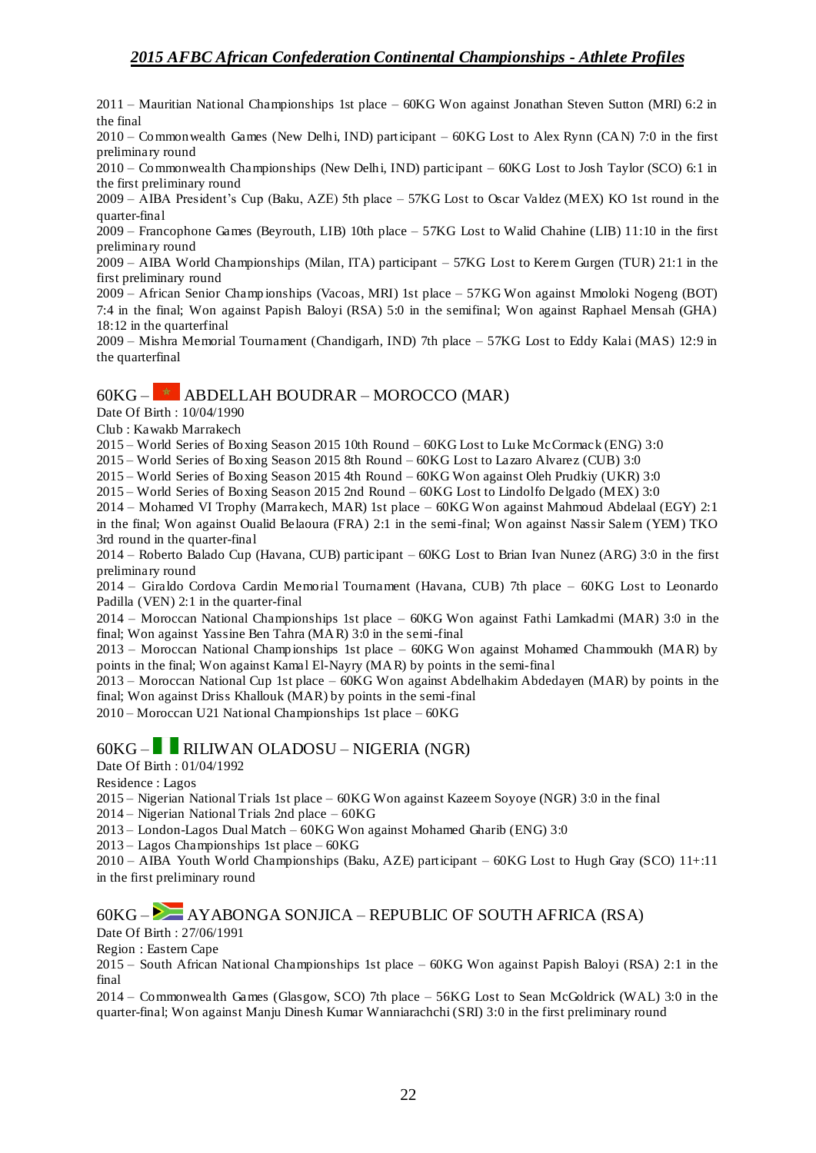2011 – Mauritian National Championships 1st place – 60KG Won against Jonathan Steven Sutton (MRI) 6:2 in the final

2010 – Commonwealth Games (New Delhi, IND) participant – 60KG Lost to Alex Rynn (CAN) 7:0 in the first preliminary round

2010 – Commonwealth Championships (New Delhi, IND) participant – 60KG Lost to Josh Taylor (SCO) 6:1 in the first preliminary round

2009 – AIBA President's Cup (Baku, AZE) 5th place – 57KG Lost to Oscar Valdez (MEX) KO 1st round in the quarter-final

2009 – Francophone Games (Beyrouth, LIB) 10th place – 57KG Lost to Walid Chahine (LIB) 11:10 in the first preliminary round

2009 – AIBA World Championships (Milan, ITA) participant – 57KG Lost to Kerem Gurgen (TUR) 21:1 in the first preliminary round

2009 – African Senior Champ ionships (Vacoas, MRI) 1st place – 57KG Won against Mmoloki Nogeng (BOT) 7:4 in the final; Won against Papish Baloyi (RSA) 5:0 in the semifinal; Won against Raphael Mensah (GHA) 18:12 in the quarterfinal

2009 – Mishra Memorial Tournament (Chandigarh, IND) 7th place – 57KG Lost to Eddy Kalai (MAS) 12:9 in the quarterfinal

## $60KG \overline{\phantom{1}}$  ABDELLAH BOUDRAR – MOROCCO (MAR)

Date Of Birth : 10/04/1990

Club : Kawakb Marrakech

2015 – World Series of Boxing Season 2015 10th Round – 60KG Lost to Luke McCormack (ENG) 3:0

2015 – World Series of Boxing Season 2015 8th Round – 60KG Lost to Lazaro Alvarez (CUB) 3:0

2015 – World Series of Boxing Season 2015 4th Round – 60KG Won against Oleh Prudkiy (UKR) 3:0

2015 – World Series of Boxing Season 2015 2nd Round – 60KG Lost to Lindolfo Delgado (MEX) 3:0

2014 – Mohamed VI Trophy (Marrakech, MAR) 1st place – 60KG Won against Mahmoud Abdelaal (EGY) 2:1 in the final; Won against Oualid Belaoura (FRA) 2:1 in the semi-final; Won against Nassir Salem (YEM) TKO 3rd round in the quarter-final

2014 – Roberto Balado Cup (Havana, CUB) participant – 60KG Lost to Brian Ivan Nunez (ARG) 3:0 in the first preliminary round

2014 – Giraldo Cordova Cardin Memorial Tournament (Havana, CUB) 7th place – 60KG Lost to Leonardo Padilla (VEN) 2:1 in the quarter-final

2014 – Moroccan National Championships 1st place – 60KG Won against Fathi Lamkadmi (MAR) 3:0 in the final; Won against Yassine Ben Tahra (MAR) 3:0 in the semi-final

2013 – Moroccan National Championships 1st place – 60KG Won against Mohamed Chammoukh (MAR) by points in the final; Won against Kamal El-Nayry (MAR) by points in the semi-final

2013 – Moroccan National Cup 1st place – 60KG Won against Abdelhakim Abdedayen (MAR) by points in the final; Won against Driss Khallouk (MAR) by points in the semi-final

2010 – Moroccan U21 National Championships 1st place – 60KG

### 60KG – RILIWAN OLADOSU – NIGERIA (NGR)

Date Of Birth : 01/04/1992

Residence : Lagos

2015 – Nigerian National Trials 1st place – 60KG Won against Kazeem Soyoye (NGR) 3:0 in the final

2014 – Nigerian National Trials 2nd place – 60KG

2013 – London-Lagos Dual Match – 60KG Won against Mohamed Gharib (ENG) 3:0

2013 – Lagos Championships 1st place – 60KG

2010 – AIBA Youth World Championships (Baku, AZE) participant – 60KG Lost to Hugh Gray (SCO) 11+:11 in the first preliminary round

## $60KG -$  AYABONGA SONJICA – REPUBLIC OF SOUTH AFRICA (RSA)

Date Of Birth : 27/06/1991

Region : Eastern Cape

2015 – South African National Championships 1st place – 60KG Won against Papish Baloyi (RSA) 2:1 in the final

2014 – Commonwealth Games (Glasgow, SCO) 7th place – 56KG Lost to Sean McGoldrick (WAL) 3:0 in the quarter-final; Won against Manju Dinesh Kumar Wanniarachchi (SRI) 3:0 in the first preliminary round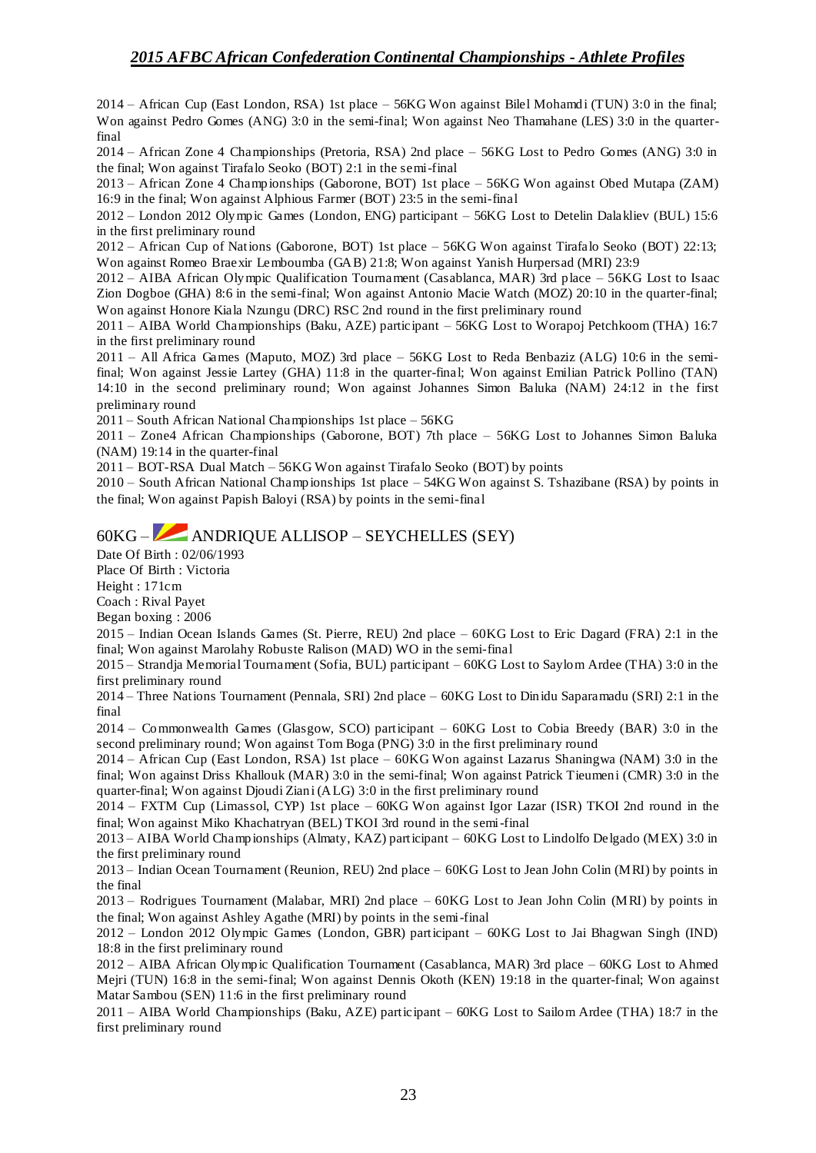2014 – African Cup (East London, RSA) 1st place – 56KG Won against Bilel Mohamdi (TUN) 3:0 in the final; Won against Pedro Gomes (ANG) 3:0 in the semi-final; Won against Neo Thamahane (LES) 3:0 in the quarterfinal

2014 – African Zone 4 Championships (Pretoria, RSA) 2nd place – 56KG Lost to Pedro Gomes (ANG) 3:0 in the final; Won against Tirafalo Seoko (BOT) 2:1 in the semi-final

2013 – African Zone 4 Championships (Gaborone, BOT) 1st place – 56KG Won against Obed Mutapa (ZAM) 16:9 in the final; Won against Alphious Farmer (BOT) 23:5 in the semi-final

2012 – London 2012 Olympic Games (London, ENG) participant – 56KG Lost to Detelin Dalakliev (BUL) 15:6 in the first preliminary round

2012 – African Cup of Nations (Gaborone, BOT) 1st place – 56KG Won against Tirafalo Seoko (BOT) 22:13; Won against Romeo Braexir Lemboumba (GAB) 21:8; Won against Yanish Hurpersad (MRI) 23:9

2012 – AIBA African Olympic Qualification Tournament (Casablanca, MAR) 3rd place – 56KG Lost to Isaac Zion Dogboe (GHA) 8:6 in the semi-final; Won against Antonio Macie Watch (MOZ) 20:10 in the quarter-final; Won against Honore Kiala Nzungu (DRC) RSC 2nd round in the first preliminary round

2011 – AIBA World Championships (Baku, AZE) participant – 56KG Lost to Worapoj Petchkoom (THA) 16:7 in the first preliminary round

2011 – All Africa Games (Maputo, MOZ) 3rd place – 56KG Lost to Reda Benbaziz (ALG) 10:6 in the semifinal; Won against Jessie Lartey (GHA) 11:8 in the quarter-final; Won against Emilian Patrick Pollino (TAN) 14:10 in the second preliminary round; Won against Johannes Simon Baluka (NAM) 24:12 in the first preliminary round

2011 – South African National Championships 1st place – 56KG

2011 – Zone4 African Championships (Gaborone, BOT) 7th place – 56KG Lost to Johannes Simon Baluka (NAM) 19:14 in the quarter-final

2011 – BOT-RSA Dual Match – 56KG Won against Tirafalo Seoko (BOT) by points

2010 – South African National Championships 1st place – 54KG Won against S. Tshazibane (RSA) by points in the final; Won against Papish Baloyi (RSA) by points in the semi-final

# 60KG – ANDRIQUE ALLISOP – SEYCHELLES (SEY)

Date Of Birth : 02/06/1993

Place Of Birth : Victoria

Height : 171cm

Coach : Rival Payet

Began boxing : 2006

2015 – Indian Ocean Islands Games (St. Pierre, REU) 2nd place – 60KG Lost to Eric Dagard (FRA) 2:1 in the final; Won against Marolahy Robuste Ralison (MAD) WO in the semi-final

2015 – Strandja Memorial Tournament (Sofia, BUL) participant – 60KG Lost to Saylom Ardee (THA) 3:0 in the first preliminary round

2014 – Three Nations Tournament (Pennala, SRI) 2nd place – 60KG Lost to Dinidu Saparamadu (SRI) 2:1 in the final

2014 – Commonwealth Games (Glasgow, SCO) participant – 60KG Lost to Cobia Breedy (BAR) 3:0 in the second preliminary round; Won against Tom Boga (PNG) 3:0 in the first preliminary round

2014 – African Cup (East London, RSA) 1st place – 60KG Won against Lazarus Shaningwa (NAM) 3:0 in the final; Won against Driss Khallouk (MAR) 3:0 in the semi-final; Won against Patrick Tieumeni (CMR) 3:0 in the quarter-final; Won against Djoudi Ziani (ALG) 3:0 in the first preliminary round

2014 – FXTM Cup (Limassol, CYP) 1st place – 60KG Won against Igor Lazar (ISR) TKOI 2nd round in the final; Won against Miko Khachatryan (BEL) TKOI 3rd round in the semi-final

2013 – AIBA World Championships (Almaty, KAZ) participant – 60KG Lost to Lindolfo Delgado (MEX) 3:0 in the first preliminary round

2013 – Indian Ocean Tournament (Reunion, REU) 2nd place – 60KG Lost to Jean John Colin (MRI) by points in the final

2013 – Rodrigues Tournament (Malabar, MRI) 2nd place – 60KG Lost to Jean John Colin (MRI) by points in the final; Won against Ashley Agathe (MRI) by points in the semi-final

2012 – London 2012 Olympic Games (London, GBR) participant – 60KG Lost to Jai Bhagwan Singh (IND) 18:8 in the first preliminary round

2012 – AIBA African Olympic Qualification Tournament (Casablanca, MAR) 3rd place – 60KG Lost to Ahmed Mejri (TUN) 16:8 in the semi-final; Won against Dennis Okoth (KEN) 19:18 in the quarter-final; Won against Matar Sambou (SEN) 11:6 in the first preliminary round

2011 – AIBA World Championships (Baku, AZE) participant – 60KG Lost to Sailom Ardee (THA) 18:7 in the first preliminary round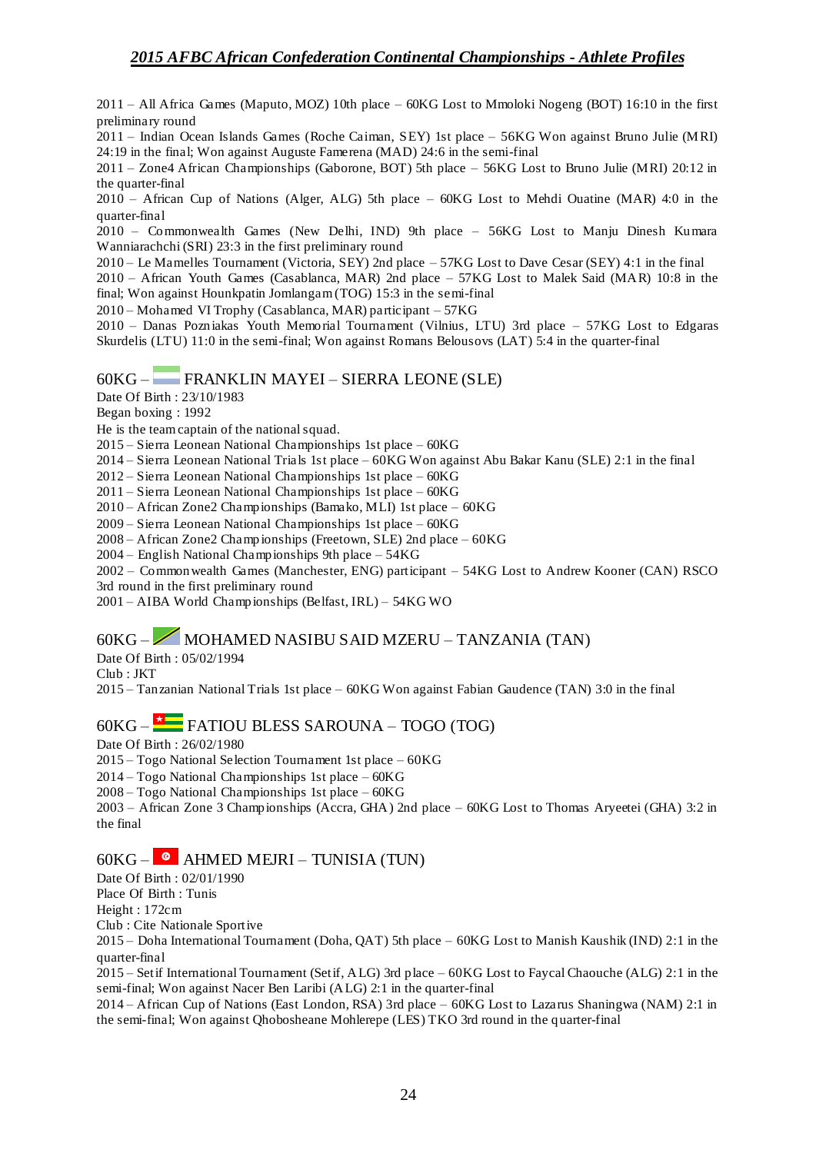2011 – All Africa Games (Maputo, MOZ) 10th place – 60KG Lost to Mmoloki Nogeng (BOT) 16:10 in the first preliminary round

2011 – Indian Ocean Islands Games (Roche Caiman, SEY) 1st place – 56KG Won against Bruno Julie (MRI) 24:19 in the final; Won against Auguste Famerena (MAD) 24:6 in the semi-final

2011 – Zone4 African Championships (Gaborone, BOT) 5th place – 56KG Lost to Bruno Julie (MRI) 20:12 in the quarter-final

2010 – African Cup of Nations (Alger, ALG) 5th place – 60KG Lost to Mehdi Ouatine (MAR) 4:0 in the quarter-final

2010 – Commonwealth Games (New Delhi, IND) 9th place – 56KG Lost to Manju Dinesh Kumara Wanniarachchi (SRI) 23:3 in the first preliminary round

2010 – Le Mamelles Tournament (Victoria, SEY) 2nd place – 57KG Lost to Dave Cesar (SEY) 4:1 in the final

2010 – African Youth Games (Casablanca, MAR) 2nd place – 57KG Lost to Malek Said (MAR) 10:8 in the final; Won against Hounkpatin Jomlangam (TOG) 15:3 in the semi-final

2010 – Mohamed VI Trophy (Casablanca, MAR) participant – 57KG

2010 – Danas Pozniakas Youth Memorial Tournament (Vilnius, LTU) 3rd place – 57KG Lost to Edgaras Skurdelis (LTU) 11:0 in the semi-final; Won against Romans Belousovs (LAT) 5:4 in the quarter-final

### 60KG – FRANKLIN MAYEI – SIERRA LEONE (SLE)

Date Of Birth : 23/10/1983

Began boxing : 1992

He is the team captain of the national squad.

2015 – Sierra Leonean National Championships 1st place – 60KG

2014 – Sierra Leonean National Trials 1st place – 60KG Won against Abu Bakar Kanu (SLE) 2:1 in the final

2012 – Sierra Leonean National Championships 1st place – 60KG

2011 – Sierra Leonean National Championships 1st place – 60KG

2010 – African Zone2 Championships (Bamako, MLI) 1st place – 60KG

2009 – Sierra Leonean National Championships 1st place – 60KG

2008 – African Zone2 Champ ionships (Freetown, SLE) 2nd place – 60KG

2004 – English National Championships 9th place – 54KG

2002 – Commonwealth Games (Manchester, ENG) participant – 54KG Lost to Andrew Kooner (CAN) RSCO 3rd round in the first preliminary round

2001 – AIBA World Championships (Belfast, IRL) – 54KG WO

# 60KG – MOHAMED NASIBU SAID MZERU – TANZANIA (TAN)

Date Of Birth : 05/02/1994

Club : JKT

2015 – Tanzanian National Trials 1st place – 60KG Won against Fabian Gaudence (TAN) 3:0 in the final

## 60KG – FATIOU BLESS SAROUNA – TOGO (TOG)

Date Of Birth : 26/02/1980

2015 – Togo National Selection Tournament 1st place – 60KG

2014 – Togo National Championships 1st place – 60KG

2008 – Togo National Championships 1st place – 60KG

2003 – African Zone 3 Championships (Accra, GHA) 2nd place – 60KG Lost to Thomas Aryeetei (GHA) 3:2 in the final

### $60KG \bullet$  AHMED MEJRI – TUNISIA (TUN)

Date Of Birth : 02/01/1990

Place Of Birth : Tunis

Height : 172cm

Club : Cite Nationale Sportive

2015 – Doha International Tournament (Doha, QAT) 5th place – 60KG Lost to Manish Kaushik (IND) 2:1 in the quarter-final

2015 – Setif International Tournament (Setif, ALG) 3rd place – 60KG Lost to Faycal Chaouche (ALG) 2:1 in the semi-final; Won against Nacer Ben Laribi (ALG) 2:1 in the quarter-final

2014 – African Cup of Nations (East London, RSA) 3rd place – 60KG Lost to Lazarus Shaningwa (NAM) 2:1 in the semi-final; Won against Qhobosheane Mohlerepe (LES) TKO 3rd round in the quarter-final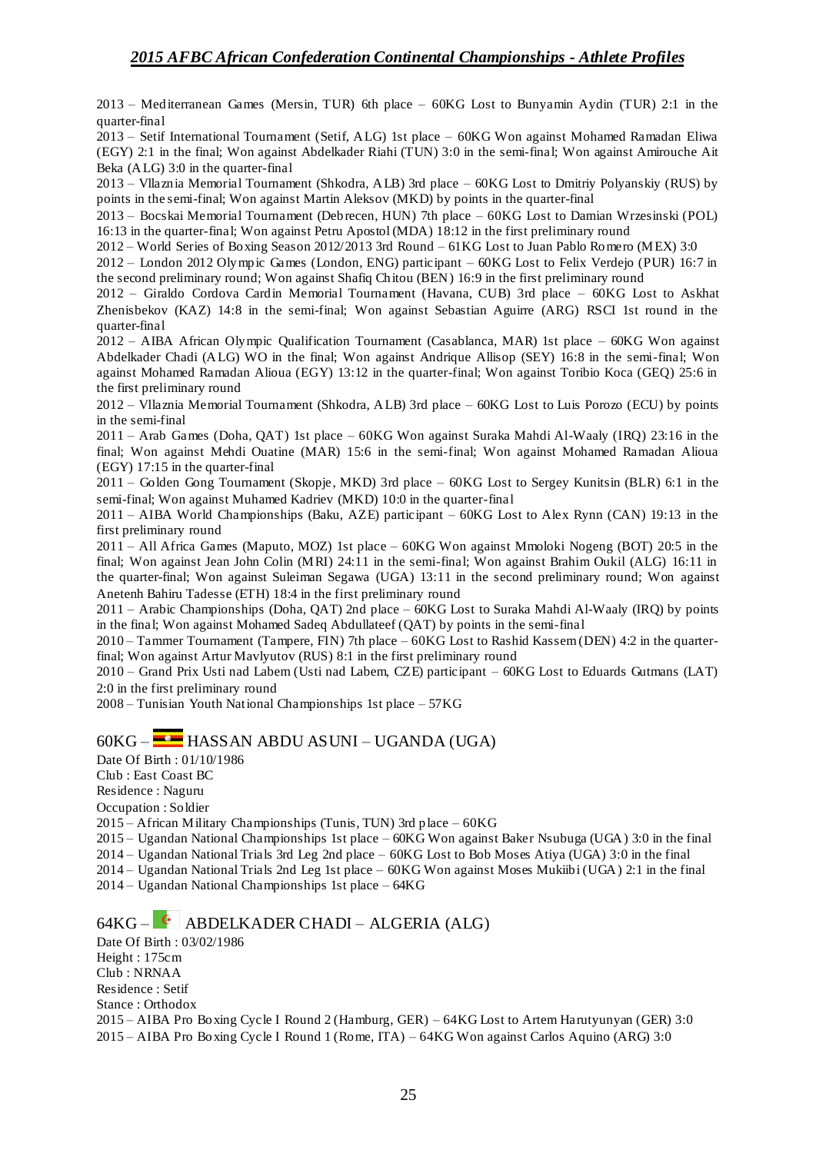2013 – Mediterranean Games (Mersin, TUR) 6th place – 60KG Lost to Bunyamin Aydin (TUR) 2:1 in the quarter-final

2013 – Setif International Tournament (Setif, ALG) 1st place – 60KG Won against Mohamed Ramadan Eliwa (EGY) 2:1 in the final; Won against Abdelkader Riahi (TUN) 3:0 in the semi-final; Won against Amirouche Ait Beka (ALG) 3:0 in the quarter-final

2013 – Vllaznia Memorial Tournament (Shkodra, ALB) 3rd place – 60KG Lost to Dmitriy Polyanskiy (RUS) by points in the semi-final; Won against Martin Aleksov (MKD) by points in the quarter-final

2013 – Bocskai Memorial Tournament (Debrecen, HUN) 7th place – 60KG Lost to Damian Wrzesinski (POL) 16:13 in the quarter-final; Won against Petru Apostol (MDA) 18:12 in the first preliminary round

2012 – World Series of Boxing Season 2012/2013 3rd Round – 61KG Lost to Juan Pablo Romero (MEX) 3:0

2012 – London 2012 Olympic Games (London, ENG) participant – 60KG Lost to Felix Verdejo (PUR) 16:7 in the second preliminary round; Won against Shafiq Chitou (BEN) 16:9 in the first preliminary round

2012 – Giraldo Cordova Cardin Memorial Tournament (Havana, CUB) 3rd place – 60KG Lost to Askhat Zhenisbekov (KAZ) 14:8 in the semi-final; Won against Sebastian Aguirre (ARG) RSCI 1st round in the quarter-final

2012 – AIBA African Olympic Qualification Tournament (Casablanca, MAR) 1st place – 60KG Won against Abdelkader Chadi (ALG) WO in the final; Won against Andrique Allisop (SEY) 16:8 in the semi-final; Won against Mohamed Ramadan Alioua (EGY) 13:12 in the quarter-final; Won against Toribio Koca (GEQ) 25:6 in the first preliminary round

2012 – Vllaznia Memorial Tournament (Shkodra, ALB) 3rd place – 60KG Lost to Luis Porozo (ECU) by points in the semi-final

2011 – Arab Games (Doha, QAT) 1st place – 60KG Won against Suraka Mahdi Al-Waaly (IRQ) 23:16 in the final; Won against Mehdi Ouatine (MAR) 15:6 in the semi-final; Won against Mohamed Ramadan Alioua (EGY) 17:15 in the quarter-final

2011 – Golden Gong Tournament (Skopje, MKD) 3rd place – 60KG Lost to Sergey Kunitsin (BLR) 6:1 in the semi-final; Won against Muhamed Kadriev (MKD) 10:0 in the quarter-final

2011 – AIBA World Championships (Baku, AZE) participant – 60KG Lost to Alex Rynn (CAN) 19:13 in the first preliminary round

2011 – All Africa Games (Maputo, MOZ) 1st place – 60KG Won against Mmoloki Nogeng (BOT) 20:5 in the final; Won against Jean John Colin (MRI) 24:11 in the semi-final; Won against Brahim Oukil (ALG) 16:11 in the quarter-final; Won against Suleiman Segawa (UGA) 13:11 in the second preliminary round; Won against Anetenh Bahiru Tadesse (ETH) 18:4 in the first preliminary round

2011 – Arabic Championships (Doha, QAT) 2nd place – 60KG Lost to Suraka Mahdi Al-Waaly (IRQ) by points in the final; Won against Mohamed Sadeq Abdullateef (QAT) by points in the semi-final

2010 – Tammer Tournament (Tampere, FIN) 7th place – 60KG Lost to Rashid Kassem (DEN) 4:2 in the quarterfinal; Won against Artur Mavlyutov (RUS) 8:1 in the first preliminary round

2010 – Grand Prix Usti nad Labem (Usti nad Labem, CZE) participant – 60KG Lost to Eduards Gutmans (LAT) 2:0 in the first preliminary round

2008 – Tunisian Youth National Championships 1st place – 57KG

## 60KG – HASSAN ABDU ASUNI – UGANDA (UGA)

Date Of Birth : 01/10/1986 Club : East Coast BC Residence : Naguru Occupation : Soldier 2015 – African Military Championships (Tunis, TUN) 3rd place – 60KG

2015 – Ugandan National Championships 1st place – 60KG Won against Baker Nsubuga (UGA) 3:0 in the final

2014 – Ugandan National Trials 3rd Leg 2nd place – 60KG Lost to Bob Moses Atiya (UGA) 3:0 in the final

2014 – Ugandan National Trials 2nd Leg 1st place – 60KG Won against Moses Mukiibi (UGA) 2:1 in the final

2014 – Ugandan National Championships 1st place – 64KG

# 64KG – ABDELKADER CHADI – ALGERIA (ALG)

Date Of Birth : 03/02/1986 Height : 175cm Club : NRNAA Residence : Setif Stance : Orthodox 2015 – AIBA Pro Boxing Cycle I Round 2 (Hamburg, GER) – 64KG Lost to Artem Harutyunyan (GER) 3:0 2015 – AIBA Pro Boxing Cycle I Round 1 (Rome, ITA) – 64KG Won against Carlos Aquino (ARG) 3:0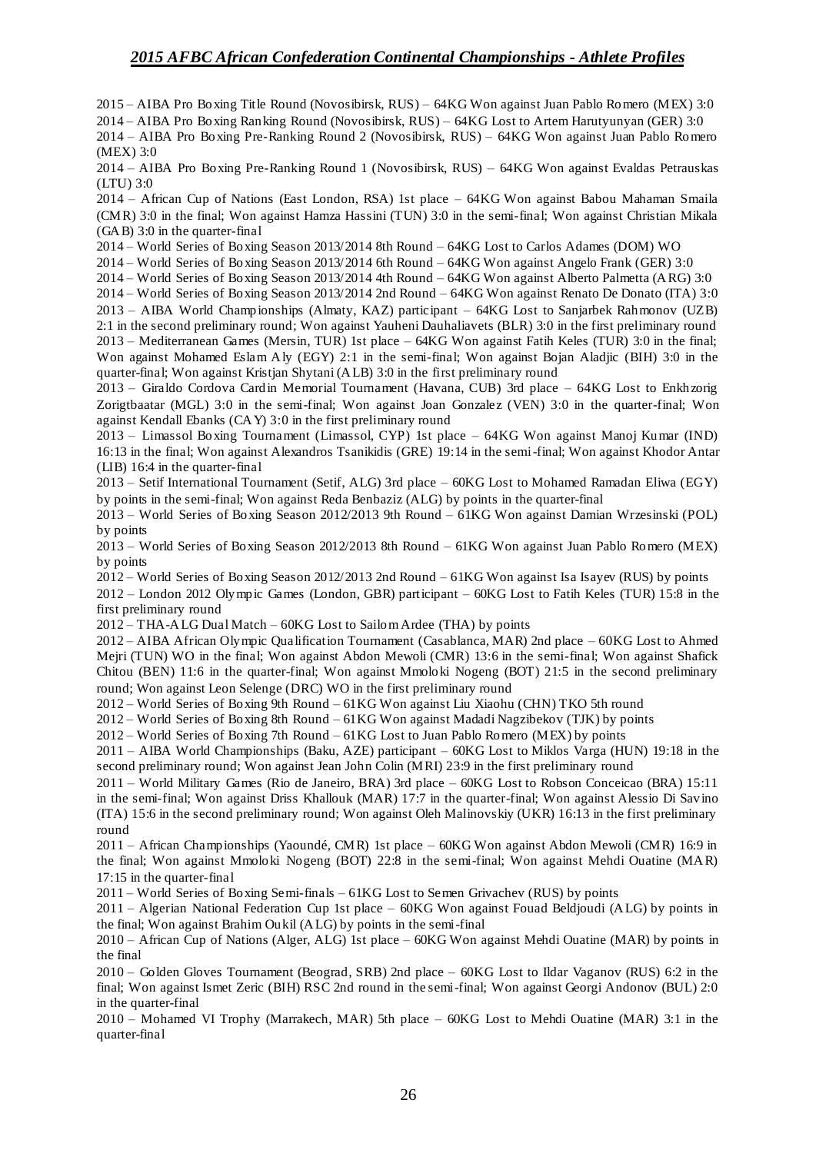2015 – AIBA Pro Boxing Title Round (Novosibirsk, RUS) – 64KG Won against Juan Pablo Romero (MEX) 3:0 2014 – AIBA Pro Boxing Ranking Round (Novosibirsk, RUS) – 64KG Lost to Artem Harutyunyan (GER) 3:0 2014 – AIBA Pro Boxing Pre-Ranking Round 2 (Novosibirsk, RUS) – 64KG Won against Juan Pablo Romero

(MEX) 3:0

2014 – AIBA Pro Boxing Pre-Ranking Round 1 (Novosibirsk, RUS) – 64KG Won against Evaldas Petrauskas (LTU) 3:0

2014 – African Cup of Nations (East London, RSA) 1st place – 64KG Won against Babou Mahaman Smaila (CMR) 3:0 in the final; Won against Hamza Hassini (TUN) 3:0 in the semi-final; Won against Christian Mikala (GAB) 3:0 in the quarter-final

2014 – World Series of Boxing Season 2013/2014 8th Round – 64KG Lost to Carlos Adames (DOM) WO

2014 – World Series of Boxing Season 2013/2014 6th Round – 64KG Won against Angelo Frank (GER) 3:0

2014 – World Series of Boxing Season 2013/2014 4th Round – 64KG Won against Alberto Palmetta (ARG) 3:0

2014 – World Series of Boxing Season 2013/2014 2nd Round – 64KG Won against Renato De Donato (ITA) 3:0 2013 – AIBA World Championships (Almaty, KAZ) participant – 64KG Lost to Sanjarbek Rahmonov (UZB) 2:1 in the second preliminary round; Won against Yauheni Dauhaliavets (BLR) 3:0 in the first preliminary round 2013 – Mediterranean Games (Mersin, TUR) 1st place – 64KG Won against Fatih Keles (TUR) 3:0 in the final; Won against Mohamed Eslam Aly (EGY) 2:1 in the semi-final; Won against Bojan Aladjic (BIH) 3:0 in the quarter-final; Won against Kristjan Shytani (ALB) 3:0 in the first preliminary round

2013 – Giraldo Cordova Cardin Memorial Tournament (Havana, CUB) 3rd place – 64KG Lost to Enkhzorig Zorigtbaatar (MGL) 3:0 in the semi-final; Won against Joan Gonzalez (VEN) 3:0 in the quarter-final; Won against Kendall Ebanks (CAY) 3:0 in the first preliminary round

2013 – Limassol Boxing Tournament (Limassol, CYP) 1st place – 64KG Won against Manoj Kumar (IND) 16:13 in the final; Won against Alexandros Tsanikidis (GRE) 19:14 in the semi-final; Won against Khodor Antar (LIB) 16:4 in the quarter-final

2013 – Setif International Tournament (Setif, ALG) 3rd place – 60KG Lost to Mohamed Ramadan Eliwa (EGY) by points in the semi-final; Won against Reda Benbaziz (ALG) by points in the quarter-final

2013 – World Series of Boxing Season 2012/2013 9th Round – 61KG Won against Damian Wrzesinski (POL) by points

2013 – World Series of Boxing Season 2012/2013 8th Round – 61KG Won against Juan Pablo Romero (MEX) by points

2012 – World Series of Boxing Season 2012/2013 2nd Round – 61KG Won against Isa Isayev (RUS) by points

2012 – London 2012 Olympic Games (London, GBR) participant – 60KG Lost to Fatih Keles (TUR) 15:8 in the first preliminary round

2012 – THA-ALG Dual Match – 60KG Lost to Sailom Ardee (THA) by points

2012 – AIBA African Olympic Qualification Tournament (Casablanca, MAR) 2nd place – 60KG Lost to Ahmed Mejri (TUN) WO in the final; Won against Abdon Mewoli (CMR) 13:6 in the semi-final; Won against Shafick Chitou (BEN) 11:6 in the quarter-final; Won against Mmoloki Nogeng (BOT) 21:5 in the second preliminary round; Won against Leon Selenge (DRC) WO in the first preliminary round

2012 – World Series of Boxing 9th Round – 61KG Won against Liu Xiaohu (CHN) TKO 5th round

2012 – World Series of Boxing 8th Round – 61KG Won against Madadi Nagzibekov (TJK) by points

2012 – World Series of Boxing 7th Round – 61KG Lost to Juan Pablo Romero (MEX) by points

2011 – AIBA World Championships (Baku, AZE) participant – 60KG Lost to Miklos Varga (HUN) 19:18 in the second preliminary round; Won against Jean John Colin (MRI) 23:9 in the first preliminary round

2011 – World Military Games (Rio de Janeiro, BRA) 3rd place – 60KG Lost to Robson Conceicao (BRA) 15:11 in the semi-final; Won against Driss Khallouk (MAR) 17:7 in the quarter-final; Won against Alessio Di Savino (ITA) 15:6 in the second preliminary round; Won against Oleh Malinovskiy (UKR) 16:13 in the first preliminary round

2011 – African Championships (Yaoundé, CMR) 1st place – 60KG Won against Abdon Mewoli (CMR) 16:9 in the final; Won against Mmoloki Nogeng (BOT) 22:8 in the semi-final; Won against Mehdi Ouatine (MAR) 17:15 in the quarter-final

2011 – World Series of Boxing Semi-finals – 61KG Lost to Semen Grivachev (RUS) by points

2011 – Algerian National Federation Cup 1st place – 60KG Won against Fouad Beldjoudi (ALG) by points in the final; Won against Brahim Oukil (ALG) by points in the semi-final

2010 – African Cup of Nations (Alger, ALG) 1st place – 60KG Won against Mehdi Ouatine (MAR) by points in the final

2010 – Golden Gloves Tournament (Beograd, SRB) 2nd place – 60KG Lost to Ildar Vaganov (RUS) 6:2 in the final; Won against Ismet Zeric (BIH) RSC 2nd round in the semi-final; Won against Georgi Andonov (BUL) 2:0 in the quarter-final

2010 – Mohamed VI Trophy (Marrakech, MAR) 5th place – 60KG Lost to Mehdi Ouatine (MAR) 3:1 in the quarter-final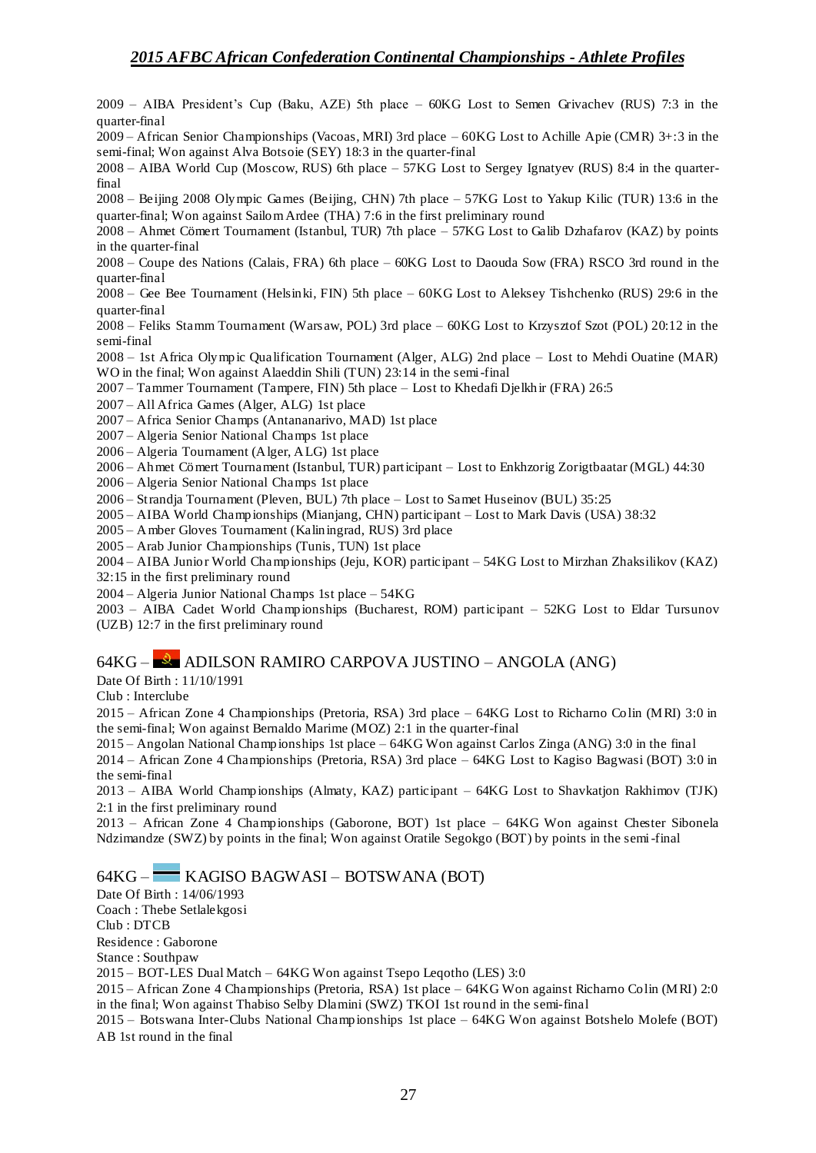2009 – AIBA President's Cup (Baku, AZE) 5th place – 60KG Lost to Semen Grivachev (RUS) 7:3 in the quarter-final

2009 – African Senior Championships (Vacoas, MRI) 3rd place – 60KG Lost to Achille Apie (CMR) 3+:3 in the semi-final; Won against Alva Botsoie (SEY) 18:3 in the quarter-final

2008 – AIBA World Cup (Moscow, RUS) 6th place – 57KG Lost to Sergey Ignatyev (RUS) 8:4 in the quarterfinal

2008 – Beijing 2008 Olympic Games (Beijing, CHN) 7th place – 57KG Lost to Yakup Kilic (TUR) 13:6 in the quarter-final; Won against Sailom Ardee (THA) 7:6 in the first preliminary round

2008 – Ahmet Cömert Tournament (Istanbul, TUR) 7th place – 57KG Lost to Galib Dzhafarov (KAZ) by points in the quarter-final

2008 – Coupe des Nations (Calais, FRA) 6th place – 60KG Lost to Daouda Sow (FRA) RSCO 3rd round in the quarter-final

2008 – Gee Bee Tournament (Helsinki, FIN) 5th place – 60KG Lost to Aleksey Tishchenko (RUS) 29:6 in the quarter-final

2008 – Feliks Stamm Tournament (Warsaw, POL) 3rd place – 60KG Lost to Krzysztof Szot (POL) 20:12 in the semi-final

2008 – 1st Africa Olympic Qualification Tournament (Alger, ALG) 2nd place – Lost to Mehdi Ouatine (MAR) WO in the final; Won against Alaeddin Shili (TUN) 23:14 in the semi-final

2007 – Tammer Tournament (Tampere, FIN) 5th place – Lost to Khedafi Djelkhir (FRA) 26:5

2007 – All Africa Games (Alger, ALG) 1st place

2007 – Africa Senior Champs (Antananarivo, MAD) 1st place

2007 – Algeria Senior National Champs 1st place

2006 – Algeria Tournament (Alger, ALG) 1st place

2006 – Ahmet Cömert Tournament (Istanbul, TUR) participant – Lost to Enkhzorig Zorigtbaatar (MGL) 44:30

2006 – Algeria Senior National Champs 1st place

2006 – Strandja Tournament (Pleven, BUL) 7th place – Lost to Samet Huseinov (BUL) 35:25

2005 – AIBA World Championships (Mianjang, CHN) participant – Lost to Mark Davis (USA) 38:32

2005 – Amber Gloves Tournament (Kaliningrad, RUS) 3rd place

2005 – Arab Junior Championships (Tunis, TUN) 1st place

2004 – AIBA Junior World Championships (Jeju, KOR) participant – 54KG Lost to Mirzhan Zhaksilikov (KAZ) 32:15 in the first preliminary round

2004 – Algeria Junior National Champs 1st place – 54KG

2003 – AIBA Cadet World Championships (Bucharest, ROM) participant – 52KG Lost to Eldar Tursunov (UZB) 12:7 in the first preliminary round

#### 64KG – ADILSON RAMIRO CARPOVA JUSTINO – ANGOLA (ANG)

Date Of Birth : 11/10/1991

Club : Interclube

2015 – African Zone 4 Championships (Pretoria, RSA) 3rd place – 64KG Lost to Richarno Colin (MRI) 3:0 in the semi-final; Won against Bernaldo Marime (MOZ) 2:1 in the quarter-final

2015 – Angolan National Championships 1st place – 64KG Won against Carlos Zinga (ANG) 3:0 in the final

2014 – African Zone 4 Championships (Pretoria, RSA) 3rd place – 64KG Lost to Kagiso Bagwasi (BOT) 3:0 in the semi-final

2013 – AIBA World Championships (Almaty, KAZ) participant – 64KG Lost to Shavkatjon Rakhimov (TJK) 2:1 in the first preliminary round

2013 – African Zone 4 Championships (Gaborone, BOT) 1st place – 64KG Won against Chester Sibonela Ndzimandze (SWZ) by points in the final; Won against Oratile Segokgo (BOT) by points in the semi-final

64KG – KAGISO BAGWASI – BOTSWANA (BOT)

Date Of Birth : 14/06/1993

Coach : Thebe Setlalekgosi

Club : DTCB

Residence : Gaborone

Stance : Southpaw

2015 – BOT-LES Dual Match – 64KG Won against Tsepo Leqotho (LES) 3:0

2015 – African Zone 4 Championships (Pretoria, RSA) 1st place – 64KG Won against Richarno Colin (MRI) 2:0 in the final; Won against Thabiso Selby Dlamini (SWZ) TKOI 1st round in the semi-final

2015 – Botswana Inter-Clubs National Championships 1st place – 64KG Won against Botshelo Molefe (BOT) AB 1st round in the final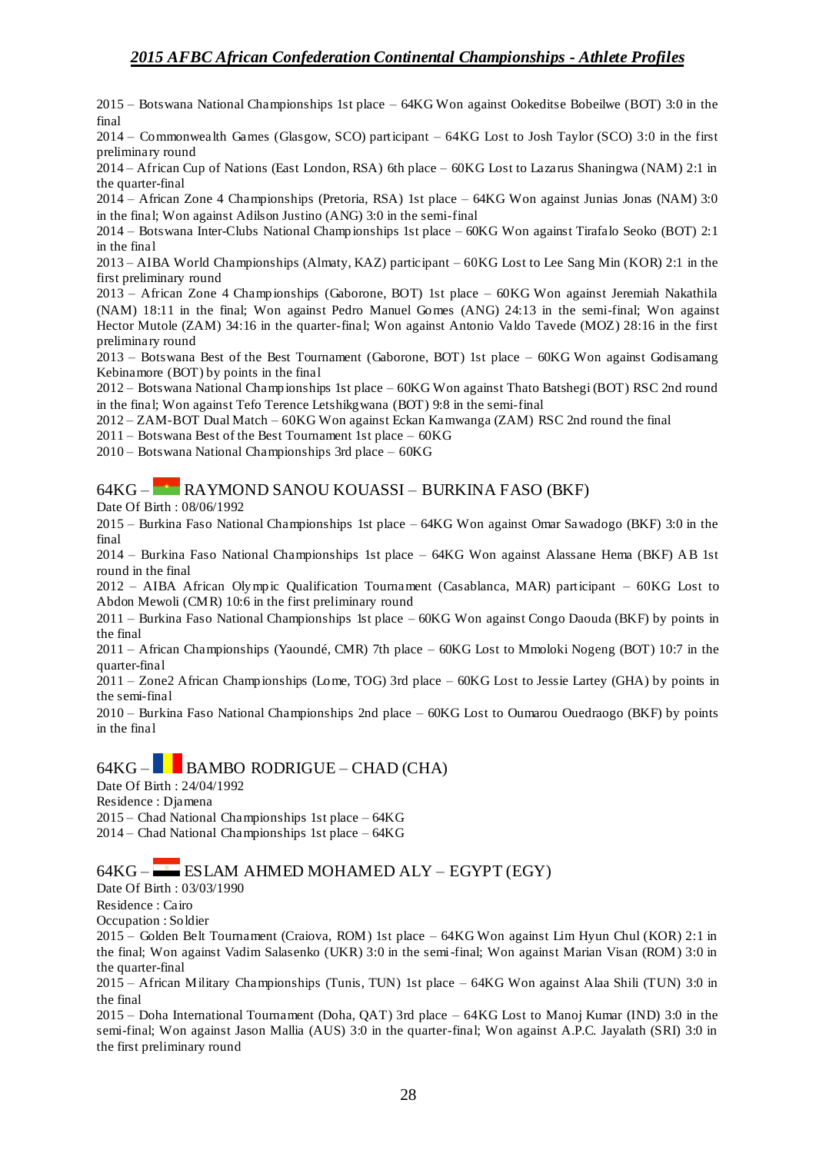2015 – Botswana National Championships 1st place – 64KG Won against Ookeditse Bobeilwe (BOT) 3:0 in the final

2014 – Commonwealth Games (Glasgow, SCO) participant – 64KG Lost to Josh Taylor (SCO) 3:0 in the first preliminary round

2014 – African Cup of Nations (East London, RSA) 6th place – 60KG Lost to Lazarus Shaningwa (NAM) 2:1 in the quarter-final

2014 – African Zone 4 Championships (Pretoria, RSA) 1st place – 64KG Won against Junias Jonas (NAM) 3:0 in the final; Won against Adilson Justino (ANG) 3:0 in the semi-final

2014 – Botswana Inter-Clubs National Championships 1st place – 60KG Won against Tirafalo Seoko (BOT) 2:1 in the final

2013 – AIBA World Championships (Almaty, KAZ) participant – 60KG Lost to Lee Sang Min (KOR) 2:1 in the first preliminary round

2013 – African Zone 4 Championships (Gaborone, BOT) 1st place – 60KG Won against Jeremiah Nakathila (NAM) 18:11 in the final; Won against Pedro Manuel Gomes (ANG) 24:13 in the semi-final; Won against Hector Mutole (ZAM) 34:16 in the quarter-final; Won against Antonio Valdo Tavede (MOZ) 28:16 in the first preliminary round

2013 – Botswana Best of the Best Tournament (Gaborone, BOT) 1st place – 60KG Won against Godisamang Kebinamore (BOT) by points in the final

2012 – Botswana National Championships 1st place – 60KG Won against Thato Batshegi (BOT) RSC 2nd round in the final; Won against Tefo Terence Letshikgwana (BOT) 9:8 in the semi-final

2012 – ZAM-BOT Dual Match – 60KG Won against Eckan Kamwanga (ZAM) RSC 2nd round the final

2011 – Botswana Best of the Best Tournament 1st place – 60KG

2010 – Botswana National Championships 3rd place – 60KG

## 64KG – RAYMOND SANOU KOUASSI – BURKINA FASO (BKF)

Date Of Birth : 08/06/1992

2015 – Burkina Faso National Championships 1st place – 64KG Won against Omar Sawadogo (BKF) 3:0 in the final

2014 – Burkina Faso National Championships 1st place – 64KG Won against Alassane Hema (BKF) AB 1st round in the final

2012 – AIBA African Olympic Qualification Tournament (Casablanca, MAR) participant – 60KG Lost to Abdon Mewoli (CMR) 10:6 in the first preliminary round

2011 – Burkina Faso National Championships 1st place – 60KG Won against Congo Daouda (BKF) by points in the final

2011 – African Championships (Yaoundé, CMR) 7th place – 60KG Lost to Mmoloki Nogeng (BOT) 10:7 in the quarter-final

2011 – Zone2 African Championships (Lome, TOG) 3rd place – 60KG Lost to Jessie Lartey (GHA) by points in the semi-final

2010 – Burkina Faso National Championships 2nd place – 60KG Lost to Oumarou Ouedraogo (BKF) by points in the final

## $64KG -$  BAMBO RODRIGUE – CHAD (CHA)

Date Of Birth : 24/04/1992

Residence : Djamena 2015 – Chad National Championships 1st place – 64KG

2014 – Chad National Championships 1st place – 64KG

### 64KG – ESLAM AHMED MOHAMED ALY – EGYPT (EGY)

Date Of Birth : 03/03/1990

Residence : Cairo

Occupation : Soldier

2015 – Golden Belt Tournament (Craiova, ROM) 1st place – 64KG Won against Lim Hyun Chul (KOR) 2:1 in the final; Won against Vadim Salasenko (UKR) 3:0 in the semi-final; Won against Marian Visan (ROM) 3:0 in the quarter-final

2015 – African Military Championships (Tunis, TUN) 1st place – 64KG Won against Alaa Shili (TUN) 3:0 in the final

2015 – Doha International Tournament (Doha, QAT) 3rd place – 64KG Lost to Manoj Kumar (IND) 3:0 in the semi-final; Won against Jason Mallia (AUS) 3:0 in the quarter-final; Won against A.P.C. Jayalath (SRI) 3:0 in the first preliminary round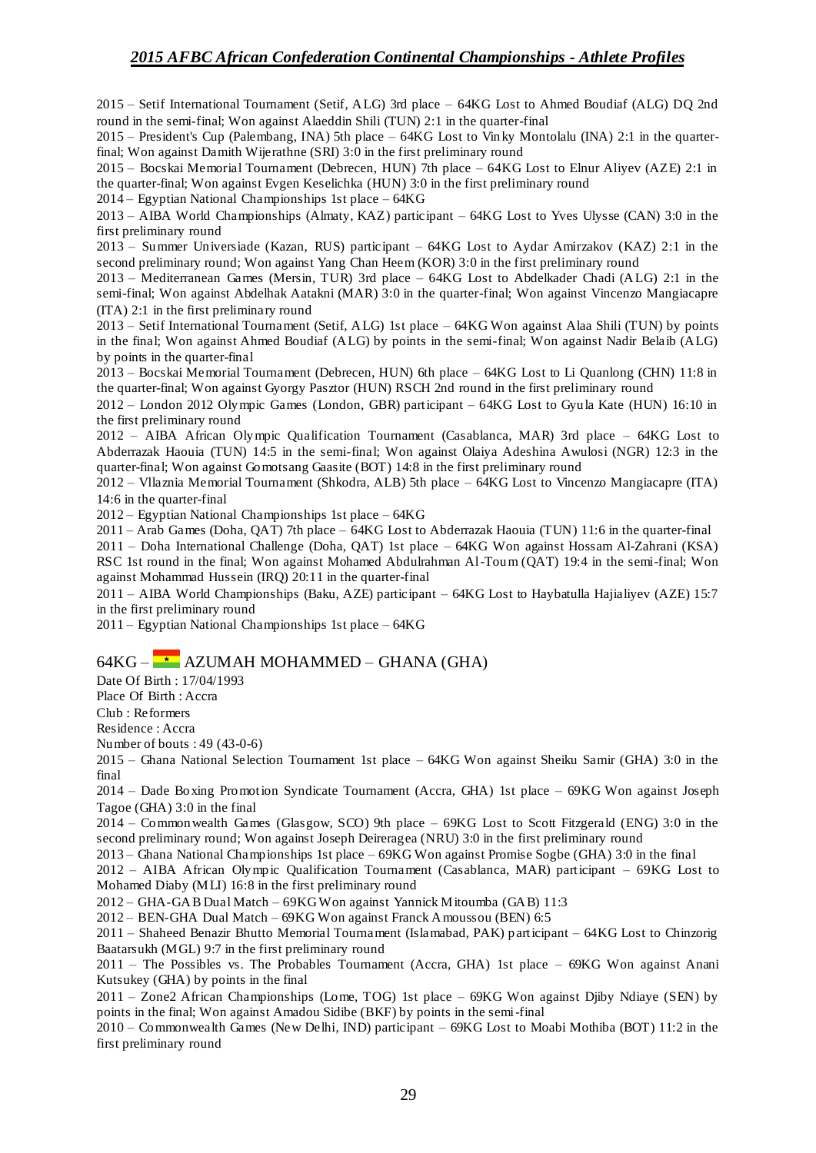2015 – Setif International Tournament (Setif, ALG) 3rd place – 64KG Lost to Ahmed Boudiaf (ALG) DQ 2nd round in the semi-final; Won against Alaeddin Shili (TUN) 2:1 in the quarter-final

2015 – President's Cup (Palembang, INA) 5th place – 64KG Lost to Vin ky Montolalu (INA) 2:1 in the quarterfinal; Won against Damith Wijerathne (SRI) 3:0 in the first preliminary round

2015 – Bocskai Memorial Tournament (Debrecen, HUN) 7th place – 64KG Lost to Elnur Aliyev (AZE) 2:1 in the quarter-final; Won against Evgen Keselichka (HUN) 3:0 in the first preliminary round

2014 – Egyptian National Championships 1st place – 64KG

2013 – AIBA World Championships (Almaty, KAZ) participant – 64KG Lost to Yves Ulysse (CAN) 3:0 in the first preliminary round

2013 – Summer Universiade (Kazan, RUS) participant – 64KG Lost to Aydar Amirzakov (KAZ) 2:1 in the second preliminary round; Won against Yang Chan Heem (KOR) 3:0 in the first preliminary round

2013 – Mediterranean Games (Mersin, TUR) 3rd place – 64KG Lost to Abdelkader Chadi (ALG) 2:1 in the semi-final; Won against Abdelhak Aatakni (MAR) 3:0 in the quarter-final; Won against Vincenzo Mangiacapre (ITA) 2:1 in the first preliminary round

2013 – Setif International Tournament (Setif, ALG) 1st place – 64KG Won against Alaa Shili (TUN) by points in the final; Won against Ahmed Boudiaf (ALG) by points in the semi-final; Won against Nadir Belaib (ALG) by points in the quarter-final

2013 – Bocskai Memorial Tournament (Debrecen, HUN) 6th place – 64KG Lost to Li Quanlong (CHN) 11:8 in the quarter-final; Won against Gyorgy Pasztor (HUN) RSCH 2nd round in the first preliminary round

2012 – London 2012 Olympic Games (London, GBR) participant – 64KG Lost to Gyula Kate (HUN) 16:10 in the first preliminary round

2012 – AIBA African Olympic Qualification Tournament (Casablanca, MAR) 3rd place – 64KG Lost to Abderrazak Haouia (TUN) 14:5 in the semi-final; Won against Olaiya Adeshina Awulosi (NGR) 12:3 in the quarter-final; Won against Gomotsang Gaasite (BOT) 14:8 in the first preliminary round

2012 – Vllaznia Memorial Tournament (Shkodra, ALB) 5th place – 64KG Lost to Vincenzo Mangiacapre (ITA) 14:6 in the quarter-final

2012 – Egyptian National Championships 1st place – 64KG

2011 – Arab Games (Doha, QAT) 7th place – 64KG Lost to Abderrazak Haouia (TUN) 11:6 in the quarter-final

2011 – Doha International Challenge (Doha, QAT) 1st place – 64KG Won against Hossam Al-Zahrani (KSA) RSC 1st round in the final; Won against Mohamed Abdulrahman Al-Toum (QAT) 19:4 in the semi-final; Won against Mohammad Hussein (IRQ) 20:11 in the quarter-final

2011 – AIBA World Championships (Baku, AZE) participant – 64KG Lost to Haybatulla Hajialiyev (AZE) 15:7 in the first preliminary round

2011 – Egyptian National Championships 1st place – 64KG

### $64KG \rightarrow$  AZUMAH MOHAMMED – GHANA (GHA)

Date Of Birth : 17/04/1993

Place Of Birth : Accra

Club : Reformers

Residence : Accra

Number of bouts : 49 (43-0-6)

2015 – Ghana National Selection Tournament 1st place – 64KG Won against Sheiku Samir (GHA) 3:0 in the final

2014 – Dade Boxing Promotion Syndicate Tournament (Accra, GHA) 1st place – 69KG Won against Joseph Tagoe (GHA) 3:0 in the final

2014 – Commonwealth Games (Glasgow, SCO) 9th place – 69KG Lost to Scott Fitzgerald (ENG) 3:0 in the second preliminary round; Won against Joseph Deireragea (NRU) 3:0 in the first preliminary round

2013 – Ghana National Championships 1st place – 69KG Won against Promise Sogbe (GHA) 3:0 in the final

2012 – AIBA African Olympic Qualification Tournament (Casablanca, MAR) participant – 69KG Lost to Mohamed Diaby (MLI) 16:8 in the first preliminary round

2012 – GHA-GAB Dual Match – 69KG Won against Yannick Mitoumba (GAB) 11:3

2012 – BEN-GHA Dual Match – 69KG Won against Franck Amoussou (BEN) 6:5

2011 – Shaheed Benazir Bhutto Memorial Tournament (Islamabad, PAK) participant – 64KG Lost to Chinzorig Baatarsukh (MGL) 9:7 in the first preliminary round

2011 – The Possibles vs. The Probables Tournament (Accra, GHA) 1st place – 69KG Won against Anani Kutsukey (GHA) by points in the final

2011 – Zone2 African Championships (Lome, TOG) 1st place – 69KG Won against Djiby Ndiaye (SEN) by points in the final; Won against Amadou Sidibe (BKF) by points in the semi-final

2010 – Commonwealth Games (New Delhi, IND) participant – 69KG Lost to Moabi Mothiba (BOT) 11:2 in the first preliminary round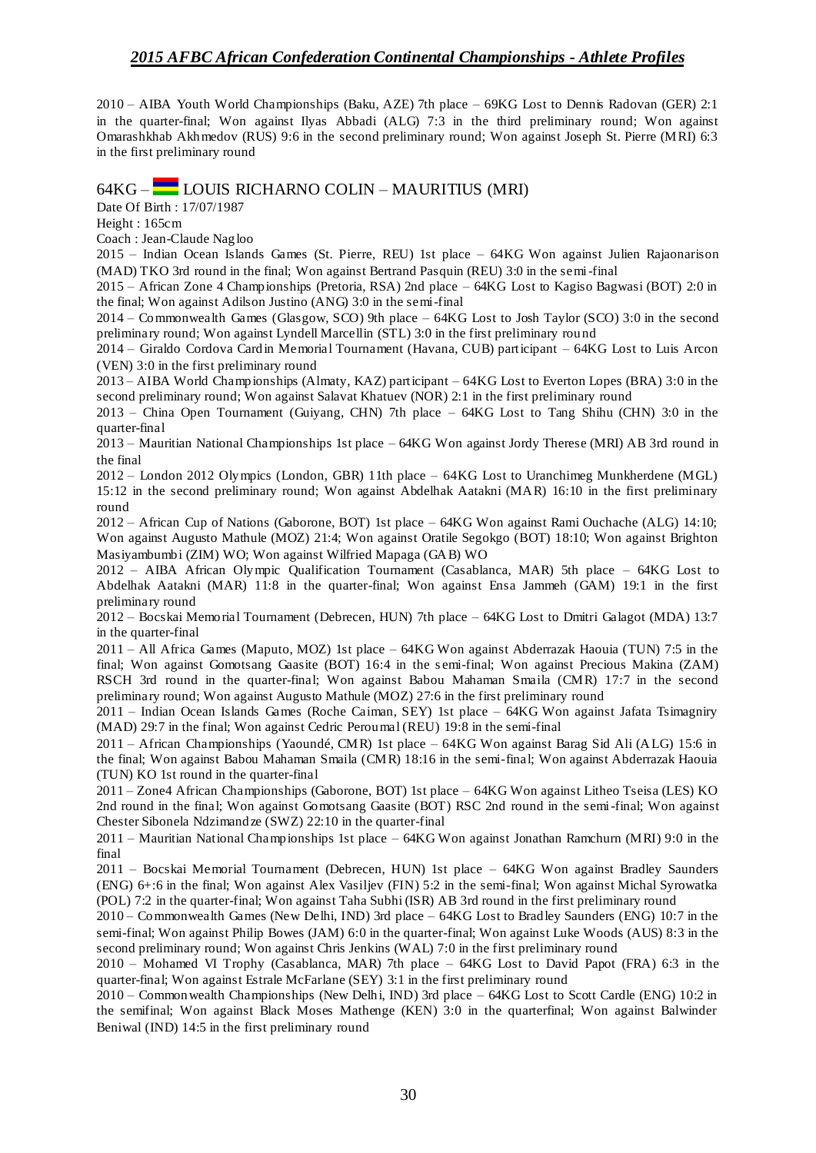2010 – AIBA Youth World Championships (Baku, AZE) 7th place – 69KG Lost to Dennis Radovan (GER) 2:1 in the quarter-final; Won against Ilyas Abbadi (ALG) 7:3 in the third preliminary round; Won against Omarashkhab Akhmedov (RUS) 9:6 in the second preliminary round; Won against Joseph St. Pierre (MRI) 6:3 in the first preliminary round

### 64KG – LOUIS RICHARNO COLIN – MAURITIUS (MRI)

Date Of Birth : 17/07/1987

Height : 165cm

Coach : Jean-Claude Nagloo

2015 – Indian Ocean Islands Games (St. Pierre, REU) 1st place – 64KG Won against Julien Rajaonarison (MAD) TKO 3rd round in the final; Won against Bertrand Pasquin (REU) 3:0 in the semi-final

2015 – African Zone 4 Championships (Pretoria, RSA) 2nd place – 64KG Lost to Kagiso Bagwasi (BOT) 2:0 in the final; Won against Adilson Justino (ANG) 3:0 in the semi-final

2014 – Commonwealth Games (Glasgow, SCO) 9th place – 64KG Lost to Josh Taylor (SCO) 3:0 in the second preliminary round; Won against Lyndell Marcellin (STL) 3:0 in the first preliminary rou nd

2014 – Giraldo Cordova Cardin Memorial Tournament (Havana, CUB) participant – 64KG Lost to Luis Arcon (VEN) 3:0 in the first preliminary round

2013 – AIBA World Championships (Almaty, KAZ) participant – 64KG Lost to Everton Lopes (BRA) 3:0 in the second preliminary round; Won against Salavat Khatuev (NOR) 2:1 in the first preliminary round

2013 – China Open Tournament (Guiyang, CHN) 7th place – 64KG Lost to Tang Shihu (CHN) 3:0 in the quarter-final

2013 – Mauritian National Championships 1st place – 64KG Won against Jordy Therese (MRI) AB 3rd round in the final

2012 – London 2012 Olympics (London, GBR) 11th place – 64KG Lost to Uranchimeg Munkherdene (MGL) 15:12 in the second preliminary round; Won against Abdelhak Aatakni (MAR) 16:10 in the first preliminary round

2012 – African Cup of Nations (Gaborone, BOT) 1st place – 64KG Won against Rami Ouchache (ALG) 14:10; Won against Augusto Mathule (MOZ) 21:4; Won against Oratile Segokgo (BOT) 18:10; Won against Brighton Masiyambumbi (ZIM) WO; Won against Wilfried Mapaga (GAB) WO

2012 – AIBA African Olympic Qualification Tournament (Casablanca, MAR) 5th place – 64KG Lost to Abdelhak Aatakni (MAR) 11:8 in the quarter-final; Won against Ensa Jammeh (GAM) 19:1 in the first preliminary round

2012 – Bocskai Memorial Tournament (Debrecen, HUN) 7th place – 64KG Lost to Dmitri Galagot (MDA) 13:7 in the quarter-final

2011 – All Africa Games (Maputo, MOZ) 1st place – 64KG Won against Abderrazak Haouia (TUN) 7:5 in the final; Won against Gomotsang Gaasite (BOT) 16:4 in the semi-final; Won against Precious Makina (ZAM) RSCH 3rd round in the quarter-final; Won against Babou Mahaman Smaila (CMR) 17:7 in the second preliminary round; Won against Augusto Mathule (MOZ) 27:6 in the first preliminary round

2011 – Indian Ocean Islands Games (Roche Caiman, SEY) 1st place – 64KG Won against Jafata Tsimagniry (MAD) 29:7 in the final; Won against Cedric Peroumal (REU) 19:8 in the semi-final

2011 – African Championships (Yaoundé, CMR) 1st place – 64KG Won against Barag Sid Ali (ALG) 15:6 in the final; Won against Babou Mahaman Smaila (CMR) 18:16 in the semi-final; Won against Abderrazak Haouia (TUN) KO 1st round in the quarter-final

2011 – Zone4 African Championships (Gaborone, BOT) 1st place – 64KG Won against Litheo Tseisa (LES) KO 2nd round in the final; Won against Gomotsang Gaasite (BOT) RSC 2nd round in the semi-final; Won against Chester Sibonela Ndzimandze (SWZ) 22:10 in the quarter-final

2011 – Mauritian National Championships 1st place – 64KG Won against Jonathan Ramchurn (MRI) 9:0 in the final

2011 – Bocskai Memorial Tournament (Debrecen, HUN) 1st place – 64KG Won against Bradley Saunders (ENG) 6+:6 in the final; Won against Alex Vasiljev (FIN) 5:2 in the semi-final; Won against Michal Syrowatka (POL) 7:2 in the quarter-final; Won against Taha Subhi (ISR) AB 3rd round in the first preliminary round

2010 – Commonwealth Games (New Delhi, IND) 3rd place – 64KG Lost to Bradley Saunders (ENG) 10:7 in the semi-final; Won against Philip Bowes (JAM) 6:0 in the quarter-final; Won against Luke Woods (AUS) 8:3 in the second preliminary round; Won against Chris Jenkins (WAL) 7:0 in the first preliminary round

2010 – Mohamed VI Trophy (Casablanca, MAR) 7th place – 64KG Lost to David Papot (FRA) 6:3 in the quarter-final; Won against Estrale McFarlane (SEY) 3:1 in the first preliminary round

2010 – Commonwealth Championships (New Delhi, IND) 3rd place – 64KG Lost to Scott Cardle (ENG) 10:2 in the semifinal; Won against Black Moses Mathenge (KEN) 3:0 in the quarterfinal; Won against Balwinder Beniwal (IND) 14:5 in the first preliminary round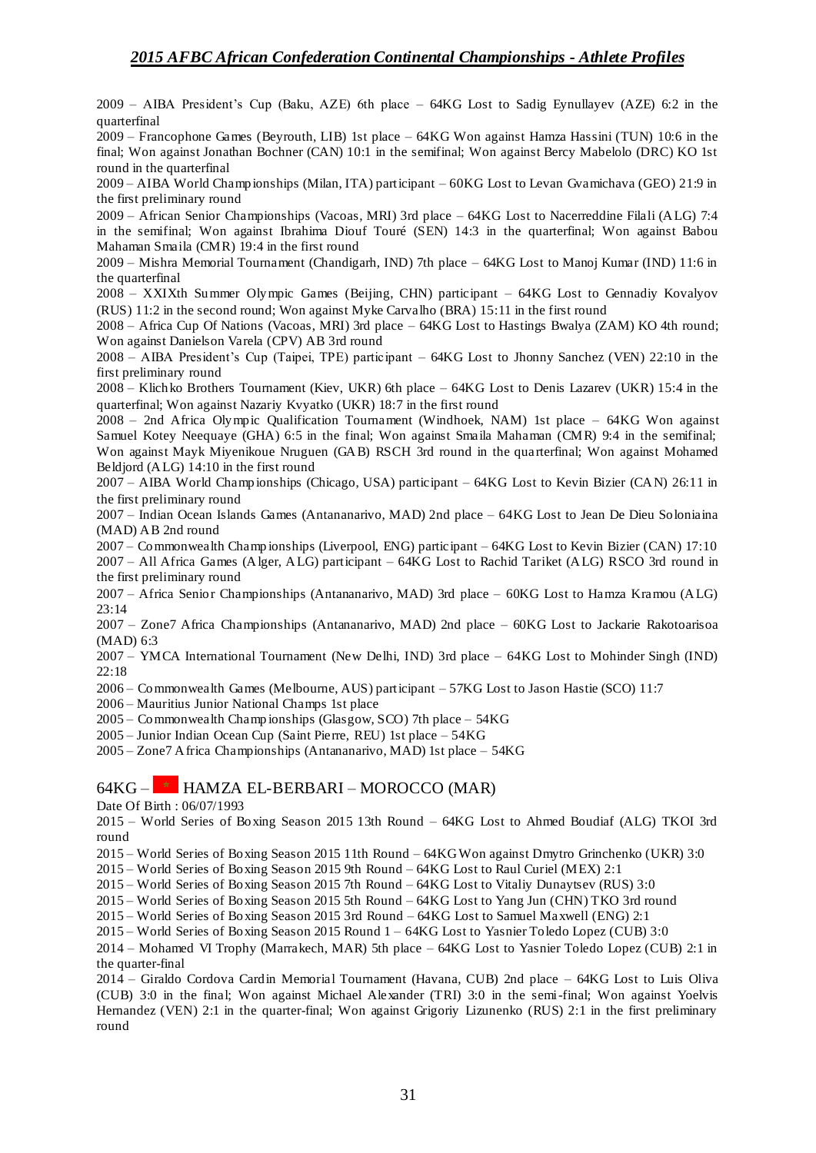2009 – AIBA President's Cup (Baku, AZE) 6th place – 64KG Lost to Sadig Eynullayev (AZE) 6:2 in the quarterfinal

2009 – Francophone Games (Beyrouth, LIB) 1st place – 64KG Won against Hamza Hassini (TUN) 10:6 in the final; Won against Jonathan Bochner (CAN) 10:1 in the semifinal; Won against Bercy Mabelolo (DRC) KO 1st round in the quarterfinal

2009 – AIBA World Championships (Milan, ITA) participant – 60KG Lost to Levan Gvamichava (GEO) 21:9 in the first preliminary round

2009 – African Senior Championships (Vacoas, MRI) 3rd place – 64KG Lost to Nacerreddine Filali (ALG) 7:4 in the semifinal; Won against Ibrahima Diouf Touré (SEN) 14:3 in the quarterfinal; Won against Babou Mahaman Smaila (CMR) 19:4 in the first round

2009 – Mishra Memorial Tournament (Chandigarh, IND) 7th place – 64KG Lost to Manoj Kumar (IND) 11:6 in the quarterfinal

2008 – XXIXth Summer Olympic Games (Beijing, CHN) participant – 64KG Lost to Gennadiy Kovalyov (RUS) 11:2 in the second round; Won against Myke Carvalho (BRA) 15:11 in the first round

2008 – Africa Cup Of Nations (Vacoas, MRI) 3rd place – 64KG Lost to Hastings Bwalya (ZAM) KO 4th round; Won against Danielson Varela (CPV) AB 3rd round

2008 – AIBA President's Cup (Taipei, TPE) participant – 64KG Lost to Jhonny Sanchez (VEN) 22:10 in the first preliminary round

2008 – Klichko Brothers Tournament (Kiev, UKR) 6th place – 64KG Lost to Denis Lazarev (UKR) 15:4 in the quarterfinal; Won against Nazariy Kvyatko (UKR) 18:7 in the first round

2008 – 2nd Africa Olympic Qualification Tournament (Windhoek, NAM) 1st place – 64KG Won against Samuel Kotey Neequaye (GHA) 6:5 in the final; Won against Smaila Mahaman (CMR) 9:4 in the semifinal; Won against Mayk Miyenikoue Nruguen (GAB) RSCH 3rd round in the quarterfinal; Won against Mohamed Beldjord (ALG) 14:10 in the first round

2007 – AIBA World Championships (Chicago, USA) participant – 64KG Lost to Kevin Bizier (CAN) 26:11 in the first preliminary round

2007 – Indian Ocean Islands Games (Antananarivo, MAD) 2nd place – 64KG Lost to Jean De Dieu Soloniaina (MAD) AB 2nd round

2007 – Commonwealth Champ ionships (Liverpool, ENG) participant – 64KG Lost to Kevin Bizier (CAN) 17:10 2007 – All Africa Games (Alger, ALG) participant – 64KG Lost to Rachid Tariket (ALG) RSCO 3rd round in the first preliminary round

2007 – Africa Senior Championships (Antananarivo, MAD) 3rd place – 60KG Lost to Hamza Kramou (ALG) 23:14

2007 – Zone7 Africa Championships (Antananarivo, MAD) 2nd place – 60KG Lost to Jackarie Rakotoarisoa (MAD) 6:3

2007 – YMCA International Tournament (New Delhi, IND) 3rd place – 64KG Lost to Mohinder Singh (IND) 22:18

2006 – Commonwealth Games (Melbourne, AUS) participant – 57KG Lost to Jason Hastie (SCO) 11:7

2006 – Mauritius Junior National Champs 1st place

2005 – Commonwealth Champ ionships (Glasgow, SCO) 7th place – 54KG

2005 – Junior Indian Ocean Cup (Saint Pierre, REU) 1st place – 54KG

2005 – Zone7 Africa Championships (Antananarivo, MAD) 1st place – 54KG

### $64KG -$  HAMZA EL-BERBARI – MOROCCO (MAR)

Date Of Birth : 06/07/1993

2015 – World Series of Boxing Season 2015 13th Round – 64KG Lost to Ahmed Boudiaf (ALG) TKOI 3rd round

2015 – World Series of Boxing Season 2015 11th Round – 64KG Won against Dmytro Grinchenko (UKR) 3:0

2015 – World Series of Boxing Season 2015 9th Round – 64KG Lost to Raul Curiel (MEX) 2:1

2015 – World Series of Boxing Season 2015 7th Round – 64KG Lost to Vitaliy Dunaytsev (RUS) 3:0

2015 – World Series of Boxing Season 2015 5th Round – 64KG Lost to Yang Jun (CHN) TKO 3rd round

2015 – World Series of Boxing Season 2015 3rd Round – 64KG Lost to Samuel Maxwell (ENG) 2:1

2015 – World Series of Boxing Season 2015 Round 1 – 64KG Lost to Yasnier Toledo Lopez (CUB) 3:0

2014 – Mohamed VI Trophy (Marrakech, MAR) 5th place – 64KG Lost to Yasnier Toledo Lopez (CUB) 2:1 in the quarter-final

2014 – Giraldo Cordova Cardin Memorial Tournament (Havana, CUB) 2nd place – 64KG Lost to Luis Oliva (CUB) 3:0 in the final; Won against Michael Alexander (TRI) 3:0 in the semi-final; Won against Yoelvis Hernandez (VEN) 2:1 in the quarter-final; Won against Grigoriy Lizunenko (RUS) 2:1 in the first preliminary round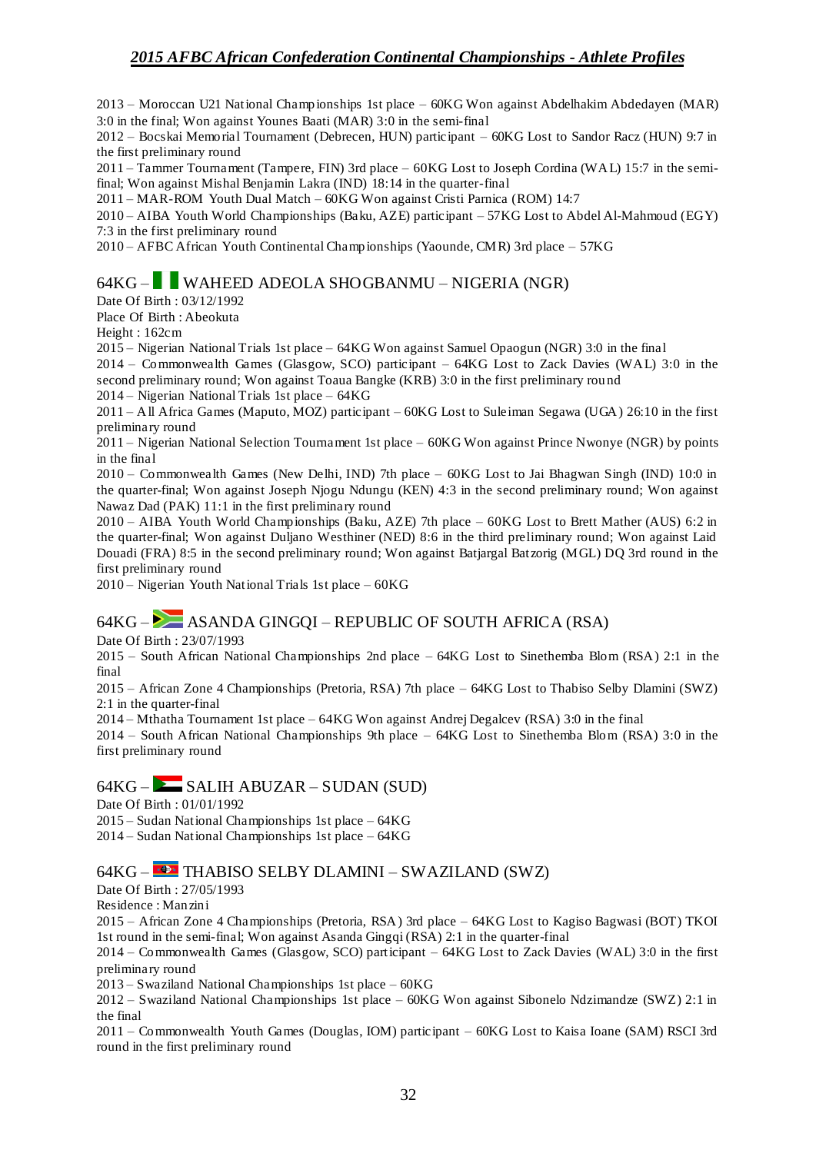2013 – Moroccan U21 National Championships 1st place – 60KG Won against Abdelhakim Abdedayen (MAR) 3:0 in the final; Won against Younes Baati (MAR) 3:0 in the semi-final

2012 – Bocskai Memorial Tournament (Debrecen, HUN) participant – 60KG Lost to Sandor Racz (HUN) 9:7 in the first preliminary round

2011 – Tammer Tournament (Tampere, FIN) 3rd place – 60KG Lost to Joseph Cordina (WAL) 15:7 in the semifinal; Won against Mishal Benjamin Lakra (IND) 18:14 in the quarter-final

2011 – MAR-ROM Youth Dual Match – 60KG Won against Cristi Parnica (ROM) 14:7

2010 – AIBA Youth World Championships (Baku, AZE) participant – 57KG Lost to Abdel Al-Mahmoud (EGY) 7:3 in the first preliminary round

2010 – AFBC African Youth Continental Championships (Yaounde, CMR) 3rd place – 57KG

### 64KG – WAHEED ADEOLA SHOGBANMU – NIGERIA (NGR)

Date Of Birth : 03/12/1992

Place Of Birth : Abeokuta

Height : 162cm

2015 – Nigerian National Trials 1st place – 64KG Won against Samuel Opaogun (NGR) 3:0 in the final

2014 – Commonwealth Games (Glasgow, SCO) participant – 64KG Lost to Zack Davies (WAL) 3:0 in the second preliminary round; Won against Toaua Bangke (KRB) 3:0 in the first preliminary rou nd

2014 – Nigerian National Trials 1st place – 64KG

2011 – All Africa Games (Maputo, MOZ) participant – 60KG Lost to Suleiman Segawa (UGA) 26:10 in the first preliminary round

2011 – Nigerian National Selection Tournament 1st place – 60KG Won against Prince Nwonye (NGR) by points in the final

2010 – Commonwealth Games (New Delhi, IND) 7th place – 60KG Lost to Jai Bhagwan Singh (IND) 10:0 in the quarter-final; Won against Joseph Njogu Ndungu (KEN) 4:3 in the second preliminary round; Won against Nawaz Dad (PAK) 11:1 in the first preliminary round

2010 – AIBA Youth World Championships (Baku, AZE) 7th place – 60KG Lost to Brett Mather (AUS) 6:2 in the quarter-final; Won against Duljano Westhiner (NED) 8:6 in the third preliminary round; Won against Laid Douadi (FRA) 8:5 in the second preliminary round; Won against Batjargal Batzorig (MGL) DO 3rd round in the first preliminary round

 $2010 -$  Nigerian Youth National Trials 1st place  $-60KG$ 

## $64KG -$ <br>ASANDA GINGQI – REPUBLIC OF SOUTH AFRICA (RSA)

Date Of Birth : 23/07/1993

2015 – South African National Championships 2nd place – 64KG Lost to Sinethemba Blom (RSA) 2:1 in the final

2015 – African Zone 4 Championships (Pretoria, RSA) 7th place – 64KG Lost to Thabiso Selby Dlamini (SWZ) 2:1 in the quarter-final

2014 – Mthatha Tournament 1st place – 64KG Won against Andrej Degalcev (RSA) 3:0 in the final

2014 – South African National Championships 9th place – 64KG Lost to Sinethemba Blom (RSA) 3:0 in the first preliminary round

#### $64KG -$  SALIH ABUZAR – SUDAN (SUD)

Date Of Birth : 01/01/1992

2015 – Sudan National Championships 1st place – 64KG

2014 – Sudan National Championships 1st place – 64KG

#### 64KG – THABISO SELBY DLAMINI – SWAZILAND (SWZ)

Date Of Birth : 27/05/1993

Residence : Manzini

2015 – African Zone 4 Championships (Pretoria, RSA) 3rd place – 64KG Lost to Kagiso Bagwasi (BOT) TKOI 1st round in the semi-final; Won against Asanda Gingqi (RSA) 2:1 in the quarter-final

2014 – Commonwealth Games (Glasgow, SCO) participant – 64KG Lost to Zack Davies (WAL) 3:0 in the first preliminary round

2013 – Swaziland National Championships 1st place – 60KG

2012 – Swaziland National Championships 1st place – 60KG Won against Sibonelo Ndzimandze (SWZ) 2:1 in the final

2011 – Commonwealth Youth Games (Douglas, IOM) participant – 60KG Lost to Kaisa Ioane (SAM) RSCI 3rd round in the first preliminary round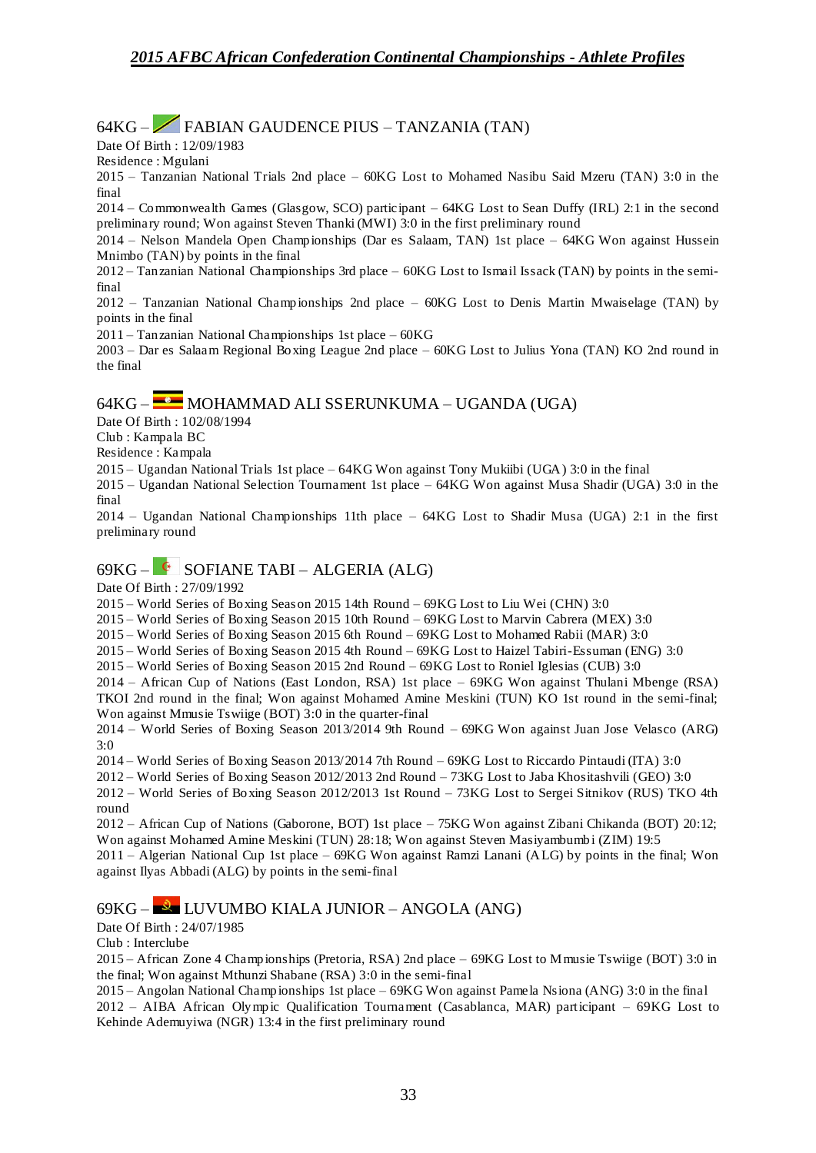64KG – FABIAN GAUDENCE PIUS – TANZANIA (TAN)

Date Of Birth : 12/09/1983

Residence : Mgulani

2015 – Tanzanian National Trials 2nd place – 60KG Lost to Mohamed Nasibu Said Mzeru (TAN) 3:0 in the final

2014 – Commonwealth Games (Glasgow, SCO) participant – 64KG Lost to Sean Duffy (IRL) 2:1 in the second preliminary round; Won against Steven Thanki (MWI) 3:0 in the first preliminary round

2014 – Nelson Mandela Open Championships (Dar es Salaam, TAN) 1st place – 64KG Won against Hussein Mnimbo (TAN) by points in the final

2012 – Tanzanian National Championships 3rd place – 60KG Lost to Ismail Issack (TAN) by points in the semifinal

2012 – Tanzanian National Championships 2nd place – 60KG Lost to Denis Martin Mwaiselage (TAN) by points in the final

2011 – Tanzanian National Championships 1st place – 60KG

2003 – Dar es Salaam Regional Boxing League 2nd place – 60KG Lost to Julius Yona (TAN) KO 2nd round in the final

### 64KG – MOHAMMAD ALI SSERUNKUMA – UGANDA (UGA)

Date Of Birth : 102/08/1994

Club : Kampala BC

Residence : Kampala

2015 – Ugandan National Trials 1st place – 64KG Won against Tony Mukiibi (UGA) 3:0 in the final

2015 – Ugandan National Selection Tournament 1st place – 64KG Won against Musa Shadir (UGA) 3:0 in the final

2014 – Ugandan National Championships 11th place – 64KG Lost to Shadir Musa (UGA) 2:1 in the first preliminary round

## $69KG - <sup>C</sup>$  SOFIANE TABI – ALGERIA (ALG)

Date Of Birth : 27/09/1992

2015 – World Series of Boxing Season 2015 14th Round – 69KG Lost to Liu Wei (CHN) 3:0

2015 – World Series of Boxing Season 2015 10th Round – 69KG Lost to Marvin Cabrera (MEX) 3:0

2015 – World Series of Boxing Season 2015 6th Round – 69KG Lost to Mohamed Rabii (MAR) 3:0

2015 – World Series of Boxing Season 2015 4th Round – 69KG Lost to Haizel Tabiri-Essuman (ENG) 3:0

2015 – World Series of Boxing Season 2015 2nd Round – 69KG Lost to Roniel Iglesias (CUB) 3:0

2014 – African Cup of Nations (East London, RSA) 1st place – 69KG Won against Thulani Mbenge (RSA) TKOI 2nd round in the final; Won against Mohamed Amine Meskini (TUN) KO 1st round in the semi-final; Won against Mmusie Tswiige (BOT) 3:0 in the quarter-final

2014 – World Series of Boxing Season 2013/2014 9th Round – 69KG Won against Juan Jose Velasco (ARG) 3:0

2014 – World Series of Boxing Season 2013/2014 7th Round – 69KG Lost to Riccardo Pintaudi (ITA) 3:0

2012 – World Series of Boxing Season 2012/2013 2nd Round – 73KG Lost to Jaba Khositashvili (GEO) 3:0

2012 – World Series of Boxing Season 2012/2013 1st Round – 73KG Lost to Sergei Sitnikov (RUS) TKO 4th round

2012 – African Cup of Nations (Gaborone, BOT) 1st place – 75KG Won against Zibani Chikanda (BOT) 20:12; Won against Mohamed Amine Meskini (TUN) 28:18; Won against Steven Masiyambumb i (ZIM) 19:5

2011 – Algerian National Cup 1st place – 69KG Won against Ramzi Lanani (ALG) by points in the final; Won against Ilyas Abbadi (ALG) by points in the semi-final

### 69KG – LUVUMBO KIALA JUNIOR – ANGOLA (ANG)

Date Of Birth : 24/07/1985

Club : Interclube

2015 – African Zone 4 Championships (Pretoria, RSA) 2nd place – 69KG Lost to Mmusie Tswiige (BOT) 3:0 in the final; Won against Mthunzi Shabane (RSA) 3:0 in the semi-final

2015 – Angolan National Championships 1st place – 69KG Won against Pamela Nsiona (ANG) 3:0 in the final 2012 – AIBA African Olympic Qualification Tournament (Casablanca, MAR) participant – 69KG Lost to Kehinde Ademuyiwa (NGR) 13:4 in the first preliminary round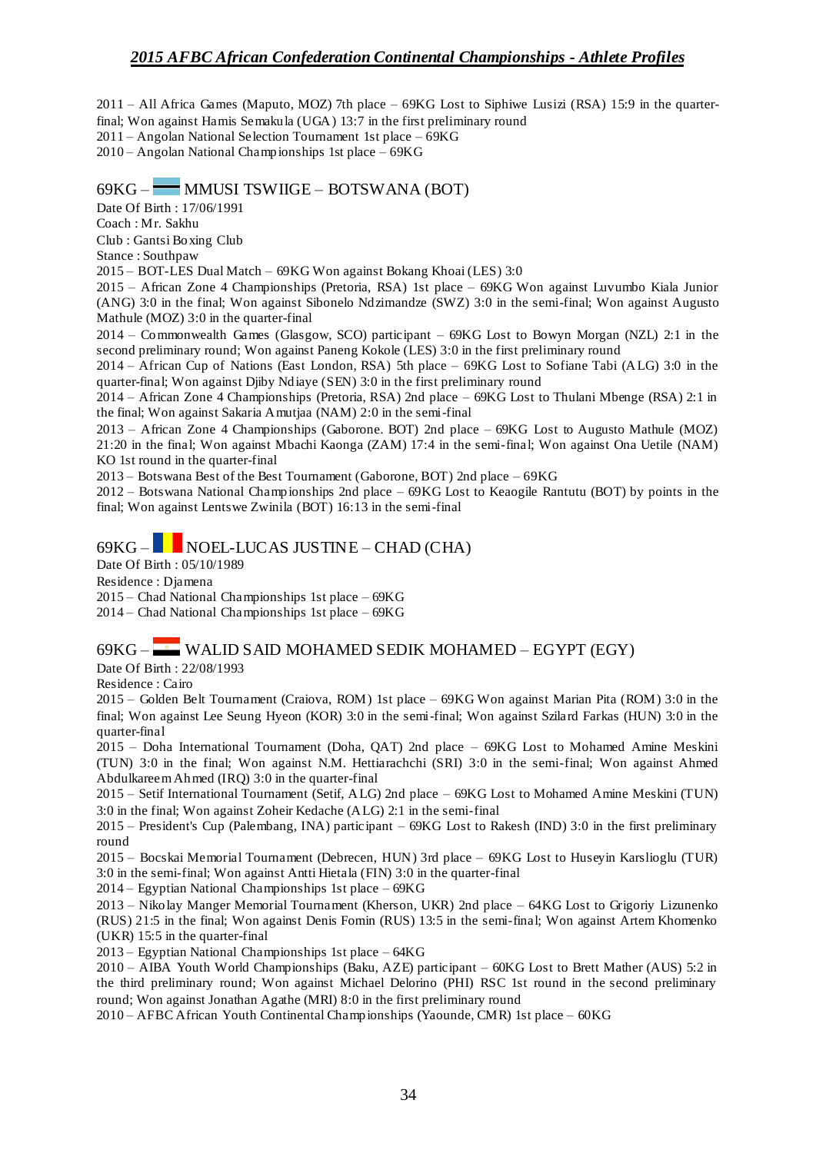2011 – All Africa Games (Maputo, MOZ) 7th place – 69KG Lost to Siphiwe Lusizi (RSA) 15:9 in the quarterfinal; Won against Hamis Semakula (UGA) 13:7 in the first preliminary round 2011 – Angolan National Selection Tournament 1st place – 69KG

2010 – Angolan National Championships 1st place – 69KG

#### 69KG – MMUSI TSWIIGE – BOTSWANA (BOT)

Date Of Birth : 17/06/1991

Coach : Mr. Sakhu

Club : Gantsi Boxing Club

Stance : Southpaw

2015 – BOT-LES Dual Match – 69KG Won against Bokang Khoai (LES) 3:0

2015 – African Zone 4 Championships (Pretoria, RSA) 1st place – 69KG Won against Luvumbo Kiala Junior (ANG) 3:0 in the final; Won against Sibonelo Ndzimandze (SWZ) 3:0 in the semi-final; Won against Augusto Mathule (MOZ) 3:0 in the quarter-final

2014 – Commonwealth Games (Glasgow, SCO) participant – 69KG Lost to Bowyn Morgan (NZL) 2:1 in the second preliminary round; Won against Paneng Kokole (LES) 3:0 in the first preliminary round

2014 – African Cup of Nations (East London, RSA) 5th place – 69KG Lost to Sofiane Tabi (ALG) 3:0 in the quarter-final; Won against Djiby Ndiaye (SEN) 3:0 in the first preliminary round

2014 – African Zone 4 Championships (Pretoria, RSA) 2nd place – 69KG Lost to Thulani Mbenge (RSA) 2:1 in the final; Won against Sakaria Amutjaa (NAM) 2:0 in the semi-final

2013 – African Zone 4 Championships (Gaborone. BOT) 2nd place – 69KG Lost to Augusto Mathule (MOZ) 21:20 in the final; Won against Mbachi Kaonga (ZAM) 17:4 in the semi-final; Won against Ona Uetile (NAM) KO 1st round in the quarter-final

2013 – Botswana Best of the Best Tournament (Gaborone, BOT) 2nd place – 69KG

2012 – Botswana National Championships 2nd place – 69KG Lost to Keaogile Rantutu (BOT) by points in the final; Won against Lentswe Zwinila (BOT) 16:13 in the semi-final

## 69KG – NOEL-LUCAS JUSTINE – CHAD (CHA)

Date Of Birth : 05/10/1989

Residence : Djamena

2015 – Chad National Championships 1st place – 69KG

2014 – Chad National Championships 1st place – 69KG

### 69KG – WALID SAID MOHAMED SEDIK MOHAMED – EGYPT (EGY)

Date Of Birth : 22/08/1993

Residence : Cairo

2015 – Golden Belt Tournament (Craiova, ROM) 1st place – 69KG Won against Marian Pita (ROM) 3:0 in the final; Won against Lee Seung Hyeon (KOR) 3:0 in the semi-final; Won against Szilard Farkas (HUN) 3:0 in the quarter-final

2015 – Doha International Tournament (Doha, QAT) 2nd place – 69KG Lost to Mohamed Amine Meskini (TUN) 3:0 in the final; Won against N.M. Hettiarachchi (SRI) 3:0 in the semi-final; Won against Ahmed Abdulkareem Ahmed (IRQ) 3:0 in the quarter-final

2015 – Setif International Tournament (Setif, ALG) 2nd place – 69KG Lost to Mohamed Amine Meskini (TUN) 3:0 in the final; Won against Zoheir Kedache (ALG) 2:1 in the semi-final

2015 – President's Cup (Palembang, INA) participant – 69KG Lost to Rakesh (IND) 3:0 in the first preliminary round

2015 – Bocskai Memorial Tournament (Debrecen, HUN) 3rd place – 69KG Lost to Huseyin Karslioglu (TUR) 3:0 in the semi-final; Won against Antti Hietala (FIN) 3:0 in the quarter-final

2014 – Egyptian National Championships 1st place – 69KG

2013 – Nikolay Manger Memorial Tournament (Kherson, UKR) 2nd place – 64KG Lost to Grigoriy Lizunenko (RUS) 21:5 in the final; Won against Denis Fomin (RUS) 13:5 in the semi-final; Won against Artem Khomenko (UKR) 15:5 in the quarter-final

2013 – Egyptian National Championships 1st place – 64KG

2010 – AIBA Youth World Championships (Baku, AZE) participant – 60KG Lost to Brett Mather (AUS) 5:2 in the third preliminary round; Won against Michael Delorino (PHI) RSC 1st round in the second preliminary round; Won against Jonathan Agathe (MRI) 8:0 in the first preliminary round

2010 – AFBC African Youth Continental Championships (Yaounde, CMR) 1st place – 60KG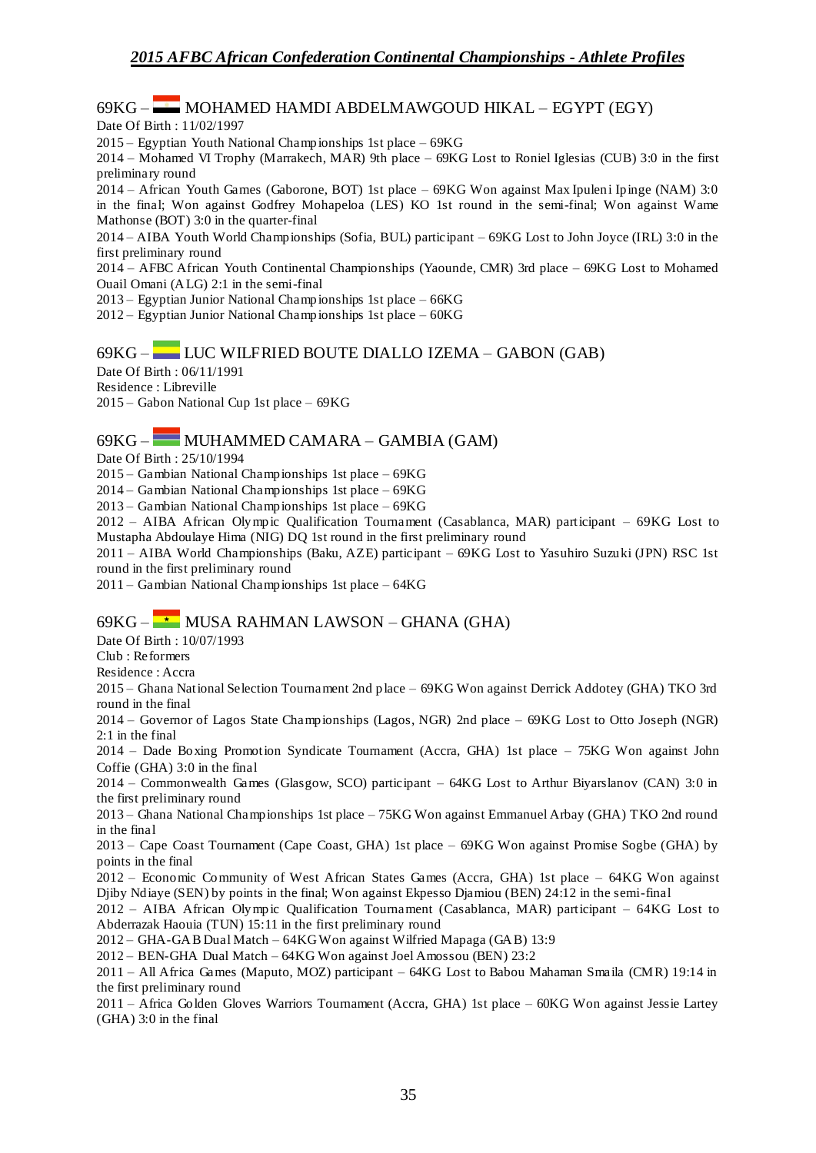# 69KG – MOHAMED HAMDI ABDELMAWGOUD HIKAL – EGYPT (EGY)

Date Of Birth : 11/02/1997

2015 – Egyptian Youth National Championships 1st place – 69KG

2014 – Mohamed VI Trophy (Marrakech, MAR) 9th place – 69KG Lost to Roniel Iglesias (CUB) 3:0 in the first preliminary round

2014 – African Youth Games (Gaborone, BOT) 1st place – 69KG Won against Max Ipuleni Ipinge (NAM) 3:0 in the final; Won against Godfrey Mohapeloa (LES) KO 1st round in the semi-final; Won against Wame Mathonse (BOT) 3:0 in the quarter-final

2014 – AIBA Youth World Championships (Sofia, BUL) participant – 69KG Lost to John Joyce (IRL) 3:0 in the first preliminary round

2014 – AFBC African Youth Continental Championships (Yaounde, CMR) 3rd place – 69KG Lost to Mohamed Ouail Omani (ALG) 2:1 in the semi-final

2013 – Egyptian Junior National Championships 1st place – 66KG

 $2012 -$  Egyptian Junior National Championships 1st place  $-60KG$ 

### 69KG – LUC WILFRIED BOUTE DIALLO IZEMA – GABON (GAB)

Date Of Birth : 06/11/1991 Residence : Libreville 2015 – Gabon National Cup 1st place – 69KG

### 69KG – MUHAMMED CAMARA – GAMBIA (GAM)

Date Of Birth : 25/10/1994

2015 – Gambian National Championships 1st place – 69KG

2014 – Gambian National Championships 1st place – 69KG

2013 – Gambian National Championships 1st place – 69KG

2012 – AIBA African Olympic Qualification Tournament (Casablanca, MAR) participant – 69KG Lost to Mustapha Abdoulaye Hima (NIG) DQ 1st round in the first preliminary round

2011 – AIBA World Championships (Baku, AZE) participant – 69KG Lost to Yasuhiro Suzuki (JPN) RSC 1st round in the first preliminary round

 $2011 -$  Gambian National Championships 1st place – 64KG

### $69KG -$  MUSA RAHMAN LAWSON – GHANA (GHA)

Date Of Birth : 10/07/1993

Club : Reformers

Residence : Accra

2015 – Ghana National Selection Tournament 2nd place – 69KG Won against Derrick Addotey (GHA) TKO 3rd round in the final

2014 – Governor of Lagos State Championships (Lagos, NGR) 2nd place – 69KG Lost to Otto Joseph (NGR) 2:1 in the final

2014 – Dade Boxing Promotion Syndicate Tournament (Accra, GHA) 1st place – 75KG Won against John Coffie (GHA) 3:0 in the final

2014 – Commonwealth Games (Glasgow, SCO) participant – 64KG Lost to Arthur Biyarslanov (CAN) 3:0 in the first preliminary round

2013 – Ghana National Championships 1st place – 75KG Won against Emmanuel Arbay (GHA) TKO 2nd round in the final

2013 – Cape Coast Tournament (Cape Coast, GHA) 1st place – 69KG Won against Promise Sogbe (GHA) by points in the final

2012 – Economic Community of West African States Games (Accra, GHA) 1st place – 64KG Won against Djiby Ndiaye (SEN) by points in the final; Won against Ekpesso Djamiou (BEN) 24:12 in the semi-final

2012 – AIBA African Olympic Qualification Tournament (Casablanca, MAR) participant – 64KG Lost to Abderrazak Haouia (TUN) 15:11 in the first preliminary round

2012 – GHA-GAB Dual Match – 64KG Won against Wilfried Mapaga (GAB) 13:9

2012 – BEN-GHA Dual Match – 64KG Won against Joel Amossou (BEN) 23:2

2011 – All Africa Games (Maputo, MOZ) participant – 64KG Lost to Babou Mahaman Smaila (CMR) 19:14 in the first preliminary round

2011 – Africa Golden Gloves Warriors Tournament (Accra, GHA) 1st place – 60KG Won against Jessie Lartey (GHA) 3:0 in the final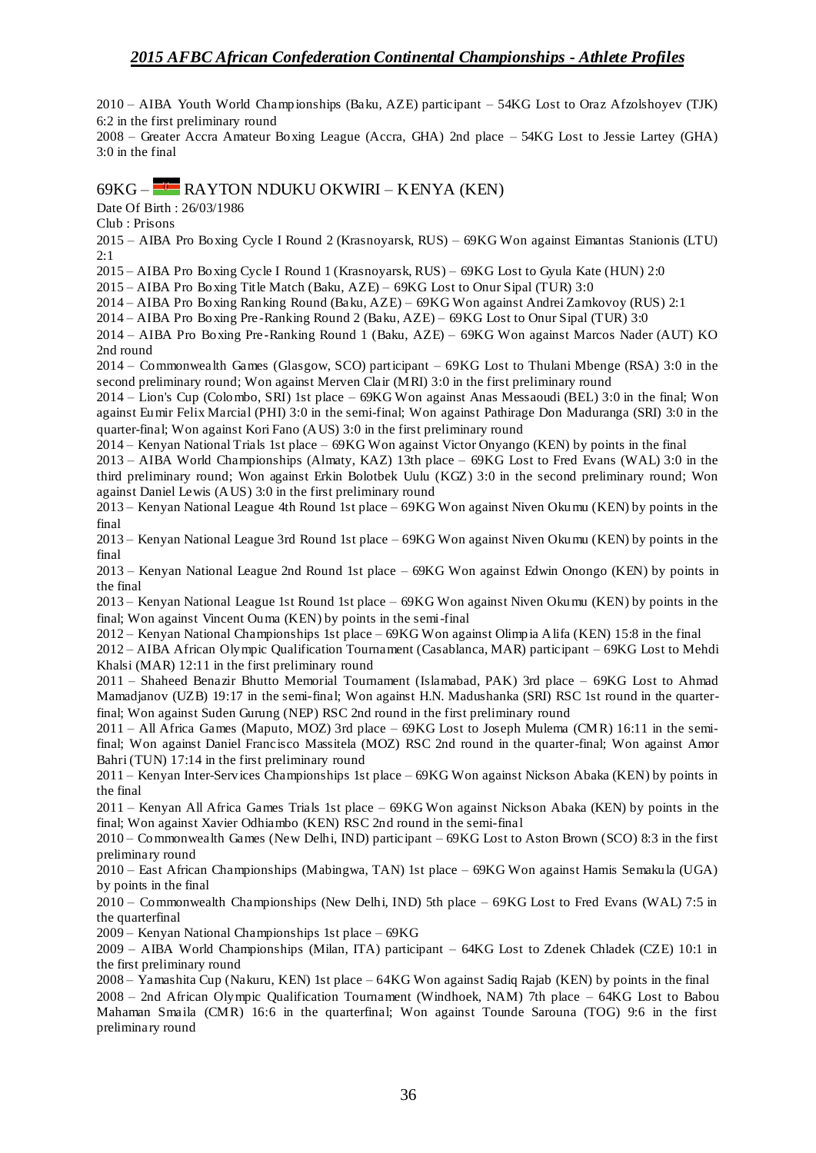2010 – AIBA Youth World Championships (Baku, AZE) participant – 54KG Lost to Oraz Afzolshoyev (TJK) 6:2 in the first preliminary round

2008 – Greater Accra Amateur Boxing League (Accra, GHA) 2nd place – 54KG Lost to Jessie Lartey (GHA) 3:0 in the final

### 69KG – RAYTON NDUKU OKWIRI – KENYA (KEN)

Date Of Birth : 26/03/1986

Club : Prisons

2015 – AIBA Pro Boxing Cycle I Round 2 (Krasnoyarsk, RUS) – 69KG Won against Eimantas Stanionis (LTU) 2:1

2015 – AIBA Pro Boxing Cycle I Round 1 (Krasnoyarsk, RUS) – 69KG Lost to Gyula Kate (HUN) 2:0

2015 – AIBA Pro Boxing Title Match (Baku, AZE) – 69KG Lost to Onur Sipal (TUR) 3:0

2014 – AIBA Pro Boxing Ranking Round (Baku, AZE) – 69KG Won against Andrei Zamkovoy (RUS) 2:1

2014 – AIBA Pro Boxing Pre -Ranking Round 2 (Baku, AZE) – 69KG Lost to Onur Sipal (TUR) 3:0

2014 – AIBA Pro Boxing Pre -Ranking Round 1 (Baku, AZE) – 69KG Won against Marcos Nader (AUT) KO 2nd round

2014 – Commonwealth Games (Glasgow, SCO) participant – 69KG Lost to Thulani Mbenge (RSA) 3:0 in the second preliminary round; Won against Merven Clair (MRI) 3:0 in the first preliminary round

2014 – Lion's Cup (Colombo, SRI) 1st place – 69KG Won against Anas Messaoudi (BEL) 3:0 in the final; Won against Eumir Felix Marcial (PHI) 3:0 in the semi-final; Won against Pathirage Don Maduranga (SRI) 3:0 in the quarter-final; Won against Kori Fano (AUS) 3:0 in the first preliminary round

2014 – Kenyan National Trials 1st place – 69KG Won against Victor Onyango (KEN) by points in the final

2013 – AIBA World Championships (Almaty, KAZ) 13th place – 69KG Lost to Fred Evans (WAL) 3:0 in the third preliminary round; Won against Erkin Bolotbek Uulu (KGZ) 3:0 in the second preliminary round; Won against Daniel Lewis (AUS) 3:0 in the first preliminary round

2013 – Kenyan National League 4th Round 1st place – 69KG Won against Niven Okumu (KEN) by points in the final

2013 – Kenyan National League 3rd Round 1st place – 69KG Won against Niven Okumu (KEN) by points in the final

2013 – Kenyan National League 2nd Round 1st place – 69KG Won against Edwin Onongo (KEN) by points in the final

2013 – Kenyan National League 1st Round 1st place – 69KG Won against Niven Okumu (KEN) by points in the final; Won against Vincent Ouma (KEN) by points in the semi-final

2012 – Kenyan National Championships 1st place – 69KG Won against Olimpia Alifa (KEN) 15:8 in the final

2012 – AIBA African Olympic Qualification Tournament (Casablanca, MAR) participant – 69KG Lost to Mehdi Khalsi (MAR) 12:11 in the first preliminary round

2011 – Shaheed Benazir Bhutto Memorial Tournament (Islamabad, PAK) 3rd place – 69KG Lost to Ahmad Mamadjanov (UZB) 19:17 in the semi-final; Won against H.N. Madushanka (SRI) RSC 1st round in the quarterfinal; Won against Suden Gurung (NEP) RSC 2nd round in the first preliminary round

2011 – All Africa Games (Maputo, MOZ) 3rd place – 69KG Lost to Joseph Mulema (CMR) 16:11 in the semifinal; Won against Daniel Francisco Massitela (MOZ) RSC 2nd round in the quarter-final; Won against Amor Bahri (TUN) 17:14 in the first preliminary round

2011 – Kenyan Inter-Services Championships 1st place – 69KG Won against Nickson Abaka (KEN) by points in the final

2011 – Kenyan All Africa Games Trials 1st place – 69KG Won against Nickson Abaka (KEN) by points in the final; Won against Xavier Odhiambo (KEN) RSC 2nd round in the semi-final

2010 – Commonwealth Games (New Delhi, IND) participant – 69KG Lost to Aston Brown (SCO) 8:3 in the first preliminary round

2010 – East African Championships (Mabingwa, TAN) 1st place – 69KG Won against Hamis Semakula (UGA) by points in the final

2010 – Commonwealth Championships (New Delhi, IND) 5th place – 69KG Lost to Fred Evans (WAL) 7:5 in the quarterfinal

2009 – Kenyan National Championships 1st place – 69KG

2009 – AIBA World Championships (Milan, ITA) participant – 64KG Lost to Zdenek Chladek (CZE) 10:1 in the first preliminary round

2008 – Yamashita Cup (Nakuru, KEN) 1st place – 64KG Won against Sadiq Rajab (KEN) by points in the final 2008 – 2nd African Olympic Qualification Tournament (Windhoek, NAM) 7th place – 64KG Lost to Babou Mahaman Smaila (CMR) 16:6 in the quarterfinal; Won against Tounde Sarouna (TOG) 9:6 in the first preliminary round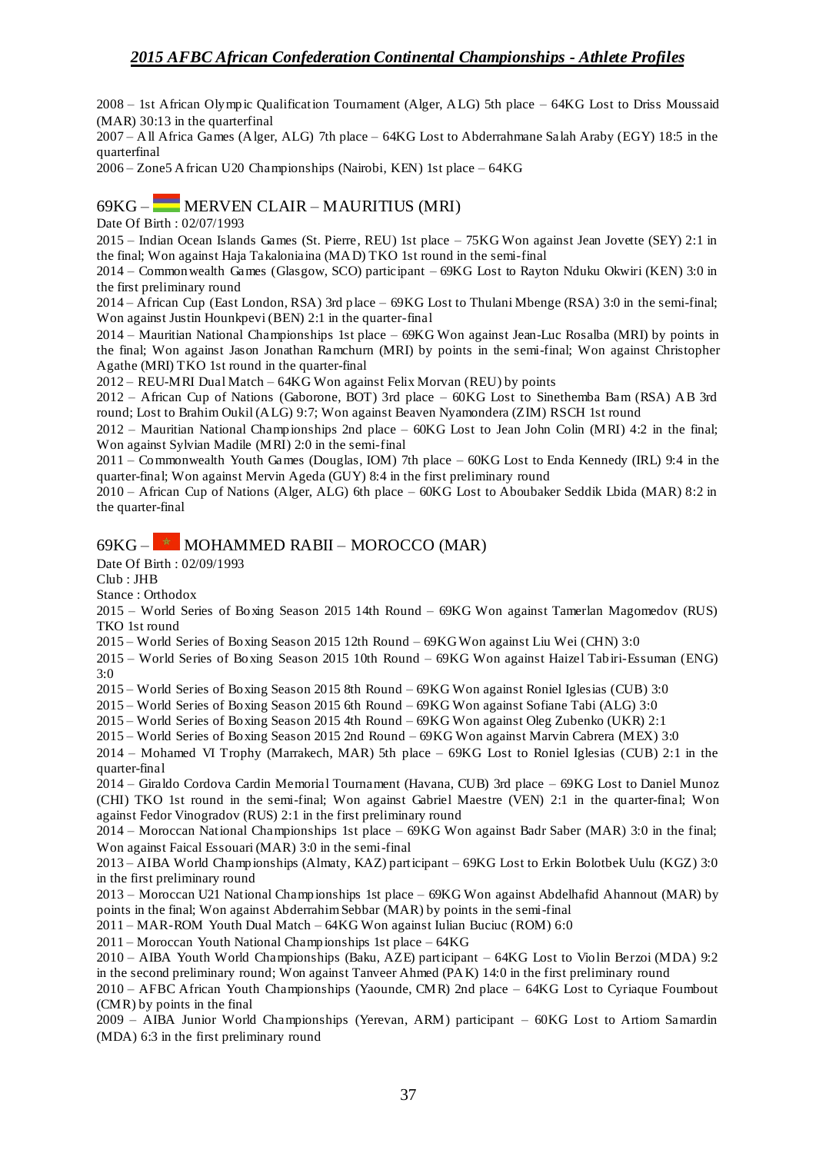2008 – 1st African Olympic Qualification Tournament (Alger, ALG) 5th place – 64KG Lost to Driss Moussaid (MAR) 30:13 in the quarterfinal

2007 – All Africa Games (Alger, ALG) 7th place – 64KG Lost to Abderrahmane Salah Araby (EGY) 18:5 in the quarterfinal

2006 – Zone5 African U20 Championships (Nairobi, KEN) 1st place – 64KG

## 69KG – MERVEN CLAIR – MAURITIUS (MRI)

Date Of Birth : 02/07/1993

2015 – Indian Ocean Islands Games (St. Pierre, REU) 1st place – 75KG Won against Jean Jovette (SEY) 2:1 in the final; Won against Haja Takaloniaina (MAD) TKO 1st round in the semi-final

2014 – Commonwealth Games (Glasgow, SCO) participant – 69KG Lost to Rayton Nduku Okwiri (KEN) 3:0 in the first preliminary round

2014 – African Cup (East London, RSA) 3rd place – 69KG Lost to Thulani Mbenge (RSA) 3:0 in the semi-final; Won against Justin Hounkpevi (BEN) 2:1 in the quarter-final

2014 – Mauritian National Championships 1st place – 69KG Won against Jean-Luc Rosalba (MRI) by points in the final; Won against Jason Jonathan Ramchurn (MRI) by points in the semi-final; Won against Christopher Agathe (MRI) TKO 1st round in the quarter-final

 $2012 - REU-MRI Dual Match - 64KG$  Won against Felix Morvan (REU) by points

2012 – African Cup of Nations (Gaborone, BOT) 3rd place – 60KG Lost to Sinethemba Bam (RSA) AB 3rd round; Lost to Brahim Oukil (ALG) 9:7; Won against Beaven Nyamondera (ZIM) RSCH 1st round

2012 – Mauritian National Championships 2nd place – 60KG Lost to Jean John Colin (MRI) 4:2 in the final; Won against Sylvian Madile (MRI) 2:0 in the semi-final

2011 – Commonwealth Youth Games (Douglas, IOM) 7th place – 60KG Lost to Enda Kennedy (IRL) 9:4 in the quarter-final; Won against Mervin Ageda (GUY) 8:4 in the first preliminary round

2010 – African Cup of Nations (Alger, ALG) 6th place – 60KG Lost to Aboubaker Seddik Lbida (MAR) 8:2 in the quarter-final

## $69KG -$  MOHAMMED RABII – MOROCCO (MAR)

Date Of Birth : 02/09/1993

Club : JHB

Stance : Orthodox

2015 – World Series of Boxing Season 2015 14th Round – 69KG Won against Tamerlan Magomedov (RUS) TKO 1st round

2015 – World Series of Boxing Season 2015 12th Round – 69KG Won against Liu Wei (CHN) 3:0

2015 – World Series of Boxing Season 2015 10th Round – 69KG Won against Haizel Tabiri-Essuman (ENG) 3:0

2015 – World Series of Boxing Season 2015 8th Round – 69KG Won against Roniel Iglesias (CUB) 3:0

2015 – World Series of Boxing Season 2015 6th Round – 69KG Won against Sofiane Tabi (ALG) 3:0

2015 – World Series of Boxing Season 2015 4th Round – 69KG Won against Oleg Zubenko (UKR) 2:1

2015 – World Series of Boxing Season 2015 2nd Round – 69KG Won against Marvin Cabrera (MEX) 3:0

2014 – Mohamed VI Trophy (Marrakech, MAR) 5th place – 69KG Lost to Roniel Iglesias (CUB) 2:1 in the quarter-final

2014 – Giraldo Cordova Cardin Memorial Tournament (Havana, CUB) 3rd place – 69KG Lost to Daniel Munoz (CHI) TKO 1st round in the semi-final; Won against Gabriel Maestre (VEN) 2:1 in the quarter-final; Won against Fedor Vinogradov (RUS) 2:1 in the first preliminary round

2014 – Moroccan National Championships 1st place – 69KG Won against Badr Saber (MAR) 3:0 in the final; Won against Faical Essouari (MAR) 3:0 in the semi-final

2013 – AIBA World Championships (Almaty, KAZ) participant – 69KG Lost to Erkin Bolotbek Uulu (KGZ) 3:0 in the first preliminary round

2013 – Moroccan U21 National Championships 1st place – 69KG Won against Abdelhafid Ahannout (MAR) by points in the final; Won against Abderrahim Sebbar (MAR) by points in the semi-final

2011 – MAR-ROM Youth Dual Match – 64KG Won against Iulian Buciuc (ROM) 6:0

2011 – Moroccan Youth National Championships 1st place – 64KG

2010 – AIBA Youth World Championships (Baku, AZE) participant – 64KG Lost to Violin Berzoi (MDA) 9:2 in the second preliminary round; Won against Tanveer Ahmed (PAK) 14:0 in the first preliminary round

2010 – AFBC African Youth Championships (Yaounde, CMR) 2nd place – 64KG Lost to Cyriaque Foumbout (CMR) by points in the final

2009 – AIBA Junior World Championships (Yerevan, ARM) participant – 60KG Lost to Artiom Samardin (MDA) 6:3 in the first preliminary round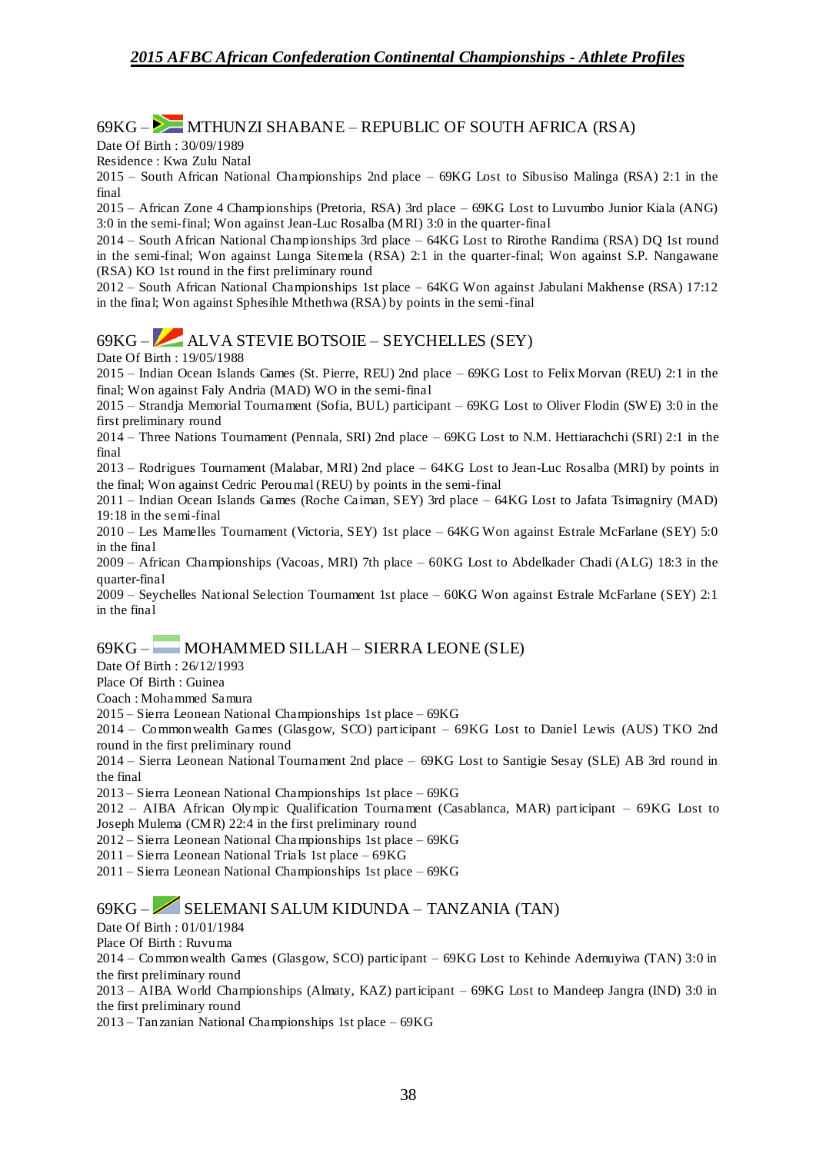#### $69KG -$  MTHUNZI SHABANE – REPUBLIC OF SOUTH AFRICA (RSA)

Date Of Birth : 30/09/1989

Residence : Kwa Zulu Natal

2015 – South African National Championships 2nd place – 69KG Lost to Sibusiso Malinga (RSA) 2:1 in the final

2015 – African Zone 4 Championships (Pretoria, RSA) 3rd place – 69KG Lost to Luvumbo Junior Kiala (ANG) 3:0 in the semi-final; Won against Jean-Luc Rosalba (MRI) 3:0 in the quarter-final

2014 – South African National Championships 3rd place – 64KG Lost to Rirothe Randima (RSA) DQ 1st round in the semi-final; Won against Lunga Sitemela (RSA) 2:1 in the quarter-final; Won against S.P. Nangawane (RSA) KO 1st round in the first preliminary round

2012 – South African National Championships 1st place – 64KG Won against Jabulani Makhense (RSA) 17:12 in the final; Won against Sphesihle Mthethwa (RSA) by points in the semi-final

## 69KG – ALVA STEVIE BOTSOIE – SEYCHELLES (SEY)

Date Of Birth : 19/05/1988

2015 – Indian Ocean Islands Games (St. Pierre, REU) 2nd place – 69KG Lost to Felix Morvan (REU) 2:1 in the final; Won against Faly Andria (MAD) WO in the semi-final

2015 – Strandja Memorial Tournament (Sofia, BUL) participant – 69KG Lost to Oliver Flodin (SW E) 3:0 in the first preliminary round

2014 – Three Nations Tournament (Pennala, SRI) 2nd place – 69KG Lost to N.M. Hettiarachchi (SRI) 2:1 in the final

2013 – Rodrigues Tournament (Malabar, MRI) 2nd place – 64KG Lost to Jean-Luc Rosalba (MRI) by points in the final; Won against Cedric Peroumal (REU) by points in the semi-final

2011 – Indian Ocean Islands Games (Roche Caiman, SEY) 3rd place – 64KG Lost to Jafata Tsimagniry (MAD) 19:18 in the semi-final

2010 – Les Mamelles Tournament (Victoria, SEY) 1st place – 64KG Won against Estrale McFarlane (SEY) 5:0 in the final

2009 – African Championships (Vacoas, MRI) 7th place – 60KG Lost to Abdelkader Chadi (ALG) 18:3 in the quarter-final

2009 – Seychelles National Selection Tournament 1st place – 60KG Won against Estrale McFarlane (SEY) 2:1 in the final

## 69KG – MOHAMMED SILLAH – SIERRA LEONE (SLE)

Date Of Birth : 26/12/1993

Place Of Birth : Guinea

Coach : Mohammed Samura

2015 – Sierra Leonean National Championships 1st place – 69KG

2014 – Commonwealth Games (Glasgow, SCO) participant – 69KG Lost to Daniel Lewis (AUS) TKO 2nd round in the first preliminary round

2014 – Sierra Leonean National Tournament 2nd place – 69KG Lost to Santigie Sesay (SLE) AB 3rd round in the final

2013 – Sierra Leonean National Championships 1st place – 69KG

2012 – AIBA African Olympic Qualification Tournament (Casablanca, MAR) participant – 69KG Lost to Joseph Mulema (CMR) 22:4 in the first preliminary round

2012 – Sierra Leonean National Championships 1st place – 69KG

2011 – Sierra Leonean National Trials 1st place – 69KG

2011 – Sierra Leonean National Championships 1st place – 69KG

### 69KG – SELEMANI SALUM KIDUNDA – TANZANIA (TAN)

Date Of Birth : 01/01/1984

Place Of Birth : Ruvuma

2014 – Commonwealth Games (Glasgow, SCO) participant – 69KG Lost to Kehinde Ademuyiwa (TAN) 3:0 in the first preliminary round

2013 – AIBA World Championships (Almaty, KAZ) participant – 69KG Lost to Mandeep Jangra (IND) 3:0 in the first preliminary round

2013 – Tanzanian National Championships 1st place – 69KG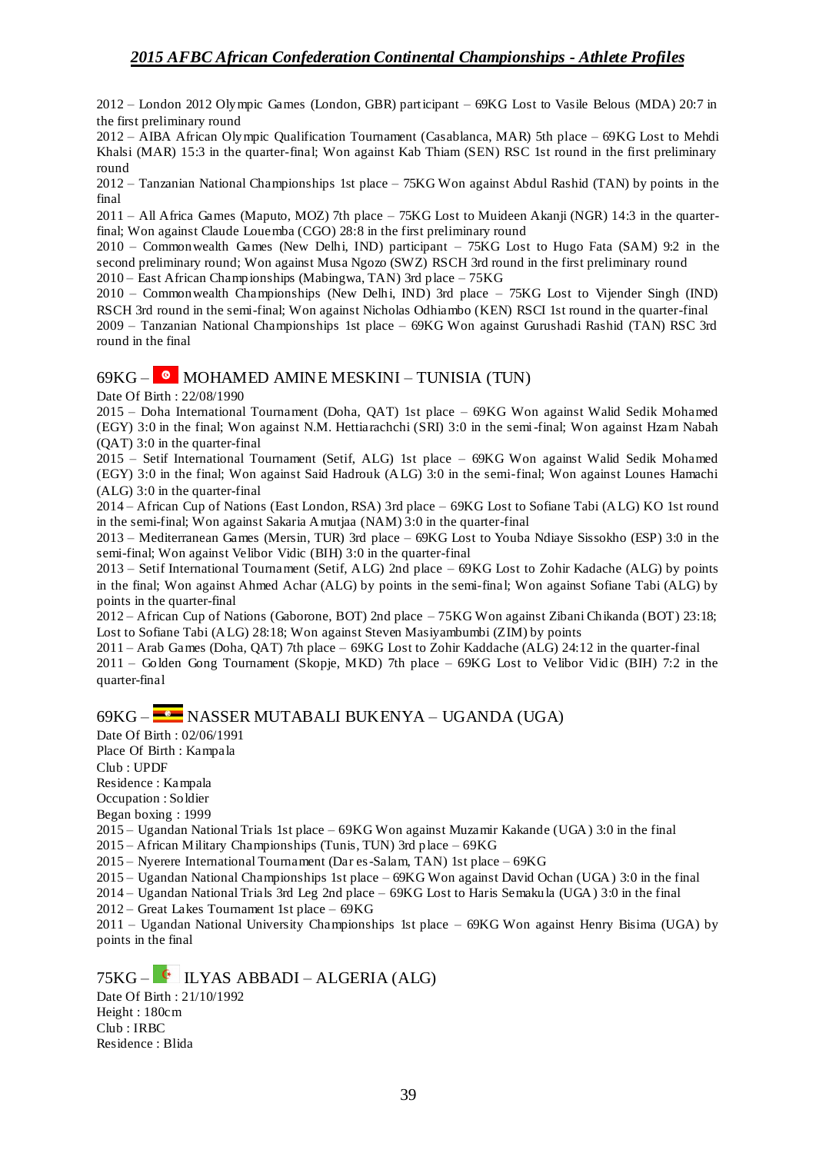2012 – London 2012 Olympic Games (London, GBR) participant – 69KG Lost to Vasile Belous (MDA) 20:7 in the first preliminary round

2012 – AIBA African Olympic Qualification Tournament (Casablanca, MAR) 5th place – 69KG Lost to Mehdi Khalsi (MAR) 15:3 in the quarter-final; Won against Kab Thiam (SEN) RSC 1st round in the first preliminary round

2012 – Tanzanian National Championships 1st place – 75KG Won against Abdul Rashid (TAN) by points in the final

2011 – All Africa Games (Maputo, MOZ) 7th place – 75KG Lost to Muideen Akanji (NGR) 14:3 in the quarterfinal; Won against Claude Louemba (CGO) 28:8 in the first preliminary round

2010 – Commonwealth Games (New Delhi, IND) participant – 75KG Lost to Hugo Fata (SAM) 9:2 in the second preliminary round; Won against Musa Ngozo (SWZ) RSCH 3rd round in the first preliminary round

2010 – East African Championships (Mabingwa, TAN) 3rd place – 75KG

2010 – Commonwealth Championships (New Delhi, IND) 3rd place – 75KG Lost to Vijender Singh (IND) RSCH 3rd round in the semi-final; Won against Nicholas Odhiambo (KEN) RSCI 1st round in the quarter-final 2009 – Tanzanian National Championships 1st place – 69KG Won against Gurushadi Rashid (TAN) RSC 3rd round in the final

### $69KG -$  MOHAMED AMINE MESKINI – TUNISIA (TUN)

Date Of Birth : 22/08/1990

2015 – Doha International Tournament (Doha, QAT) 1st place – 69KG Won against Walid Sedik Mohamed (EGY) 3:0 in the final; Won against N.M. Hettiarachchi (SRI) 3:0 in the semi-final; Won against Hzam Nabah (QAT) 3:0 in the quarter-final

2015 – Setif International Tournament (Setif, ALG) 1st place – 69KG Won against Walid Sedik Mohamed (EGY) 3:0 in the final; Won against Said Hadrouk (ALG) 3:0 in the semi-final; Won against Lounes Hamachi (ALG) 3:0 in the quarter-final

2014 – African Cup of Nations (East London, RSA) 3rd place – 69KG Lost to Sofiane Tabi (ALG) KO 1st round in the semi-final; Won against Sakaria Amutjaa (NAM) 3:0 in the quarter-final

2013 – Mediterranean Games (Mersin, TUR) 3rd place – 69KG Lost to Youba Ndiaye Sissokho (ESP) 3:0 in the semi-final; Won against Velibor Vidic (BIH) 3:0 in the quarter-final

2013 – Setif International Tournament (Setif, ALG) 2nd place – 69KG Lost to Zohir Kadache (ALG) by points in the final; Won against Ahmed Achar (ALG) by points in the semi-final; Won against Sofiane Tabi (ALG) by points in the quarter-final

2012 – African Cup of Nations (Gaborone, BOT) 2nd place – 75KG Won against Zibani Chikanda (BOT) 23:18; Lost to Sofiane Tabi (ALG) 28:18; Won against Steven Masiyambumbi (ZIM) by points

2011 – Arab Games (Doha, QAT) 7th place – 69KG Lost to Zohir Kaddache (ALG) 24:12 in the quarter-final 2011 – Golden Gong Tournament (Skopje, MKD) 7th place – 69KG Lost to Velibor Vidic (BIH) 7:2 in the quarter-final

## 69KG – NASSER MUTABALI BUKENYA – UGANDA (UGA)

Date Of Birth : 02/06/1991

Place Of Birth : Kampala Club : UPDF

Residence : Kampala

Occupation : Soldier

Began boxing : 1999

2015 – Ugandan National Trials 1st place – 69KG Won against Muzamir Kakande (UGA) 3:0 in the final

2015 – African Military Championships (Tunis, TUN) 3rd place – 69KG

2015 – Nyerere International Tournament (Dar es-Salam, TAN) 1st place – 69KG

2015 – Ugandan National Championships 1st place – 69KG Won against David Ochan (UGA) 3:0 in the final

2014 – Ugandan National Trials 3rd Leg 2nd place – 69KG Lost to Haris Semakula (UGA) 3:0 in the final

2012 – Great Lakes Tournament 1st place – 69KG

2011 – Ugandan National University Championships 1st place – 69KG Won against Henry Bisima (UGA) by points in the final

 $75KG - 1$  LYAS ABBADI – ALGERIA (ALG) Date Of Birth : 21/10/1992 Height : 180cm

Club : IRBC Residence : Blida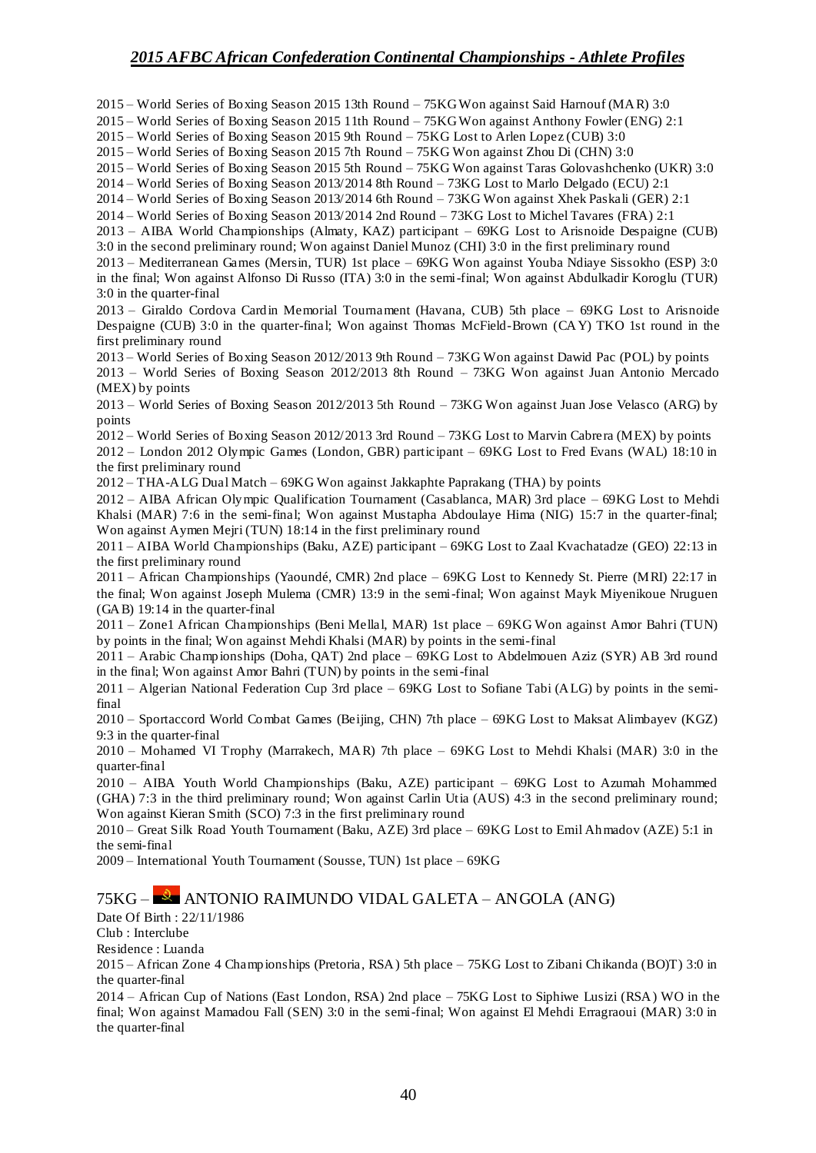2015 – World Series of Boxing Season 2015 13th Round – 75KG Won against Said Harnouf (MAR) 3:0

2015 – World Series of Boxing Season 2015 11th Round – 75KG Won against Anthony Fowler (ENG) 2:1

2015 – World Series of Boxing Season 2015 9th Round – 75KG Lost to Arlen Lopez (CUB) 3:0

2015 – World Series of Boxing Season 2015 7th Round – 75KG Won against Zhou Di (CHN) 3:0

2015 – World Series of Boxing Season 2015 5th Round – 75KG Won against Taras Golovashchenko (UKR) 3:0

2014 – World Series of Boxing Season 2013/2014 8th Round – 73KG Lost to Marlo Delgado (ECU) 2:1

2014 – World Series of Boxing Season 2013/2014 6th Round – 73KG Won against Xhek Paskali (GER) 2:1

2014 – World Series of Boxing Season 2013/2014 2nd Round – 73KG Lost to Michel Tavares (FRA) 2:1

2013 – AIBA World Championships (Almaty, KAZ) participant – 69KG Lost to Arisnoide Despaigne (CUB) 3:0 in the second preliminary round; Won against Daniel Munoz (CHI) 3:0 in the first preliminary round

2013 – Mediterranean Games (Mersin, TUR) 1st place – 69KG Won against Youba Ndiaye Sissokho (ESP) 3:0 in the final; Won against Alfonso Di Russo (ITA) 3:0 in the semi-final; Won against Abdulkadir Koroglu (TUR) 3:0 in the quarter-final

2013 – Giraldo Cordova Cardin Memorial Tournament (Havana, CUB) 5th place – 69KG Lost to Arisnoide Despaigne (CUB) 3:0 in the quarter-final; Won against Thomas McField-Brown (CAY) TKO 1st round in the first preliminary round

2013 – World Series of Boxing Season 2012/2013 9th Round – 73KG Won against Dawid Pac (POL) by points 2013 – World Series of Boxing Season 2012/2013 8th Round – 73KG Won against Juan Antonio Mercado (MEX) by points

2013 – World Series of Boxing Season 2012/2013 5th Round – 73KG Won against Juan Jose Velasco (ARG) by points

2012 – World Series of Boxing Season 2012/2013 3rd Round – 73KG Lost to Marvin Cabrera (MEX) by points 2012 – London 2012 Olympic Games (London, GBR) participant – 69KG Lost to Fred Evans (WAL) 18:10 in the first preliminary round

2012 – THA-ALG Dual Match – 69KG Won against Jakkaphte Paprakang (THA) by points

2012 – AIBA African Olympic Qualification Tournament (Casablanca, MAR) 3rd place – 69KG Lost to Mehdi Khalsi (MAR) 7:6 in the semi-final; Won against Mustapha Abdoulaye Hima (NIG) 15:7 in the quarter-final; Won against Aymen Mejri (TUN) 18:14 in the first preliminary round

2011 – AIBA World Championships (Baku, AZE) participant – 69KG Lost to Zaal Kvachatadze (GEO) 22:13 in the first preliminary round

2011 – African Championships (Yaoundé, CMR) 2nd place – 69KG Lost to Kennedy St. Pierre (MRI) 22:17 in the final; Won against Joseph Mulema (CMR) 13:9 in the semi-final; Won against Mayk Miyenikoue Nruguen (GAB) 19:14 in the quarter-final

2011 – Zone1 African Championships (Beni Mellal, MAR) 1st place – 69KG Won against Amor Bahri (TUN) by points in the final; Won against Mehdi Khalsi (MAR) by points in the semi-final

2011 – Arabic Championships (Doha, QAT) 2nd place – 69KG Lost to Abdelmouen Aziz (SYR) AB 3rd round in the final; Won against Amor Bahri (TUN) by points in the semi-final

2011 – Algerian National Federation Cup 3rd place – 69KG Lost to Sofiane Tabi (ALG) by points in the semifinal

2010 – Sportaccord World Combat Games (Beijing, CHN) 7th place – 69KG Lost to Maksat Alimbayev (KGZ) 9:3 in the quarter-final

2010 – Mohamed VI Trophy (Marrakech, MAR) 7th place – 69KG Lost to Mehdi Khalsi (MAR) 3:0 in the quarter-final

2010 – AIBA Youth World Championships (Baku, AZE) participant – 69KG Lost to Azumah Mohammed (GHA) 7:3 in the third preliminary round; Won against Carlin Utia (AUS) 4:3 in the second preliminary round; Won against Kieran Smith (SCO) 7:3 in the first preliminary round

2010 – Great Silk Road Youth Tournament (Baku, AZE) 3rd place – 69KG Lost to Emil Ahmadov (AZE) 5:1 in the semi-final

2009 – International Youth Tournament (Sousse, TUN) 1st place – 69KG

### 75KG – ANTONIO RAIMUNDO VIDAL GALETA – ANGOLA (ANG)

Date Of Birth : 22/11/1986

Club : Interclube

Residence : Luanda

2015 – African Zone 4 Championships (Pretoria, RSA) 5th place – 75KG Lost to Zibani Chikanda (BO)T) 3:0 in the quarter-final

2014 – African Cup of Nations (East London, RSA) 2nd place – 75KG Lost to Siphiwe Lusizi (RSA) WO in the final; Won against Mamadou Fall (SEN) 3:0 in the semi-final; Won against El Mehdi Erragraoui (MAR) 3:0 in the quarter-final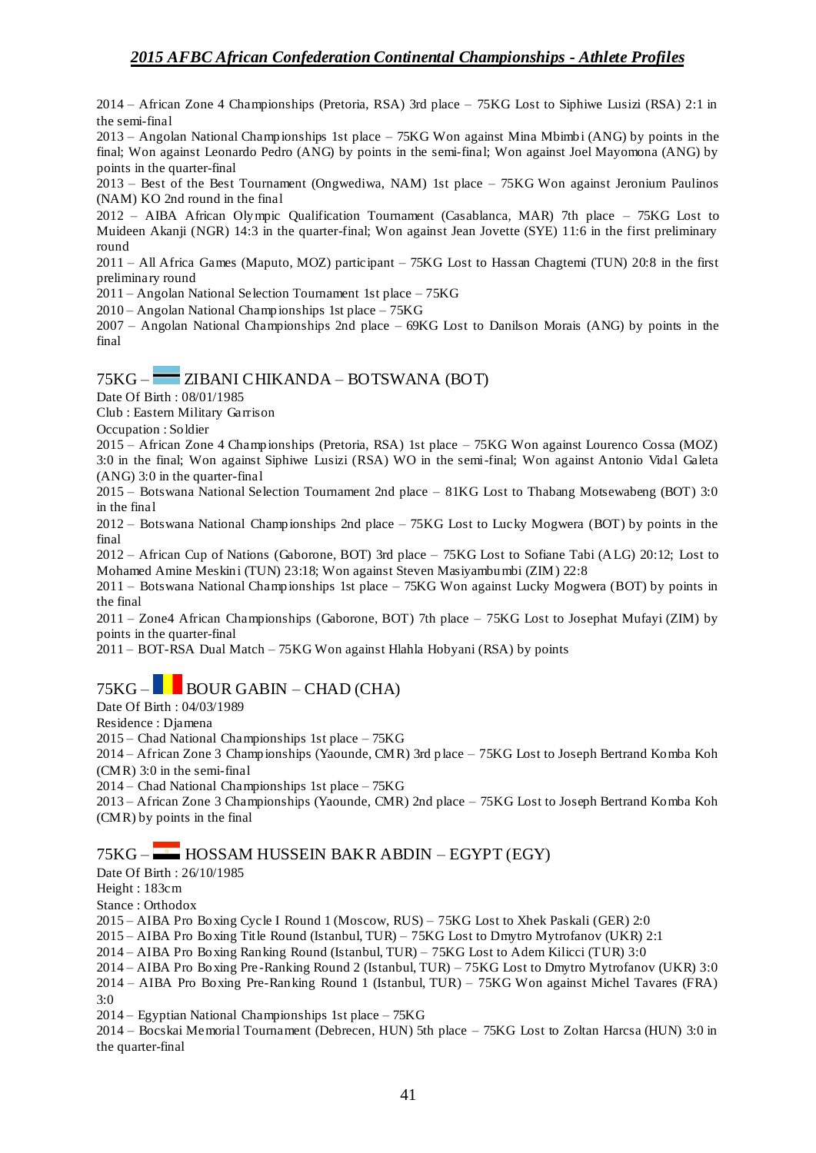2014 – African Zone 4 Championships (Pretoria, RSA) 3rd place – 75KG Lost to Siphiwe Lusizi (RSA) 2:1 in the semi-final

2013 – Angolan National Championships 1st place – 75KG Won against Mina Mbimbi (ANG) by points in the final; Won against Leonardo Pedro (ANG) by points in the semi-final; Won against Joel Mayomona (ANG) by points in the quarter-final

2013 – Best of the Best Tournament (Ongwediwa, NAM) 1st place – 75KG Won against Jeronium Paulinos (NAM) KO 2nd round in the final

2012 – AIBA African Olympic Qualification Tournament (Casablanca, MAR) 7th place – 75KG Lost to Muideen Akanji (NGR) 14:3 in the quarter-final; Won against Jean Jovette (SYE) 11:6 in the first preliminary round

2011 – All Africa Games (Maputo, MOZ) participant – 75KG Lost to Hassan Chagtemi (TUN) 20:8 in the first preliminary round

2011 – Angolan National Selection Tournament 1st place – 75KG

 $2010 -$  Angolan National Championships 1st place  $-75KG$ 

2007 – Angolan National Championships 2nd place – 69KG Lost to Danilson Morais (ANG) by points in the final

### 75KG – ZIBANI CHIKANDA – BOTSWANA (BOT)

Date Of Birth : 08/01/1985

Club : Eastern Military Garrison

Occupation : Soldier

2015 – African Zone 4 Championships (Pretoria, RSA) 1st place – 75KG Won against Lourenco Cossa (MOZ) 3:0 in the final; Won against Siphiwe Lusizi (RSA) WO in the semi-final; Won against Antonio Vidal Galeta (ANG) 3:0 in the quarter-final

2015 – Botswana National Selection Tournament 2nd place – 81KG Lost to Thabang Motsewabeng (BOT) 3:0 in the final

2012 – Botswana National Championships 2nd place – 75KG Lost to Lucky Mogwera (BOT) by points in the final

2012 – African Cup of Nations (Gaborone, BOT) 3rd place – 75KG Lost to Sofiane Tabi (ALG) 20:12; Lost to Mohamed Amine Meskini (TUN) 23:18; Won against Steven Masiyambumbi (ZIM) 22:8

2011 – Botswana National Championships 1st place – 75KG Won against Lucky Mogwera (BOT) by points in the final

2011 – Zone4 African Championships (Gaborone, BOT) 7th place – 75KG Lost to Josephat Mufayi (ZIM) by points in the quarter-final

2011 – BOT-RSA Dual Match – 75KG Won against Hlahla Hobyani (RSA) by points

## $75KG -$ BOUR GABIN – CHAD (CHA)

Date Of Birth : 04/03/1989

Residence : Djamena

2015 – Chad National Championships 1st place – 75KG

2014 – African Zone 3 Championships (Yaounde, CMR) 3rd place – 75KG Lost to Joseph Bertrand Komba Koh (CMR) 3:0 in the semi-final

2014 – Chad National Championships 1st place – 75KG

2013 – African Zone 3 Championships (Yaounde, CMR) 2nd place – 75KG Lost to Joseph Bertrand Komba Koh (CMR) by points in the final

### 75KG – HOSSAM HUSSEIN BAKR ABDIN – EGYPT (EGY)

Date Of Birth : 26/10/1985

Height : 183cm

Stance : Orthodox

2015 – AIBA Pro Boxing Cycle I Round 1 (Moscow, RUS) – 75KG Lost to Xhek Paskali (GER) 2:0

2015 – AIBA Pro Boxing Title Round (Istanbul, TUR) – 75KG Lost to Dmytro Mytrofanov (UKR) 2:1

2014 – AIBA Pro Boxing Ranking Round (Istanbul, TUR) – 75KG Lost to Adem Kilicci (TUR) 3:0

2014 – AIBA Pro Boxing Pre -Ranking Round 2 (Istanbul, TUR) – 75KG Lost to Dmytro Mytrofanov (UKR) 3:0 2014 – AIBA Pro Boxing Pre-Ranking Round 1 (Istanbul, TUR) – 75KG Won against Michel Tavares (FRA) 3:0

2014 – Egyptian National Championships 1st place – 75KG

2014 – Bocskai Memorial Tournament (Debrecen, HUN) 5th place – 75KG Lost to Zoltan Harcsa (HUN) 3:0 in the quarter-final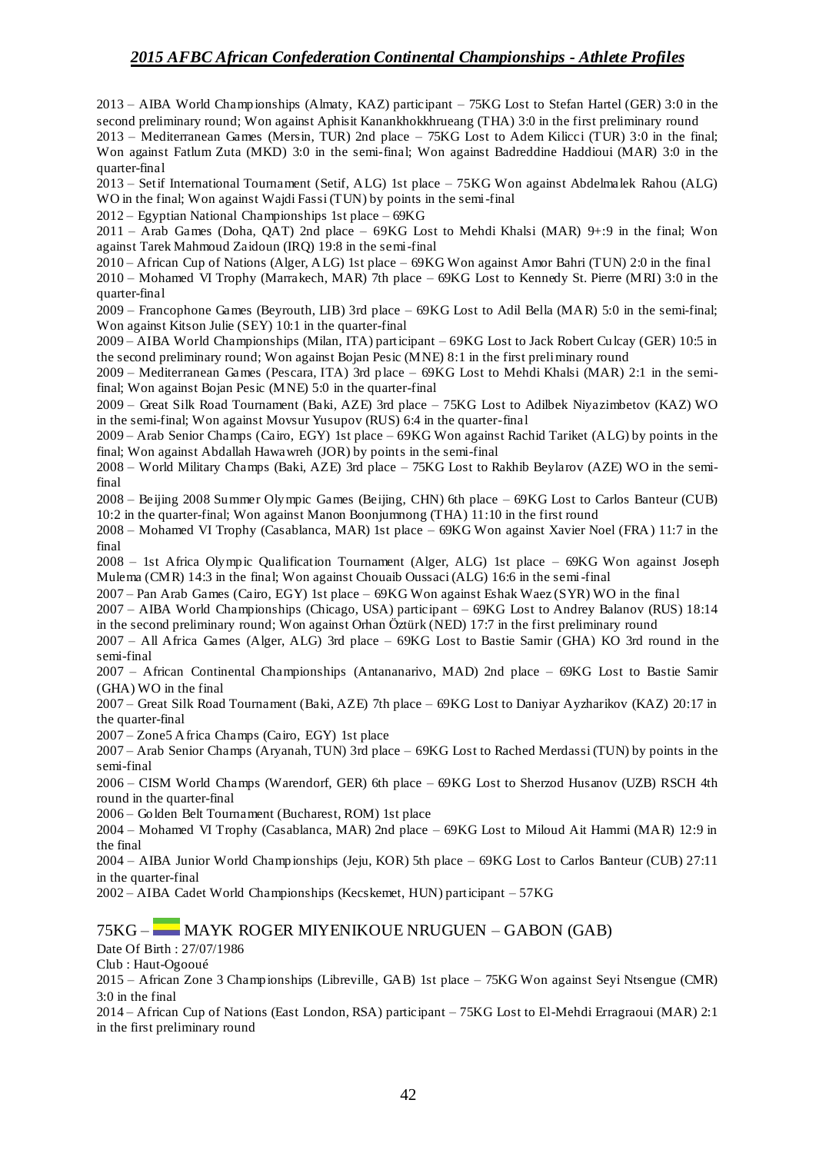2013 – AIBA World Championships (Almaty, KAZ) participant – 75KG Lost to Stefan Hartel (GER) 3:0 in the second preliminary round; Won against Aphisit Kanankhokkhrueang (THA) 3:0 in the first preliminary round

2013 – Mediterranean Games (Mersin, TUR) 2nd place – 75KG Lost to Adem Kilicci (TUR) 3:0 in the final; Won against Fatlum Zuta (MKD) 3:0 in the semi-final; Won against Badreddine Haddioui (MAR) 3:0 in the quarter-final

2013 – Setif International Tournament (Setif, ALG) 1st place – 75KG Won against Abdelmalek Rahou (ALG) WO in the final; Won against Wajdi Fassi (TUN) by points in the semi-final

2012 – Egyptian National Championships 1st place – 69KG

2011 – Arab Games (Doha, QAT) 2nd place – 69KG Lost to Mehdi Khalsi (MAR) 9+:9 in the final; Won against Tarek Mahmoud Zaidoun (IRQ) 19:8 in the semi-final

2010 – African Cup of Nations (Alger, ALG) 1st place – 69KG Won against Amor Bahri (TUN) 2:0 in the final

2010 – Mohamed VI Trophy (Marrakech, MAR) 7th place – 69KG Lost to Kennedy St. Pierre (MRI) 3:0 in the quarter-final

2009 – Francophone Games (Beyrouth, LIB) 3rd place – 69KG Lost to Adil Bella (MAR) 5:0 in the semi-final; Won against Kitson Julie (SEY) 10:1 in the quarter-final

2009 – AIBA World Championships (Milan, ITA) participant – 69KG Lost to Jack Robert Culcay (GER) 10:5 in the second preliminary round; Won against Bojan Pesic (MNE) 8:1 in the first preliminary round

2009 – Mediterranean Games (Pescara, ITA) 3rd place – 69KG Lost to Mehdi Khalsi (MAR) 2:1 in the semifinal; Won against Bojan Pesic (MNE) 5:0 in the quarter-final

2009 – Great Silk Road Tournament (Baki, AZE) 3rd place – 75KG Lost to Adilbek Niyazimbetov (KAZ) WO in the semi-final; Won against Movsur Yusupov (RUS) 6:4 in the quarter-final

2009 – Arab Senior Champs (Cairo, EGY) 1st place – 69KG Won against Rachid Tariket (ALG) by points in the final; Won against Abdallah Hawawreh (JOR) by points in the semi-final

2008 – World Military Champs (Baki, AZE) 3rd place – 75KG Lost to Rakhib Beylarov (AZE) WO in the semifinal

2008 – Beijing 2008 Summer Olympic Games (Beijing, CHN) 6th place – 69KG Lost to Carlos Banteur (CUB) 10:2 in the quarter-final; Won against Manon Boonjumnong (THA) 11:10 in the first round

2008 – Mohamed VI Trophy (Casablanca, MAR) 1st place – 69KG Won against Xavier Noel (FRA) 11:7 in the final

2008 – 1st Africa Olympic Qualification Tournament (Alger, ALG) 1st place – 69KG Won against Joseph Mulema (CMR) 14:3 in the final; Won against Chouaib Oussaci (ALG) 16:6 in the semi-final

2007 – Pan Arab Games (Cairo, EGY) 1st place – 69KG Won against Eshak Waez (SYR) WO in the final

2007 – AIBA World Championships (Chicago, USA) participant – 69KG Lost to Andrey Balanov (RUS) 18:14 in the second preliminary round; Won against Orhan Öztürk (NED) 17:7 in the first preliminary round

2007 – All Africa Games (Alger, ALG) 3rd place – 69KG Lost to Bastie Samir (GHA) KO 3rd round in the semi-final

2007 – African Continental Championships (Antananarivo, MAD) 2nd place – 69KG Lost to Bastie Samir (GHA) WO in the final

2007 – Great Silk Road Tournament (Baki, AZE) 7th place – 69KG Lost to Daniyar Ayzharikov (KAZ) 20:17 in the quarter-final

2007 – Zone5 Africa Champs (Cairo, EGY) 1st place

2007 – Arab Senior Champs (Aryanah, TUN) 3rd place – 69KG Lost to Rached Merdassi (TUN) by points in the semi-final

2006 – CISM World Champs (Warendorf, GER) 6th place – 69KG Lost to Sherzod Husanov (UZB) RSCH 4th round in the quarter-final

2006 – Golden Belt Tournament (Bucharest, ROM) 1st place

2004 – Mohamed VI Trophy (Casablanca, MAR) 2nd place – 69KG Lost to Miloud Ait Hammi (MAR) 12:9 in the final

2004 – AIBA Junior World Championships (Jeju, KOR) 5th place – 69KG Lost to Carlos Banteur (CUB) 27:11 in the quarter-final

2002 – AIBA Cadet World Championships (Kecskemet, HUN) participant – 57KG

### 75KG – MAYK ROGER MIYENIKOUE NRUGUEN – GABON (GAB)

Date Of Birth : 27/07/1986

Club : Haut-Ogooué

2015 – African Zone 3 Championships (Libreville, GAB) 1st place – 75KG Won against Seyi Ntsengue (CMR) 3:0 in the final

2014 – African Cup of Nations (East London, RSA) participant – 75KG Lost to El-Mehdi Erragraoui (MAR) 2:1 in the first preliminary round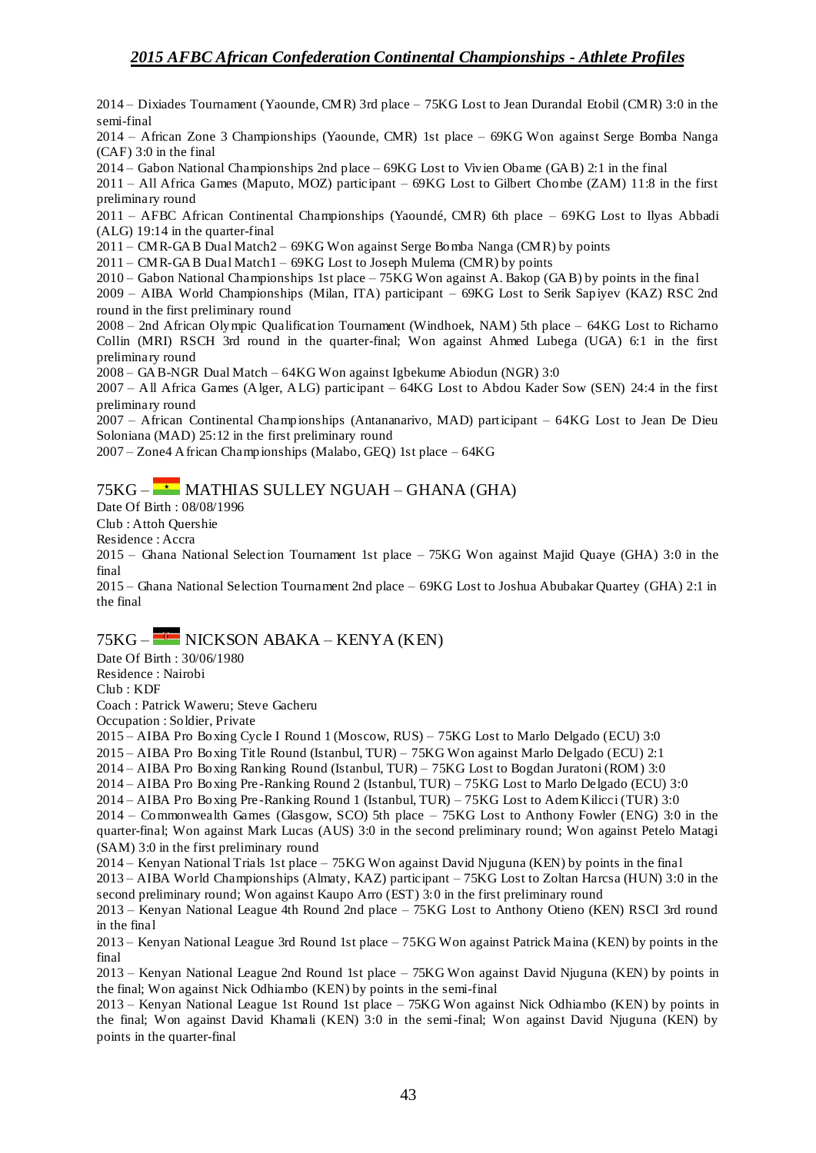2014 – Dixiades Tournament (Yaounde, CMR) 3rd place – 75KG Lost to Jean Durandal Etobil (CMR) 3:0 in the semi-final

2014 – African Zone 3 Championships (Yaounde, CMR) 1st place – 69KG Won against Serge Bomba Nanga (CAF) 3:0 in the final

2014 – Gabon National Championships 2nd place – 69KG Lost to Vivien Obame (GAB) 2:1 in the final

2011 – All Africa Games (Maputo, MOZ) participant – 69KG Lost to Gilbert Chombe (ZAM) 11:8 in the first preliminary round

2011 – AFBC African Continental Championships (Yaoundé, CMR) 6th place – 69KG Lost to Ilyas Abbadi (ALG) 19:14 in the quarter-final

2011 – CMR-GAB Dual Match2 – 69KG Won against Serge Bomba Nanga (CMR) by points

2011 – CMR-GAB Dual Match1 – 69KG Lost to Joseph Mulema (CMR) by points

2010 – Gabon National Championships 1st place – 75KG Won against A. Bakop (GAB) by points in the final

2009 – AIBA World Championships (Milan, ITA) participant – 69KG Lost to Serik Sapiyev (KAZ) RSC 2nd round in the first preliminary round

2008 – 2nd African Olympic Qualification Tournament (Windhoek, NAM) 5th place – 64KG Lost to Richarno Collin (MRI) RSCH 3rd round in the quarter-final; Won against Ahmed Lubega (UGA) 6:1 in the first preliminary round

2008 – GAB-NGR Dual Match – 64KG Won against Igbekume Abiodun (NGR) 3:0

2007 – All Africa Games (Alger, ALG) participant – 64KG Lost to Abdou Kader Sow (SEN) 24:4 in the first preliminary round

2007 – African Continental Championships (Antananarivo, MAD) participant – 64KG Lost to Jean De Dieu Soloniana (MAD) 25:12 in the first preliminary round

2007 – Zone4 African Championships (Malabo, GEQ) 1st place – 64KG

### 75KG –  $\star$  MATHIAS SULLEY NGUAH – GHANA (GHA)

Date Of Birth : 08/08/1996

Club : Attoh Quershie

Residence : Accra

2015 – Ghana National Selection Tournament 1st place – 75KG Won against Majid Quaye (GHA) 3:0 in the final

2015 – Ghana National Selection Tournament 2nd place – 69KG Lost to Joshua Abubakar Quartey (GHA) 2:1 in the final

## $75KG -$ NICKSON ABAKA – KENYA (KEN)

Date Of Birth : 30/06/1980 Residence : Nairobi Club : KDF

Coach : Patrick Waweru; Steve Gacheru

Occupation : Soldier, Private

2015 – AIBA Pro Boxing Cycle I Round 1 (Moscow, RUS) – 75KG Lost to Marlo Delgado (ECU) 3:0

2015 – AIBA Pro Boxing Title Round (Istanbul, TUR) – 75KG Won against Marlo Delgado (ECU) 2:1

2014 – AIBA Pro Boxing Ranking Round (Istanbul, TUR) – 75KG Lost to Bogdan Juratoni (ROM) 3:0

2014 – AIBA Pro Boxing Pre -Ranking Round 2 (Istanbul, TUR) – 75KG Lost to Marlo Delgado (ECU) 3:0

2014 – AIBA Pro Boxing Pre -Ranking Round 1 (Istanbul, TUR) – 75KG Lost to Adem Kilicci (TUR) 3:0 2014 – Commonwealth Games (Glasgow, SCO) 5th place – 75KG Lost to Anthony Fowler (ENG) 3:0 in the quarter-final; Won against Mark Lucas (AUS) 3:0 in the second preliminary round; Won against Petelo Matagi

(SAM) 3:0 in the first preliminary round

2014 – Kenyan National Trials 1st place – 75KG Won against David Njuguna (KEN) by points in the final

2013 – AIBA World Championships (Almaty, KAZ) participant – 75KG Lost to Zoltan Harcsa (HUN) 3:0 in the second preliminary round; Won against Kaupo Arro (EST) 3:0 in the first preliminary round

2013 – Kenyan National League 4th Round 2nd place – 75KG Lost to Anthony Otieno (KEN) RSCI 3rd round in the final

2013 – Kenyan National League 3rd Round 1st place – 75KG Won against Patrick Maina (KEN) by points in the final

2013 – Kenyan National League 2nd Round 1st place – 75KG Won against David Njuguna (KEN) by points in the final; Won against Nick Odhiambo (KEN) by points in the semi-final

2013 – Kenyan National League 1st Round 1st place – 75KG Won against Nick Odhiambo (KEN) by points in the final; Won against David Khamali (KEN) 3:0 in the semi-final; Won against David Njuguna (KEN) by points in the quarter-final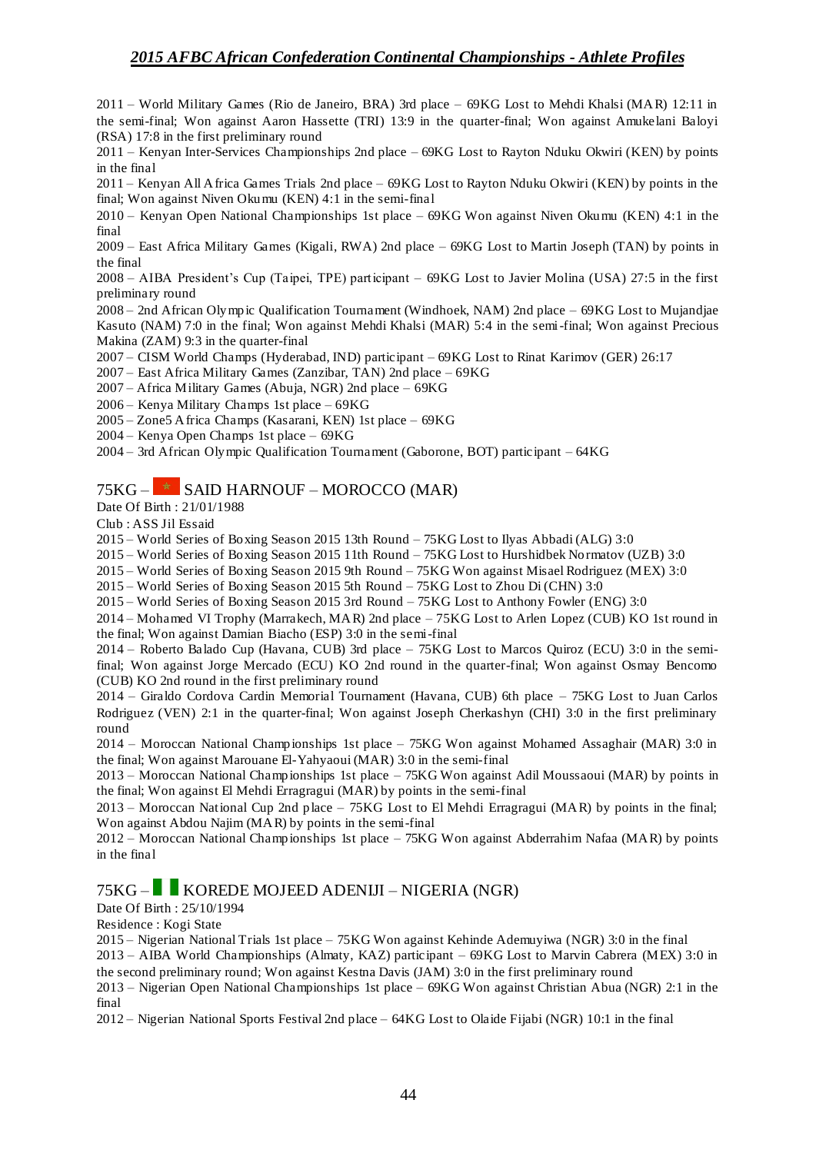2011 – World Military Games (Rio de Janeiro, BRA) 3rd place – 69KG Lost to Mehdi Khalsi (MAR) 12:11 in the semi-final; Won against Aaron Hassette (TRI) 13:9 in the quarter-final; Won against Amukelani Baloyi (RSA) 17:8 in the first preliminary round

2011 – Kenyan Inter-Services Championships 2nd place – 69KG Lost to Rayton Nduku Okwiri (KEN) by points in the final

2011 – Kenyan All Africa Games Trials 2nd place – 69KG Lost to Rayton Nduku Okwiri (KEN) by points in the final; Won against Niven Okumu (KEN) 4:1 in the semi-final

2010 – Kenyan Open National Championships 1st place – 69KG Won against Niven Okumu (KEN) 4:1 in the final

2009 – East Africa Military Games (Kigali, RWA) 2nd place – 69KG Lost to Martin Joseph (TAN) by points in the final

2008 – AIBA President's Cup (Taipei, TPE) participant – 69KG Lost to Javier Molina (USA) 27:5 in the first preliminary round

2008 – 2nd African Olympic Qualification Tournament (Windhoek, NAM) 2nd place – 69KG Lost to Mujandjae Kasuto (NAM) 7:0 in the final; Won against Mehdi Khalsi (MAR) 5:4 in the semi-final; Won against Precious Makina (ZAM) 9:3 in the quarter-final

2007 – CISM World Champs (Hyderabad, IND) participant – 69KG Lost to Rinat Karimov (GER) 26:17

2007 – East Africa Military Games (Zanzibar, TAN) 2nd place – 69KG

2007 – Africa Military Games (Abuja, NGR) 2nd place – 69KG

2006 – Kenya Military Champs 1st place – 69KG

2005 – Zone5 Africa Champs (Kasarani, KEN) 1st place – 69KG

2004 – Kenya Open Champs 1st place – 69KG

2004 – 3rd African Olympic Qualification Tournament (Gaborone, BOT) participant – 64KG

### $75KG -$  SAID HARNOUF – MOROCCO (MAR)

Date Of Birth : 21/01/1988

Club : ASS Jil Essaid

2015 – World Series of Boxing Season 2015 13th Round – 75KG Lost to Ilyas Abbadi (ALG) 3:0

2015 – World Series of Boxing Season 2015 11th Round – 75KG Lost to Hurshidbek Normatov (UZB) 3:0

2015 – World Series of Boxing Season 2015 9th Round – 75KG Won against Misael Rodriguez (MEX) 3:0

2015 – World Series of Boxing Season 2015 5th Round – 75KG Lost to Zhou Di (CHN) 3:0

2015 – World Series of Boxing Season 2015 3rd Round – 75KG Lost to Anthony Fowler (ENG) 3:0

2014 – Mohamed VI Trophy (Marrakech, MAR) 2nd place – 75KG Lost to Arlen Lopez (CUB) KO 1st round in the final; Won against Damian Biacho (ESP) 3:0 in the semi-final

2014 – Roberto Balado Cup (Havana, CUB) 3rd place – 75KG Lost to Marcos Quiroz (ECU) 3:0 in the semifinal; Won against Jorge Mercado (ECU) KO 2nd round in the quarter-final; Won against Osmay Bencomo (CUB) KO 2nd round in the first preliminary round

2014 – Giraldo Cordova Cardin Memorial Tournament (Havana, CUB) 6th place – 75KG Lost to Juan Carlos Rodriguez (VEN) 2:1 in the quarter-final; Won against Joseph Cherkashyn (CHI) 3:0 in the first preliminary round

2014 – Moroccan National Championships 1st place – 75KG Won against Mohamed Assaghair (MAR) 3:0 in the final; Won against Marouane El-Yahyaoui (MAR) 3:0 in the semi-final

2013 – Moroccan National Championships 1st place – 75KG Won against Adil Moussaoui (MAR) by points in the final; Won against El Mehdi Erragragui (MAR) by points in the semi-final

2013 – Moroccan National Cup 2nd place – 75KG Lost to El Mehdi Erragragui (MAR) by points in the final; Won against Abdou Najim (MAR) by points in the semi-final

2012 – Moroccan National Championships 1st place – 75KG Won against Abderrahim Nafaa (MAR) by points in the final

#### 75KG – KOREDE MOJEED ADENIJI – NIGERIA (NGR)

#### Date Of Birth : 25/10/1994

Residence : Kogi State

2015 – Nigerian National Trials 1st place – 75KG Won against Kehinde Ademuyiwa (NGR) 3:0 in the final

2013 – AIBA World Championships (Almaty, KAZ) participant – 69KG Lost to Marvin Cabrera (MEX) 3:0 in the second preliminary round; Won against Kestna Davis (JAM) 3:0 in the first preliminary round

2013 – Nigerian Open National Championships 1st place – 69KG Won against Christian Abua (NGR) 2:1 in the final

2012 – Nigerian National Sports Festival 2nd place – 64KG Lost to Olaide Fijabi (NGR) 10:1 in the final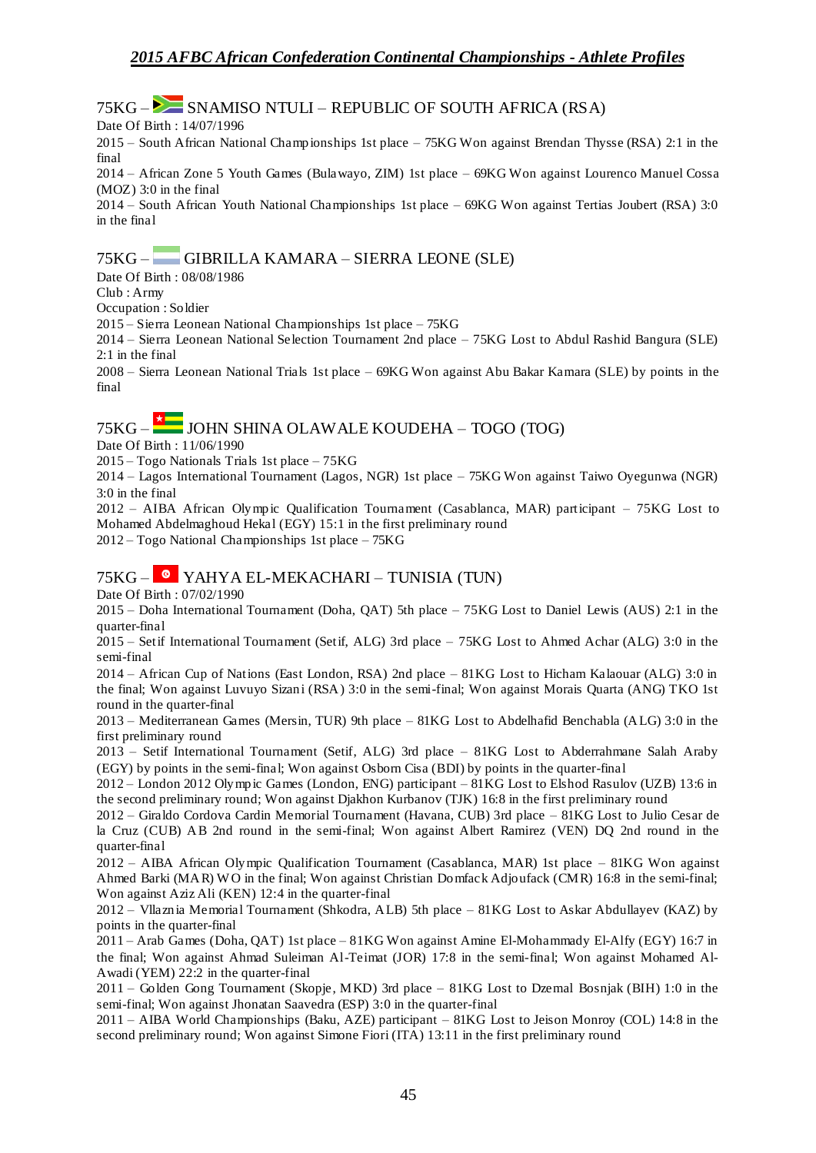### $75KG -$  SNAMISO NTULI – REPUBLIC OF SOUTH AFRICA (RSA)

Date Of Birth : 14/07/1996

2015 – South African National Championships 1st place – 75KG Won against Brendan Thysse (RSA) 2:1 in the final

2014 – African Zone 5 Youth Games (Bulawayo, ZIM) 1st place – 69KG Won against Lourenco Manuel Cossa (MOZ) 3:0 in the final

2014 – South African Youth National Championships 1st place – 69KG Won against Tertias Joubert (RSA) 3:0 in the final

### 75KG – GIBRILLA KAMARA – SIERRA LEONE (SLE)

Date Of Birth : 08/08/1986

Club : Army

Occupation : Soldier

2015 – Sierra Leonean National Championships 1st place – 75KG

2014 – Sierra Leonean National Selection Tournament 2nd place – 75KG Lost to Abdul Rashid Bangura (SLE) 2:1 in the final

2008 – Sierra Leonean National Trials 1st place – 69KG Won against Abu Bakar Kamara (SLE) by points in the final

# 75KG –  $\overline{X}$  JOHN SHINA OLAWALE KOUDEHA – TOGO (TOG)

Date Of Birth : 11/06/1990

2015 – Togo Nationals Trials 1st place – 75KG

2014 – Lagos International Tournament (Lagos, NGR) 1st place – 75KG Won against Taiwo Oyegunwa (NGR) 3:0 in the final

2012 – AIBA African Olympic Qualification Tournament (Casablanca, MAR) participant – 75KG Lost to Mohamed Abdelmaghoud Hekal (EGY) 15:1 in the first preliminary round

2012 – Togo National Championships 1st place – 75KG

### 75KG – YAHYA EL-MEKACHARI – TUNISIA (TUN)

Date Of Birth : 07/02/1990

2015 – Doha International Tournament (Doha, QAT) 5th place – 75KG Lost to Daniel Lewis (AUS) 2:1 in the quarter-final

2015 – Setif International Tournament (Setif, ALG) 3rd place – 75KG Lost to Ahmed Achar (ALG) 3:0 in the semi-final

2014 – African Cup of Nations (East London, RSA) 2nd place – 81KG Lost to Hicham Kalaouar (ALG) 3:0 in the final; Won against Luvuyo Sizani (RSA) 3:0 in the semi-final; Won against Morais Quarta (ANG) TKO 1st round in the quarter-final

2013 – Mediterranean Games (Mersin, TUR) 9th place – 81KG Lost to Abdelhafid Benchabla (ALG) 3:0 in the first preliminary round

2013 – Setif International Tournament (Setif, ALG) 3rd place – 81KG Lost to Abderrahmane Salah Araby (EGY) by points in the semi-final; Won against Osborn Cisa (BDI) by points in the quarter-final

2012 – London 2012 Olympic Games (London, ENG) participant – 81KG Lost to Elshod Rasulov (UZB) 13:6 in the second preliminary round; Won against Djakhon Kurbanov (TJK) 16:8 in the first preliminary round

2012 – Giraldo Cordova Cardin Memorial Tournament (Havana, CUB) 3rd place – 81KG Lost to Julio Cesar de la Cruz (CUB) AB 2nd round in the semi-final; Won against Albert Ramirez (VEN) DQ 2nd round in the quarter-final

2012 – AIBA African Olympic Qualification Tournament (Casablanca, MAR) 1st place – 81KG Won against Ahmed Barki (MAR) W O in the final; Won against Christian Domfack Adjoufack (CMR) 16:8 in the semi-final; Won against Aziz Ali (KEN) 12:4 in the quarter-final

2012 – Vllaznia Memorial Tournament (Shkodra, ALB) 5th place – 81KG Lost to Askar Abdullayev (KAZ) by points in the quarter-final

2011 – Arab Games (Doha, QAT) 1st place – 81KG Won against Amine El-Mohammady El-Alfy (EGY) 16:7 in the final; Won against Ahmad Suleiman Al-Teimat (JOR) 17:8 in the semi-final; Won against Mohamed Al-Awadi (YEM) 22:2 in the quarter-final

2011 – Golden Gong Tournament (Skopje, MKD) 3rd place – 81KG Lost to Dzemal Bosnjak (BIH) 1:0 in the semi-final; Won against Jhonatan Saavedra (ESP) 3:0 in the quarter-final

2011 – AIBA World Championships (Baku, AZE) participant – 81KG Lost to Jeison Monroy (COL) 14:8 in the second preliminary round; Won against Simone Fiori (ITA) 13:11 in the first preliminary round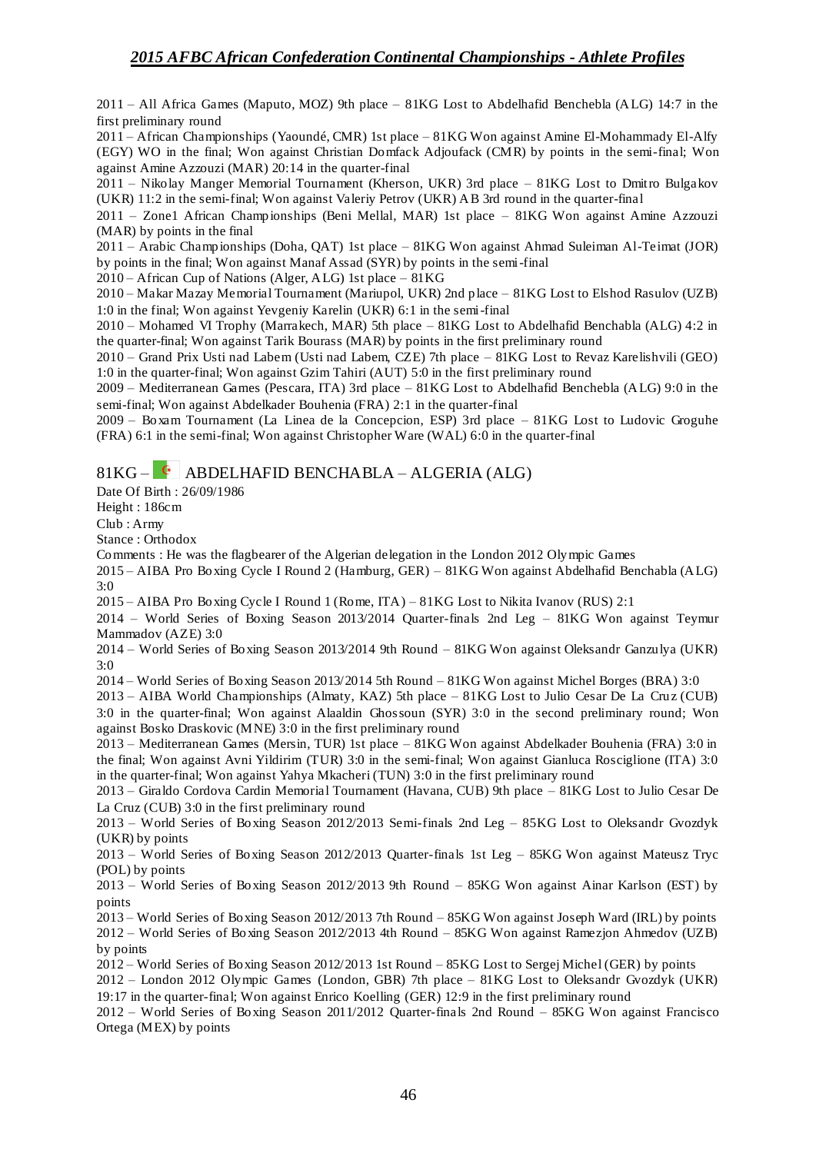2011 – All Africa Games (Maputo, MOZ) 9th place – 81KG Lost to Abdelhafid Benchebla (ALG) 14:7 in the first preliminary round

2011 – African Championships (Yaoundé, CMR) 1st place – 81KG Won against Amine El-Mohammady El-Alfy (EGY) WO in the final; Won against Christian Domfack Adjoufack (CMR) by points in the semi-final; Won against Amine Azzouzi (MAR) 20:14 in the quarter-final

2011 – Nikolay Manger Memorial Tournament (Kherson, UKR) 3rd place – 81KG Lost to Dmitro Bulgakov (UKR) 11:2 in the semi-final; Won against Valeriy Petrov (UKR) AB 3rd round in the quarter-final

2011 – Zone1 African Championships (Beni Mellal, MAR) 1st place – 81KG Won against Amine Azzouzi (MAR) by points in the final

2011 – Arabic Championships (Doha, QAT) 1st place – 81KG Won against Ahmad Suleiman Al-Teimat (JOR) by points in the final; Won against Manaf Assad (SYR) by points in the semi-final

2010 – African Cup of Nations (Alger, ALG) 1st place – 81KG

2010 – Makar Mazay Memorial Tournament (Mariupol, UKR) 2nd place – 81KG Lost to Elshod Rasulov (UZB) 1:0 in the final; Won against Yevgeniy Karelin (UKR) 6:1 in the semi-final

2010 – Mohamed VI Trophy (Marrakech, MAR) 5th place – 81KG Lost to Abdelhafid Benchabla (ALG) 4:2 in the quarter-final; Won against Tarik Bourass (MAR) by points in the first preliminary round

2010 – Grand Prix Usti nad Labem (Usti nad Labem, CZE) 7th place – 81KG Lost to Revaz Karelishvili (GEO) 1:0 in the quarter-final; Won against Gzim Tahiri (AUT) 5:0 in the first preliminary round

2009 – Mediterranean Games (Pescara, ITA) 3rd place – 81KG Lost to Abdelhafid Benchebla (ALG) 9:0 in the semi-final; Won against Abdelkader Bouhenia (FRA) 2:1 in the quarter-final

2009 – Boxam Tournament (La Linea de la Concepcion, ESP) 3rd place – 81KG Lost to Ludovic Groguhe (FRA) 6:1 in the semi-final; Won against Christopher Ware (WAL) 6:0 in the quarter-final

 $81KG - <sup>•</sup>$  ABDELHAFID BENCHABLA – ALGERIA (ALG)

Date Of Birth : 26/09/1986

Height : 186cm

Club : Army

Stance : Orthodox

Comments : He was the flagbearer of the Algerian delegation in the London 2012 Olympic Games

2015 – AIBA Pro Boxing Cycle I Round 2 (Hamburg, GER) – 81KG Won against Abdelhafid Benchabla (ALG) 3:0

2015 – AIBA Pro Boxing Cycle I Round 1 (Rome, ITA) – 81KG Lost to Nikita Ivanov (RUS) 2:1

2014 – World Series of Boxing Season 2013/2014 Quarter-finals 2nd Leg – 81KG Won against Teymur Mammadov (AZE) 3:0

2014 – World Series of Boxing Season 2013/2014 9th Round – 81KG Won against Oleksandr Ganzulya (UKR) 3:0

2014 – World Series of Boxing Season 2013/2014 5th Round – 81KG Won against Michel Borges (BRA) 3:0

2013 – AIBA World Championships (Almaty, KAZ) 5th place – 81KG Lost to Julio Cesar De La Cruz (CUB) 3:0 in the quarter-final; Won against Alaaldin Ghossoun (SYR) 3:0 in the second preliminary round; Won against Bosko Draskovic (MNE) 3:0 in the first preliminary round

2013 – Mediterranean Games (Mersin, TUR) 1st place – 81KG Won against Abdelkader Bouhenia (FRA) 3:0 in the final; Won against Avni Yildirim (TUR) 3:0 in the semi-final; Won against Gianluca Rosciglione (ITA) 3:0 in the quarter-final; Won against Yahya Mkacheri (TUN) 3:0 in the first preliminary round

2013 – Giraldo Cordova Cardin Memorial Tournament (Havana, CUB) 9th place – 81KG Lost to Julio Cesar De La Cruz (CUB) 3:0 in the first preliminary round

2013 – World Series of Boxing Season 2012/2013 Semi-finals 2nd Leg – 85KG Lost to Oleksandr Gvozdyk (UKR) by points

2013 – World Series of Boxing Season 2012/2013 Quarter-finals 1st Leg – 85KG Won against Mateusz Tryc (POL) by points

2013 – World Series of Boxing Season 2012/2013 9th Round – 85KG Won against Ainar Karlson (EST) by points

2013 – World Series of Boxing Season 2012/2013 7th Round – 85KG Won against Joseph Ward (IRL) by points 2012 – World Series of Boxing Season 2012/2013 4th Round – 85KG Won against Ramezjon Ahmedov (UZB) by points

2012 – World Series of Boxing Season 2012/2013 1st Round – 85KG Lost to Sergej Michel (GER) by points

2012 – London 2012 Olympic Games (London, GBR) 7th place – 81KG Lost to Oleksandr Gvozdyk (UKR) 19:17 in the quarter-final; Won against Enrico Koelling (GER) 12:9 in the first preliminary round

2012 – World Series of Boxing Season 2011/2012 Quarter-finals 2nd Round – 85KG Won against Francisco Ortega (MEX) by points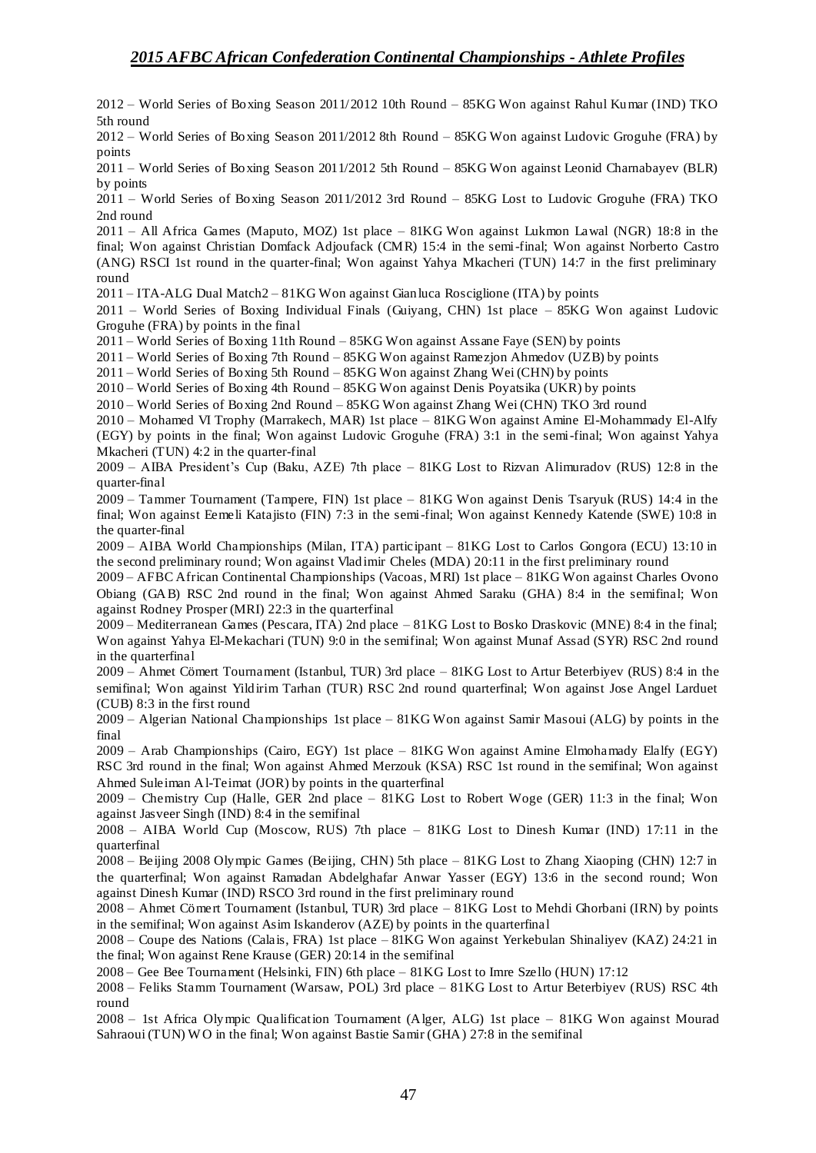2012 – World Series of Boxing Season 2011/2012 10th Round – 85KG Won against Rahul Kumar (IND) TKO 5th round

2012 – World Series of Boxing Season 2011/2012 8th Round – 85KG Won against Ludovic Groguhe (FRA) by points

2011 – World Series of Boxing Season 2011/2012 5th Round – 85KG Won against Leonid Charnabayev (BLR) by points

2011 – World Series of Boxing Season 2011/2012 3rd Round – 85KG Lost to Ludovic Groguhe (FRA) TKO 2nd round

2011 – All Africa Games (Maputo, MOZ) 1st place – 81KG Won against Lukmon Lawal (NGR) 18:8 in the final; Won against Christian Domfack Adjoufack (CMR) 15:4 in the semi-final; Won against Norberto Castro (ANG) RSCI 1st round in the quarter-final; Won against Yahya Mkacheri (TUN) 14:7 in the first preliminary round

2011 – ITA-ALG Dual Match2 – 81KG Won against Gianluca Rosciglione (ITA) by points

2011 – World Series of Boxing Individual Finals (Guiyang, CHN) 1st place – 85KG Won against Ludovic Groguhe (FRA) by points in the final

2011 – World Series of Boxing 11th Round – 85KG Won against Assane Faye (SEN) by points

2011 – World Series of Boxing 7th Round – 85KG Won against Ramezjon Ahmedov (UZB) by points

2011 – World Series of Boxing 5th Round – 85KG Won against Zhang Wei (CHN) by points

2010 – World Series of Boxing 4th Round – 85KG Won against Denis Poyatsika (UKR) by points

2010 – World Series of Boxing 2nd Round – 85KG Won against Zhang Wei (CHN) TKO 3rd round

2010 – Mohamed VI Trophy (Marrakech, MAR) 1st place – 81KG Won against Amine El-Mohammady El-Alfy (EGY) by points in the final; Won against Ludovic Groguhe (FRA) 3:1 in the semi-final; Won against Yahya Mkacheri (TUN) 4:2 in the quarter-final

2009 – AIBA President's Cup (Baku, AZE) 7th place – 81KG Lost to Rizvan Alimuradov (RUS) 12:8 in the quarter-final

2009 – Tammer Tournament (Tampere, FIN) 1st place – 81KG Won against Denis Tsaryuk (RUS) 14:4 in the final; Won against Eemeli Katajisto (FIN) 7:3 in the semi-final; Won against Kennedy Katende (SWE) 10:8 in the quarter-final

2009 – AIBA World Championships (Milan, ITA) participant – 81KG Lost to Carlos Gongora (ECU) 13:10 in the second preliminary round; Won against Vladimir Cheles (MDA) 20:11 in the first preliminary round

2009 – AFBC African Continental Championships (Vacoas, MRI) 1st place – 81KG Won against Charles Ovono Obiang (GAB) RSC 2nd round in the final; Won against Ahmed Saraku (GHA) 8:4 in the semifinal; Won against Rodney Prosper (MRI) 22:3 in the quarterfinal

2009 – Mediterranean Games (Pescara, ITA) 2nd place – 81KG Lost to Bosko Draskovic (MNE) 8:4 in the final; Won against Yahya El-Mekachari (TUN) 9:0 in the semifinal; Won against Munaf Assad (SYR) RSC 2nd round in the quarterfinal

2009 – Ahmet Cömert Tournament (Istanbul, TUR) 3rd place – 81KG Lost to Artur Beterbiyev (RUS) 8:4 in the semifinal; Won against Yildirim Tarhan (TUR) RSC 2nd round quarterfinal; Won against Jose Angel Larduet (CUB) 8:3 in the first round

2009 – Algerian National Championships 1st place – 81KG Won against Samir Masoui (ALG) by points in the final

2009 – Arab Championships (Cairo, EGY) 1st place – 81KG Won against Amine Elmohamady Elalfy (EGY) RSC 3rd round in the final; Won against Ahmed Merzouk (KSA) RSC 1st round in the semifinal; Won against Ahmed Suleiman Al-Teimat (JOR) by points in the quarterfinal

2009 – Chemistry Cup (Halle, GER 2nd place – 81KG Lost to Robert Woge (GER) 11:3 in the final; Won against Jasveer Singh (IND) 8:4 in the semifinal

2008 – AIBA World Cup (Moscow, RUS) 7th place – 81KG Lost to Dinesh Kumar (IND) 17:11 in the quarterfinal

2008 – Beijing 2008 Olympic Games (Beijing, CHN) 5th place – 81KG Lost to Zhang Xiaoping (CHN) 12:7 in the quarterfinal; Won against Ramadan Abdelghafar Anwar Yasser (EGY) 13:6 in the second round; Won against Dinesh Kumar (IND) RSCO 3rd round in the first preliminary round

2008 – Ahmet Cömert Tournament (Istanbul, TUR) 3rd place – 81KG Lost to Mehdi Ghorbani (IRN) by points in the semifinal; Won against Asim Iskanderov (AZE) by points in the quarterfinal

2008 – Coupe des Nations (Calais, FRA) 1st place – 81KG Won against Yerkebulan Shinaliyev (KAZ) 24:21 in the final; Won against Rene Krause (GER) 20:14 in the semifinal

2008 – Gee Bee Tournament (Helsinki, FIN) 6th place – 81KG Lost to Imre Szello (HUN) 17:12

2008 – Feliks Stamm Tournament (Warsaw, POL) 3rd place – 81KG Lost to Artur Beterbiyev (RUS) RSC 4th round

2008 – 1st Africa Olympic Qualification Tournament (Alger, ALG) 1st place – 81KG Won against Mourad Sahraoui (TUN) W O in the final; Won against Bastie Samir (GHA) 27:8 in the semifinal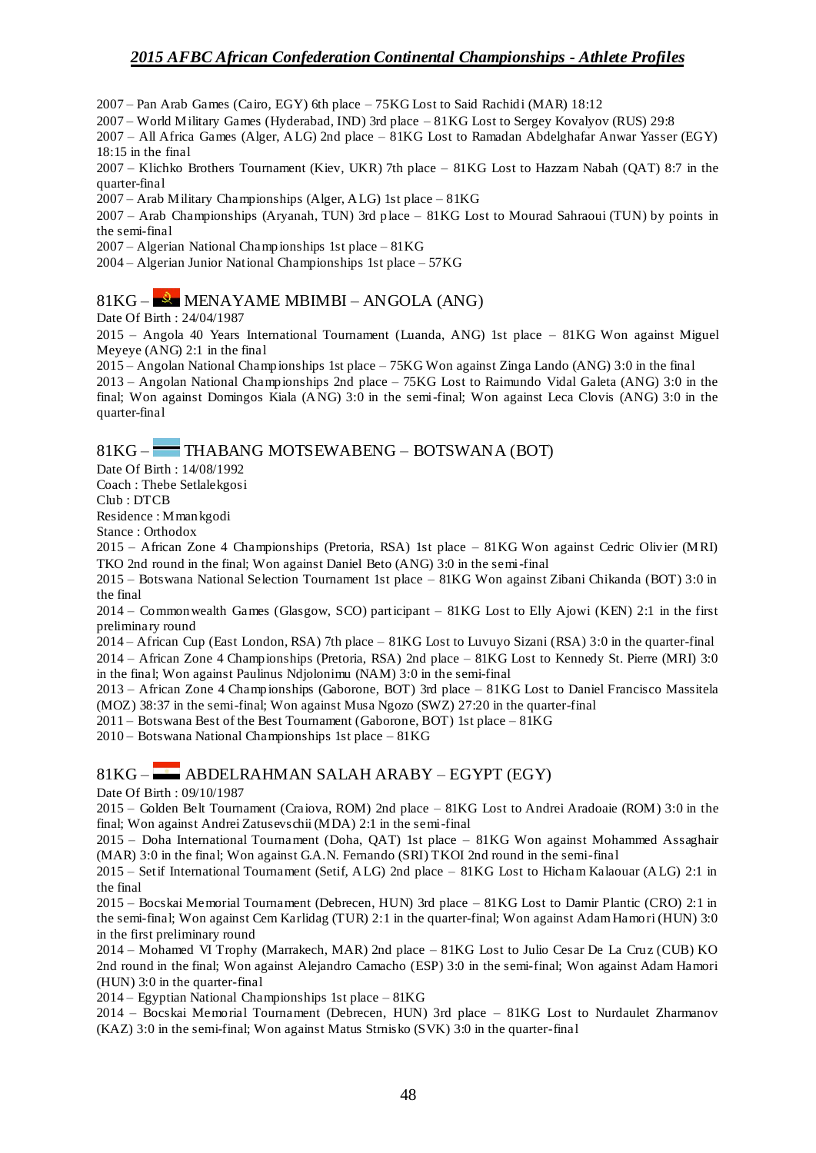2007 – Pan Arab Games (Cairo, EGY) 6th place – 75KG Lost to Said Rachidi (MAR) 18:12

2007 – World Military Games (Hyderabad, IND) 3rd place – 81KG Lost to Sergey Kovalyov (RUS) 29:8

2007 – All Africa Games (Alger, ALG) 2nd place – 81KG Lost to Ramadan Abdelghafar Anwar Yasser (EGY) 18:15 in the final

2007 – Klichko Brothers Tournament (Kiev, UKR) 7th place – 81KG Lost to Hazzam Nabah (QAT) 8:7 in the quarter-final

2007 – Arab Military Championships (Alger, ALG) 1st place – 81KG

2007 – Arab Championships (Aryanah, TUN) 3rd place – 81KG Lost to Mourad Sahraoui (TUN) by points in the semi-final

2007 – Algerian National Championships 1st place – 81KG

2004 – Algerian Junior National Championships 1st place – 57KG

### $81KG - R$  MENAYAME MBIMBI – ANGOLA (ANG)

Date Of Birth : 24/04/1987

2015 – Angola 40 Years International Tournament (Luanda, ANG) 1st place – 81KG Won against Miguel Meyeye (ANG) 2:1 in the final

2015 – Angolan National Championships 1st place – 75KG Won against Zinga Lando (ANG) 3:0 in the final

2013 – Angolan National Championships 2nd place – 75KG Lost to Raimundo Vidal Galeta (ANG) 3:0 in the final; Won against Domingos Kiala (ANG) 3:0 in the semi-final; Won against Leca Clovis (ANG) 3:0 in the quarter-final

### 81KG – THABANG MOTSEWABENG – BOTSWANA (BOT)

Date Of Birth : 14/08/1992

Coach : Thebe Setlalekgosi

Club : DTCB

Residence : Mmankgodi Stance : Orthodox

2015 – African Zone 4 Championships (Pretoria, RSA) 1st place – 81KG Won against Cedric Olivier (MRI) TKO 2nd round in the final; Won against Daniel Beto (ANG) 3:0 in the semi-final

2015 – Botswana National Selection Tournament 1st place – 81KG Won against Zibani Chikanda (BOT) 3:0 in the final

2014 – Commonwealth Games (Glasgow, SCO) participant – 81KG Lost to Elly Ajowi (KEN) 2:1 in the first preliminary round

2014 – African Cup (East London, RSA) 7th place – 81KG Lost to Luvuyo Sizani (RSA) 3:0 in the quarter-final 2014 – African Zone 4 Championships (Pretoria, RSA) 2nd place – 81KG Lost to Kennedy St. Pierre (MRI) 3:0 in the final; Won against Paulinus Ndjolonimu (NAM) 3:0 in the semi-final

2013 – African Zone 4 Championships (Gaborone, BOT) 3rd place – 81KG Lost to Daniel Francisco Massitela (MOZ) 38:37 in the semi-final; Won against Musa Ngozo (SWZ) 27:20 in the quarter-final

2011 – Botswana Best of the Best Tournament (Gaborone, BOT) 1st place – 81KG

2010 – Botswana National Championships 1st place – 81KG

#### 81KG – ABDELRAHMAN SALAH ARABY – EGYPT (EGY)

Date Of Birth : 09/10/1987

2015 – Golden Belt Tournament (Craiova, ROM) 2nd place – 81KG Lost to Andrei Aradoaie (ROM) 3:0 in the final; Won against Andrei Zatusevschii (MDA) 2:1 in the semi-final

2015 – Doha International Tournament (Doha, QAT) 1st place – 81KG Won against Mohammed Assaghair (MAR) 3:0 in the final; Won against G.A.N. Fernando (SRI) TKOI 2nd round in the semi-final

2015 – Setif International Tournament (Setif, ALG) 2nd place – 81KG Lost to Hicham Kalaouar (ALG) 2:1 in the final

2015 – Bocskai Memorial Tournament (Debrecen, HUN) 3rd place – 81KG Lost to Damir Plantic (CRO) 2:1 in the semi-final; Won against Cem Karlidag (TUR) 2:1 in the quarter-final; Won against Adam Hamori (HUN) 3:0 in the first preliminary round

2014 – Mohamed VI Trophy (Marrakech, MAR) 2nd place – 81KG Lost to Julio Cesar De La Cruz (CUB) KO 2nd round in the final; Won against Alejandro Camacho (ESP) 3:0 in the semi-final; Won against Adam Hamori (HUN) 3:0 in the quarter-final

2014 – Egyptian National Championships 1st place – 81KG

2014 – Bocskai Memorial Tournament (Debrecen, HUN) 3rd place – 81KG Lost to Nurdaulet Zharmanov (KAZ) 3:0 in the semi-final; Won against Matus Strnisko (SVK) 3:0 in the quarter-final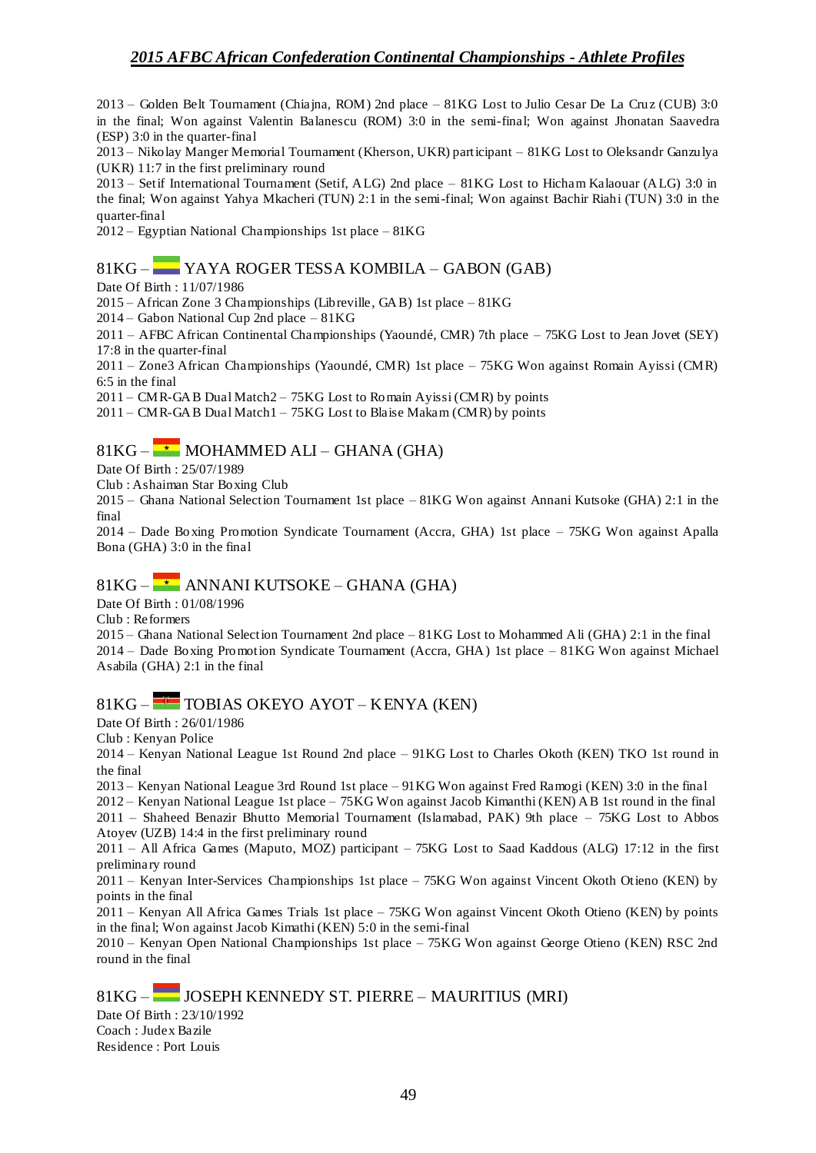2013 – Golden Belt Tournament (Chiajna, ROM) 2nd place – 81KG Lost to Julio Cesar De La Cruz (CUB) 3:0 in the final; Won against Valentin Balanescu (ROM) 3:0 in the semi-final; Won against Jhonatan Saavedra (ESP) 3:0 in the quarter-final

2013 – Nikolay Manger Memorial Tournament (Kherson, UKR) participant – 81KG Lost to Oleksandr Ganzulya (UKR) 11:7 in the first preliminary round

2013 – Setif International Tournament (Setif, ALG) 2nd place – 81KG Lost to Hicham Kalaouar (ALG) 3:0 in the final; Won against Yahya Mkacheri (TUN) 2:1 in the semi-final; Won against Bachir Riahi (TUN) 3:0 in the quarter-final

2012 – Egyptian National Championships 1st place – 81KG

### 81KG – YAYA ROGER TESSA KOMBILA – GABON (GAB)

Date Of Birth : 11/07/1986

2015 – African Zone 3 Championships (Libreville, GAB) 1st place – 81KG

2014 – Gabon National Cup 2nd place – 81KG

2011 – AFBC African Continental Championships (Yaoundé, CMR) 7th place – 75KG Lost to Jean Jovet (SEY) 17:8 in the quarter-final

2011 – Zone3 African Championships (Yaoundé, CMR) 1st place – 75KG Won against Romain Ayissi (CMR) 6:5 in the final

2011 – CMR-GAB Dual Match2 – 75KG Lost to Romain Ayissi (CMR) by points

 $2011 - \text{CMR-GAB Dual Match1} - 75 \text{KG}$  Lost to Blaise Makam (CMR) by points

## $81KG -$  MOHAMMED ALI – GHANA (GHA)

Date Of Birth : 25/07/1989

Club : Ashaiman Star Boxing Club

2015 – Ghana National Selection Tournament 1st place – 81KG Won against Annani Kutsoke (GHA) 2:1 in the final

2014 – Dade Bo xing Promotion Syndicate Tournament (Accra, GHA) 1st place – 75KG Won against Apalla Bona (GHA) 3:0 in the final

### $81KG \rightarrow$  ANNANI KUTSOKE – GHANA (GHA)

Date Of Birth : 01/08/1996

Club : Reformers

2015 – Ghana National Selection Tournament 2nd place – 81KG Lost to Mohammed Ali (GHA) 2:1 in the final 2014 – Dade Boxing Promotion Syndicate Tournament (Accra, GHA) 1st place – 81KG Won against Michael Asabila (GHA) 2:1 in the final

## 81KG – TOBIAS OKEYO AYOT – KENYA (KEN)

Date Of Birth : 26/01/1986

Club : Kenyan Police

2014 – Kenyan National League 1st Round 2nd place – 91KG Lost to Charles Okoth (KEN) TKO 1st round in the final

2013 – Kenyan National League 3rd Round 1st place – 91KG Won against Fred Ramogi (KEN) 3:0 in the final

2012 – Kenyan National League 1st place – 75KG Won against Jacob Kimanthi (KEN) AB 1st round in the final

2011 – Shaheed Benazir Bhutto Memorial Tournament (Islamabad, PAK) 9th place – 75KG Lost to Abbos Atoyev (UZB) 14:4 in the first preliminary round

2011 – All Africa Games (Maputo, MOZ) participant – 75KG Lost to Saad Kaddous (ALG) 17:12 in the first preliminary round

2011 – Kenyan Inter-Services Championships 1st place – 75KG Won against Vincent Okoth Otieno (KEN) by points in the final

2011 – Kenyan All Africa Games Trials 1st place – 75KG Won against Vincent Okoth Otieno (KEN) by points in the final; Won against Jacob Kimathi (KEN) 5:0 in the semi-final

2010 – Kenyan Open National Championships 1st place – 75KG Won against George Otieno (KEN) RSC 2nd round in the final

81KG – JOSEPH KENNEDY ST. PIERRE – MAURITIUS (MRI)

Date Of Birth : 23/10/1992 Coach : Judex Bazile Residence : Port Louis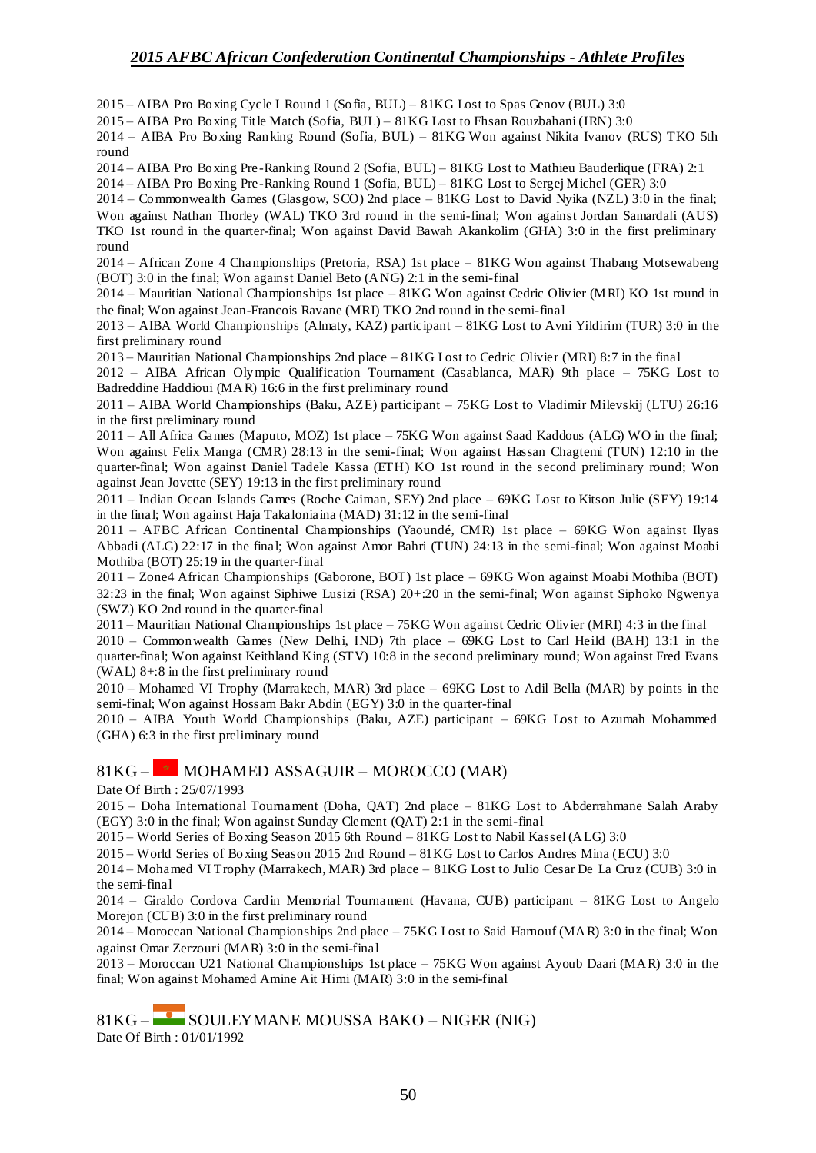2015 – AIBA Pro Boxing Cycle I Round 1 (Sofia, BUL) – 81KG Lost to Spas Genov (BUL) 3:0

2015 – AIBA Pro Boxing Title Match (Sofia, BUL) – 81KG Lost to Ehsan Rouzbahani (IRN) 3:0

2014 – AIBA Pro Boxing Ranking Round (Sofia, BUL) – 81KG Won against Nikita Ivanov (RUS) TKO 5th round

2014 – AIBA Pro Boxing Pre -Ranking Round 2 (Sofia, BUL) – 81KG Lost to Mathieu Bauderlique (FRA) 2:1

2014 – AIBA Pro Boxing Pre-Ranking Round 1 (Sofia, BUL) – 81KG Lost to Sergej Michel (GER) 3:0

2014 – Commonwealth Games (Glasgow, SCO) 2nd place – 81KG Lost to David Nyika (NZL) 3:0 in the final; Won against Nathan Thorley (WAL) TKO 3rd round in the semi-final; Won against Jordan Samardali (AUS) TKO 1st round in the quarter-final; Won against David Bawah Akankolim (GHA) 3:0 in the first preliminary round

2014 – African Zone 4 Championships (Pretoria, RSA) 1st place – 81KG Won against Thabang Motsewabeng (BOT) 3:0 in the final; Won against Daniel Beto (ANG) 2:1 in the semi-final

2014 – Mauritian National Championships 1st place – 81KG Won against Cedric Olivier (MRI) KO 1st round in the final; Won against Jean-Francois Ravane (MRI) TKO 2nd round in the semi-final

2013 – AIBA World Championships (Almaty, KAZ) participant – 81KG Lost to Avni Yildirim (TUR) 3:0 in the first preliminary round

2013 – Mauritian National Championships 2nd place – 81KG Lost to Cedric Olivier (MRI) 8:7 in the final

2012 – AIBA African Olympic Qualification Tournament (Casablanca, MAR) 9th place – 75KG Lost to Badreddine Haddioui (MAR) 16:6 in the first preliminary round

2011 – AIBA World Championships (Baku, AZE) participant – 75KG Lost to Vladimir Milevskij (LTU) 26:16 in the first preliminary round

2011 – All Africa Games (Maputo, MOZ) 1st place – 75KG Won against Saad Kaddous (ALG) WO in the final; Won against Felix Manga (CMR) 28:13 in the semi-final; Won against Hassan Chagtemi (TUN) 12:10 in the quarter-final; Won against Daniel Tadele Kassa (ETH) KO 1st round in the second preliminary round; Won against Jean Jovette (SEY) 19:13 in the first preliminary round

2011 – Indian Ocean Islands Games (Roche Caiman, SEY) 2nd place – 69KG Lost to Kitson Julie (SEY) 19:14 in the final; Won against Haja Takaloniaina (MAD) 31:12 in the semi-final

2011 – AFBC African Continental Championships (Yaoundé, CMR) 1st place – 69KG Won against Ilyas Abbadi (ALG) 22:17 in the final; Won against Amor Bahri (TUN) 24:13 in the semi-final; Won against Moabi Mothiba (BOT) 25:19 in the quarter-final

2011 – Zone4 African Championships (Gaborone, BOT) 1st place – 69KG Won against Moabi Mothiba (BOT) 32:23 in the final; Won against Siphiwe Lusizi (RSA) 20+:20 in the semi-final; Won against Siphoko Ngwenya (SWZ) KO 2nd round in the quarter-final

2011 – Mauritian National Championships 1st place – 75KG Won against Cedric Olivier (MRI) 4:3 in the final

2010 – Commonwealth Games (New Delhi, IND) 7th place – 69KG Lost to Carl Heild (BAH) 13:1 in the quarter-final; Won against Keithland King (STV) 10:8 in the second preliminary round; Won against Fred Evans (WAL) 8+:8 in the first preliminary round

2010 – Mohamed VI Trophy (Marrakech, MAR) 3rd place – 69KG Lost to Adil Bella (MAR) by points in the semi-final; Won against Hossam Bakr Abdin (EGY) 3:0 in the quarter-final

2010 – AIBA Youth World Championships (Baku, AZE) participant – 69KG Lost to Azumah Mohammed (GHA) 6:3 in the first preliminary round

### $81KG - \rightarrow MOHAMED ASSAGUIR - MOROCCO (MAR)$

Date Of Birth : 25/07/1993

2015 – Doha International Tournament (Doha, QAT) 2nd place – 81KG Lost to Abderrahmane Salah Araby (EGY) 3:0 in the final; Won against Sunday Clement (QAT) 2:1 in the semi-final

2015 – World Series of Boxing Season 2015 6th Round – 81KG Lost to Nabil Kassel (ALG) 3:0

2015 – World Series of Boxing Season 2015 2nd Round – 81KG Lost to Carlos Andres Mina (ECU) 3:0

2014 – Mohamed VI Trophy (Marrakech, MAR) 3rd place – 81KG Lost to Julio Cesar De La Cruz (CUB) 3:0 in the semi-final

2014 – Giraldo Cordova Cardin Memorial Tournament (Havana, CUB) participant – 81KG Lost to Angelo Morejon (CUB) 3:0 in the first preliminary round

2014 – Moroccan National Championships 2nd place – 75KG Lost to Said Harnouf (MAR) 3:0 in the final; Won against Omar Zerzouri (MAR) 3:0 in the semi-final

2013 – Moroccan U21 National Championships 1st place – 75KG Won against Ayoub Daari (MAR) 3:0 in the final; Won against Mohamed Amine Ait Himi (MAR) 3:0 in the semi-final

81KG – SOULEYMANE MOUSSA BAKO – NIGER (NIG) Date Of Birth : 01/01/1992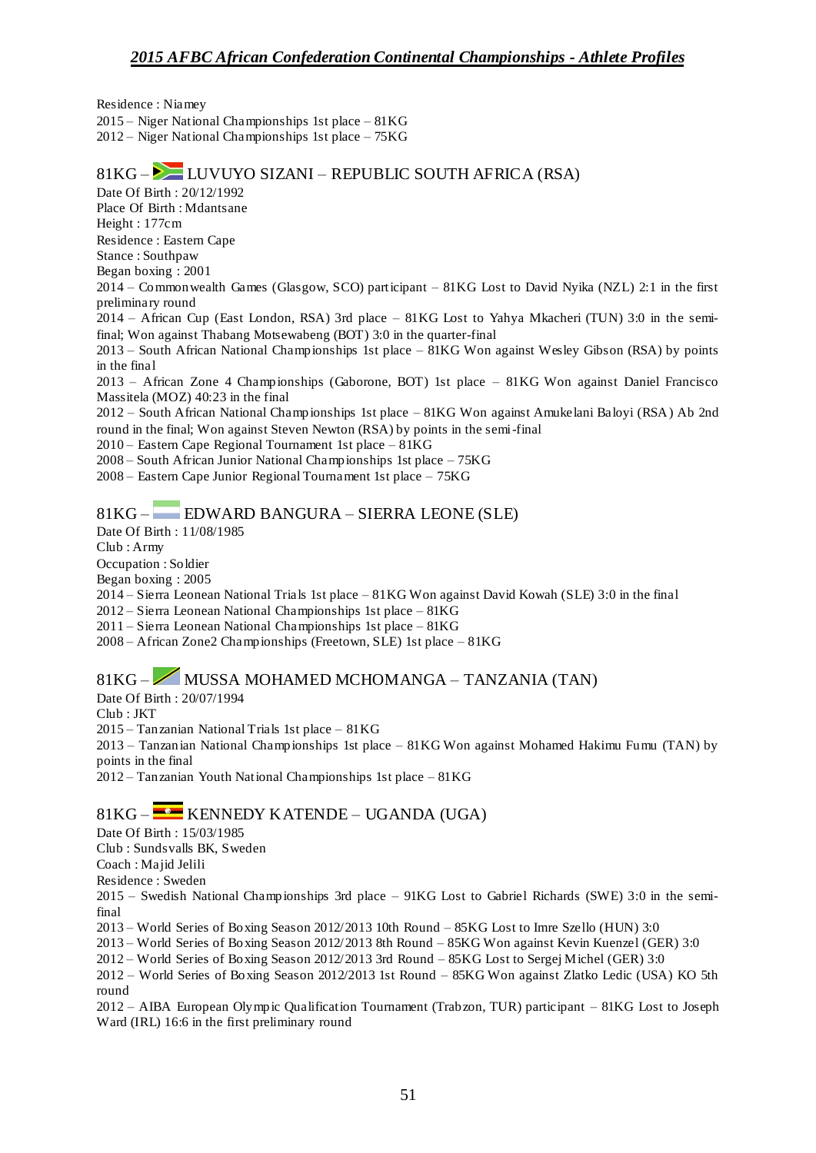Residence : Niamey 2015 – Niger National Championships 1st place – 81KG 2012 – Niger National Championships 1st place – 75KG

#### 81KG – LUVUYO SIZANI – REPUBLIC SOUTH AFRICA (RSA) Date Of Birth : 20/12/1992 Place Of Birth : Mdantsane Height : 177cm Residence : Eastern Cape Stance : Southpaw Began boxing : 2001 2014 – Commonwealth Games (Glasgow, SCO) participant – 81KG Lost to David Nyika (NZL) 2:1 in the first preliminary round 2014 – African Cup (East London, RSA) 3rd place – 81KG Lost to Yahya Mkacheri (TUN) 3:0 in the semifinal; Won against Thabang Motsewabeng (BOT) 3:0 in the quarter-final 2013 – South African National Championships 1st place – 81KG Won against Wesley Gibson (RSA) by points in the final 2013 – African Zone 4 Championships (Gaborone, BOT) 1st place – 81KG Won against Daniel Francisco Massitela (MOZ) 40:23 in the final 2012 – South African National Championships 1st place – 81KG Won against Amukelani Baloyi (RSA) Ab 2nd round in the final; Won against Steven Newton (RSA) by points in the semi-final 2010 – Eastern Cape Regional Tournament 1st place – 81KG 2008 – South African Junior National Championships 1st place – 75KG 2008 – Eastern Cape Junior Regional Tournament 1st place – 75KG 81KG – EDWARD BANGURA – SIERRA LEONE (SLE) Date Of Birth : 11/08/1985 Club : Army Occupation : Soldier Began boxing : 2005 2014 – Sierra Leonean National Trials 1st place – 81KG Won against David Kowah (SLE) 3:0 in the final 2012 – Sierra Leonean National Championships 1st place – 81KG 2011 – Sierra Leonean National Championships 1st place – 81KG 2008 – African Zone2 Championships (Freetown, SLE) 1st place – 81KG

# 81KG – MUSSA MOHAMED MCHOMANGA – TANZANIA (TAN)

Date Of Birth : 20/07/1994

Club : JKT

2015 – Tanzanian National Trials 1st place – 81KG

2013 – Tanzanian National Championships 1st place – 81KG Won against Mohamed Hakimu Fumu (TAN) by points in the final

2012 – Tanzanian Youth National Championships 1st place – 81KG

### $81KG -$ KENNEDY KATENDE – UGANDA (UGA)

Date Of Birth : 15/03/1985

Club : Sundsvalls BK, Sweden

Coach : Majid Jelili

Residence : Sweden

2015 – Swedish National Championships 3rd place – 91KG Lost to Gabriel Richards (SWE) 3:0 in the semifinal

2013 – World Series of Boxing Season 2012/2013 10th Round – 85KG Lost to Imre Szello (HUN) 3:0

2013 – World Series of Boxing Season 2012/2013 8th Round – 85KG Won against Kevin Kuenzel (GER) 3:0

2012 – World Series of Boxing Season 2012/2013 3rd Round – 85KG Lost to Sergej Michel (GER) 3:0

2012 – World Series of Boxing Season 2012/2013 1st Round – 85KG Won against Zlatko Ledic (USA) KO 5th round

2012 – AIBA European Olympic Qualification Tournament (Trabzon, TUR) participant – 81KG Lost to Joseph Ward (IRL) 16:6 in the first preliminary round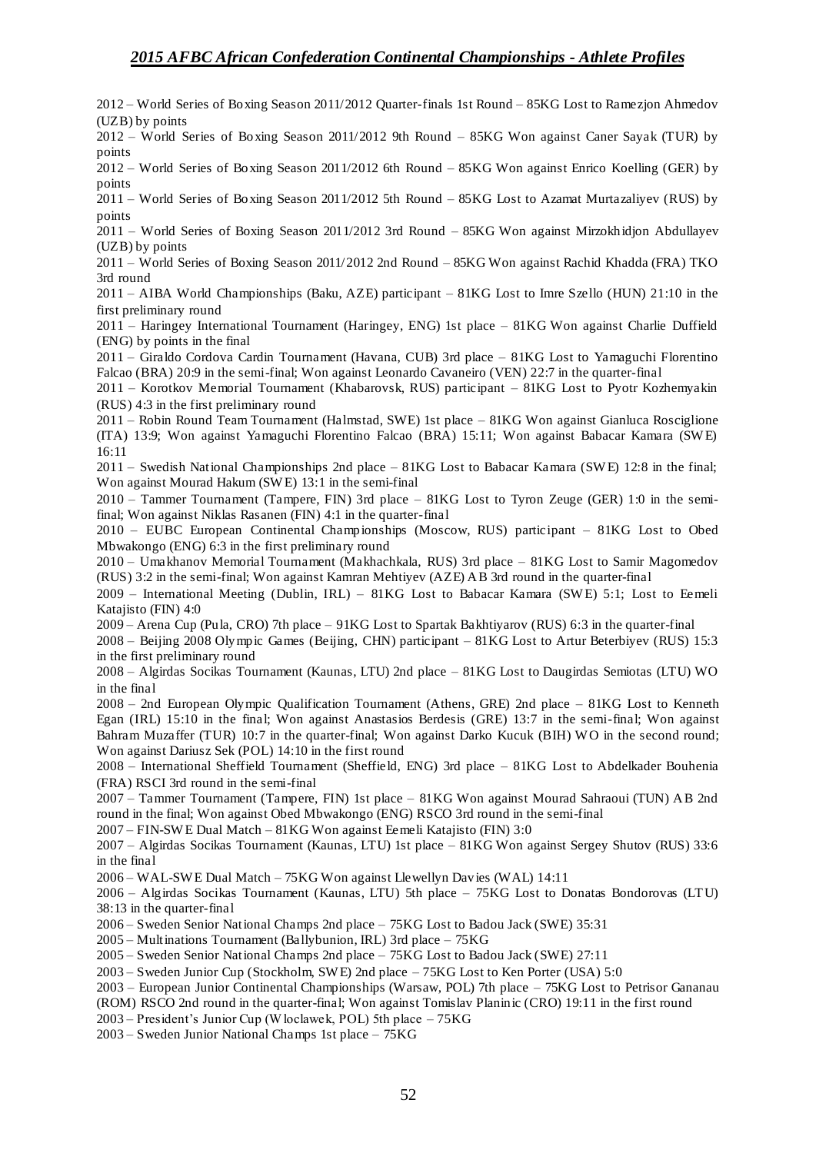2012 – World Series of Boxing Season 2011/2012 Quarter-finals 1st Round – 85KG Lost to Ramezjon Ahmedov (UZB) by points

2012 – World Series of Boxing Season 2011/2012 9th Round – 85KG Won against Caner Sayak (TUR) by points

2012 – World Series of Boxing Season 2011/2012 6th Round – 85KG Won against Enrico Koelling (GER) by points

2011 – World Series of Boxing Season 2011/2012 5th Round – 85KG Lost to Azamat Murtazaliyev (RUS) by points

2011 – World Series of Boxing Season 2011/2012 3rd Round – 85KG Won against Mirzokhidjon Abdullayev (UZB) by points

2011 – World Series of Boxing Season 2011/2012 2nd Round – 85KG Won against Rachid Khadda (FRA) TKO 3rd round

2011 – AIBA World Championships (Baku, AZE) participant – 81KG Lost to Imre Szello (HUN) 21:10 in the first preliminary round

2011 – Haringey International Tournament (Haringey, ENG) 1st place – 81KG Won against Charlie Duffield (ENG) by points in the final

2011 – Giraldo Cordova Cardin Tournament (Havana, CUB) 3rd place – 81KG Lost to Yamaguchi Florentino Falcao (BRA) 20:9 in the semi-final; Won against Leonardo Cavaneiro (VEN) 22:7 in the quarter-final

2011 – Korotkov Memorial Tournament (Khabarovsk, RUS) participant – 81KG Lost to Pyotr Kozhemyakin (RUS) 4:3 in the first preliminary round

2011 – Robin Round Team Tournament (Halmstad, SWE) 1st place – 81KG Won against Gianluca Rosciglione (ITA) 13:9; Won against Yamaguchi Florentino Falcao (BRA) 15:11; Won against Babacar Kamara (SW E) 16:11

2011 – Swedish National Championships 2nd place – 81KG Lost to Babacar Kamara (SW E) 12:8 in the final; Won against Mourad Hakum (SW E) 13:1 in the semi-final

2010 – Tammer Tournament (Tampere, FIN) 3rd place – 81KG Lost to Tyron Zeuge (GER) 1:0 in the semifinal; Won against Niklas Rasanen (FIN) 4:1 in the quarter-final

2010 – EUBC European Continental Championships (Moscow, RUS) participant – 81KG Lost to Obed Mbwakongo (ENG) 6:3 in the first preliminary round

2010 – Umakhanov Memorial Tournament (Makhachkala, RUS) 3rd place – 81KG Lost to Samir Magomedov (RUS) 3:2 in the semi-final; Won against Kamran Mehtiyev (AZE) AB 3rd round in the quarter-final

2009 – International Meeting (Dublin, IRL) – 81KG Lost to Babacar Kamara (SW E) 5:1; Lost to Eemeli Katajisto (FIN) 4:0

2009 – Arena Cup (Pula, CRO) 7th place – 91KG Lost to Spartak Bakhtiyarov (RUS) 6:3 in the quarter-final

2008 – Beijing 2008 Olympic Games (Beijing, CHN) participant – 81KG Lost to Artur Beterbiyev (RUS) 15:3 in the first preliminary round

2008 – Algirdas Socikas Tournament (Kaunas, LTU) 2nd place – 81KG Lost to Daugirdas Semiotas (LTU) WO in the final

2008 – 2nd European Olympic Qualification Tournament (Athens, GRE) 2nd place – 81KG Lost to Kenneth Egan (IRL) 15:10 in the final; Won against Anastasios Berdesis (GRE) 13:7 in the semi-final; Won against Bahram Muzaffer (TUR) 10:7 in the quarter-final; Won against Darko Kucuk (BIH) W O in the second round; Won against Dariusz Sek (POL) 14:10 in the first round

2008 – International Sheffield Tournament (Sheffield, ENG) 3rd place – 81KG Lost to Abdelkader Bouhenia (FRA) RSCI 3rd round in the semi-final

2007 – Tammer Tournament (Tampere, FIN) 1st place – 81KG Won against Mourad Sahraoui (TUN) AB 2nd round in the final; Won against Obed Mbwakongo (ENG) RSCO 3rd round in the semi-final

2007 – FIN-SW E Dual Match – 81KG Won against Eemeli Katajisto (FIN) 3:0

2007 – Algirdas Socikas Tournament (Kaunas, LTU) 1st place – 81KG Won against Sergey Shutov (RUS) 33:6 in the final

2006 – WAL-SW E Dual Match – 75KG Won against Llewellyn Davies (WAL) 14:11

2006 – Algirdas Socikas Tournament (Kaunas, LTU) 5th place – 75KG Lost to Donatas Bondorovas (LTU) 38:13 in the quarter-final

2006 – Sweden Senior National Champs 2nd place – 75KG Lost to Badou Jack (SWE) 35:31

2005 – Multinations Tournament (Ballybunion, IRL) 3rd place – 75KG

2005 – Sweden Senior National Champs 2nd place – 75KG Lost to Badou Jack (SWE) 27:11

2003 – Sweden Junior Cup (Stockholm, SW E) 2nd place – 75KG Lost to Ken Porter (USA) 5:0

2003 – European Junior Continental Championships (Warsaw, POL) 7th place – 75KG Lost to Petrisor Gananau

(ROM) RSCO 2nd round in the quarter-final; Won against Tomislav Planinic (CRO) 19:11 in the first round

2003 – President's Junior Cup (W loclawek, POL) 5th place – 75KG

2003 – Sweden Junior National Champs 1st place – 75KG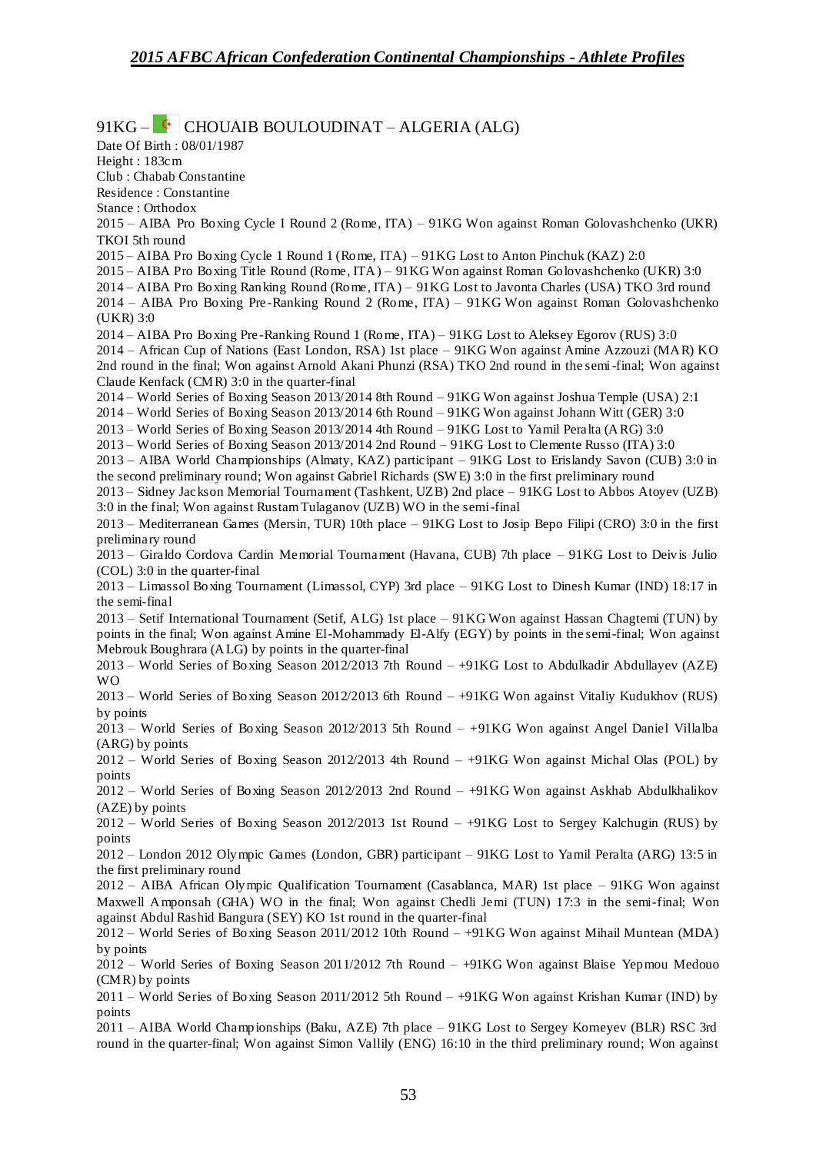$91KG -$  CHOUAIB BOULOUDINAT – ALGERIA (ALG)

Date Of Birth : 08/01/1987 Height : 183cm Club : Chabab Constantine Residence : Constantine Stance : Orthodox 2015 – AIBA Pro Boxing Cycle I Round 2 (Rome, ITA) – 91KG Won against Roman Golovashchenko (UKR) TKOI 5th round 2015 – AIBA Pro Boxing Cycle 1 Round 1 (Rome, ITA) – 91KG Lost to Anton Pinchuk (KAZ) 2:0 2015 – AIBA Pro Boxing Title Round (Rome, ITA) – 91KG Won against Roman Golovashchenko (UKR) 3:0 2014 – AIBA Pro Boxing Ranking Round (Rome, ITA) – 91KG Lost to Javonta Charles (USA) TKO 3rd round 2014 – AIBA Pro Boxing Pre -Ranking Round 2 (Rome, ITA) – 91KG Won against Roman Golovashchenko (UKR) 3:0 2014 – AIBA Pro Boxing Pre -Ranking Round 1 (Rome, ITA) – 91KG Lost to Aleksey Egorov (RUS) 3:0 2014 – African Cup of Nations (East London, RSA) 1st place – 91KG Won against Amine Azzouzi (MAR) KO 2nd round in the final; Won against Arnold Akani Phunzi (RSA) TKO 2nd round in the semi-final; Won against Claude Kenfack (CMR) 3:0 in the quarter-final 2014 – World Series of Boxing Season 2013/2014 8th Round – 91KG Won against Joshua Temple (USA) 2:1 2014 – World Series of Boxing Season 2013/2014 6th Round – 91KG Won against Johann Witt (GER) 3:0 2013 – World Series of Boxing Season 2013/2014 4th Round – 91KG Lost to Yamil Peralta (ARG) 3:0 2013 – World Series of Boxing Season 2013/2014 2nd Round – 91KG Lost to Clemente Russo (ITA) 3:0 2013 – AIBA World Championships (Almaty, KAZ) participant – 91KG Lost to Erislandy Savon (CUB) 3:0 in the second preliminary round; Won against Gabriel Richards (SW E) 3:0 in the first preliminary round 2013 – Sidney Jackson Memorial Tournament (Tashkent, UZB) 2nd place – 91KG Lost to Abbos Atoyev (UZB) 3:0 in the final; Won against Rustam Tulaganov (UZB) WO in the semi-final 2013 – Mediterranean Games (Mersin, TUR) 10th place – 91KG Lost to Josip Bepo Filipi (CRO) 3:0 in the first preliminary round 2013 – Giraldo Cordova Cardin Memorial Tournament (Havana, CUB) 7th place – 91KG Lost to Deivis Julio (COL) 3:0 in the quarter-final 2013 – Limassol Boxing Tournament (Limassol, CYP) 3rd place – 91KG Lost to Dinesh Kumar (IND) 18:17 in the semi-final 2013 – Setif International Tournament (Setif, ALG) 1st place – 91KG Won against Hassan Chagtemi (TUN) by points in the final; Won against Amine El-Mohammady El-Alfy (EGY) by points in the semi-final; Won against Mebrouk Boughrara (ALG) by points in the quarter-final 2013 – World Series of Boxing Season 2012/2013 7th Round – +91KG Lost to Abdulkadir Abdullayev (AZE) WO 2013 – World Series of Boxing Season 2012/2013 6th Round – +91KG Won against Vitaliy Kudukhov (RUS) by points 2013 – World Series of Boxing Season 2012/2013 5th Round – +91KG Won against Angel Daniel Villalba (ARG) by points 2012 – World Series of Boxing Season 2012/2013 4th Round – +91KG Won against Michal Olas (POL) by points 2012 – World Series of Boxing Season 2012/2013 2nd Round – +91KG Won against Askhab Abdulkhalikov (AZE) by points 2012 – World Series of Boxing Season 2012/2013 1st Round – +91KG Lost to Sergey Kalchugin (RUS) by points 2012 – London 2012 Olympic Games (London, GBR) participant – 91KG Lost to Yamil Peralta (ARG) 13:5 in the first preliminary round 2012 – AIBA African Olympic Qualification Tournament (Casablanca, MAR) 1st place – 91KG Won against Maxwell Amponsah (GHA) WO in the final; Won against Chedli Jemi (TUN) 17:3 in the semi-final; Won against Abdul Rashid Bangura (SEY) KO 1st round in the quarter-final 2012 – World Series of Boxing Season 2011/2012 10th Round – +91KG Won against Mihail Muntean (MDA) by points 2012 – World Series of Boxing Season 2011/2012 7th Round – +91KG Won against Blaise Yepmou Medouo (CMR) by points 2011 – World Series of Boxing Season 2011/2012 5th Round – +91KG Won against Krishan Kumar (IND) by points

2011 – AIBA World Championships (Baku, AZE) 7th place – 91KG Lost to Sergey Korneyev (BLR) RSC 3rd round in the quarter-final; Won against Simon Vallily (ENG) 16:10 in the third preliminary round; Won against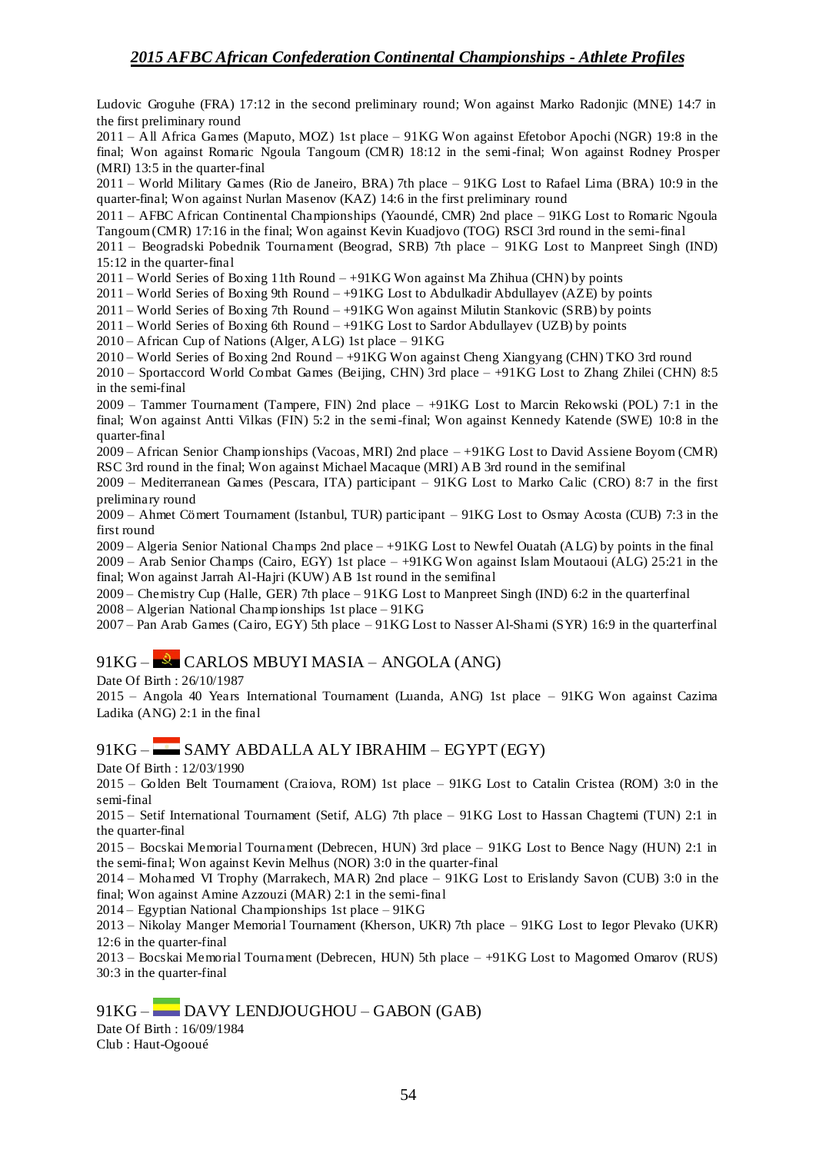Ludovic Groguhe (FRA) 17:12 in the second preliminary round; Won against Marko Radonjic (MNE) 14:7 in the first preliminary round

2011 – All Africa Games (Maputo, MOZ) 1st place – 91KG Won against Efetobor Apochi (NGR) 19:8 in the final; Won against Romaric Ngoula Tangoum (CMR) 18:12 in the semi-final; Won against Rodney Prosper (MRI) 13:5 in the quarter-final

2011 – World Military Games (Rio de Janeiro, BRA) 7th place – 91KG Lost to Rafael Lima (BRA) 10:9 in the quarter-final; Won against Nurlan Masenov (KAZ) 14:6 in the first preliminary round

2011 – AFBC African Continental Championships (Yaoundé, CMR) 2nd place – 91KG Lost to Romaric Ngoula Tangoum (CMR) 17:16 in the final; Won against Kevin Kuadjovo (TOG) RSCI 3rd round in the semi-final

2011 – Beogradski Pobednik Tournament (Beograd, SRB) 7th place – 91KG Lost to Manpreet Singh (IND) 15:12 in the quarter-final

2011 – World Series of Boxing 11th Round –  $+91KG$  Won against Ma Zhihua (CHN) by points

2011 – World Series of Boxing 9th Round – +91KG Lost to Abdulkadir Abdullayev (AZE) by points

 $2011 -$  World Series of Boxing 7th Round  $- +91KG$  Won against Milutin Stankovic (SRB) by points

2011 – World Series of Boxing 6th Round – +91KG Lost to Sardor Abdullayev (UZB) by points

 $2010 -$  African Cup of Nations (Alger, ALG) 1st place – 91KG

2010 – World Series of Boxing 2nd Round – +91KG Won against Cheng Xiangyang (CHN) TKO 3rd round

2010 – Sportaccord World Combat Games (Beijing, CHN) 3rd place – +91KG Lost to Zhang Zhilei (CHN) 8:5 in the semi-final

2009 – Tammer Tournament (Tampere, FIN) 2nd place – +91KG Lost to Marcin Rekowski (POL) 7:1 in the final; Won against Antti Vilkas (FIN) 5:2 in the semi-final; Won against Kennedy Katende (SWE) 10:8 in the quarter-final

2009 – African Senior Championships (Vacoas, MRI) 2nd place – +91KG Lost to David Assiene Boyom (CMR) RSC 3rd round in the final; Won against Michael Macaque (MRI) AB 3rd round in the semifinal

2009 – Mediterranean Games (Pescara, ITA) participant – 91KG Lost to Marko Calic (CRO) 8:7 in the first preliminary round

2009 – Ahmet Cömert Tournament (Istanbul, TUR) participant – 91KG Lost to Osmay Acosta (CUB) 7:3 in the first round

2009 – Algeria Senior National Champs 2nd place – +91KG Lost to Newfel Ouatah (ALG) by points in the final 2009 – Arab Senior Champs (Cairo, EGY) 1st place – +91KG Won against Islam Moutaoui (ALG) 25:21 in the final; Won against Jarrah Al-Hajri (KUW) AB 1st round in the semifinal

2009 – Chemistry Cup (Halle, GER) 7th place – 91KG Lost to Manpreet Singh (IND) 6:2 in the quarterfinal 2008 – Algerian National Champ ionships 1st place – 91KG

2007 – Pan Arab Games (Cairo, EGY) 5th place – 91KG Lost to Nasser Al-Shami (SYR) 16:9 in the quarterfinal

91KG – CARLOS MBUYI MASIA – ANGOLA (ANG)

Date Of Birth : 26/10/1987

2015 – Angola 40 Years International Tournament (Luanda, ANG) 1st place – 91KG Won against Cazima Ladika (ANG) 2:1 in the final

### 91KG – SAMY ABDALLA ALY IBRAHIM – EGYPT (EGY)

Date Of Birth : 12/03/1990

2015 – Golden Belt Tournament (Craiova, ROM) 1st place – 91KG Lost to Catalin Cristea (ROM) 3:0 in the semi-final

2015 – Setif International Tournament (Setif, ALG) 7th place – 91KG Lost to Hassan Chagtemi (TUN) 2:1 in the quarter-final

2015 – Bocskai Memorial Tournament (Debrecen, HUN) 3rd place – 91KG Lost to Bence Nagy (HUN) 2:1 in the semi-final; Won against Kevin Melhus (NOR) 3:0 in the quarter-final

2014 – Mohamed VI Trophy (Marrakech, MAR) 2nd place – 91KG Lost to Erislandy Savon (CUB) 3:0 in the final; Won against Amine Azzouzi (MAR) 2:1 in the semi-final

2014 – Egyptian National Championships 1st place – 91KG

2013 – Nikolay Manger Memorial Tournament (Kherson, UKR) 7th place – 91KG Lost to Iegor Plevako (UKR) 12:6 in the quarter-final

2013 – Bocskai Memorial Tournament (Debrecen, HUN) 5th place – +91KG Lost to Magomed Omarov (RUS) 30:3 in the quarter-final

#### 91KG – DAVY LENDJOUGHOU – GABON (GAB)

Date Of Birth : 16/09/1984 Club : Haut-Ogooué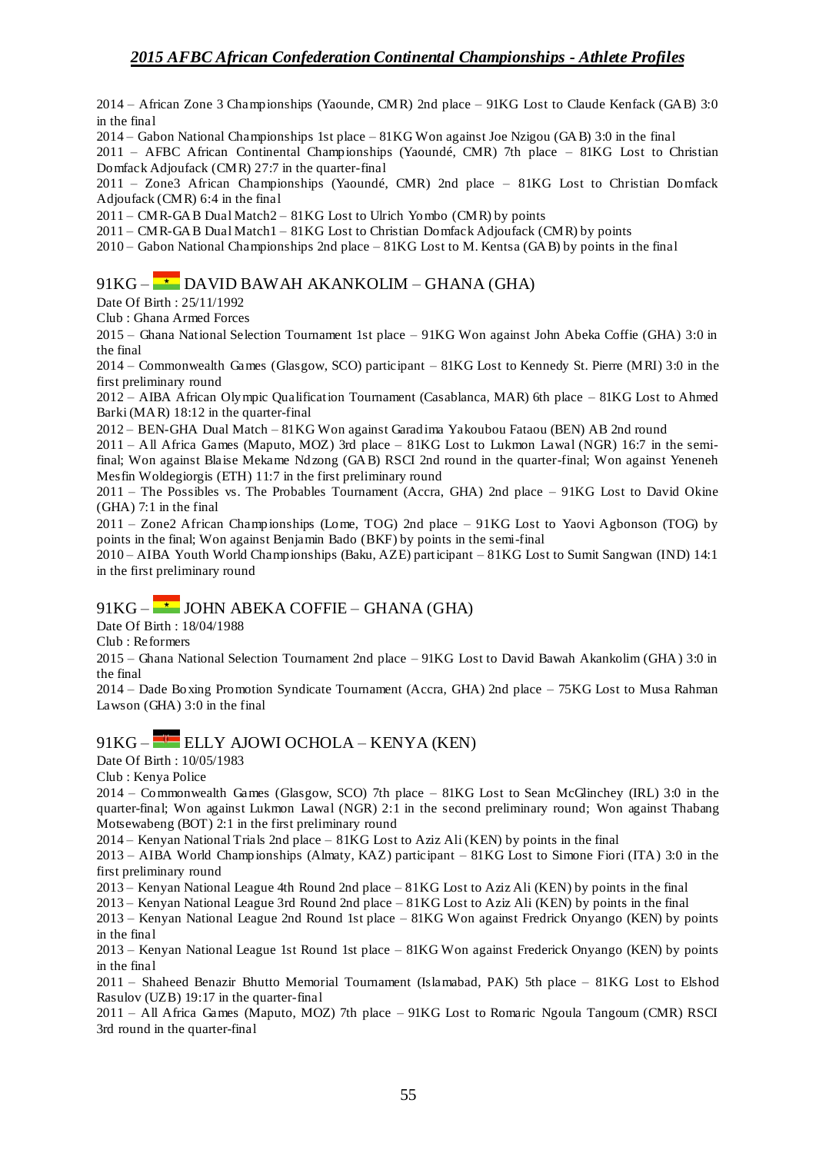2014 – African Zone 3 Championships (Yaounde, CMR) 2nd place – 91KG Lost to Claude Kenfack (GAB) 3:0 in the final

2014 – Gabon National Championships 1st place – 81KG Won against Joe Nzigou (GAB) 3:0 in the final

2011 – AFBC African Continental Championships (Yaoundé, CMR) 7th place – 81KG Lost to Christian Domfack Adjoufack (CMR) 27:7 in the quarter-final

2011 – Zone3 African Championships (Yaoundé, CMR) 2nd place – 81KG Lost to Christian Domfack Adjoufack (CMR) 6:4 in the final

2011 – CMR-GAB Dual Match2 – 81KG Lost to Ulrich Yombo (CMR) by points

 $2011$  – CMR-GAB Dual Match $1 - 81$ KG Lost to Christian Domfack Adjournal CMR) by points

2010 – Gabon National Championships 2nd place – 81KG Lost to M. Kentsa (GAB) by points in the final

## 91KG –  $\rightarrow$  DAVID BAWAH AKANKOLIM – GHANA (GHA)

Date Of Birth : 25/11/1992

Club : Ghana Armed Forces

2015 – Ghana National Selection Tournament 1st place – 91KG Won against John Abeka Coffie (GHA) 3:0 in the final

2014 – Commonwealth Games (Glasgow, SCO) participant – 81KG Lost to Kennedy St. Pierre (MRI) 3:0 in the first preliminary round

2012 – AIBA African Olympic Qualification Tournament (Casablanca, MAR) 6th place – 81KG Lost to Ahmed Barki (MAR) 18:12 in the quarter-final

2012 – BEN-GHA Dual Match – 81KG Won against Garadima Yakoubou Fataou (BEN) AB 2nd round

2011 – All Africa Games (Maputo, MOZ) 3rd place – 81KG Lost to Lukmon Lawal (NGR) 16:7 in the semifinal; Won against Blaise Mekame Ndzong (GAB) RSCI 2nd round in the quarter-final; Won against Yeneneh Mesfin Woldegiorgis (ETH) 11:7 in the first preliminary round

2011 – The Possibles vs. The Probables Tournament (Accra, GHA) 2nd place – 91KG Lost to David Okine (GHA) 7:1 in the final

2011 – Zone2 African Championships (Lome, TOG) 2nd place – 91KG Lost to Yaovi Agbonson (TOG) by points in the final; Won against Benjamin Bado (BKF) by points in the semi-final

2010 – AIBA Youth World Championships (Baku, AZE) participant – 81KG Lost to Sumit Sangwan (IND) 14:1 in the first preliminary round

### $91KG - \rightarrow$  JOHN ABEKA COFFIE – GHANA (GHA)

Date Of Birth : 18/04/1988

Club : Reformers

2015 – Ghana National Selection Tournament 2nd place – 91KG Lost to David Bawah Akankolim (GHA) 3:0 in the final

2014 – Dade Boxing Promotion Syndicate Tournament (Accra, GHA) 2nd place – 75KG Lost to Musa Rahman Lawson (GHA) 3:0 in the final

## 91KG – ELLY AJOWI OCHOLA – KENYA (KEN)

Date Of Birth : 10/05/1983

Club : Kenya Police

2014 – Commonwealth Games (Glasgow, SCO) 7th place – 81KG Lost to Sean McGlinchey (IRL) 3:0 in the quarter-final; Won against Lukmon Lawal (NGR) 2:1 in the second preliminary round; Won against Thabang Motsewabeng (BOT) 2:1 in the first preliminary round

2014 – Kenyan National Trials 2nd place – 81KG Lost to Aziz Ali (KEN) by points in the final

2013 – AIBA World Championships (Almaty, KAZ) participant – 81KG Lost to Simone Fiori (ITA) 3:0 in the first preliminary round

2013 – Kenyan National League 4th Round 2nd place – 81KG Lost to Aziz Ali (KEN) by points in the final

2013 – Kenyan National League 3rd Round 2nd place – 81KG Lost to Aziz Ali (KEN) by points in the final

2013 – Kenyan National League 2nd Round 1st place – 81KG Won against Fredrick Onyango (KEN) by points in the final

2013 – Kenyan National League 1st Round 1st place – 81KG Won against Frederick Onyango (KEN) by points in the final

2011 – Shaheed Benazir Bhutto Memorial Tournament (Islamabad, PAK) 5th place – 81KG Lost to Elshod Rasulov (UZB) 19:17 in the quarter-final

2011 – All Africa Games (Maputo, MOZ) 7th place – 91KG Lost to Romaric Ngoula Tangoum (CMR) RSCI 3rd round in the quarter-final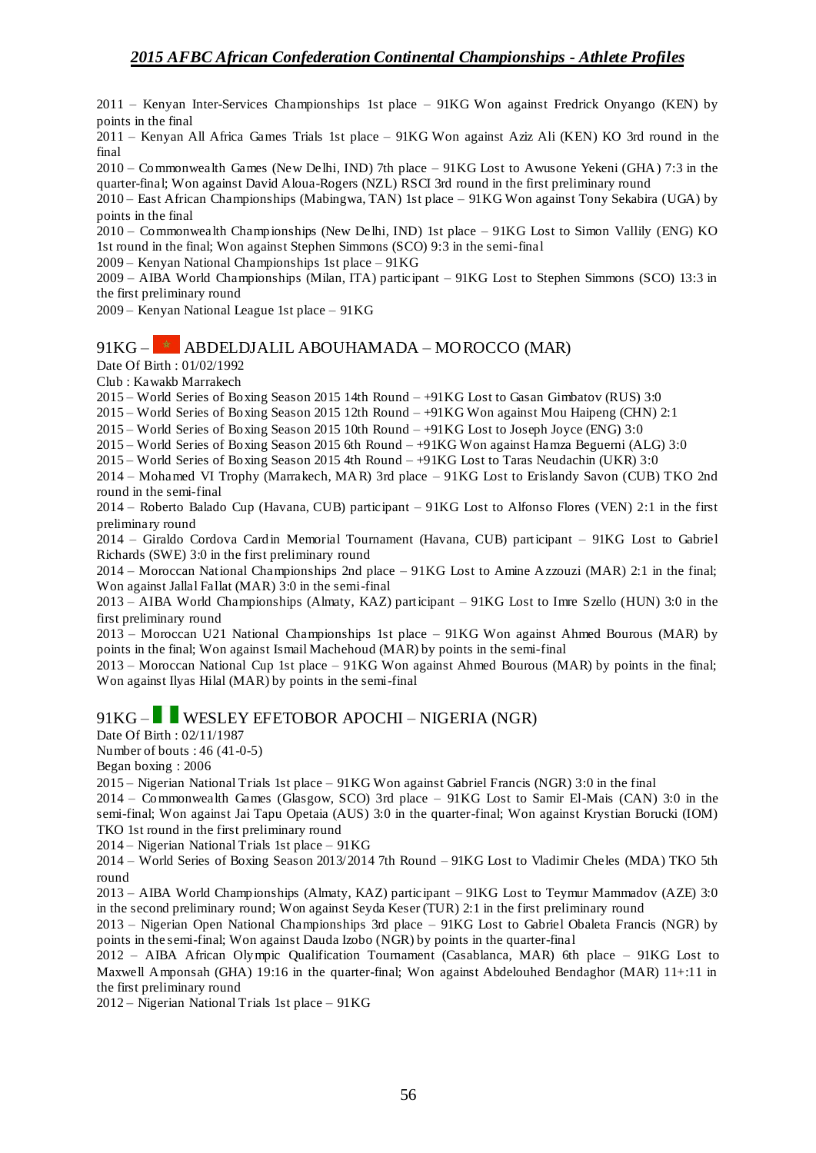2011 – Kenyan Inter-Services Championships 1st place – 91KG Won against Fredrick Onyango (KEN) by points in the final

2011 – Kenyan All Africa Games Trials 1st place – 91KG Won against Aziz Ali (KEN) KO 3rd round in the final

2010 – Commonwealth Games (New Delhi, IND) 7th place – 91KG Lost to Awusone Yekeni (GHA) 7:3 in the quarter-final; Won against David Aloua-Rogers (NZL) RSCI 3rd round in the first preliminary round

2010 – East African Championships (Mabingwa, TAN) 1st place – 91KG Won against Tony Sekabira (UGA) by points in the final

2010 – Commonwealth Championships (New Delhi, IND) 1st place – 91KG Lost to Simon Vallily (ENG) KO 1st round in the final; Won against Stephen Simmons (SCO) 9:3 in the semi-final

2009 – Kenyan National Championships 1st place – 91KG

2009 – AIBA World Championships (Milan, ITA) participant – 91KG Lost to Stephen Simmons (SCO) 13:3 in the first preliminary round

2009 – Kenyan National League 1st place – 91KG

### $91KG - *$  ABDELDJALIL ABOUHAMADA – MOROCCO (MAR)

Date Of Birth : 01/02/1992

Club : Kawakb Marrakech

2015 – World Series of Boxing Season 2015 14th Round – +91KG Lost to Gasan Gimbatov (RUS) 3:0

2015 – World Series of Boxing Season 2015 12th Round – +91KG Won against Mou Haipeng (CHN) 2:1

2015 – World Series of Boxing Season 2015 10th Round – +91KG Lost to Joseph Joyce (ENG) 3:0

2015 – World Series of Boxing Season 2015 6th Round – +91KG Won against Hamza Beguerni (ALG) 3:0

2015 – World Series of Boxing Season 2015 4th Round – +91KG Lost to Taras Neudachin (UKR) 3:0

2014 – Mohamed VI Trophy (Marrakech, MAR) 3rd place – 91KG Lost to Erislandy Savon (CUB) TKO 2nd round in the semi-final

2014 – Roberto Balado Cup (Havana, CUB) participant – 91KG Lost to Alfonso Flores (VEN) 2:1 in the first preliminary round

2014 – Giraldo Cordova Cardin Memorial Tournament (Havana, CUB) participant – 91KG Lost to Gabriel Richards (SWE) 3:0 in the first preliminary round

2014 – Moroccan National Championships 2nd place – 91KG Lost to Amine Azzouzi (MAR) 2:1 in the final; Won against Jallal Fallat (MAR) 3:0 in the semi-final

2013 – AIBA World Championships (Almaty, KAZ) participant – 91KG Lost to Imre Szello (HUN) 3:0 in the first preliminary round

2013 – Moroccan U21 National Championships 1st place – 91KG Won against Ahmed Bourous (MAR) by points in the final; Won against Ismail Machehoud (MAR) by points in the semi-final

2013 – Moroccan National Cup 1st place – 91KG Won against Ahmed Bourous (MAR) by points in the final; Won against Ilyas Hilal (MAR) by points in the semi-final

### 91KG – WESLEY EFETOBOR APOCHI – NIGERIA (NGR)

Date Of Birth : 02/11/1987

Number of bouts : 46 (41-0-5)

Began boxing : 2006

2015 – Nigerian National Trials 1st place – 91KG Won against Gabriel Francis (NGR) 3:0 in the final

2014 – Commonwealth Games (Glasgow, SCO) 3rd place – 91KG Lost to Samir El-Mais (CAN) 3:0 in the semi-final; Won against Jai Tapu Opetaia (AUS) 3:0 in the quarter-final; Won against Krystian Borucki (IOM) TKO 1st round in the first preliminary round

2014 – Nigerian National Trials 1st place – 91KG

2014 – World Series of Boxing Season 2013/2014 7th Round – 91KG Lost to Vladimir Cheles (MDA) TKO 5th round

2013 – AIBA World Championships (Almaty, KAZ) participant – 91KG Lost to Teymur Mammadov (AZE) 3:0 in the second preliminary round; Won against Seyda Keser (TUR) 2:1 in the first preliminary round

2013 – Nigerian Open National Championships 3rd place – 91KG Lost to Gabriel Obaleta Francis (NGR) by points in the semi-final; Won against Dauda Izobo (NGR) by points in the quarter-final

2012 – AIBA African Olympic Qualification Tournament (Casablanca, MAR) 6th place – 91KG Lost to Maxwell Amponsah (GHA) 19:16 in the quarter-final; Won against Abdelouhed Bendaghor (MAR) 11+:11 in the first preliminary round

2012 – Nigerian National Trials 1st place – 91KG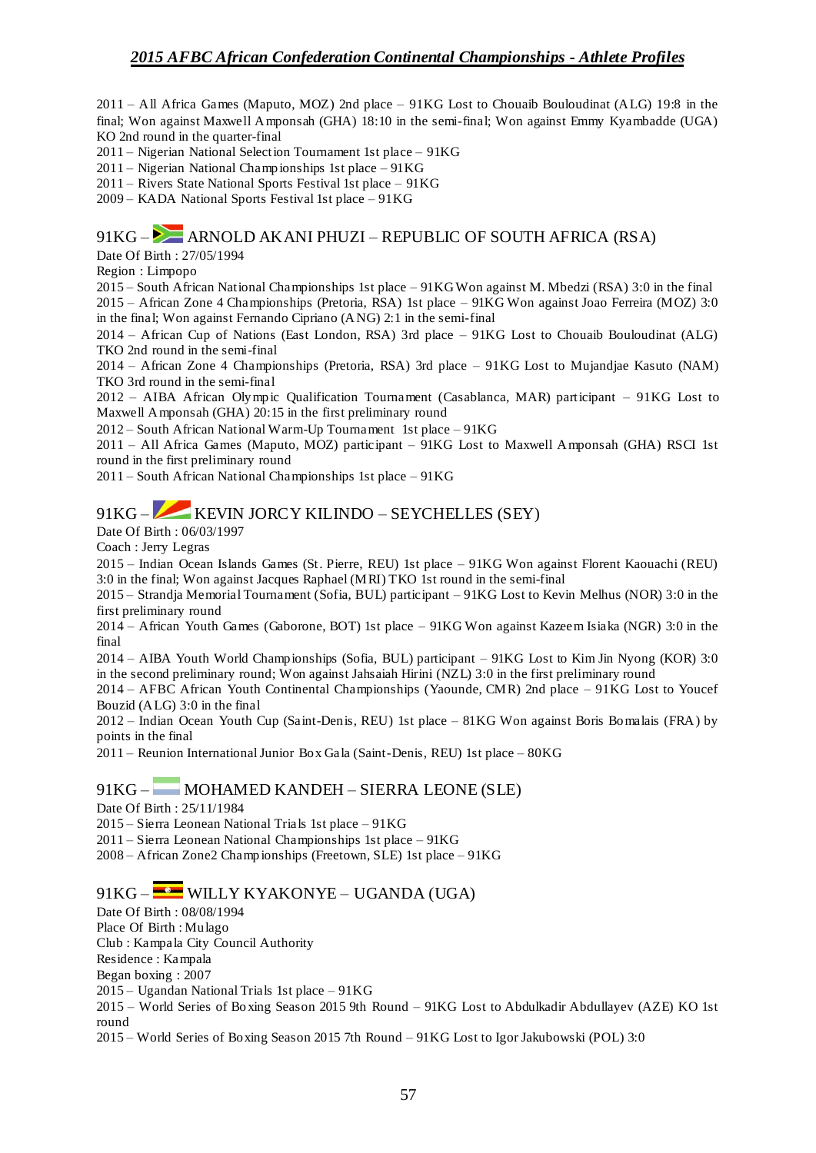2011 – All Africa Games (Maputo, MOZ) 2nd place – 91KG Lost to Chouaib Bouloudinat (ALG) 19:8 in the final; Won against Maxwell Amponsah (GHA) 18:10 in the semi-final; Won against Emmy Kyambadde (UGA) KO 2nd round in the quarter-final

2011 – Nigerian National Selection Tournament 1st place – 91KG

2011 – Nigerian National Championships 1st place – 91KG

2011 – Rivers State National Sports Festival 1st place – 91KG

2009 – KADA National Sports Festival 1st place – 91KG

### 91KG – ARNOLD AKANI PHUZI – REPUBLIC OF SOUTH AFRICA (RSA)

Date Of Birth : 27/05/1994

Region : Limpopo

2015 – South African National Championships 1st place – 91KG Won against M. Mbedzi (RSA) 3:0 in the final 2015 – African Zone 4 Championships (Pretoria, RSA) 1st place – 91KG Won against Joao Ferreira (MOZ) 3:0 in the final; Won against Fernando Cipriano (ANG) 2:1 in the semi-final

2014 – African Cup of Nations (East London, RSA) 3rd place – 91KG Lost to Chouaib Bouloudinat (ALG) TKO 2nd round in the semi-final

2014 – African Zone 4 Championships (Pretoria, RSA) 3rd place – 91KG Lost to Mujandjae Kasuto (NAM) TKO 3rd round in the semi-final

2012 – AIBA African Olympic Qualification Tournament (Casablanca, MAR) participant – 91KG Lost to Maxwell Amponsah (GHA) 20:15 in the first preliminary round

2012 – South African National Warm-Up Tournament 1st place – 91KG

2011 – All Africa Games (Maputo, MOZ) participant –  $91KG$  Lost to Maxwell Amponsah (GHA) RSCI 1st round in the first preliminary round

2011 – South African National Championships 1st place – 91KG

## 91KG – KEVIN JORCY KILINDO – SEYCHELLES (SEY)

Date Of Birth : 06/03/1997

Coach : Jerry Legras

2015 – Indian Ocean Islands Games (St. Pierre, REU) 1st place – 91KG Won against Florent Kaouachi (REU) 3:0 in the final; Won against Jacques Raphael (MRI) TKO 1st round in the semi-final

2015 – Strandja Memorial Tournament (Sofia, BUL) participant – 91KG Lost to Kevin Melhus (NOR) 3:0 in the first preliminary round

2014 – African Youth Games (Gaborone, BOT) 1st place – 91KG Won against Kazeem Isiaka (NGR) 3:0 in the final

2014 – AIBA Youth World Championships (Sofia, BUL) participant – 91KG Lost to Kim Jin Nyong (KOR) 3:0 in the second preliminary round; Won against Jahsaiah Hirini (NZL) 3:0 in the first preliminary round

2014 – AFBC African Youth Continental Championships (Yaounde, CMR) 2nd place – 91KG Lost to Youcef Bouzid (ALG) 3:0 in the final

2012 – Indian Ocean Youth Cup (Saint-Denis, REU) 1st place – 81KG Won against Boris Bomalais (FRA) by points in the final

2011 – Reunion International Junior Box Gala (Saint-Denis, REU) 1st place – 80KG

#### 91KG – MOHAMED KANDEH – SIERRA LEONE (SLE)

Date Of Birth : 25/11/1984

2015 – Sierra Leonean National Trials 1st place – 91KG

2011 – Sierra Leonean National Championships 1st place – 91KG

2008 – African Zone2 Champ ionships (Freetown, SLE) 1st place – 91KG

### 91KG – WILLY KYAKONYE – UGANDA (UGA)

Date Of Birth : 08/08/1994

Place Of Birth : Mulago

Club : Kampala City Council Authority

Residence : Kampala

Began boxing : 2007

2015 – Ugandan National Trials 1st place – 91KG

2015 – World Series of Bo xing Season 2015 9th Round – 91KG Lost to Abdulkadir Abdullayev (AZE) KO 1st round

2015 – World Series of Boxing Season 2015 7th Round – 91KG Lost to Igor Jakubowski (POL) 3:0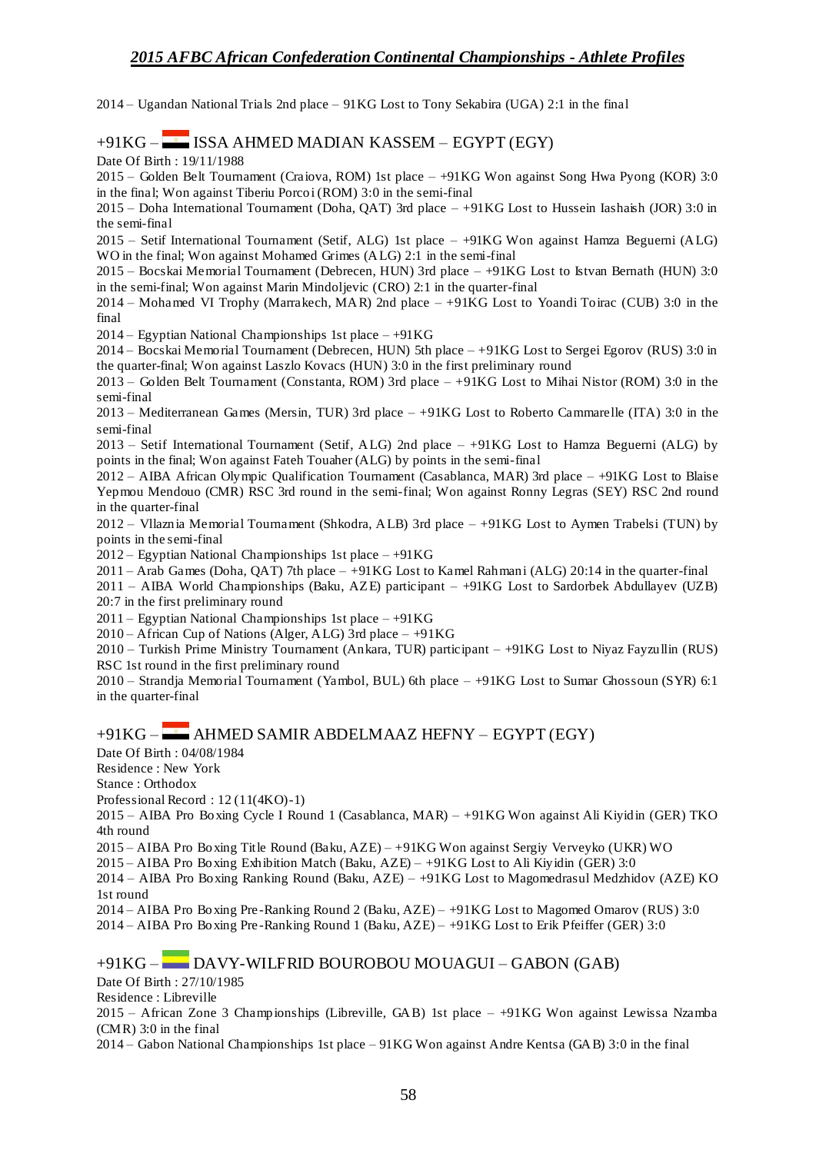2014 – Ugandan National Trials 2nd place – 91KG Lost to Tony Sekabira (UGA) 2:1 in the final

#### +91KG – ISSA AHMED MADIAN KASSEM – EGYPT (EGY)

Date Of Birth : 19/11/1988

2015 – Golden Belt Tournament (Craiova, ROM) 1st place – +91KG Won against Song Hwa Pyong (KOR) 3:0 in the final; Won against Tiberiu Porcoi (ROM) 3:0 in the semi-final

2015 – Doha International Tournament (Doha, QAT) 3rd place – +91KG Lost to Hussein Iashaish (JOR) 3:0 in the semi-final

2015 – Setif International Tournament (Setif, ALG) 1st place – +91KG Won against Hamza Beguerni (ALG) WO in the final; Won against Mohamed Grimes (ALG) 2:1 in the semi-final

2015 – Bocskai Memorial Tournament (Debrecen, HUN) 3rd place – +91KG Lost to Istvan Bernath (HUN) 3:0 in the semi-final; Won against Marin Mindoljevic (CRO) 2:1 in the quarter-final

2014 – Mohamed VI Trophy (Marrakech, MAR) 2nd place – +91KG Lost to Yoandi Toirac (CUB) 3:0 in the final

2014 – Egyptian National Championships 1st place –  $+91KG$ 

2014 – Bocskai Memorial Tournament (Debrecen, HUN) 5th place – +91KG Lost to Sergei Egorov (RUS) 3:0 in the quarter-final; Won against Laszlo Kovacs (HUN) 3:0 in the first preliminary round

2013 – Golden Belt Tournament (Constanta, ROM) 3rd place – +91KG Lost to Mihai Nistor (ROM) 3:0 in the semi-final

2013 – Mediterranean Games (Mersin, TUR) 3rd place – +91KG Lost to Roberto Cammarelle (ITA) 3:0 in the semi-final

2013 – Setif International Tournament (Setif, ALG) 2nd place – +91KG Lost to Hamza Beguerni (ALG) by points in the final; Won against Fateh Touaher (ALG) by points in the semi-final

2012 – AIBA African Olympic Qualification Tournament (Casablanca, MAR) 3rd place – +91KG Lost to Blaise Yepmou Mendouo (CMR) RSC 3rd round in the semi-final; Won against Ronny Legras (SEY) RSC 2nd round in the quarter-final

2012 – Vllaznia Memorial Tournament (Shkodra, ALB) 3rd place – +91KG Lost to Aymen Trabelsi (TUN) by points in the semi-final

 $2012 -$  Egyptian National Championships 1st place  $- +91KG$ 

2011 – Arab Games (Doha, QAT) 7th place – +91KG Lost to Kamel Rahmani (ALG) 20:14 in the quarter-final

2011 – AIBA World Championships (Baku, AZE) participant – +91KG Lost to Sardorbek Abdullayev (UZB) 20:7 in the first preliminary round

 $2011 -$  Egyptian National Championships 1st place  $- +91KG$ 

 $2010 -$  African Cup of Nations (Alger, ALG) 3rd place  $- +91KG$ 

2010 – Turkish Prime Ministry Tournament (Ankara, TUR) participant – +91KG Lost to Niyaz Fayzullin (RUS) RSC 1st round in the first preliminary round

2010 – Strandja Memorial Tournament (Yambol, BUL) 6th place – +91KG Lost to Sumar Ghossoun (SYR) 6:1 in the quarter-final

#### +91KG – AHMED SAMIR ABDELMAAZ HEFNY – EGYPT (EGY)

Date Of Birth : 04/08/1984

Residence : New York

Stance : Orthodox

Professional Record : 12 (11(4KO)-1)

2015 – AIBA Pro Boxing Cycle I Round 1 (Casablanca, MAR) – +91KG Won against Ali Kiyidin (GER) TKO 4th round

2015 – AIBA Pro Boxing Title Round (Baku, AZE) – +91KG Won against Sergiy Verveyko (UKR) WO

 $2015 - AIBA$  Pro Boxing Exhibition Match (Baku,  $AZE$ ) – +91KG Lost to Ali Kiyidin (GER) 3:0

2014 – AIBA Pro Boxing Ranking Round (Baku, AZE) – +91KG Lost to Magomedrasul Medzhidov (AZE) KO 1st round

2014 – AIBA Pro Boxing Pre -Ranking Round 2 (Baku, AZE) – +91KG Lost to Magomed Omarov (RUS) 3:0 2014 – AIBA Pro Boxing Pre -Ranking Round 1 (Baku, AZE) – +91KG Lost to Erik Pfeiffer (GER) 3:0

### +91KG – DAVY-WILFRID BOUROBOU MOUAGUI – GABON (GAB)

Date Of Birth : 27/10/1985

Residence : Libreville

2015 – African Zone 3 Championships (Libreville, GAB) 1st place – +91KG Won against Lewissa Nzamba (CMR) 3:0 in the final

2014 – Gabon National Championships 1st place – 91KG Won against Andre Kentsa (GAB) 3:0 in the final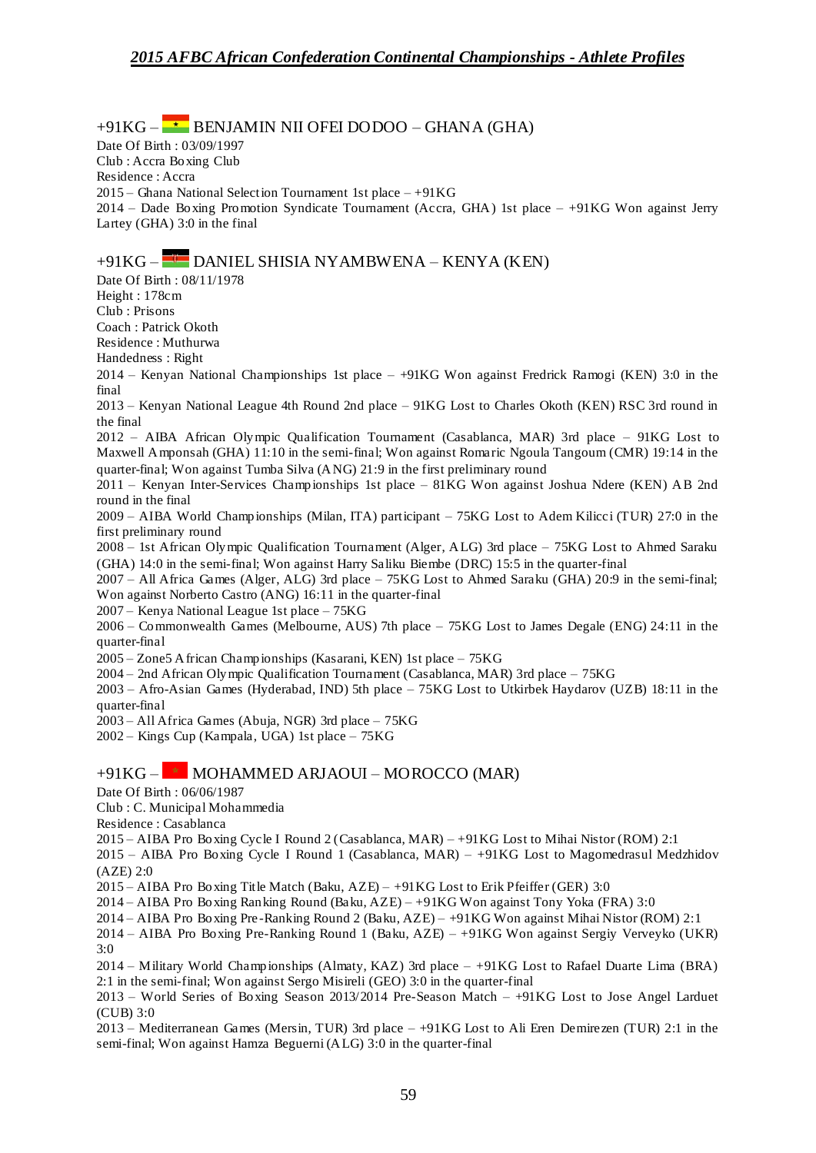$+91KG -$  BENJAMIN NII OFEI DODOO – GHANA (GHA) Date Of Birth : 03/09/1997 Club : Accra Boxing Club Residence : Accra 2015 – Ghana National Selection Tournament 1st place  $-+91KG$ 2014 – Dade Boxing Promotion Syndicate Tournament (Accra, GHA) 1st place – +91KG Won against Jerry Lartey (GHA) 3:0 in the final +91KG – DANIEL SHISIA NYAMBWENA – KENYA (KEN) Date Of Birth : 08/11/1978 Height : 178cm Club : Prisons Coach : Patrick Okoth Residence : Muthurwa Handedness : Right 2014 – Kenyan National Championships 1st place – +91KG Won against Fredrick Ramogi (KEN) 3:0 in the final 2013 – Kenyan National League 4th Round 2nd place – 91KG Lost to Charles Okoth (KEN) RSC 3rd round in the final 2012 – AIBA African Olympic Qualification Tournament (Casablanca, MAR) 3rd place – 91KG Lost to Maxwell Amponsah (GHA) 11:10 in the semi-final; Won against Romaric Ngoula Tangoum (CMR) 19:14 in the quarter-final; Won against Tumba Silva (ANG) 21:9 in the first preliminary round 2011 – Kenyan Inter-Services Championships 1st place – 81KG Won against Joshua Ndere (KEN) AB 2nd round in the final 2009 – AIBA World Championships (Milan, ITA) participant – 75KG Lost to Adem Kilicci (TUR) 27:0 in the first preliminary round 2008 – 1st African Olympic Qualification Tournament (Alger, ALG) 3rd place – 75KG Lost to Ahmed Saraku (GHA) 14:0 in the semi-final; Won against Harry Saliku Biembe (DRC) 15:5 in the quarter-final 2007 – All Africa Games (Alger, ALG) 3rd place – 75KG Lost to Ahmed Saraku (GHA) 20:9 in the semi-final; Won against Norberto Castro (ANG) 16:11 in the quarter-final 2007 – Kenya National League 1st place – 75KG 2006 – Commonwealth Games (Melbourne, AUS) 7th place – 75KG Lost to James Degale (ENG) 24:11 in the quarter-final 2005 – Zone5 African Championships (Kasarani, KEN) 1st place – 75KG 2004 – 2nd African Olympic Qualification Tournament (Casablanca, MAR) 3rd place – 75KG 2003 – Afro-Asian Games (Hyderabad, IND) 5th place – 75KG Lost to Utkirbek Haydarov (UZB) 18:11 in the quarter-final 2003 – All Africa Games (Abuja, NGR) 3rd place – 75KG 2002 – Kings Cup (Kampala, UGA) 1st place – 75KG  $+91KG -$  MOHAMMED ARJAOUI – MOROCCO (MAR) Date Of Birth : 06/06/1987 Club : C. Municipal Mohammedia Residence : Casablanca 2015 – AIBA Pro Boxing Cycle I Round 2 (Casablanca, MAR) – +91KG Lost to Mihai Nistor (ROM) 2:1 2015 – AIBA Pro Boxing Cycle I Round 1 (Casablanca, MAR) – +91KG Lost to Magomedrasul Medzhidov (AZE) 2:0 2015 – AIBA Pro Boxing Title Match (Baku, AZE) – +91KG Lost to Erik Pfeiffer (GER) 3:0 2014 – AIBA Pro Boxing Ranking Round (Baku, AZE) – +91KG Won against Tony Yoka (FRA) 3:0

2014 – AIBA Pro Boxing Pre -Ranking Round 2 (Baku, AZE) – +91KG Won against Mihai Nistor (ROM) 2:1

2014 – AIBA Pro Boxing Pre-Ranking Round 1 (Baku, AZE) – +91KG Won against Sergiy Verveyko (UKR) 3:0

2014 – Military World Championships (Almaty, KAZ) 3rd place – +91KG Lost to Rafael Duarte Lima (BRA) 2:1 in the semi-final; Won against Sergo Misireli (GEO) 3:0 in the quarter-final

2013 – World Series of Boxing Season 2013/2014 Pre-Season Match – +91KG Lost to Jose Angel Larduet (CUB) 3:0

2013 – Mediterranean Games (Mersin, TUR) 3rd place – +91KG Lost to Ali Eren Demirezen (TUR) 2:1 in the semi-final; Won against Hamza Beguerni (ALG) 3:0 in the quarter-final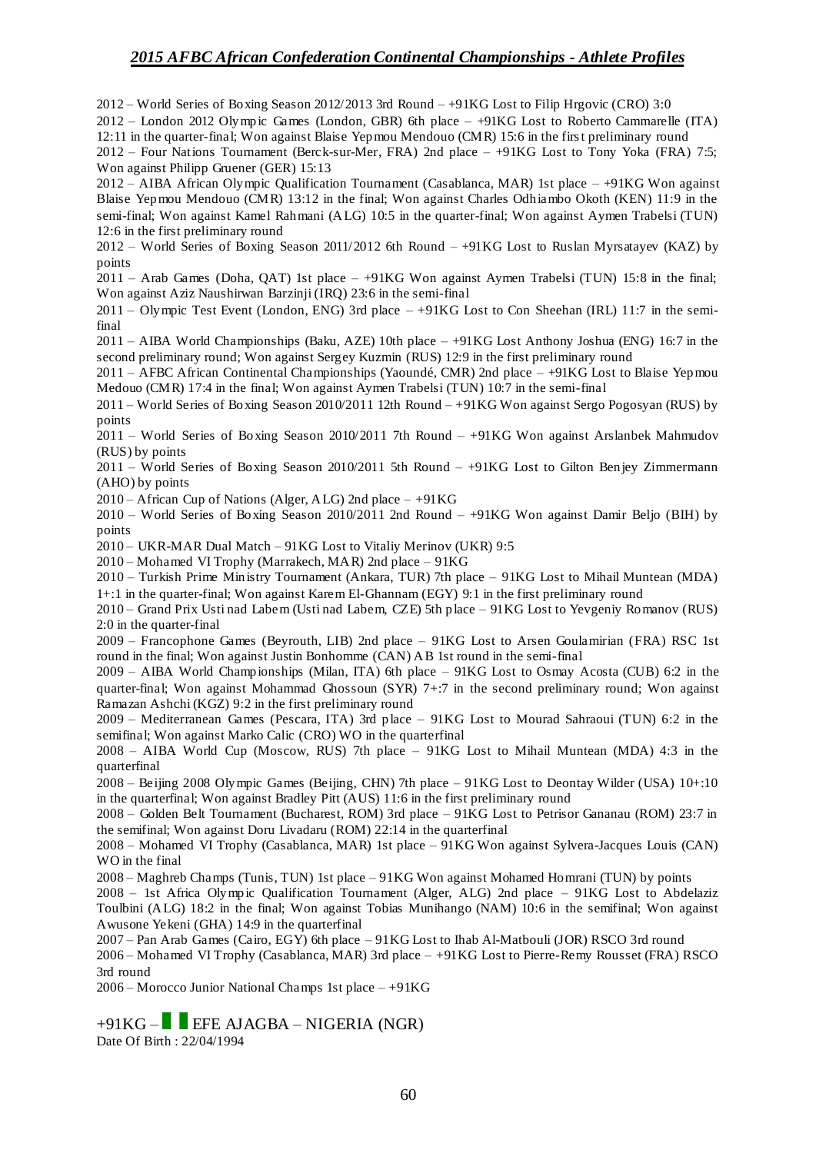2012 – World Series of Boxing Season 2012/2013 3rd Round – +91KG Lost to Filip Hrgovic (CRO) 3:0

2012 – London 2012 Olympic Games (London, GBR) 6th place – +91KG Lost to Roberto Cammarelle (ITA) 12:11 in the quarter-final; Won against Blaise Yepmou Mendouo (CMR) 15:6 in the first preliminary round

2012 – Four Nations Tournament (Berck-sur-Mer, FRA) 2nd place – +91KG Lost to Tony Yoka (FRA) 7:5; Won against Philipp Gruener (GER) 15:13

2012 – AIBA African Olympic Qualification Tournament (Casablanca, MAR) 1st place – +91KG Won against Blaise Yepmou Mendouo (CMR) 13:12 in the final; Won against Charles Odhiambo Okoth (KEN) 11:9 in the semi-final; Won against Kamel Rahmani (ALG) 10:5 in the quarter-final; Won against Aymen Trabelsi (TUN) 12:6 in the first preliminary round

2012 – World Series of Boxing Season 2011/2012 6th Round – +91KG Lost to Ruslan Myrsatayev (KAZ) by points

2011 – Arab Games (Doha, QAT) 1st place – +91KG Won against Aymen Trabelsi (TUN) 15:8 in the final; Won against Aziz Naushirwan Barzinji (IRQ) 23:6 in the semi-final

2011 – Olympic Test Event (London, ENG) 3rd place – +91KG Lost to Con Sheehan (IRL) 11:7 in the semifinal

2011 – AIBA World Championships (Baku, AZE) 10th place – +91KG Lost Anthony Joshua (ENG) 16:7 in the second preliminary round; Won against Sergey Kuzmin (RUS) 12:9 in the first preliminary round

2011 – AFBC African Continental Championships (Yaoundé, CMR) 2nd place – +91KG Lost to Blaise Yepmou Medouo (CMR) 17:4 in the final; Won against Aymen Trabelsi (TUN) 10:7 in the semi-final

2011 – World Series of Boxing Season 2010/2011 12th Round – +91KG Won against Sergo Pogosyan (RUS) by points

2011 – World Series of Boxing Season 2010/2011 7th Round – +91KG Won against Arslanbek Mahmudov (RUS) by points

2011 – World Series of Boxing Season 2010/2011 5th Round – +91KG Lost to Gilton Benjey Zimmermann (AHO) by points

2010 – African Cup of Nations (Alger, ALG) 2nd place  $-+91KG$ 

2010 – World Series of Boxing Season 2010/2011 2nd Round – +91KG Won against Damir Beljo (BIH) by points

2010 – UKR-MAR Dual Match – 91KG Lost to Vitaliy Merinov (UKR) 9:5

2010 – Mohamed VI Trophy (Marrakech, MAR) 2nd place – 91KG

2010 – Turkish Prime Ministry Tournament (Ankara, TUR) 7th place – 91KG Lost to Mihail Muntean (MDA) 1+:1 in the quarter-final; Won against Karem El-Ghannam (EGY) 9:1 in the first preliminary round

2010 – Grand Prix Usti nad Labem (Usti nad Labem, CZE) 5th place – 91KG Lost to Yevgeniy Romanov (RUS) 2:0 in the quarter-final

2009 – Francophone Games (Beyrouth, LIB) 2nd place – 91KG Lost to Arsen Goulamirian (FRA) RSC 1st round in the final; Won against Justin Bonhomme (CAN) AB 1st round in the semi-final

2009 – AIBA World Championships (Milan, ITA) 6th place – 91KG Lost to Osmay Acosta (CUB) 6:2 in the quarter-final; Won against Mohammad Ghossoun (SYR) 7+:7 in the second preliminary round; Won against Ramazan Ashchi (KGZ) 9:2 in the first preliminary round

2009 – Mediterranean Games (Pescara, ITA) 3rd place – 91KG Lost to Mourad Sahraoui (TUN) 6:2 in the semifinal; Won against Marko Calic (CRO) WO in the quarterfinal

2008 – AIBA World Cup (Moscow, RUS) 7th place – 91KG Lost to Mihail Muntean (MDA) 4:3 in the quarterfinal

2008 – Beijing 2008 Olympic Games (Beijing, CHN) 7th place – 91KG Lost to Deontay Wilder (USA) 10+:10 in the quarterfinal; Won against Bradley Pitt (AUS) 11:6 in the first preliminary round

2008 – Golden Belt Tournament (Bucharest, ROM) 3rd place – 91KG Lost to Petrisor Gananau (ROM) 23:7 in the semifinal; Won against Doru Livadaru (ROM) 22:14 in the quarterfinal

2008 – Mohamed VI Trophy (Casablanca, MAR) 1st place – 91KG Won against Sylvera-Jacques Louis (CAN) WO in the final

2008 – Maghreb Champs (Tunis, TUN) 1st place – 91KG Won against Mohamed Homrani (TUN) by points

2008 – 1st Africa Olympic Qualification Tournament (Alger, ALG) 2nd place – 91KG Lost to Abdelaziz Toulbini (ALG) 18:2 in the final; Won against Tobias Munihango (NAM) 10:6 in the semifinal; Won against Awusone Yekeni (GHA) 14:9 in the quarterfinal

2007 – Pan Arab Games (Cairo, EGY) 6th place – 91KG Lost to Ihab Al-Matbouli (JOR) RSCO 3rd round

2006 – Mohamed VI Trophy (Casablanca, MAR) 3rd place – +91KG Lost to Pierre-Remy Rousset (FRA) RSCO 3rd round

2006 – Morocco Junior National Champs 1st place – +91KG

 $+91KG -$  EFE AJAGBA – NIGERIA (NGR)

Date Of Birth : 22/04/1994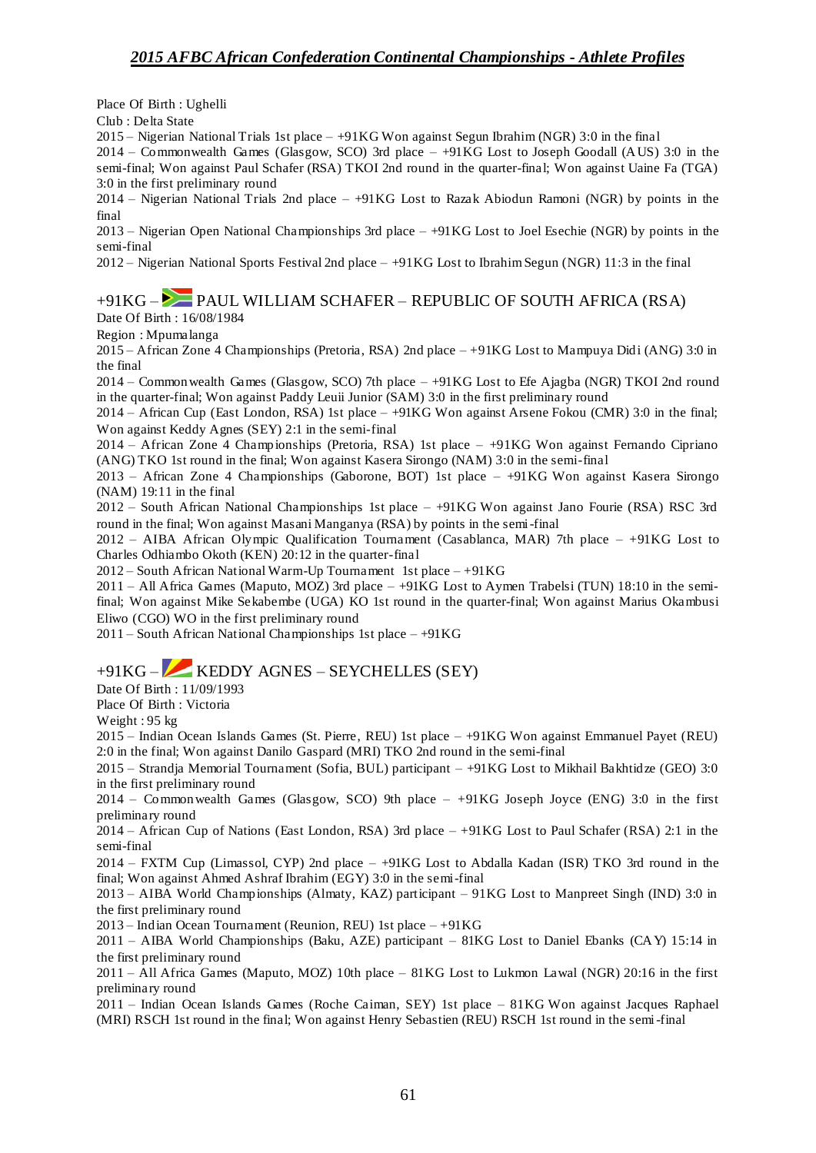Place Of Birth : Ughelli

Club : Delta State

2015 – Nigerian National Trials 1st place – +91KG Won against Segun Ibrahim (NGR) 3:0 in the final

2014 – Commonwealth Games (Glasgow, SCO) 3rd place – +91KG Lost to Joseph Goodall (AUS) 3:0 in the semi-final; Won against Paul Schafer (RSA) TKOI 2nd round in the quarter-final; Won against Uaine Fa (TGA) 3:0 in the first preliminary round

2014 – Nigerian National Trials 2nd place – +91KG Lost to Razak Abiodun Ramoni (NGR) by points in the final

2013 – Nigerian Open National Championships 3rd place – +91KG Lost to Joel Esechie (NGR) by points in the semi-final

2012 – Nigerian National Sports Festival 2nd place – +91KG Lost to Ibrahim Segun (NGR) 11:3 in the final

# $+91KG -$ PAUL WILLIAM SCHAFER – REPUBLIC OF SOUTH AFRICA (RSA)

Date Of Birth : 16/08/1984

Region : Mpumalanga

2015 – African Zone 4 Championships (Pretoria, RSA) 2nd place – +91KG Lost to Mampuya Didi (ANG) 3:0 in the final

2014 – Commonwealth Games (Glasgow, SCO) 7th place – +91KG Lost to Efe Ajagba (NGR) TKOI 2nd round in the quarter-final; Won against Paddy Leuii Junior (SAM) 3:0 in the first preliminary round

2014 – African Cup (East London, RSA) 1st place – +91KG Won against Arsene Fokou (CMR) 3:0 in the final; Won against Keddy Agnes (SEY) 2:1 in the semi-final

2014 – African Zone 4 Championships (Pretoria, RSA) 1st place – +91KG Won against Fernando Cipriano (ANG) TKO 1st round in the final; Won against Kasera Sirongo (NAM) 3:0 in the semi-final

2013 – African Zone 4 Championships (Gaborone, BOT) 1st place – +91KG Won against Kasera Sirongo (NAM) 19:11 in the final

2012 – South African National Championships 1st place – +91KG Won against Jano Fourie (RSA) RSC 3rd round in the final; Won against Masani Manganya (RSA) by points in the semi-final

2012 – AIBA African Olympic Qualification Tournament (Casablanca, MAR) 7th place – +91KG Lost to Charles Odhiambo Okoth (KEN) 20:12 in the quarter-final

2012 – South African National Warm-Up Tournament 1st place  $-+91KG$ 

2011 – All Africa Games (Maputo, MOZ) 3rd place – +91KG Lost to Aymen Trabelsi (TUN) 18:10 in the semifinal; Won against Mike Sekabembe (UGA) KO 1st round in the quarter-final; Won against Marius Okambusi Eliwo (CGO) WO in the first preliminary round

 $2011 -$  South African National Championships 1st place  $- +91KG$ 

## +91KG – KEDDY AGNES – SEYCHELLES (SEY)

Date Of Birth : 11/09/1993

Place Of Birth : Victoria

Weight : 95 kg

2015 – Indian Ocean Islands Games (St. Pierre, REU) 1st place – +91KG Won against Emmanuel Payet (REU) 2:0 in the final; Won against Danilo Gaspard (MRI) TKO 2nd round in the semi-final

2015 – Strandja Memorial Tournament (Sofia, BUL) participant – +91KG Lost to Mikhail Bakhtidze (GEO) 3:0 in the first preliminary round

2014 – Commonwealth Games (Glasgow, SCO) 9th place – +91KG Joseph Joyce (ENG) 3:0 in the first preliminary round

2014 – African Cup of Nations (East London, RSA) 3rd place – +91KG Lost to Paul Schafer (RSA) 2:1 in the semi-final

2014 – FXTM Cup (Limassol, CYP) 2nd place – +91KG Lost to Abdalla Kadan (ISR) TKO 3rd round in the final; Won against Ahmed Ashraf Ibrahim (EGY) 3:0 in the semi-final

2013 – AIBA World Championships (Almaty, KAZ) participant – 91KG Lost to Manpreet Singh (IND) 3:0 in the first preliminary round

2013 – Indian Ocean Tournament (Reunion, REU) 1st place – +91KG

2011 – AIBA World Championships (Baku, AZE) participant – 81KG Lost to Daniel Ebanks (CAY) 15:14 in the first preliminary round

2011 – All Africa Games (Maputo, MOZ) 10th place – 81KG Lost to Lukmon Lawal (NGR) 20:16 in the first preliminary round

2011 – Indian Ocean Islands Games (Roche Caiman, SEY) 1st place – 81KG Won against Jacques Raphael (MRI) RSCH 1st round in the final; Won against Henry Sebastien (REU) RSCH 1st round in the semi-final